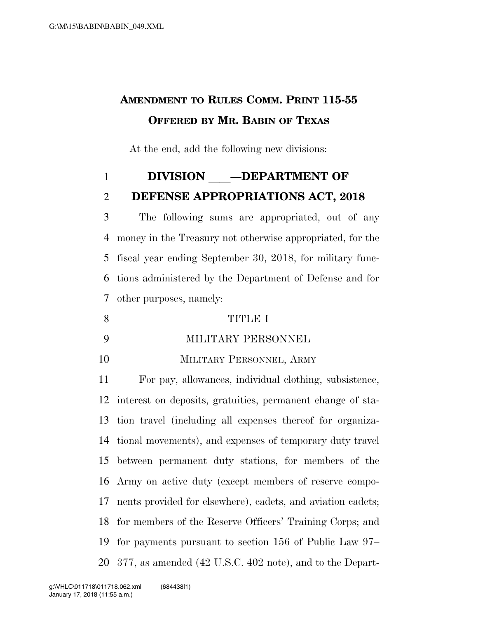# **AMENDMENT TO RULES COMM. PRINT 115-55 OFFERED BY MR. BABIN OF TEXAS**

At the end, add the following new divisions:

# **DIVISION —DEPARTMENT OF**

# **DEFENSE APPROPRIATIONS ACT, 2018**

 The following sums are appropriated, out of any money in the Treasury not otherwise appropriated, for the fiscal year ending September 30, 2018, for military func- tions administered by the Department of Defense and for other purposes, namely:

- TITLE I
- MILITARY PERSONNEL
- MILITARY PERSONNEL, ARMY

 For pay, allowances, individual clothing, subsistence, interest on deposits, gratuities, permanent change of sta- tion travel (including all expenses thereof for organiza- tional movements), and expenses of temporary duty travel between permanent duty stations, for members of the Army on active duty (except members of reserve compo- nents provided for elsewhere), cadets, and aviation cadets; for members of the Reserve Officers' Training Corps; and for payments pursuant to section 156 of Public Law 97– 377, as amended (42 U.S.C. 402 note), and to the Depart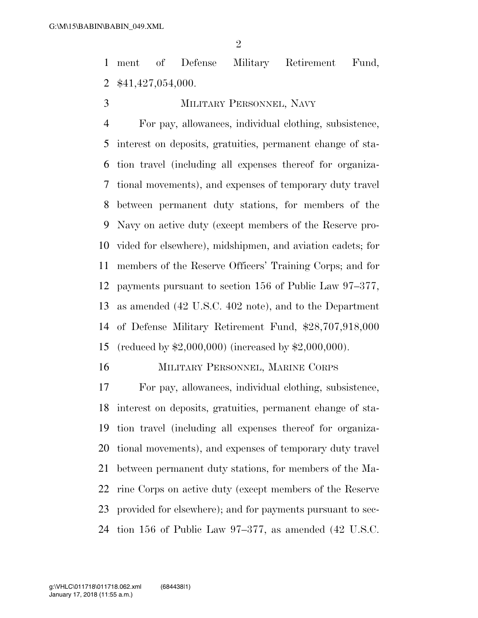ment of Defense Military Retirement Fund, \$41,427,054,000.

# MILITARY PERSONNEL, NAVY

 For pay, allowances, individual clothing, subsistence, interest on deposits, gratuities, permanent change of sta- tion travel (including all expenses thereof for organiza- tional movements), and expenses of temporary duty travel between permanent duty stations, for members of the Navy on active duty (except members of the Reserve pro- vided for elsewhere), midshipmen, and aviation cadets; for members of the Reserve Officers' Training Corps; and for payments pursuant to section 156 of Public Law 97–377, as amended (42 U.S.C. 402 note), and to the Department of Defense Military Retirement Fund, \$28,707,918,000 (reduced by \$2,000,000) (increased by \$2,000,000).

MILITARY PERSONNEL, MARINE CORPS

 For pay, allowances, individual clothing, subsistence, interest on deposits, gratuities, permanent change of sta- tion travel (including all expenses thereof for organiza- tional movements), and expenses of temporary duty travel between permanent duty stations, for members of the Ma- rine Corps on active duty (except members of the Reserve provided for elsewhere); and for payments pursuant to sec-tion 156 of Public Law 97–377, as amended (42 U.S.C.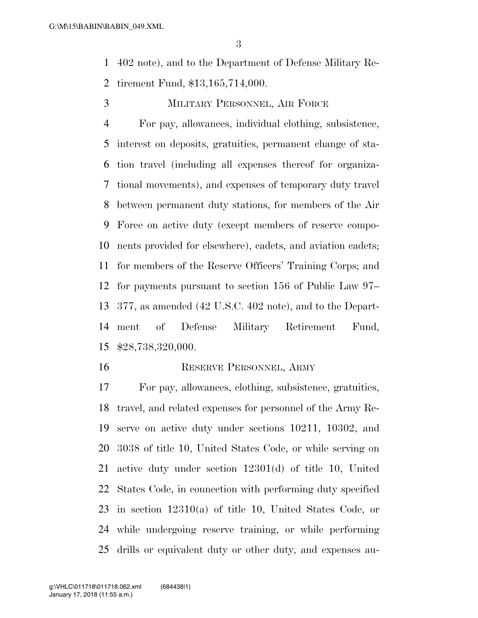402 note), and to the Department of Defense Military Re-tirement Fund, \$13,165,714,000.

MILITARY PERSONNEL, AIR FORCE

 For pay, allowances, individual clothing, subsistence, interest on deposits, gratuities, permanent change of sta- tion travel (including all expenses thereof for organiza- tional movements), and expenses of temporary duty travel between permanent duty stations, for members of the Air Force on active duty (except members of reserve compo- nents provided for elsewhere), cadets, and aviation cadets; for members of the Reserve Officers' Training Corps; and for payments pursuant to section 156 of Public Law 97– 377, as amended (42 U.S.C. 402 note), and to the Depart- ment of Defense Military Retirement Fund, \$28,738,320,000.

#### 16 RESERVE PERSONNEL, ARMY

 For pay, allowances, clothing, subsistence, gratuities, travel, and related expenses for personnel of the Army Re- serve on active duty under sections 10211, 10302, and 3038 of title 10, United States Code, or while serving on active duty under section 12301(d) of title 10, United States Code, in connection with performing duty specified in section 12310(a) of title 10, United States Code, or while undergoing reserve training, or while performing drills or equivalent duty or other duty, and expenses au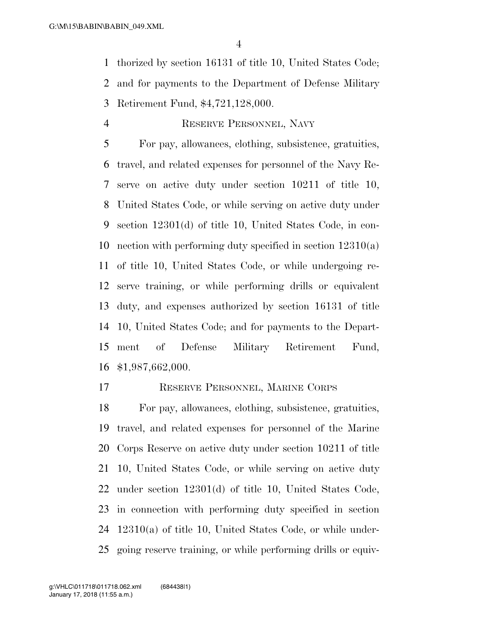thorized by section 16131 of title 10, United States Code; and for payments to the Department of Defense Military Retirement Fund, \$4,721,128,000.

### RESERVE PERSONNEL, NAVY

 For pay, allowances, clothing, subsistence, gratuities, travel, and related expenses for personnel of the Navy Re- serve on active duty under section 10211 of title 10, United States Code, or while serving on active duty under section 12301(d) of title 10, United States Code, in con- nection with performing duty specified in section 12310(a) of title 10, United States Code, or while undergoing re- serve training, or while performing drills or equivalent duty, and expenses authorized by section 16131 of title 10, United States Code; and for payments to the Depart- ment of Defense Military Retirement Fund, \$1,987,662,000.

RESERVE PERSONNEL, MARINE CORPS

 For pay, allowances, clothing, subsistence, gratuities, travel, and related expenses for personnel of the Marine Corps Reserve on active duty under section 10211 of title 10, United States Code, or while serving on active duty under section 12301(d) of title 10, United States Code, in connection with performing duty specified in section 12310(a) of title 10, United States Code, or while under-going reserve training, or while performing drills or equiv-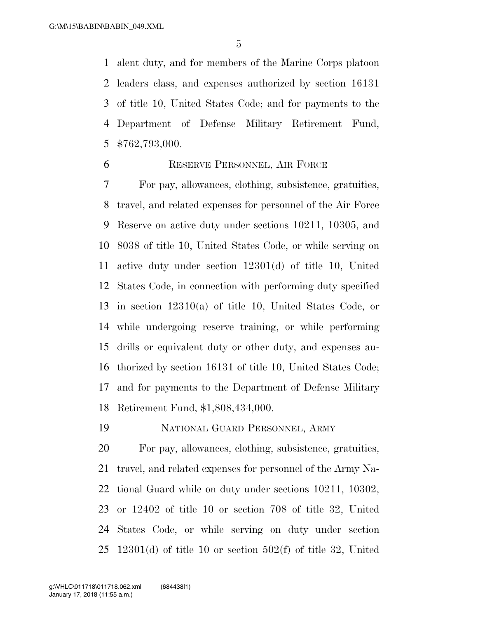alent duty, and for members of the Marine Corps platoon leaders class, and expenses authorized by section 16131 of title 10, United States Code; and for payments to the Department of Defense Military Retirement Fund, \$762,793,000.

# RESERVE PERSONNEL, AIR FORCE

 For pay, allowances, clothing, subsistence, gratuities, travel, and related expenses for personnel of the Air Force Reserve on active duty under sections 10211, 10305, and 8038 of title 10, United States Code, or while serving on active duty under section 12301(d) of title 10, United States Code, in connection with performing duty specified in section 12310(a) of title 10, United States Code, or while undergoing reserve training, or while performing drills or equivalent duty or other duty, and expenses au- thorized by section 16131 of title 10, United States Code; and for payments to the Department of Defense Military Retirement Fund, \$1,808,434,000.

NATIONAL GUARD PERSONNEL, ARMY

 For pay, allowances, clothing, subsistence, gratuities, travel, and related expenses for personnel of the Army Na- tional Guard while on duty under sections 10211, 10302, or 12402 of title 10 or section 708 of title 32, United States Code, or while serving on duty under section 12301(d) of title 10 or section 502(f) of title 32, United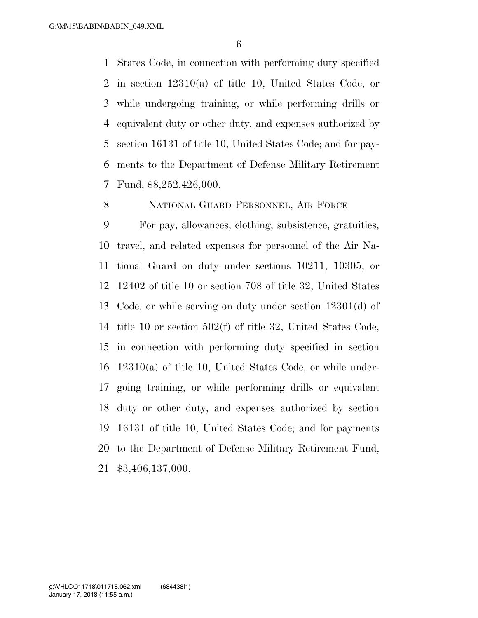States Code, in connection with performing duty specified in section 12310(a) of title 10, United States Code, or while undergoing training, or while performing drills or equivalent duty or other duty, and expenses authorized by section 16131 of title 10, United States Code; and for pay- ments to the Department of Defense Military Retirement Fund, \$8,252,426,000.

NATIONAL GUARD PERSONNEL, AIR FORCE

 For pay, allowances, clothing, subsistence, gratuities, travel, and related expenses for personnel of the Air Na- tional Guard on duty under sections 10211, 10305, or 12402 of title 10 or section 708 of title 32, United States Code, or while serving on duty under section 12301(d) of title 10 or section 502(f) of title 32, United States Code, in connection with performing duty specified in section 12310(a) of title 10, United States Code, or while under- going training, or while performing drills or equivalent duty or other duty, and expenses authorized by section 16131 of title 10, United States Code; and for payments to the Department of Defense Military Retirement Fund, \$3,406,137,000.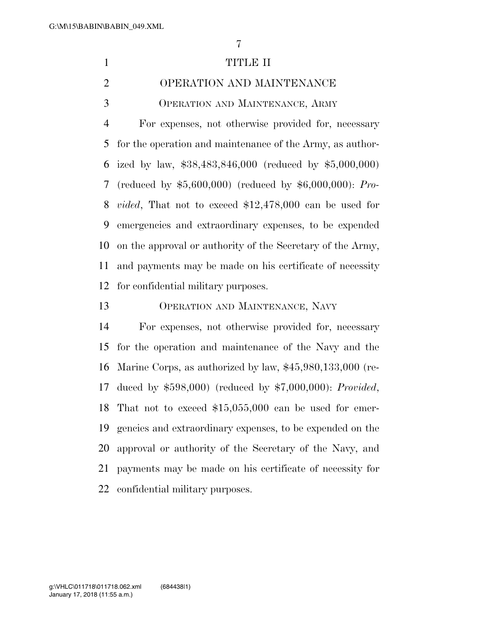# 1 TITLE II

# OPERATION AND MAINTENANCE OPERATION AND MAINTENANCE, ARMY

 For expenses, not otherwise provided for, necessary for the operation and maintenance of the Army, as author- ized by law, \$38,483,846,000 (reduced by \$5,000,000) (reduced by \$5,600,000) (reduced by \$6,000,000): *Pro- vided*, That not to exceed \$12,478,000 can be used for emergencies and extraordinary expenses, to be expended on the approval or authority of the Secretary of the Army, and payments may be made on his certificate of necessity for confidential military purposes.

OPERATION AND MAINTENANCE, NAVY

 For expenses, not otherwise provided for, necessary for the operation and maintenance of the Navy and the Marine Corps, as authorized by law, \$45,980,133,000 (re- duced by \$598,000) (reduced by \$7,000,000): *Provided*, That not to exceed \$15,055,000 can be used for emer- gencies and extraordinary expenses, to be expended on the approval or authority of the Secretary of the Navy, and payments may be made on his certificate of necessity for confidential military purposes.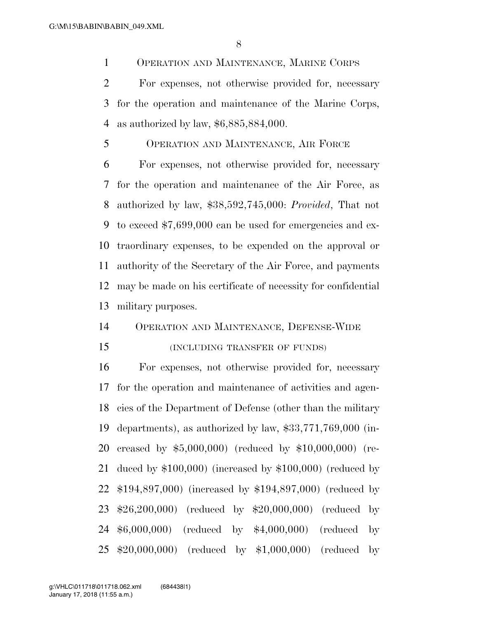OPERATION AND MAINTENANCE, MARINE CORPS

 For expenses, not otherwise provided for, necessary for the operation and maintenance of the Marine Corps, as authorized by law, \$6,885,884,000.

OPERATION AND MAINTENANCE, AIR FORCE

 For expenses, not otherwise provided for, necessary for the operation and maintenance of the Air Force, as authorized by law, \$38,592,745,000: *Provided*, That not to exceed \$7,699,000 can be used for emergencies and ex- traordinary expenses, to be expended on the approval or authority of the Secretary of the Air Force, and payments may be made on his certificate of necessity for confidential military purposes.

#### OPERATION AND MAINTENANCE, DEFENSE-WIDE

#### (INCLUDING TRANSFER OF FUNDS)

 For expenses, not otherwise provided for, necessary for the operation and maintenance of activities and agen- cies of the Department of Defense (other than the military departments), as authorized by law, \$33,771,769,000 (in- creased by \$5,000,000) (reduced by \$10,000,000) (re- duced by \$100,000) (increased by \$100,000) (reduced by \$194,897,000) (increased by \$194,897,000) (reduced by \$26,200,000) (reduced by \$20,000,000) (reduced by \$6,000,000) (reduced by \$4,000,000) (reduced by \$20,000,000) (reduced by \$1,000,000) (reduced by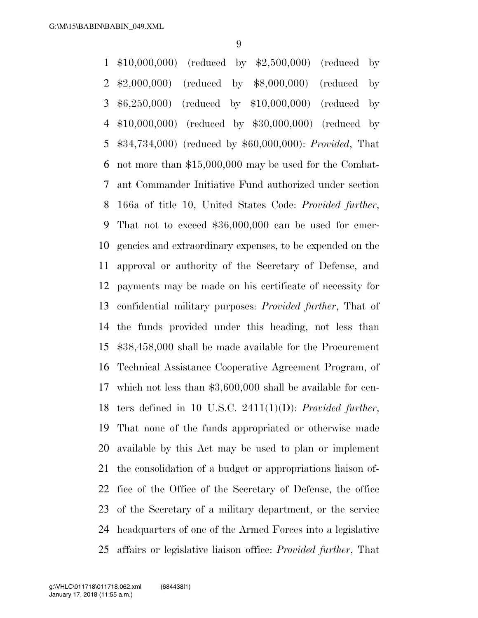G:\M\15\BABIN\BABIN\_049.XML

 \$10,000,000) (reduced by \$2,500,000) (reduced by \$2,000,000) (reduced by \$8,000,000) (reduced by \$6,250,000) (reduced by \$10,000,000) (reduced by \$10,000,000) (reduced by \$30,000,000) (reduced by \$34,734,000) (reduced by \$60,000,000): *Provided*, That not more than \$15,000,000 may be used for the Combat- ant Commander Initiative Fund authorized under section 166a of title 10, United States Code: *Provided further*, That not to exceed \$36,000,000 can be used for emer- gencies and extraordinary expenses, to be expended on the approval or authority of the Secretary of Defense, and payments may be made on his certificate of necessity for confidential military purposes: *Provided further*, That of the funds provided under this heading, not less than \$38,458,000 shall be made available for the Procurement Technical Assistance Cooperative Agreement Program, of which not less than \$3,600,000 shall be available for cen- ters defined in 10 U.S.C. 2411(1)(D): *Provided further*, That none of the funds appropriated or otherwise made available by this Act may be used to plan or implement the consolidation of a budget or appropriations liaison of- fice of the Office of the Secretary of Defense, the office of the Secretary of a military department, or the service headquarters of one of the Armed Forces into a legislative affairs or legislative liaison office: *Provided further*, That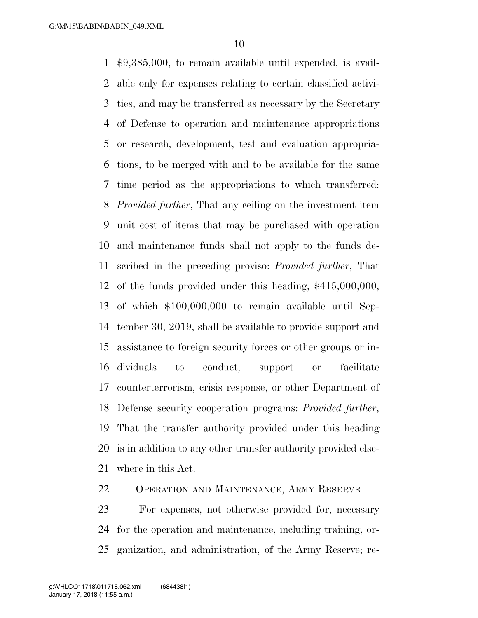\$9,385,000, to remain available until expended, is avail- able only for expenses relating to certain classified activi- ties, and may be transferred as necessary by the Secretary of Defense to operation and maintenance appropriations or research, development, test and evaluation appropria- tions, to be merged with and to be available for the same time period as the appropriations to which transferred: *Provided further*, That any ceiling on the investment item unit cost of items that may be purchased with operation and maintenance funds shall not apply to the funds de- scribed in the preceding proviso: *Provided further*, That of the funds provided under this heading, \$415,000,000, of which \$100,000,000 to remain available until Sep- tember 30, 2019, shall be available to provide support and assistance to foreign security forces or other groups or in- dividuals to conduct, support or facilitate counterterrorism, crisis response, or other Department of Defense security cooperation programs: *Provided further*, That the transfer authority provided under this heading is in addition to any other transfer authority provided else-where in this Act.

OPERATION AND MAINTENANCE, ARMY RESERVE

 For expenses, not otherwise provided for, necessary for the operation and maintenance, including training, or-ganization, and administration, of the Army Reserve; re-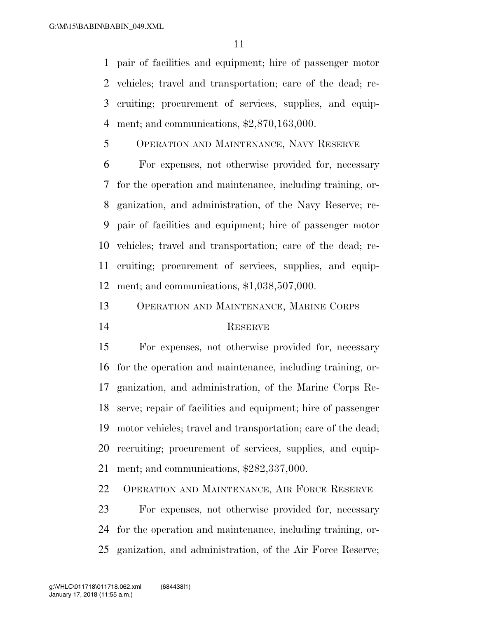pair of facilities and equipment; hire of passenger motor vehicles; travel and transportation; care of the dead; re- cruiting; procurement of services, supplies, and equip-ment; and communications, \$2,870,163,000.

OPERATION AND MAINTENANCE, NAVY RESERVE

 For expenses, not otherwise provided for, necessary for the operation and maintenance, including training, or- ganization, and administration, of the Navy Reserve; re- pair of facilities and equipment; hire of passenger motor vehicles; travel and transportation; care of the dead; re- cruiting; procurement of services, supplies, and equip-ment; and communications, \$1,038,507,000.

OPERATION AND MAINTENANCE, MARINE CORPS

### 14 RESERVE

 For expenses, not otherwise provided for, necessary for the operation and maintenance, including training, or- ganization, and administration, of the Marine Corps Re- serve; repair of facilities and equipment; hire of passenger motor vehicles; travel and transportation; care of the dead; recruiting; procurement of services, supplies, and equip-ment; and communications, \$282,337,000.

OPERATION AND MAINTENANCE, AIR FORCE RESERVE

 For expenses, not otherwise provided for, necessary for the operation and maintenance, including training, or-ganization, and administration, of the Air Force Reserve;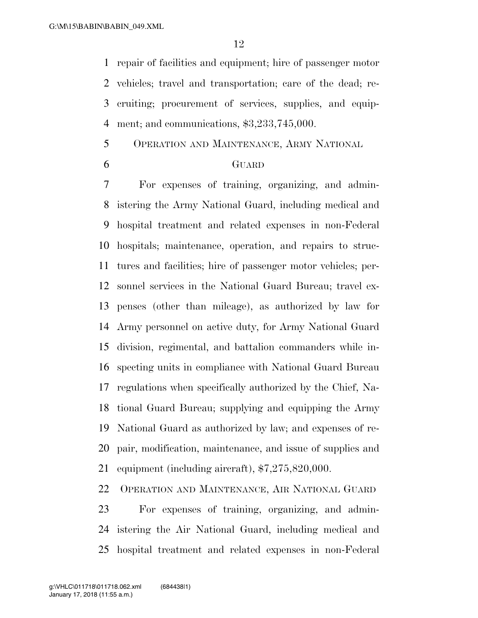repair of facilities and equipment; hire of passenger motor vehicles; travel and transportation; care of the dead; re- cruiting; procurement of services, supplies, and equip-ment; and communications, \$3,233,745,000.

- OPERATION AND MAINTENANCE, ARMY NATIONAL
- 

#### GUARD

 For expenses of training, organizing, and admin- istering the Army National Guard, including medical and hospital treatment and related expenses in non-Federal hospitals; maintenance, operation, and repairs to struc- tures and facilities; hire of passenger motor vehicles; per- sonnel services in the National Guard Bureau; travel ex- penses (other than mileage), as authorized by law for Army personnel on active duty, for Army National Guard division, regimental, and battalion commanders while in- specting units in compliance with National Guard Bureau regulations when specifically authorized by the Chief, Na- tional Guard Bureau; supplying and equipping the Army National Guard as authorized by law; and expenses of re- pair, modification, maintenance, and issue of supplies and equipment (including aircraft), \$7,275,820,000.

OPERATION AND MAINTENANCE, AIR NATIONAL GUARD

 For expenses of training, organizing, and admin- istering the Air National Guard, including medical and hospital treatment and related expenses in non-Federal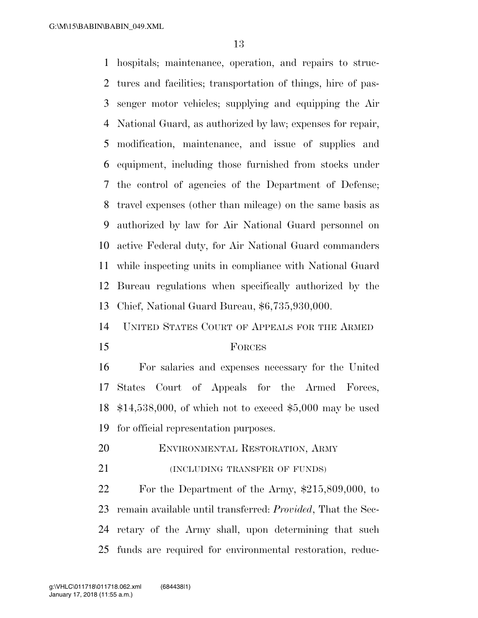hospitals; maintenance, operation, and repairs to struc- tures and facilities; transportation of things, hire of pas- senger motor vehicles; supplying and equipping the Air National Guard, as authorized by law; expenses for repair, modification, maintenance, and issue of supplies and equipment, including those furnished from stocks under the control of agencies of the Department of Defense; travel expenses (other than mileage) on the same basis as authorized by law for Air National Guard personnel on active Federal duty, for Air National Guard commanders while inspecting units in compliance with National Guard Bureau regulations when specifically authorized by the Chief, National Guard Bureau, \$6,735,930,000.

UNITED STATES COURT OF APPEALS FOR THE ARMED

#### FORCES

 For salaries and expenses necessary for the United States Court of Appeals for the Armed Forces, \$14,538,000, of which not to exceed \$5,000 may be used for official representation purposes.

- ENVIRONMENTAL RESTORATION, ARMY
- 21 (INCLUDING TRANSFER OF FUNDS)

 For the Department of the Army, \$215,809,000, to remain available until transferred: *Provided*, That the Sec- retary of the Army shall, upon determining that such funds are required for environmental restoration, reduc-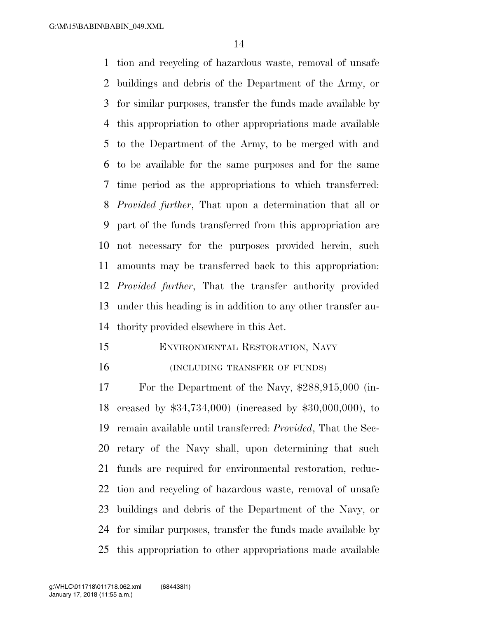tion and recycling of hazardous waste, removal of unsafe buildings and debris of the Department of the Army, or for similar purposes, transfer the funds made available by this appropriation to other appropriations made available to the Department of the Army, to be merged with and to be available for the same purposes and for the same time period as the appropriations to which transferred: *Provided further*, That upon a determination that all or part of the funds transferred from this appropriation are not necessary for the purposes provided herein, such amounts may be transferred back to this appropriation: *Provided further*, That the transfer authority provided under this heading is in addition to any other transfer au-thority provided elsewhere in this Act.

 ENVIRONMENTAL RESTORATION, NAVY **INCLUDING TRANSFER OF FUNDS** 

 For the Department of the Navy, \$288,915,000 (in- creased by \$34,734,000) (increased by \$30,000,000), to remain available until transferred: *Provided*, That the Sec- retary of the Navy shall, upon determining that such funds are required for environmental restoration, reduc- tion and recycling of hazardous waste, removal of unsafe buildings and debris of the Department of the Navy, or for similar purposes, transfer the funds made available by this appropriation to other appropriations made available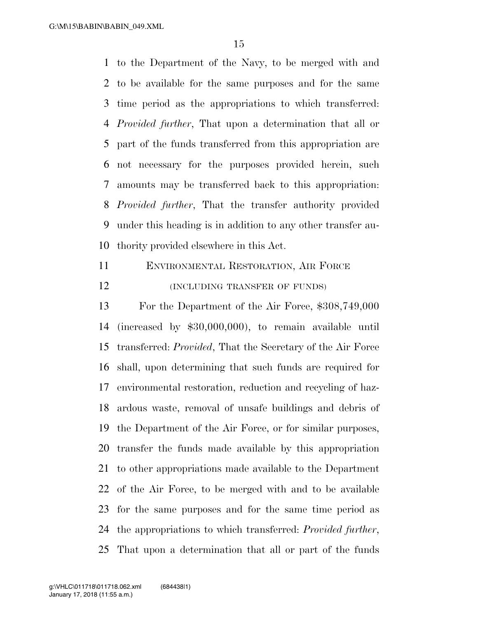to the Department of the Navy, to be merged with and to be available for the same purposes and for the same time period as the appropriations to which transferred: *Provided further*, That upon a determination that all or part of the funds transferred from this appropriation are not necessary for the purposes provided herein, such amounts may be transferred back to this appropriation: *Provided further*, That the transfer authority provided under this heading is in addition to any other transfer au-thority provided elsewhere in this Act.

 ENVIRONMENTAL RESTORATION, AIR FORCE **(INCLUDING TRANSFER OF FUNDS)** 

 For the Department of the Air Force, \$308,749,000 (increased by \$30,000,000), to remain available until transferred: *Provided*, That the Secretary of the Air Force shall, upon determining that such funds are required for environmental restoration, reduction and recycling of haz- ardous waste, removal of unsafe buildings and debris of the Department of the Air Force, or for similar purposes, transfer the funds made available by this appropriation to other appropriations made available to the Department of the Air Force, to be merged with and to be available for the same purposes and for the same time period as the appropriations to which transferred: *Provided further*, That upon a determination that all or part of the funds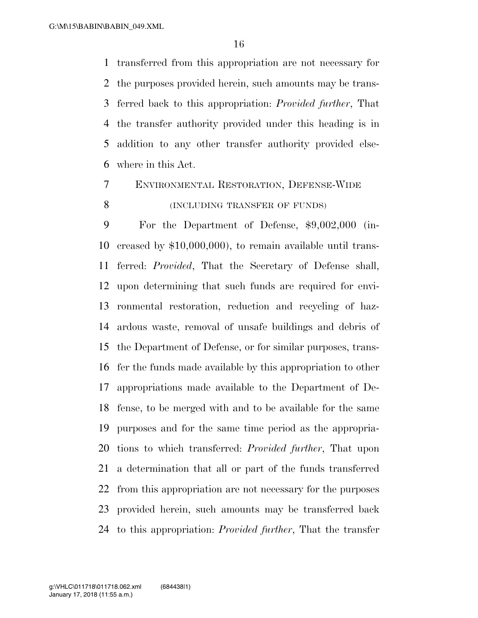transferred from this appropriation are not necessary for the purposes provided herein, such amounts may be trans- ferred back to this appropriation: *Provided further*, That the transfer authority provided under this heading is in addition to any other transfer authority provided else-where in this Act.

# ENVIRONMENTAL RESTORATION, DEFENSE-WIDE **(INCLUDING TRANSFER OF FUNDS)**

 For the Department of Defense, \$9,002,000 (in- creased by \$10,000,000), to remain available until trans- ferred: *Provided*, That the Secretary of Defense shall, upon determining that such funds are required for envi- ronmental restoration, reduction and recycling of haz- ardous waste, removal of unsafe buildings and debris of the Department of Defense, or for similar purposes, trans- fer the funds made available by this appropriation to other appropriations made available to the Department of De- fense, to be merged with and to be available for the same purposes and for the same time period as the appropria- tions to which transferred: *Provided further*, That upon a determination that all or part of the funds transferred from this appropriation are not necessary for the purposes provided herein, such amounts may be transferred back to this appropriation: *Provided further*, That the transfer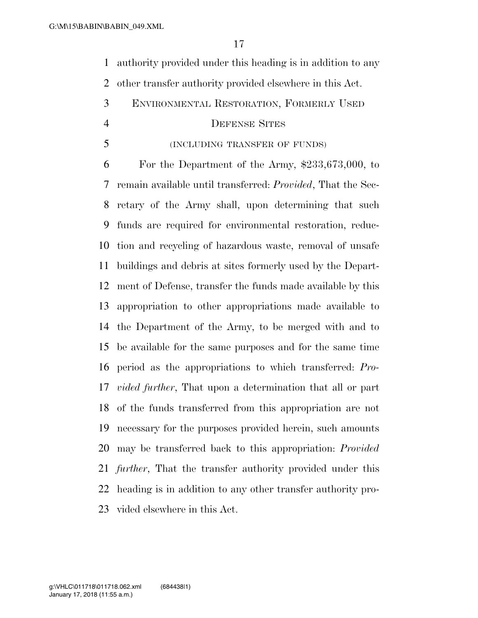authority provided under this heading is in addition to any other transfer authority provided elsewhere in this Act.

ENVIRONMENTAL RESTORATION, FORMERLY USED

#### DEFENSE SITES

### (INCLUDING TRANSFER OF FUNDS)

 For the Department of the Army, \$233,673,000, to remain available until transferred: *Provided*, That the Sec- retary of the Army shall, upon determining that such funds are required for environmental restoration, reduc- tion and recycling of hazardous waste, removal of unsafe buildings and debris at sites formerly used by the Depart- ment of Defense, transfer the funds made available by this appropriation to other appropriations made available to the Department of the Army, to be merged with and to be available for the same purposes and for the same time period as the appropriations to which transferred: *Pro- vided further*, That upon a determination that all or part of the funds transferred from this appropriation are not necessary for the purposes provided herein, such amounts may be transferred back to this appropriation: *Provided further*, That the transfer authority provided under this heading is in addition to any other transfer authority pro-vided elsewhere in this Act.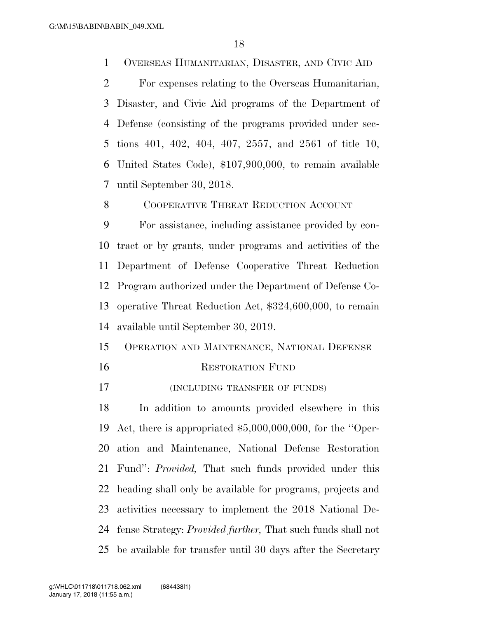OVERSEAS HUMANITARIAN, DISASTER, AND CIVIC AID

 For expenses relating to the Overseas Humanitarian, Disaster, and Civic Aid programs of the Department of Defense (consisting of the programs provided under sec- tions 401, 402, 404, 407, 2557, and 2561 of title 10, United States Code), \$107,900,000, to remain available until September 30, 2018.

8 COOPERATIVE THREAT REDUCTION ACCOUNT

 For assistance, including assistance provided by con- tract or by grants, under programs and activities of the Department of Defense Cooperative Threat Reduction Program authorized under the Department of Defense Co- operative Threat Reduction Act, \$324,600,000, to remain available until September 30, 2019.

- OPERATION AND MAINTENANCE, NATIONAL DEFENSE RESTORATION FUND
- (INCLUDING TRANSFER OF FUNDS)

 In addition to amounts provided elsewhere in this Act, there is appropriated \$5,000,000,000, for the ''Oper- ation and Maintenance, National Defense Restoration Fund'': *Provided,* That such funds provided under this heading shall only be available for programs, projects and activities necessary to implement the 2018 National De- fense Strategy: *Provided further,* That such funds shall not be available for transfer until 30 days after the Secretary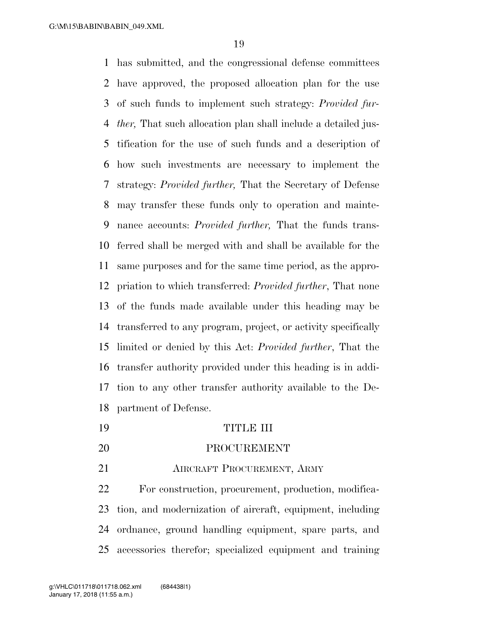G:\M\15\BABIN\BABIN\_049.XML

 has submitted, and the congressional defense committees have approved, the proposed allocation plan for the use of such funds to implement such strategy: *Provided fur- ther,* That such allocation plan shall include a detailed jus- tification for the use of such funds and a description of how such investments are necessary to implement the strategy: *Provided further,* That the Secretary of Defense may transfer these funds only to operation and mainte- nance accounts: *Provided further,* That the funds trans- ferred shall be merged with and shall be available for the same purposes and for the same time period, as the appro- priation to which transferred: *Provided further*, That none of the funds made available under this heading may be transferred to any program, project, or activity specifically limited or denied by this Act: *Provided further*, That the transfer authority provided under this heading is in addi- tion to any other transfer authority available to the De-partment of Defense.

- TITLE III
- PROCUREMENT
- **AIRCRAFT PROCUREMENT, ARMY**

 For construction, procurement, production, modifica- tion, and modernization of aircraft, equipment, including ordnance, ground handling equipment, spare parts, and accessories therefor; specialized equipment and training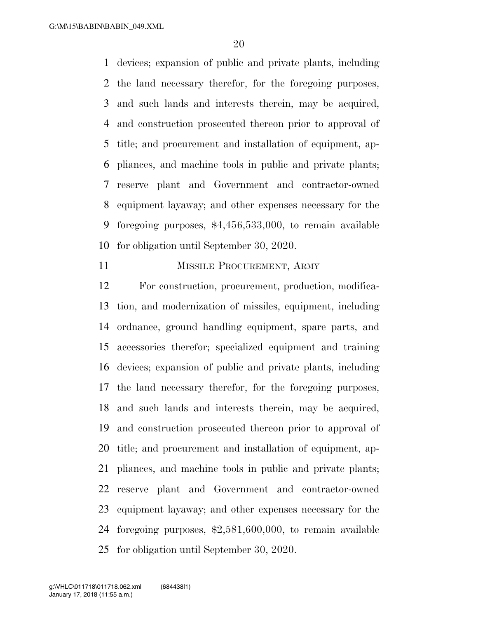devices; expansion of public and private plants, including the land necessary therefor, for the foregoing purposes, and such lands and interests therein, may be acquired, and construction prosecuted thereon prior to approval of title; and procurement and installation of equipment, ap- pliances, and machine tools in public and private plants; reserve plant and Government and contractor-owned equipment layaway; and other expenses necessary for the foregoing purposes, \$4,456,533,000, to remain available for obligation until September 30, 2020.

#### 11 MISSILE PROCUREMENT, ARMY

 For construction, procurement, production, modifica- tion, and modernization of missiles, equipment, including ordnance, ground handling equipment, spare parts, and accessories therefor; specialized equipment and training devices; expansion of public and private plants, including the land necessary therefor, for the foregoing purposes, and such lands and interests therein, may be acquired, and construction prosecuted thereon prior to approval of title; and procurement and installation of equipment, ap- pliances, and machine tools in public and private plants; reserve plant and Government and contractor-owned equipment layaway; and other expenses necessary for the foregoing purposes, \$2,581,600,000, to remain available for obligation until September 30, 2020.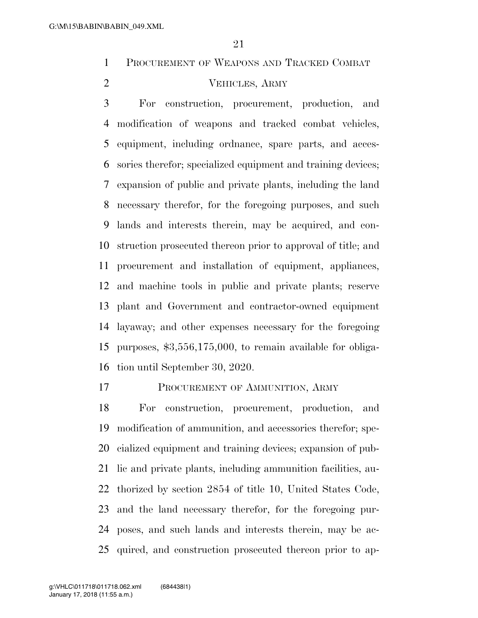PROCUREMENT OF WEAPONS AND TRACKED COMBAT

# VEHICLES, ARMY

 For construction, procurement, production, and modification of weapons and tracked combat vehicles, equipment, including ordnance, spare parts, and acces- sories therefor; specialized equipment and training devices; expansion of public and private plants, including the land necessary therefor, for the foregoing purposes, and such lands and interests therein, may be acquired, and con- struction prosecuted thereon prior to approval of title; and procurement and installation of equipment, appliances, and machine tools in public and private plants; reserve plant and Government and contractor-owned equipment layaway; and other expenses necessary for the foregoing purposes, \$3,556,175,000, to remain available for obliga-tion until September 30, 2020.

17 PROCUREMENT OF AMMUNITION, ARMY

 For construction, procurement, production, and modification of ammunition, and accessories therefor; spe- cialized equipment and training devices; expansion of pub- lic and private plants, including ammunition facilities, au- thorized by section 2854 of title 10, United States Code, and the land necessary therefor, for the foregoing pur- poses, and such lands and interests therein, may be ac-quired, and construction prosecuted thereon prior to ap-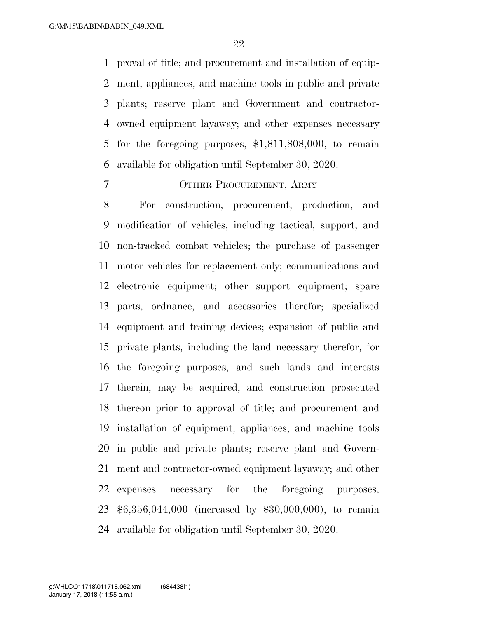proval of title; and procurement and installation of equip- ment, appliances, and machine tools in public and private plants; reserve plant and Government and contractor- owned equipment layaway; and other expenses necessary for the foregoing purposes, \$1,811,808,000, to remain available for obligation until September 30, 2020.

### OTHER PROCUREMENT, ARMY

 For construction, procurement, production, and modification of vehicles, including tactical, support, and non-tracked combat vehicles; the purchase of passenger motor vehicles for replacement only; communications and electronic equipment; other support equipment; spare parts, ordnance, and accessories therefor; specialized equipment and training devices; expansion of public and private plants, including the land necessary therefor, for the foregoing purposes, and such lands and interests therein, may be acquired, and construction prosecuted thereon prior to approval of title; and procurement and installation of equipment, appliances, and machine tools in public and private plants; reserve plant and Govern- ment and contractor-owned equipment layaway; and other expenses necessary for the foregoing purposes, \$6,356,044,000 (increased by \$30,000,000), to remain available for obligation until September 30, 2020.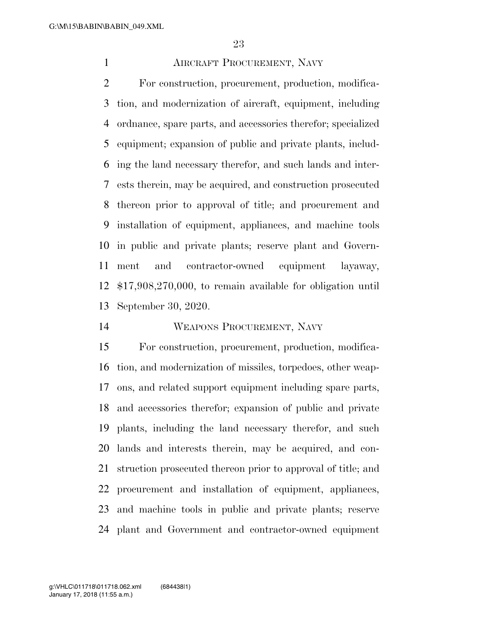# AIRCRAFT PROCUREMENT, NAVY

 For construction, procurement, production, modifica- tion, and modernization of aircraft, equipment, including ordnance, spare parts, and accessories therefor; specialized equipment; expansion of public and private plants, includ- ing the land necessary therefor, and such lands and inter- ests therein, may be acquired, and construction prosecuted thereon prior to approval of title; and procurement and installation of equipment, appliances, and machine tools in public and private plants; reserve plant and Govern- ment and contractor-owned equipment layaway, \$17,908,270,000, to remain available for obligation until September 30, 2020.

# WEAPONS PROCUREMENT, NAVY

 For construction, procurement, production, modifica- tion, and modernization of missiles, torpedoes, other weap- ons, and related support equipment including spare parts, and accessories therefor; expansion of public and private plants, including the land necessary therefor, and such lands and interests therein, may be acquired, and con- struction prosecuted thereon prior to approval of title; and procurement and installation of equipment, appliances, and machine tools in public and private plants; reserve plant and Government and contractor-owned equipment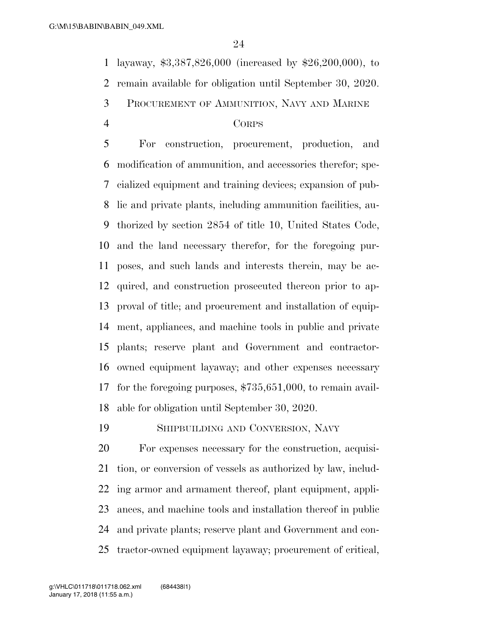layaway, \$3,387,826,000 (increased by \$26,200,000), to

remain available for obligation until September 30, 2020.

PROCUREMENT OF AMMUNITION, NAVY AND MARINE

#### CORPS

 For construction, procurement, production, and modification of ammunition, and accessories therefor; spe- cialized equipment and training devices; expansion of pub- lic and private plants, including ammunition facilities, au- thorized by section 2854 of title 10, United States Code, and the land necessary therefor, for the foregoing pur- poses, and such lands and interests therein, may be ac- quired, and construction prosecuted thereon prior to ap- proval of title; and procurement and installation of equip- ment, appliances, and machine tools in public and private plants; reserve plant and Government and contractor- owned equipment layaway; and other expenses necessary for the foregoing purposes, \$735,651,000, to remain avail-able for obligation until September 30, 2020.

SHIPBUILDING AND CONVERSION, NAVY

 For expenses necessary for the construction, acquisi- tion, or conversion of vessels as authorized by law, includ- ing armor and armament thereof, plant equipment, appli- ances, and machine tools and installation thereof in public and private plants; reserve plant and Government and con-tractor-owned equipment layaway; procurement of critical,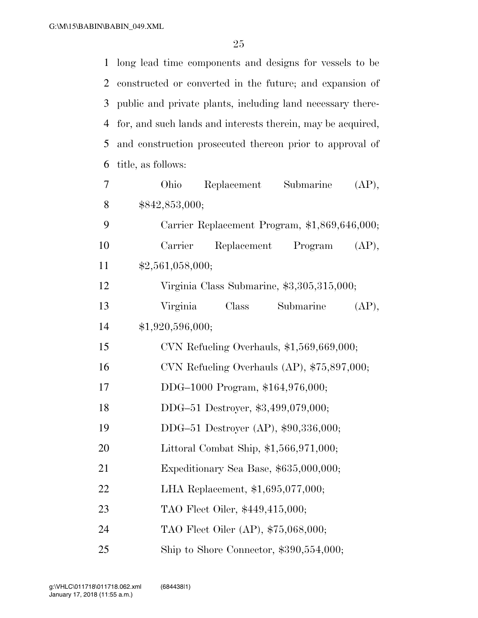| 1              | long lead time components and designs for vessels to be     |
|----------------|-------------------------------------------------------------|
| 2              | constructed or converted in the future; and expansion of    |
| 3              | public and private plants, including land necessary there-  |
| $\overline{4}$ | for, and such lands and interests therein, may be acquired, |
| 5              | and construction prosecuted thereon prior to approval of    |
| 6              | title, as follows:                                          |
| 7              | Ohio<br>Replacement Submarine<br>(AP),                      |
| 8              | \$842,853,000;                                              |
| 9              | Carrier Replacement Program, \$1,869,646,000;               |
| 10             | Replacement Program<br>Carrier<br>(AP),                     |
| 11             | \$2,561,058,000;                                            |
| 12             | Virginia Class Submarine, \$3,305,315,000;                  |
| 13             | Submarine<br>Virginia<br>Class<br>(AP),                     |
| 14             | \$1,920,596,000;                                            |
| 15             | CVN Refueling Overhauls, $$1,569,669,000;$                  |
| 16             | CVN Refueling Overhauls (AP), $$75,897,000;$                |
| 17             | DDG-1000 Program, \$164,976,000;                            |
| 18             | DDG-51 Destroyer, \$3,499,079,000;                          |
| 19             | DDG-51 Destroyer (AP), \$90,336,000;                        |
| 20             | Littoral Combat Ship, $$1,566,971,000;$                     |
| 21             | Expeditionary Sea Base, \$635,000,000;                      |
| 22             | LHA Replacement, \$1,695,077,000;                           |
| 23             | TAO Fleet Oiler, \$449,415,000;                             |
| 24             | TAO Fleet Oiler (AP), \$75,068,000;                         |
| 25             | Ship to Shore Connector, $$390,554,000;$                    |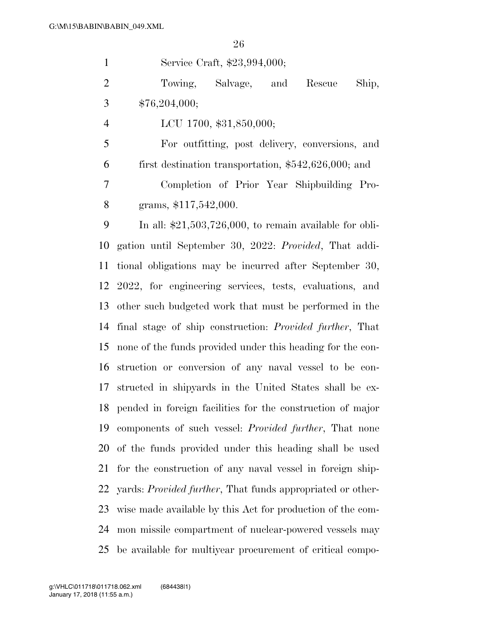Service Craft, \$23,994,000; Towing, Salvage, and Rescue Ship,  $3 \qquad $76,204,000;$  LCU 1700, \$31,850,000; For outfitting, post delivery, conversions, and first destination transportation, \$542,626,000; and Completion of Prior Year Shipbuilding Pro- grams, \$117,542,000. In all: \$21,503,726,000, to remain available for obli- gation until September 30, 2022: *Provided*, That addi- tional obligations may be incurred after September 30, 2022, for engineering services, tests, evaluations, and other such budgeted work that must be performed in the final stage of ship construction: *Provided further*, That none of the funds provided under this heading for the con- struction or conversion of any naval vessel to be con- structed in shipyards in the United States shall be ex- pended in foreign facilities for the construction of major components of such vessel: *Provided further*, That none of the funds provided under this heading shall be used for the construction of any naval vessel in foreign ship-

 yards: *Provided further*, That funds appropriated or other- wise made available by this Act for production of the com- mon missile compartment of nuclear-powered vessels may be available for multiyear procurement of critical compo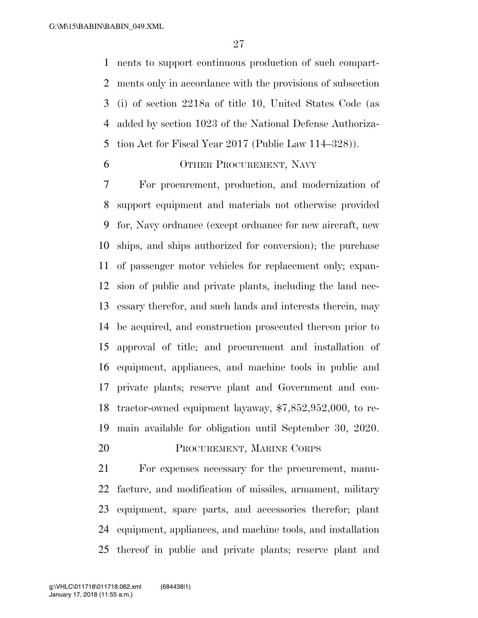nents to support continuous production of such compart- ments only in accordance with the provisions of subsection (i) of section 2218a of title 10, United States Code (as added by section 1023 of the National Defense Authoriza-tion Act for Fiscal Year 2017 (Public Law 114–328)).

# OTHER PROCUREMENT, NAVY

 For procurement, production, and modernization of support equipment and materials not otherwise provided for, Navy ordnance (except ordnance for new aircraft, new ships, and ships authorized for conversion); the purchase of passenger motor vehicles for replacement only; expan- sion of public and private plants, including the land nec- essary therefor, and such lands and interests therein, may be acquired, and construction prosecuted thereon prior to approval of title; and procurement and installation of equipment, appliances, and machine tools in public and private plants; reserve plant and Government and con- tractor-owned equipment layaway, \$7,852,952,000, to re-main available for obligation until September 30, 2020.

PROCUREMENT, MARINE CORPS

 For expenses necessary for the procurement, manu- facture, and modification of missiles, armament, military equipment, spare parts, and accessories therefor; plant equipment, appliances, and machine tools, and installation thereof in public and private plants; reserve plant and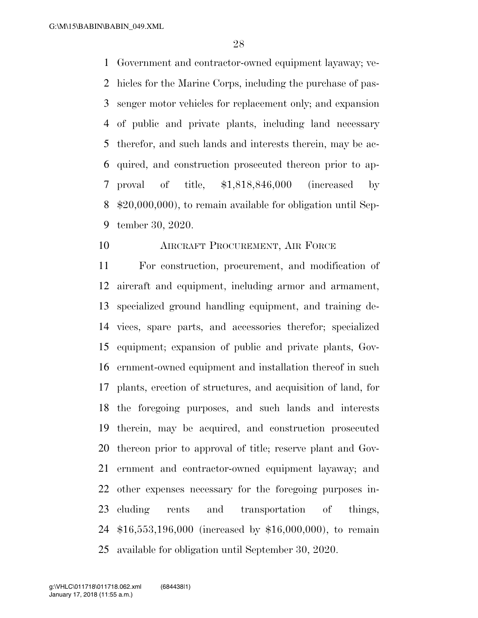Government and contractor-owned equipment layaway; ve- hicles for the Marine Corps, including the purchase of pas- senger motor vehicles for replacement only; and expansion of public and private plants, including land necessary therefor, and such lands and interests therein, may be ac- quired, and construction prosecuted thereon prior to ap- proval of title, \$1,818,846,000 (increased by \$20,000,000), to remain available for obligation until Sep-tember 30, 2020.

### AIRCRAFT PROCUREMENT, AIR FORCE

 For construction, procurement, and modification of aircraft and equipment, including armor and armament, specialized ground handling equipment, and training de- vices, spare parts, and accessories therefor; specialized equipment; expansion of public and private plants, Gov- ernment-owned equipment and installation thereof in such plants, erection of structures, and acquisition of land, for the foregoing purposes, and such lands and interests therein, may be acquired, and construction prosecuted thereon prior to approval of title; reserve plant and Gov- ernment and contractor-owned equipment layaway; and other expenses necessary for the foregoing purposes in- cluding rents and transportation of things, \$16,553,196,000 (increased by \$16,000,000), to remain available for obligation until September 30, 2020.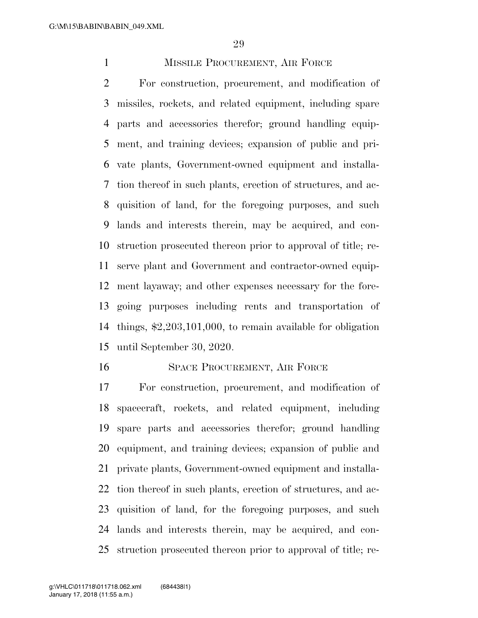# 1 MISSILE PROCUREMENT, AIR FORCE

 For construction, procurement, and modification of missiles, rockets, and related equipment, including spare parts and accessories therefor; ground handling equip- ment, and training devices; expansion of public and pri- vate plants, Government-owned equipment and installa- tion thereof in such plants, erection of structures, and ac- quisition of land, for the foregoing purposes, and such lands and interests therein, may be acquired, and con- struction prosecuted thereon prior to approval of title; re- serve plant and Government and contractor-owned equip- ment layaway; and other expenses necessary for the fore- going purposes including rents and transportation of things, \$2,203,101,000, to remain available for obligation until September 30, 2020.

#### 16 SPACE PROCUREMENT, AIR FORCE

 For construction, procurement, and modification of spacecraft, rockets, and related equipment, including spare parts and accessories therefor; ground handling equipment, and training devices; expansion of public and private plants, Government-owned equipment and installa- tion thereof in such plants, erection of structures, and ac- quisition of land, for the foregoing purposes, and such lands and interests therein, may be acquired, and con-struction prosecuted thereon prior to approval of title; re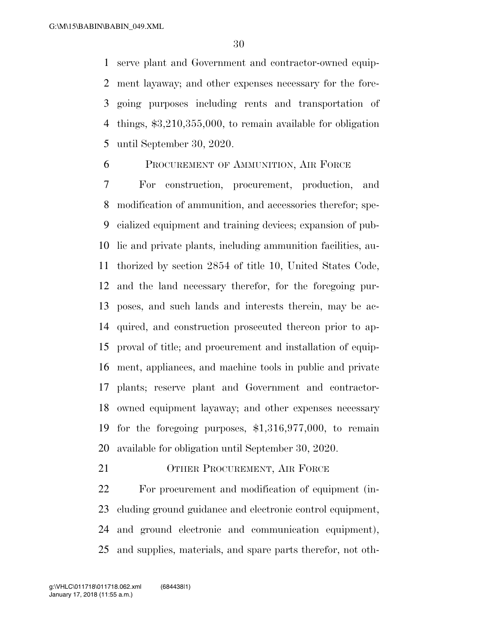serve plant and Government and contractor-owned equip- ment layaway; and other expenses necessary for the fore- going purposes including rents and transportation of things, \$3,210,355,000, to remain available for obligation until September 30, 2020.

PROCUREMENT OF AMMUNITION, AIR FORCE

 For construction, procurement, production, and modification of ammunition, and accessories therefor; spe- cialized equipment and training devices; expansion of pub- lic and private plants, including ammunition facilities, au- thorized by section 2854 of title 10, United States Code, and the land necessary therefor, for the foregoing pur- poses, and such lands and interests therein, may be ac- quired, and construction prosecuted thereon prior to ap- proval of title; and procurement and installation of equip- ment, appliances, and machine tools in public and private plants; reserve plant and Government and contractor- owned equipment layaway; and other expenses necessary for the foregoing purposes, \$1,316,977,000, to remain available for obligation until September 30, 2020.

21 OTHER PROCUREMENT, AIR FORCE

 For procurement and modification of equipment (in- cluding ground guidance and electronic control equipment, and ground electronic and communication equipment), and supplies, materials, and spare parts therefor, not oth-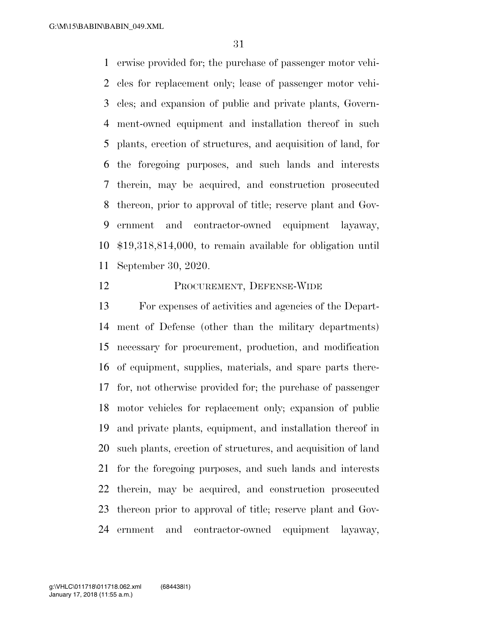erwise provided for; the purchase of passenger motor vehi- cles for replacement only; lease of passenger motor vehi- cles; and expansion of public and private plants, Govern- ment-owned equipment and installation thereof in such plants, erection of structures, and acquisition of land, for the foregoing purposes, and such lands and interests therein, may be acquired, and construction prosecuted thereon, prior to approval of title; reserve plant and Gov- ernment and contractor-owned equipment layaway, \$19,318,814,000, to remain available for obligation until September 30, 2020.

### PROCUREMENT, DEFENSE-WIDE

 For expenses of activities and agencies of the Depart- ment of Defense (other than the military departments) necessary for procurement, production, and modification of equipment, supplies, materials, and spare parts there- for, not otherwise provided for; the purchase of passenger motor vehicles for replacement only; expansion of public and private plants, equipment, and installation thereof in such plants, erection of structures, and acquisition of land for the foregoing purposes, and such lands and interests therein, may be acquired, and construction prosecuted thereon prior to approval of title; reserve plant and Gov-ernment and contractor-owned equipment layaway,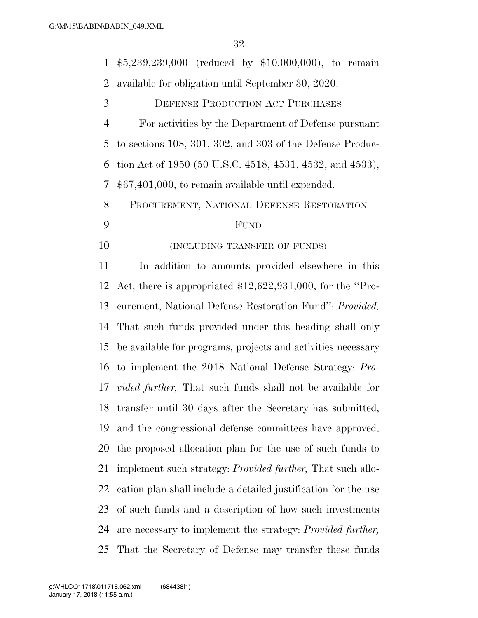\$5,239,239,000 (reduced by \$10,000,000), to remain available for obligation until September 30, 2020. DEFENSE PRODUCTION ACT PURCHASES For activities by the Department of Defense pursuant to sections 108, 301, 302, and 303 of the Defense Produc- tion Act of 1950 (50 U.S.C. 4518, 4531, 4532, and 4533), \$67,401,000, to remain available until expended. PROCUREMENT, NATIONAL DEFENSE RESTORATION FUND **(INCLUDING TRANSFER OF FUNDS)**  In addition to amounts provided elsewhere in this Act, there is appropriated \$12,622,931,000, for the ''Pro- curement, National Defense Restoration Fund'': *Provided,* That such funds provided under this heading shall only be available for programs, projects and activities necessary to implement the 2018 National Defense Strategy: *Pro-vided further,* That such funds shall not be available for

 transfer until 30 days after the Secretary has submitted, and the congressional defense committees have approved, the proposed allocation plan for the use of such funds to implement such strategy: *Provided further,* That such allo-

of such funds and a description of how such investments

cation plan shall include a detailed justification for the use

are necessary to implement the strategy: *Provided further,* 

That the Secretary of Defense may transfer these funds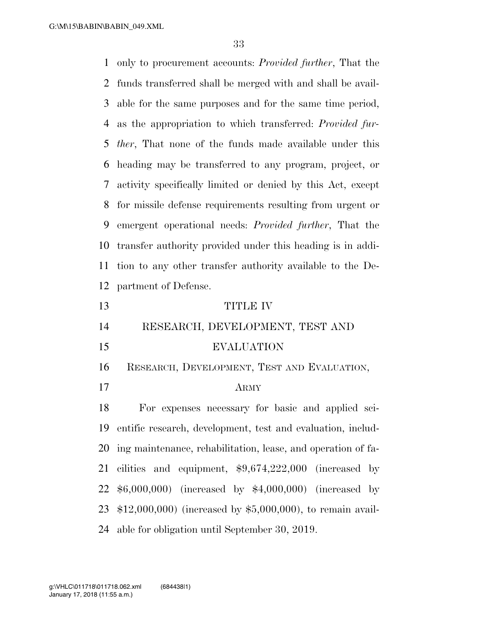only to procurement accounts: *Provided further*, That the funds transferred shall be merged with and shall be avail- able for the same purposes and for the same time period, as the appropriation to which transferred: *Provided fur- ther*, That none of the funds made available under this heading may be transferred to any program, project, or activity specifically limited or denied by this Act, except for missile defense requirements resulting from urgent or emergent operational needs: *Provided further*, That the transfer authority provided under this heading is in addi- tion to any other transfer authority available to the De- partment of Defense. TITLE IV RESEARCH, DEVELOPMENT, TEST AND EVALUATION RESEARCH, DEVELOPMENT, TEST AND EVALUATION,

ARMY

 For expenses necessary for basic and applied sci- entific research, development, test and evaluation, includ- ing maintenance, rehabilitation, lease, and operation of fa- cilities and equipment, \$9,674,222,000 (increased by \$6,000,000) (increased by \$4,000,000) (increased by \$12,000,000) (increased by \$5,000,000), to remain avail-able for obligation until September 30, 2019.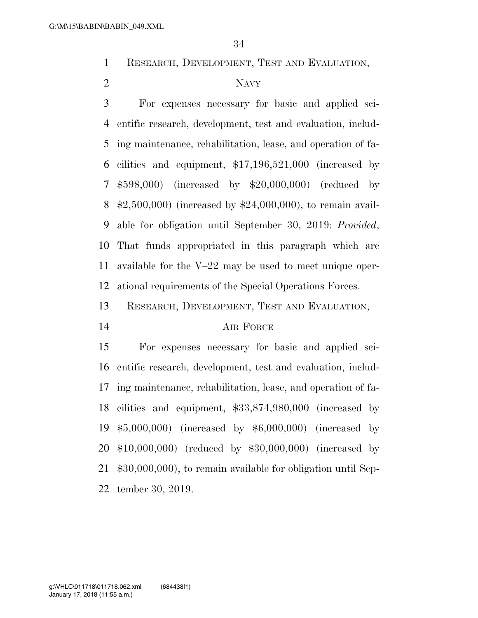RESEARCH, DEVELOPMENT, TEST AND EVALUATION,

# NAVY

 For expenses necessary for basic and applied sci- entific research, development, test and evaluation, includ- ing maintenance, rehabilitation, lease, and operation of fa- cilities and equipment, \$17,196,521,000 (increased by \$598,000) (increased by \$20,000,000) (reduced by \$2,500,000) (increased by \$24,000,000), to remain avail- able for obligation until September 30, 2019: *Provided*, That funds appropriated in this paragraph which are available for the V–22 may be used to meet unique oper-ational requirements of the Special Operations Forces.

RESEARCH, DEVELOPMENT, TEST AND EVALUATION,

### AIR FORCE

 For expenses necessary for basic and applied sci- entific research, development, test and evaluation, includ- ing maintenance, rehabilitation, lease, and operation of fa- cilities and equipment, \$33,874,980,000 (increased by \$5,000,000) (increased by \$6,000,000) (increased by \$10,000,000) (reduced by \$30,000,000) (increased by \$30,000,000), to remain available for obligation until Sep-tember 30, 2019.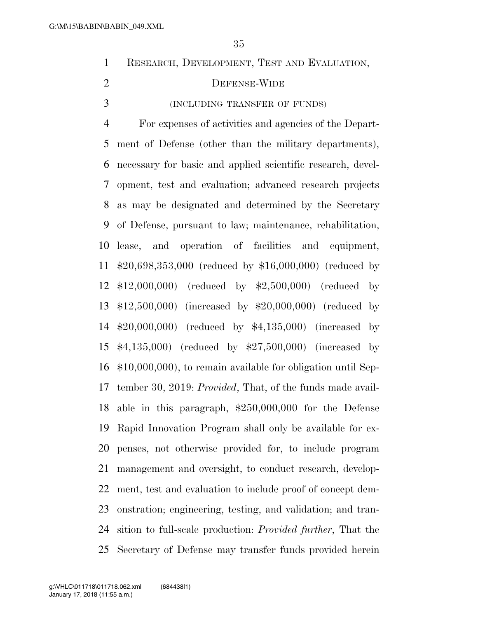| IN\BABIN_049.XML |                                                                    |
|------------------|--------------------------------------------------------------------|
|                  | 35                                                                 |
| $\mathbf{1}$     | RESEARCH, DEVELOPMENT, TEST AND EVALUATION,                        |
| $\overline{2}$   | DEFENSE-WIDE                                                       |
| 3                | (INCLUDING TRANSFER OF FUNDS)                                      |
| $\overline{4}$   | For expenses of activities and agencies of the Depart-             |
| 5                | ment of Defense (other than the military departments),             |
| 6                | necessary for basic and applied scientific research, devel-        |
| 7                | opment, test and evaluation; advanced research projects            |
| 8                | as may be designated and determined by the Secretary               |
| 9                | of Defense, pursuant to law; maintenance, rehabilitation,          |
| 10               | lease, and operation of facilities and equipment,                  |
| 11               | $$20,698,353,000$ (reduced by \$16,000,000) (reduced by            |
| 12               | $$12,000,000$ (reduced by $$2,500,000$ ) (reduced by               |
| 13               | \$12,500,000) (increased by \$20,000,000) (reduced by              |
| 14               | $$20,000,000$ (reduced by $$4,135,000$ ) (increased<br>$_{\rm by}$ |
| 15               | $$4,135,000$ (reduced by $$27,500,000$ ) (increased by             |
| 16               | $$10,000,000$ , to remain available for obligation until Sep-      |
| 17               | tember 30, 2019: <i>Provided</i> , That, of the funds made avail-  |
| 18               | able in this paragraph, $$250,000,000$ for the Defense             |

 Rapid Innovation Program shall only be available for ex- penses, not otherwise provided for, to include program management and oversight, to conduct research, develop- ment, test and evaluation to include proof of concept dem- onstration; engineering, testing, and validation; and tran- sition to full-scale production: *Provided further*, That the Secretary of Defense may transfer funds provided herein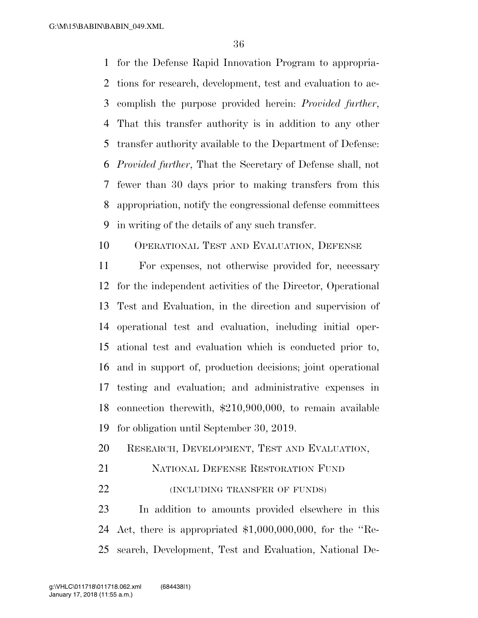G:\M\15\BABIN\BABIN\_049.XML

 for the Defense Rapid Innovation Program to appropria- tions for research, development, test and evaluation to ac- complish the purpose provided herein: *Provided further*, That this transfer authority is in addition to any other transfer authority available to the Department of Defense: *Provided further*, That the Secretary of Defense shall, not fewer than 30 days prior to making transfers from this appropriation, notify the congressional defense committees in writing of the details of any such transfer.

OPERATIONAL TEST AND EVALUATION, DEFENSE

 For expenses, not otherwise provided for, necessary for the independent activities of the Director, Operational Test and Evaluation, in the direction and supervision of operational test and evaluation, including initial oper- ational test and evaluation which is conducted prior to, and in support of, production decisions; joint operational testing and evaluation; and administrative expenses in connection therewith, \$210,900,000, to remain available for obligation until September 30, 2019.

RESEARCH, DEVELOPMENT, TEST AND EVALUATION,

NATIONAL DEFENSE RESTORATION FUND

**(INCLUDING TRANSFER OF FUNDS)** 

 In addition to amounts provided elsewhere in this Act, there is appropriated \$1,000,000,000, for the ''Re-search, Development, Test and Evaluation, National De-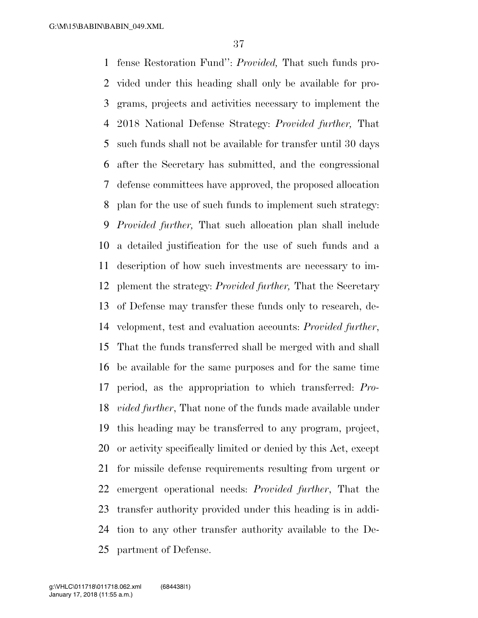fense Restoration Fund'': *Provided,* That such funds pro- vided under this heading shall only be available for pro- grams, projects and activities necessary to implement the 2018 National Defense Strategy: *Provided further,* That such funds shall not be available for transfer until 30 days after the Secretary has submitted, and the congressional defense committees have approved, the proposed allocation plan for the use of such funds to implement such strategy: *Provided further,* That such allocation plan shall include a detailed justification for the use of such funds and a description of how such investments are necessary to im- plement the strategy: *Provided further,* That the Secretary of Defense may transfer these funds only to research, de- velopment, test and evaluation accounts: *Provided further*, That the funds transferred shall be merged with and shall be available for the same purposes and for the same time period, as the appropriation to which transferred: *Pro- vided further*, That none of the funds made available under this heading may be transferred to any program, project, or activity specifically limited or denied by this Act, except for missile defense requirements resulting from urgent or emergent operational needs: *Provided further*, That the transfer authority provided under this heading is in addi- tion to any other transfer authority available to the De-partment of Defense.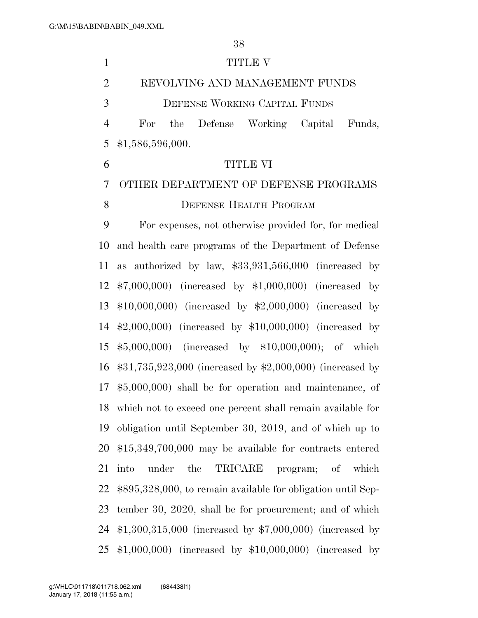1 TITLE V REVOLVING AND MANAGEMENT FUNDS DEFENSE WORKING CAPITAL FUNDS For the Defense Working Capital Funds, \$1,586,596,000. TITLE VI OTHER DEPARTMENT OF DEFENSE PROGRAMS 8 DEFENSE HEALTH PROGRAM For expenses, not otherwise provided for, for medical and health care programs of the Department of Defense as authorized by law, \$33,931,566,000 (increased by \$7,000,000) (increased by \$1,000,000) (increased by \$10,000,000) (increased by \$2,000,000) (increased by \$2,000,000) (increased by \$10,000,000) (increased by \$5,000,000) (increased by \$10,000,000); of which \$31,735,923,000 (increased by \$2,000,000) (increased by \$5,000,000) shall be for operation and maintenance, of which not to exceed one percent shall remain available for obligation until September 30, 2019, and of which up to \$15,349,700,000 may be available for contracts entered into under the TRICARE program; of which \$895,328,000, to remain available for obligation until Sep- tember 30, 2020, shall be for procurement; and of which \$1,300,315,000 (increased by \$7,000,000) (increased by \$1,000,000) (increased by \$10,000,000) (increased by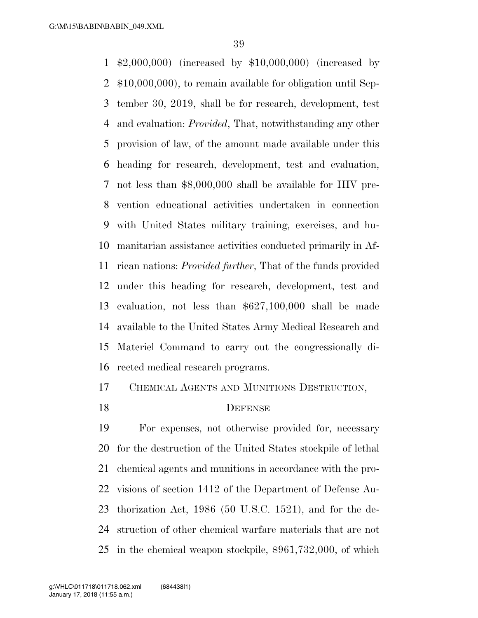\$2,000,000) (increased by \$10,000,000) (increased by \$10,000,000), to remain available for obligation until Sep- tember 30, 2019, shall be for research, development, test and evaluation: *Provided*, That, notwithstanding any other provision of law, of the amount made available under this heading for research, development, test and evaluation, not less than \$8,000,000 shall be available for HIV pre- vention educational activities undertaken in connection with United States military training, exercises, and hu- manitarian assistance activities conducted primarily in Af- rican nations: *Provided further*, That of the funds provided under this heading for research, development, test and evaluation, not less than \$627,100,000 shall be made available to the United States Army Medical Research and Materiel Command to carry out the congressionally di-rected medical research programs.

CHEMICAL AGENTS AND MUNITIONS DESTRUCTION,

# 18 DEFENSE

 For expenses, not otherwise provided for, necessary for the destruction of the United States stockpile of lethal chemical agents and munitions in accordance with the pro- visions of section 1412 of the Department of Defense Au- thorization Act, 1986 (50 U.S.C. 1521), and for the de- struction of other chemical warfare materials that are not in the chemical weapon stockpile, \$961,732,000, of which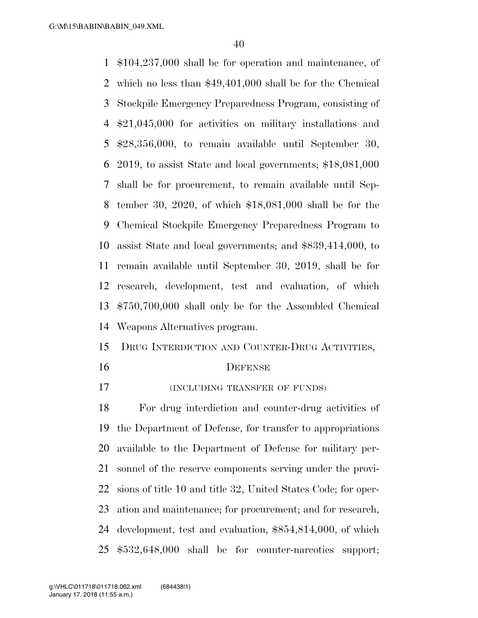\$104,237,000 shall be for operation and maintenance, of which no less than \$49,401,000 shall be for the Chemical Stockpile Emergency Preparedness Program, consisting of \$21,045,000 for activities on military installations and \$28,356,000, to remain available until September 30, 2019, to assist State and local governments; \$18,081,000 shall be for procurement, to remain available until Sep- tember 30, 2020, of which \$18,081,000 shall be for the Chemical Stockpile Emergency Preparedness Program to assist State and local governments; and \$839,414,000, to remain available until September 30, 2019, shall be for research, development, test and evaluation, of which \$750,700,000 shall only be for the Assembled Chemical Weapons Alternatives program.

- DRUG INTERDICTION AND COUNTER-DRUG ACTIVITIES,
- 

### DEFENSE

(INCLUDING TRANSFER OF FUNDS)

 For drug interdiction and counter-drug activities of the Department of Defense, for transfer to appropriations available to the Department of Defense for military per- sonnel of the reserve components serving under the provi- sions of title 10 and title 32, United States Code; for oper- ation and maintenance; for procurement; and for research, development, test and evaluation, \$854,814,000, of which \$532,648,000 shall be for counter-narcotics support;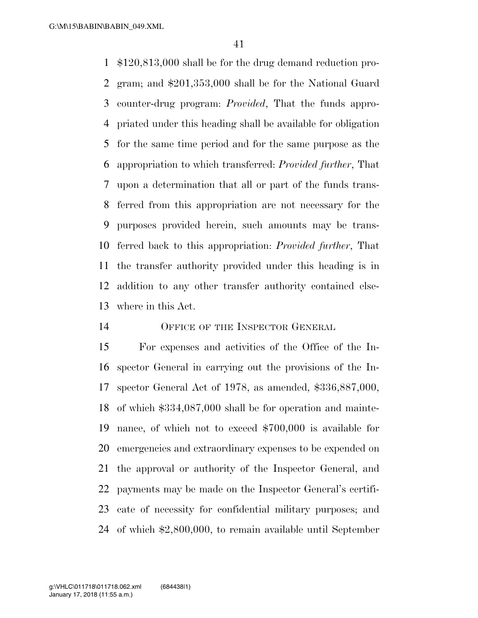\$120,813,000 shall be for the drug demand reduction pro- gram; and \$201,353,000 shall be for the National Guard counter-drug program: *Provided*, That the funds appro- priated under this heading shall be available for obligation for the same time period and for the same purpose as the appropriation to which transferred: *Provided further*, That upon a determination that all or part of the funds trans- ferred from this appropriation are not necessary for the purposes provided herein, such amounts may be trans- ferred back to this appropriation: *Provided further*, That the transfer authority provided under this heading is in addition to any other transfer authority contained else-where in this Act.

14 OFFICE OF THE INSPECTOR GENERAL

 For expenses and activities of the Office of the In- spector General in carrying out the provisions of the In- spector General Act of 1978, as amended, \$336,887,000, of which \$334,087,000 shall be for operation and mainte- nance, of which not to exceed \$700,000 is available for emergencies and extraordinary expenses to be expended on the approval or authority of the Inspector General, and payments may be made on the Inspector General's certifi- cate of necessity for confidential military purposes; and of which \$2,800,000, to remain available until September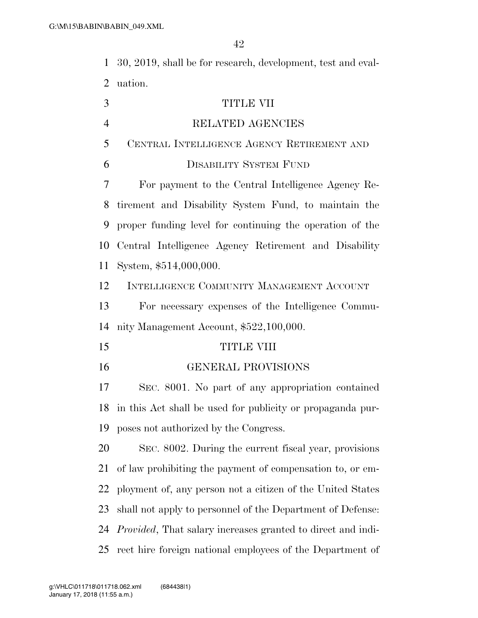30, 2019, shall be for research, development, test and eval-uation.

| 3              | TITLE VII                                                           |
|----------------|---------------------------------------------------------------------|
| $\overline{4}$ | RELATED AGENCIES                                                    |
| 5              | CENTRAL INTELLIGENCE AGENCY RETIREMENT AND                          |
| 6              | <b>DISABILITY SYSTEM FUND</b>                                       |
| 7              | For payment to the Central Intelligence Agency Re-                  |
| 8              | tirement and Disability System Fund, to maintain the                |
| 9              | proper funding level for continuing the operation of the            |
| 10             | Central Intelligence Agency Retirement and Disability               |
| 11             | System, \$514,000,000.                                              |
| 12             | INTELLIGENCE COMMUNITY MANAGEMENT ACCOUNT                           |
| 13             | For necessary expenses of the Intelligence Commu-                   |
| 14             | nity Management Account, \$522,100,000.                             |
| 15             | <b>TITLE VIII</b>                                                   |
| 16             | <b>GENERAL PROVISIONS</b>                                           |
| 17             | SEC. 8001. No part of any appropriation contained                   |
| 18             | in this Act shall be used for publicity or propaganda pur-          |
| 19             | poses not authorized by the Congress.                               |
| 20             | SEC. 8002. During the current fiscal year, provisions               |
| 21             | of law prohibiting the payment of compensation to, or em-           |
| 22             | ployment of, any person not a citizen of the United States          |
| 23             | shall not apply to personnel of the Department of Defense:          |
| 24             | <i>Provided</i> , That salary increases granted to direct and indi- |
| 25             | rect hire foreign national employees of the Department of           |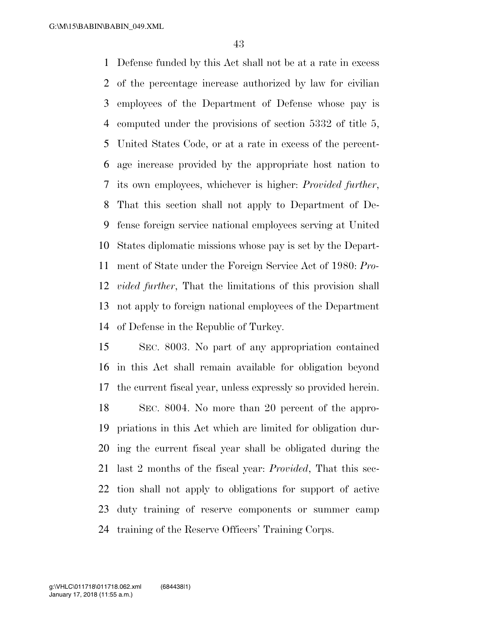Defense funded by this Act shall not be at a rate in excess of the percentage increase authorized by law for civilian employees of the Department of Defense whose pay is computed under the provisions of section 5332 of title 5, United States Code, or at a rate in excess of the percent- age increase provided by the appropriate host nation to its own employees, whichever is higher: *Provided further*, That this section shall not apply to Department of De- fense foreign service national employees serving at United States diplomatic missions whose pay is set by the Depart- ment of State under the Foreign Service Act of 1980: *Pro- vided further*, That the limitations of this provision shall not apply to foreign national employees of the Department of Defense in the Republic of Turkey.

 SEC. 8003. No part of any appropriation contained in this Act shall remain available for obligation beyond the current fiscal year, unless expressly so provided herein. SEC. 8004. No more than 20 percent of the appro- priations in this Act which are limited for obligation dur- ing the current fiscal year shall be obligated during the last 2 months of the fiscal year: *Provided*, That this sec- tion shall not apply to obligations for support of active duty training of reserve components or summer camp training of the Reserve Officers' Training Corps.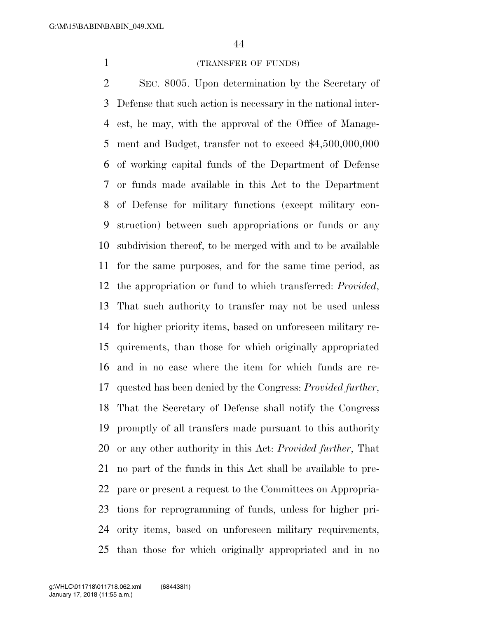## (TRANSFER OF FUNDS)

 SEC. 8005. Upon determination by the Secretary of Defense that such action is necessary in the national inter- est, he may, with the approval of the Office of Manage- ment and Budget, transfer not to exceed \$4,500,000,000 of working capital funds of the Department of Defense or funds made available in this Act to the Department of Defense for military functions (except military con- struction) between such appropriations or funds or any subdivision thereof, to be merged with and to be available for the same purposes, and for the same time period, as the appropriation or fund to which transferred: *Provided*, That such authority to transfer may not be used unless for higher priority items, based on unforeseen military re- quirements, than those for which originally appropriated and in no case where the item for which funds are re- quested has been denied by the Congress: *Provided further*, That the Secretary of Defense shall notify the Congress promptly of all transfers made pursuant to this authority or any other authority in this Act: *Provided further*, That no part of the funds in this Act shall be available to pre- pare or present a request to the Committees on Appropria- tions for reprogramming of funds, unless for higher pri- ority items, based on unforeseen military requirements, than those for which originally appropriated and in no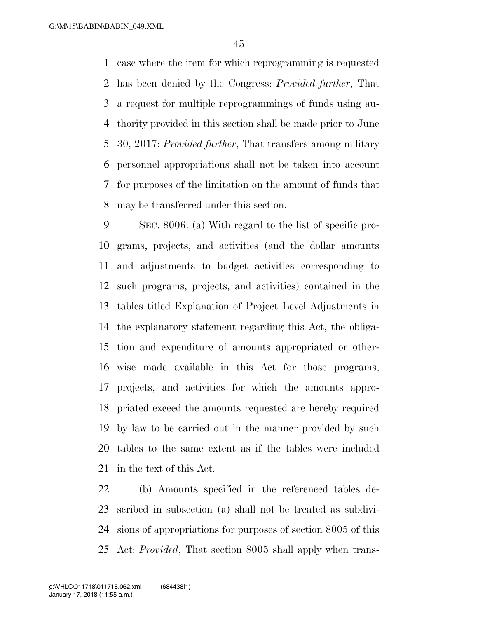case where the item for which reprogramming is requested has been denied by the Congress: *Provided further*, That a request for multiple reprogrammings of funds using au- thority provided in this section shall be made prior to June 30, 2017: *Provided further*, That transfers among military personnel appropriations shall not be taken into account for purposes of the limitation on the amount of funds that may be transferred under this section.

 SEC. 8006. (a) With regard to the list of specific pro- grams, projects, and activities (and the dollar amounts and adjustments to budget activities corresponding to such programs, projects, and activities) contained in the tables titled Explanation of Project Level Adjustments in the explanatory statement regarding this Act, the obliga- tion and expenditure of amounts appropriated or other- wise made available in this Act for those programs, projects, and activities for which the amounts appro- priated exceed the amounts requested are hereby required by law to be carried out in the manner provided by such tables to the same extent as if the tables were included in the text of this Act.

 (b) Amounts specified in the referenced tables de- scribed in subsection (a) shall not be treated as subdivi- sions of appropriations for purposes of section 8005 of this Act: *Provided*, That section 8005 shall apply when trans-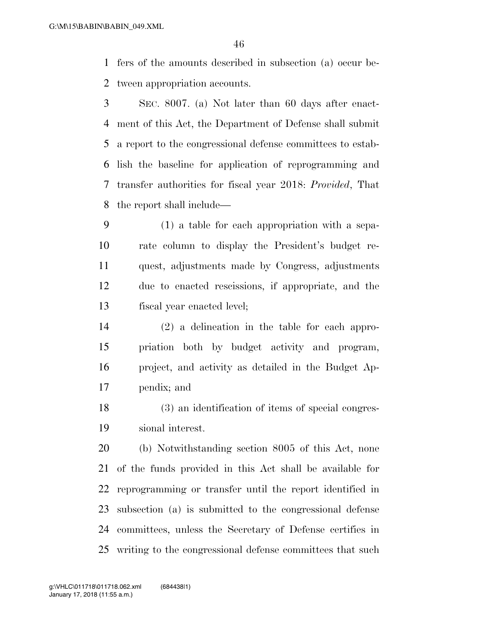fers of the amounts described in subsection (a) occur be-tween appropriation accounts.

 SEC. 8007. (a) Not later than 60 days after enact- ment of this Act, the Department of Defense shall submit a report to the congressional defense committees to estab- lish the baseline for application of reprogramming and transfer authorities for fiscal year 2018: *Provided*, That the report shall include—

 (1) a table for each appropriation with a sepa- rate column to display the President's budget re- quest, adjustments made by Congress, adjustments due to enacted rescissions, if appropriate, and the fiscal year enacted level;

 (2) a delineation in the table for each appro- priation both by budget activity and program, project, and activity as detailed in the Budget Ap-pendix; and

 (3) an identification of items of special congres-sional interest.

 (b) Notwithstanding section 8005 of this Act, none of the funds provided in this Act shall be available for reprogramming or transfer until the report identified in subsection (a) is submitted to the congressional defense committees, unless the Secretary of Defense certifies in writing to the congressional defense committees that such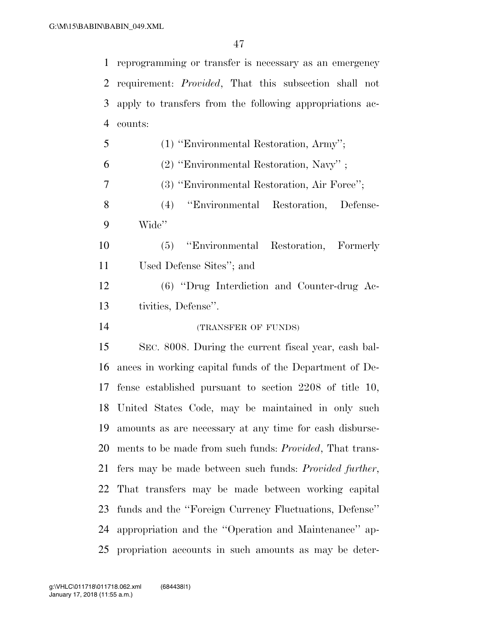reprogramming or transfer is necessary as an emergency requirement: *Provided*, That this subsection shall not apply to transfers from the following appropriations ac- counts: (1) ''Environmental Restoration, Army'';

(2) ''Environmental Restoration, Navy'' ;

(3) ''Environmental Restoration, Air Force'';

 (4) ''Environmental Restoration, Defense-Wide''

 (5) ''Environmental Restoration, Formerly Used Defense Sites''; and

 (6) ''Drug Interdiction and Counter-drug Ac-tivities, Defense''.

# (TRANSFER OF FUNDS)

 SEC. 8008. During the current fiscal year, cash bal- ances in working capital funds of the Department of De- fense established pursuant to section 2208 of title 10, United States Code, may be maintained in only such amounts as are necessary at any time for cash disburse- ments to be made from such funds: *Provided*, That trans- fers may be made between such funds: *Provided further*, That transfers may be made between working capital funds and the ''Foreign Currency Fluctuations, Defense'' appropriation and the ''Operation and Maintenance'' ap-propriation accounts in such amounts as may be deter-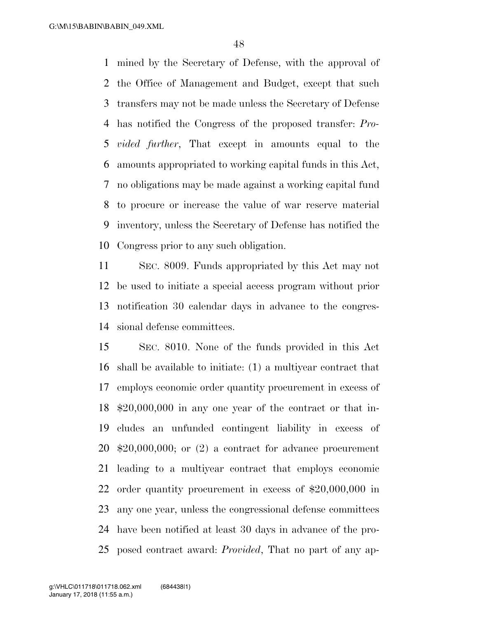mined by the Secretary of Defense, with the approval of the Office of Management and Budget, except that such transfers may not be made unless the Secretary of Defense has notified the Congress of the proposed transfer: *Pro- vided further*, That except in amounts equal to the amounts appropriated to working capital funds in this Act, no obligations may be made against a working capital fund to procure or increase the value of war reserve material inventory, unless the Secretary of Defense has notified the Congress prior to any such obligation.

 SEC. 8009. Funds appropriated by this Act may not be used to initiate a special access program without prior notification 30 calendar days in advance to the congres-sional defense committees.

 SEC. 8010. None of the funds provided in this Act shall be available to initiate: (1) a multiyear contract that employs economic order quantity procurement in excess of \$20,000,000 in any one year of the contract or that in- cludes an unfunded contingent liability in excess of \$20,000,000; or (2) a contract for advance procurement leading to a multiyear contract that employs economic order quantity procurement in excess of \$20,000,000 in any one year, unless the congressional defense committees have been notified at least 30 days in advance of the pro-posed contract award: *Provided*, That no part of any ap-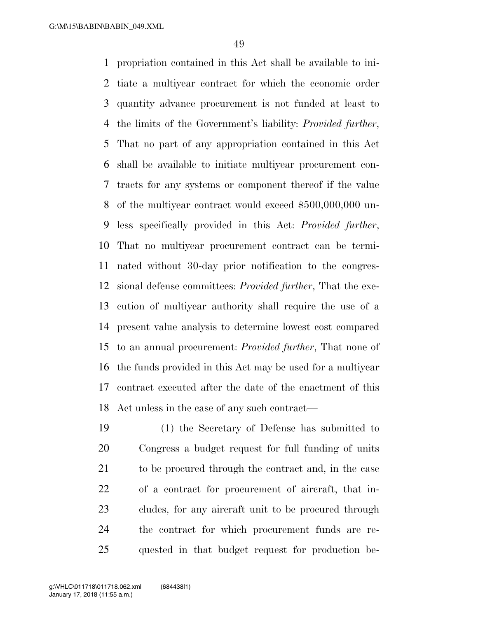propriation contained in this Act shall be available to ini- tiate a multiyear contract for which the economic order quantity advance procurement is not funded at least to the limits of the Government's liability: *Provided further*, That no part of any appropriation contained in this Act shall be available to initiate multiyear procurement con- tracts for any systems or component thereof if the value of the multiyear contract would exceed \$500,000,000 un- less specifically provided in this Act: *Provided further*, That no multiyear procurement contract can be termi- nated without 30-day prior notification to the congres- sional defense committees: *Provided further*, That the exe- cution of multiyear authority shall require the use of a present value analysis to determine lowest cost compared to an annual procurement: *Provided further*, That none of the funds provided in this Act may be used for a multiyear contract executed after the date of the enactment of this Act unless in the case of any such contract—

 (1) the Secretary of Defense has submitted to Congress a budget request for full funding of units to be procured through the contract and, in the case of a contract for procurement of aircraft, that in- cludes, for any aircraft unit to be procured through the contract for which procurement funds are re-quested in that budget request for production be-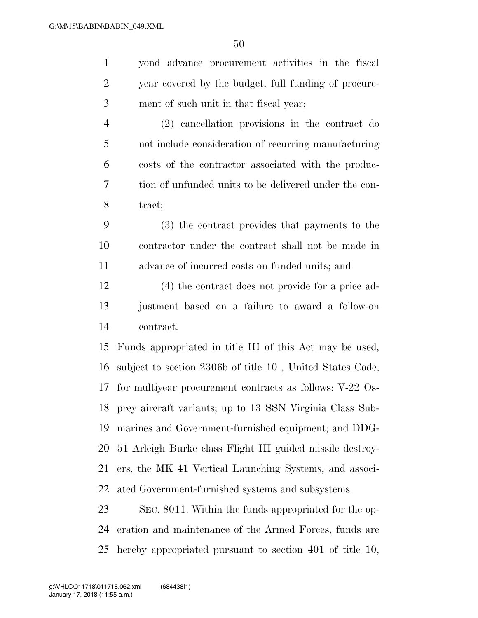| $\mathbf{1}$   | yond advance procurement activities in the fiscal         |
|----------------|-----------------------------------------------------------|
| $\overline{c}$ | year covered by the budget, full funding of procure-      |
| 3              | ment of such unit in that fiscal year;                    |
| $\overline{4}$ | (2) cancellation provisions in the contract do            |
| 5              | not include consideration of recurring manufacturing      |
| 6              | costs of the contractor associated with the produc-       |
| 7              | tion of unfunded units to be delivered under the con-     |
| 8              | tract;                                                    |
| 9              | (3) the contract provides that payments to the            |
| 10             | contractor under the contract shall not be made in        |
| 11             | advance of incurred costs on funded units; and            |
| 12             | (4) the contract does not provide for a price ad-         |
| 13             | justment based on a failure to award a follow-on          |
| 14             | contract.                                                 |
| 15             | Funds appropriated in title III of this Act may be used,  |
| 16             | subject to section 2306b of title 10, United States Code, |
| 17             | for multiyear procurement contracts as follows: V-22 Os-  |
| 18             | prey aircraft variants; up to 13 SSN Virginia Class Sub-  |
| 19             | marines and Government-furnished equipment; and DDG-      |
| 20             | 51 Arleigh Burke class Flight III guided missile destroy- |
| 21             | ers, the MK 41 Vertical Launching Systems, and associ-    |
| 22             | ated Government-furnished systems and subsystems.         |
| 23             | SEC. 8011. Within the funds appropriated for the op-      |
| 24             | eration and maintenance of the Armed Forces, funds are    |

hereby appropriated pursuant to section 401 of title 10,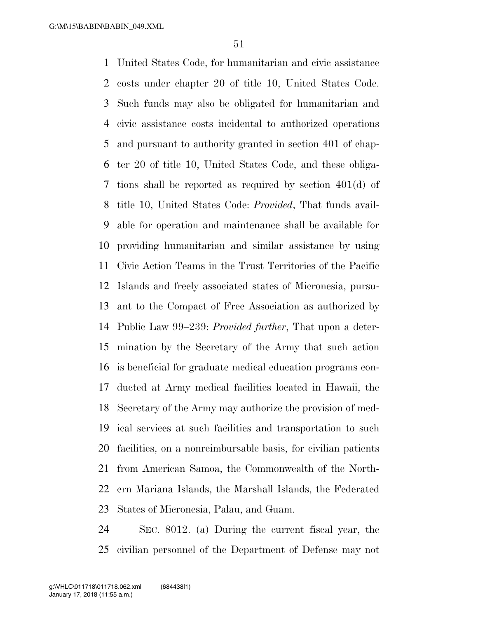United States Code, for humanitarian and civic assistance costs under chapter 20 of title 10, United States Code. Such funds may also be obligated for humanitarian and civic assistance costs incidental to authorized operations and pursuant to authority granted in section 401 of chap- ter 20 of title 10, United States Code, and these obliga- tions shall be reported as required by section 401(d) of title 10, United States Code: *Provided*, That funds avail- able for operation and maintenance shall be available for providing humanitarian and similar assistance by using Civic Action Teams in the Trust Territories of the Pacific Islands and freely associated states of Micronesia, pursu- ant to the Compact of Free Association as authorized by Public Law 99–239: *Provided further*, That upon a deter- mination by the Secretary of the Army that such action is beneficial for graduate medical education programs con- ducted at Army medical facilities located in Hawaii, the Secretary of the Army may authorize the provision of med- ical services at such facilities and transportation to such facilities, on a nonreimbursable basis, for civilian patients from American Samoa, the Commonwealth of the North- ern Mariana Islands, the Marshall Islands, the Federated States of Micronesia, Palau, and Guam.

 SEC. 8012. (a) During the current fiscal year, the civilian personnel of the Department of Defense may not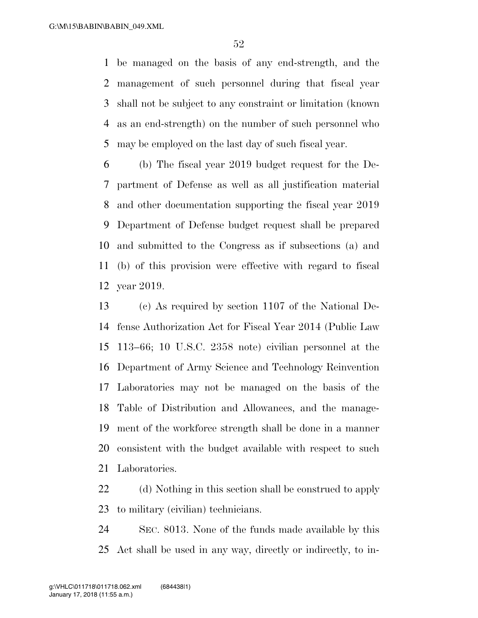be managed on the basis of any end-strength, and the management of such personnel during that fiscal year shall not be subject to any constraint or limitation (known as an end-strength) on the number of such personnel who may be employed on the last day of such fiscal year.

 (b) The fiscal year 2019 budget request for the De- partment of Defense as well as all justification material and other documentation supporting the fiscal year 2019 Department of Defense budget request shall be prepared and submitted to the Congress as if subsections (a) and (b) of this provision were effective with regard to fiscal year 2019.

 (c) As required by section 1107 of the National De- fense Authorization Act for Fiscal Year 2014 (Public Law 113–66; 10 U.S.C. 2358 note) civilian personnel at the Department of Army Science and Technology Reinvention Laboratories may not be managed on the basis of the Table of Distribution and Allowances, and the manage- ment of the workforce strength shall be done in a manner consistent with the budget available with respect to such Laboratories.

 (d) Nothing in this section shall be construed to apply to military (civilian) technicians.

 SEC. 8013. None of the funds made available by this Act shall be used in any way, directly or indirectly, to in-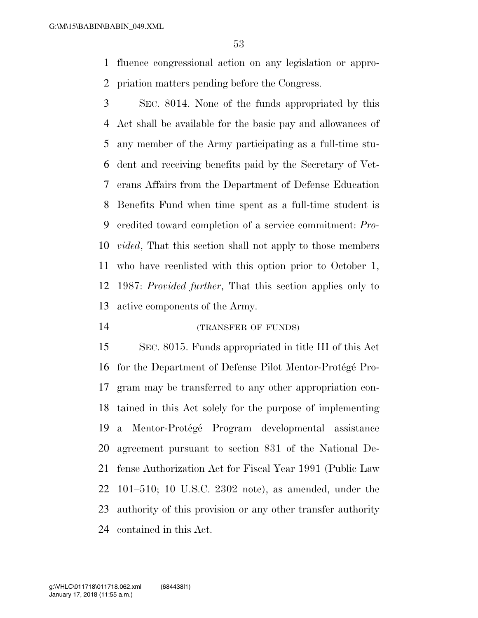fluence congressional action on any legislation or appro-priation matters pending before the Congress.

 SEC. 8014. None of the funds appropriated by this Act shall be available for the basic pay and allowances of any member of the Army participating as a full-time stu- dent and receiving benefits paid by the Secretary of Vet- erans Affairs from the Department of Defense Education Benefits Fund when time spent as a full-time student is credited toward completion of a service commitment: *Pro- vided*, That this section shall not apply to those members who have reenlisted with this option prior to October 1, 1987: *Provided further*, That this section applies only to active components of the Army.

(TRANSFER OF FUNDS)

 SEC. 8015. Funds appropriated in title III of this Act 16 for the Department of Defense Pilot Mentor-Protégé Pro- gram may be transferred to any other appropriation con- tained in this Act solely for the purpose of implementing 19 a Mentor-Protégé Program developmental assistance agreement pursuant to section 831 of the National De- fense Authorization Act for Fiscal Year 1991 (Public Law 101–510; 10 U.S.C. 2302 note), as amended, under the authority of this provision or any other transfer authority contained in this Act.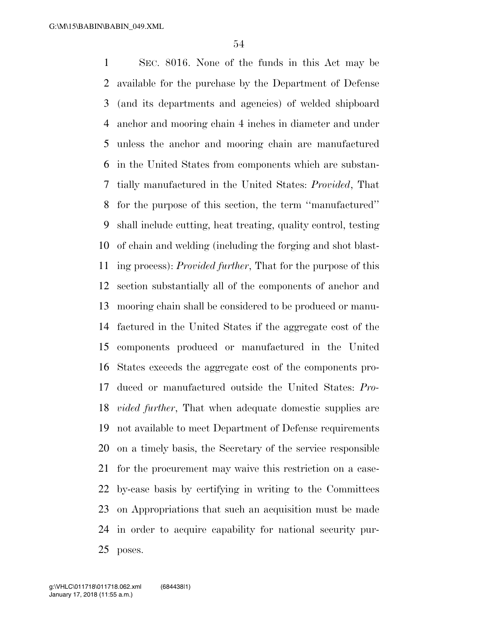SEC. 8016. None of the funds in this Act may be available for the purchase by the Department of Defense (and its departments and agencies) of welded shipboard anchor and mooring chain 4 inches in diameter and under unless the anchor and mooring chain are manufactured in the United States from components which are substan- tially manufactured in the United States: *Provided*, That for the purpose of this section, the term ''manufactured'' shall include cutting, heat treating, quality control, testing of chain and welding (including the forging and shot blast- ing process): *Provided further*, That for the purpose of this section substantially all of the components of anchor and mooring chain shall be considered to be produced or manu- factured in the United States if the aggregate cost of the components produced or manufactured in the United States exceeds the aggregate cost of the components pro- duced or manufactured outside the United States: *Pro- vided further*, That when adequate domestic supplies are not available to meet Department of Defense requirements on a timely basis, the Secretary of the service responsible for the procurement may waive this restriction on a case- by-case basis by certifying in writing to the Committees on Appropriations that such an acquisition must be made in order to acquire capability for national security pur-poses.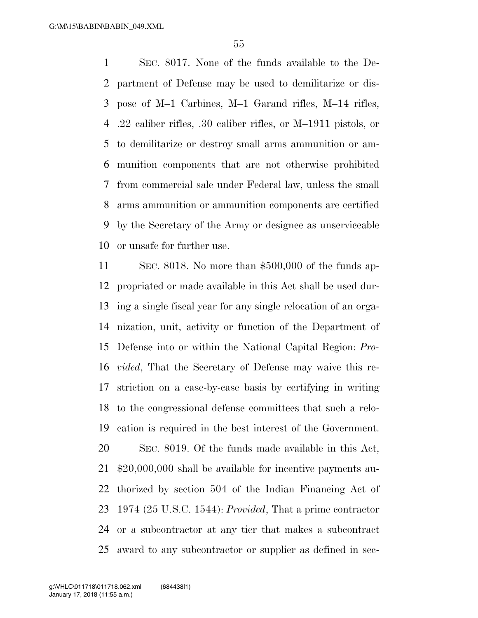SEC. 8017. None of the funds available to the De- partment of Defense may be used to demilitarize or dis- pose of M–1 Carbines, M–1 Garand rifles, M–14 rifles, .22 caliber rifles, .30 caliber rifles, or M–1911 pistols, or to demilitarize or destroy small arms ammunition or am- munition components that are not otherwise prohibited from commercial sale under Federal law, unless the small arms ammunition or ammunition components are certified by the Secretary of the Army or designee as unserviceable or unsafe for further use.

 SEC. 8018. No more than \$500,000 of the funds ap- propriated or made available in this Act shall be used dur- ing a single fiscal year for any single relocation of an orga- nization, unit, activity or function of the Department of Defense into or within the National Capital Region: *Pro- vided*, That the Secretary of Defense may waive this re- striction on a case-by-case basis by certifying in writing to the congressional defense committees that such a relo- cation is required in the best interest of the Government. SEC. 8019. Of the funds made available in this Act, \$20,000,000 shall be available for incentive payments au- thorized by section 504 of the Indian Financing Act of 1974 (25 U.S.C. 1544): *Provided*, That a prime contractor or a subcontractor at any tier that makes a subcontract award to any subcontractor or supplier as defined in sec-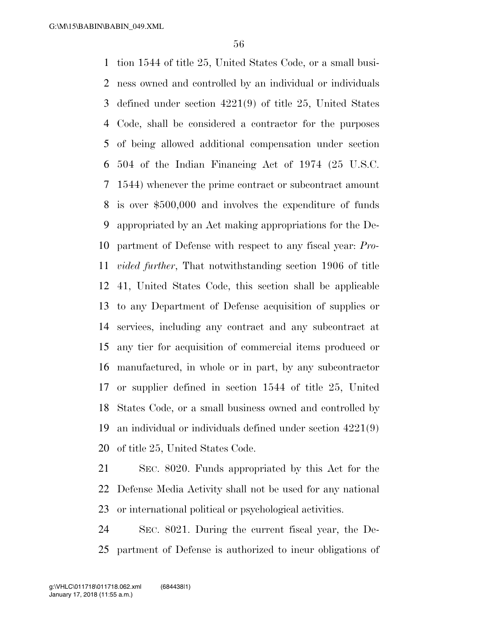tion 1544 of title 25, United States Code, or a small busi- ness owned and controlled by an individual or individuals defined under section 4221(9) of title 25, United States Code, shall be considered a contractor for the purposes of being allowed additional compensation under section 504 of the Indian Financing Act of 1974 (25 U.S.C. 1544) whenever the prime contract or subcontract amount is over \$500,000 and involves the expenditure of funds appropriated by an Act making appropriations for the De- partment of Defense with respect to any fiscal year: *Pro- vided further*, That notwithstanding section 1906 of title 41, United States Code, this section shall be applicable to any Department of Defense acquisition of supplies or services, including any contract and any subcontract at any tier for acquisition of commercial items produced or manufactured, in whole or in part, by any subcontractor or supplier defined in section 1544 of title 25, United States Code, or a small business owned and controlled by an individual or individuals defined under section 4221(9) of title 25, United States Code.

 SEC. 8020. Funds appropriated by this Act for the Defense Media Activity shall not be used for any national or international political or psychological activities.

 SEC. 8021. During the current fiscal year, the De-partment of Defense is authorized to incur obligations of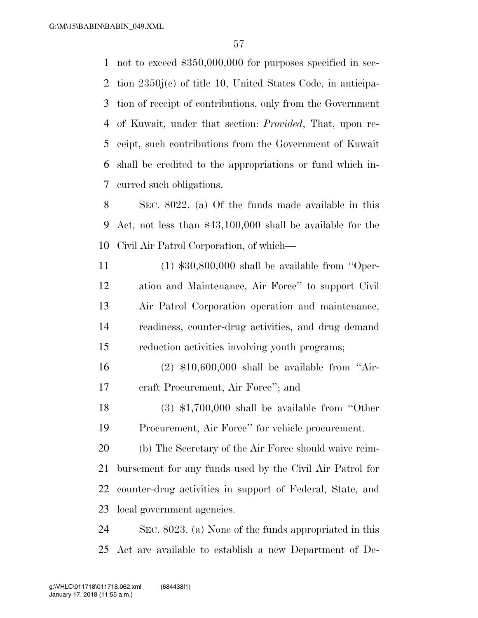not to exceed \$350,000,000 for purposes specified in sec- tion 2350j(c) of title 10, United States Code, in anticipa- tion of receipt of contributions, only from the Government of Kuwait, under that section: *Provided*, That, upon re- ceipt, such contributions from the Government of Kuwait shall be credited to the appropriations or fund which in-curred such obligations.

 SEC. 8022. (a) Of the funds made available in this Act, not less than \$43,100,000 shall be available for the Civil Air Patrol Corporation, of which—

 (1) \$30,800,000 shall be available from ''Oper- ation and Maintenance, Air Force'' to support Civil Air Patrol Corporation operation and maintenance, readiness, counter-drug activities, and drug demand reduction activities involving youth programs;

 (2) \$10,600,000 shall be available from ''Air-craft Procurement, Air Force''; and

 (3) \$1,700,000 shall be available from ''Other Procurement, Air Force'' for vehicle procurement.

 (b) The Secretary of the Air Force should waive reim- bursement for any funds used by the Civil Air Patrol for counter-drug activities in support of Federal, State, and local government agencies.

 SEC. 8023. (a) None of the funds appropriated in this Act are available to establish a new Department of De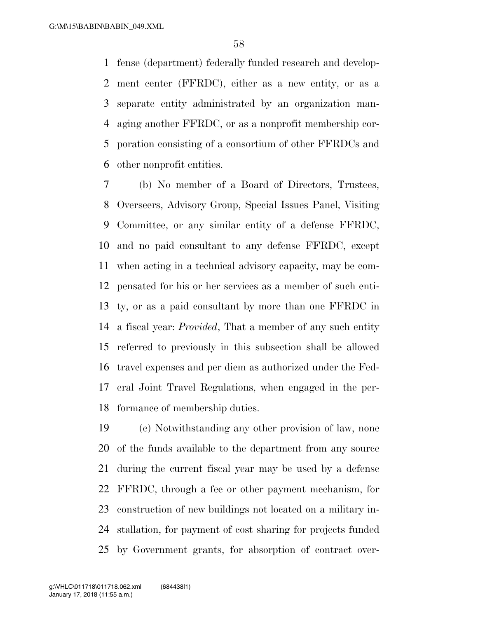fense (department) federally funded research and develop- ment center (FFRDC), either as a new entity, or as a separate entity administrated by an organization man- aging another FFRDC, or as a nonprofit membership cor- poration consisting of a consortium of other FFRDCs and other nonprofit entities.

 (b) No member of a Board of Directors, Trustees, Overseers, Advisory Group, Special Issues Panel, Visiting Committee, or any similar entity of a defense FFRDC, and no paid consultant to any defense FFRDC, except when acting in a technical advisory capacity, may be com- pensated for his or her services as a member of such enti- ty, or as a paid consultant by more than one FFRDC in a fiscal year: *Provided*, That a member of any such entity referred to previously in this subsection shall be allowed travel expenses and per diem as authorized under the Fed- eral Joint Travel Regulations, when engaged in the per-formance of membership duties.

 (c) Notwithstanding any other provision of law, none of the funds available to the department from any source during the current fiscal year may be used by a defense FFRDC, through a fee or other payment mechanism, for construction of new buildings not located on a military in- stallation, for payment of cost sharing for projects funded by Government grants, for absorption of contract over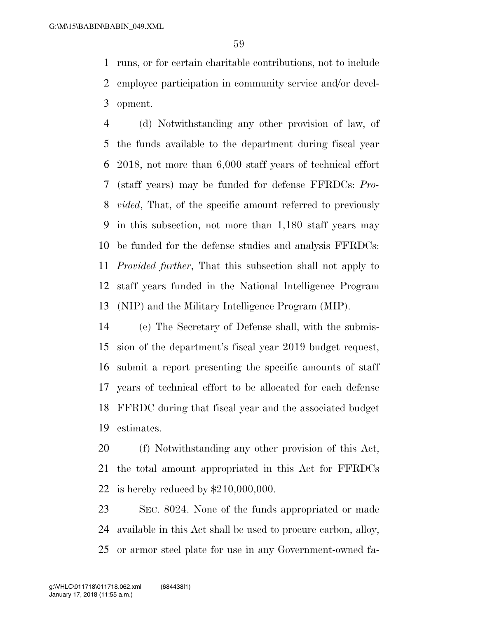runs, or for certain charitable contributions, not to include employee participation in community service and/or devel-opment.

 (d) Notwithstanding any other provision of law, of the funds available to the department during fiscal year 2018, not more than 6,000 staff years of technical effort (staff years) may be funded for defense FFRDCs: *Pro- vided*, That, of the specific amount referred to previously in this subsection, not more than 1,180 staff years may be funded for the defense studies and analysis FFRDCs: *Provided further*, That this subsection shall not apply to staff years funded in the National Intelligence Program (NIP) and the Military Intelligence Program (MIP).

 (e) The Secretary of Defense shall, with the submis- sion of the department's fiscal year 2019 budget request, submit a report presenting the specific amounts of staff years of technical effort to be allocated for each defense FFRDC during that fiscal year and the associated budget estimates.

 (f) Notwithstanding any other provision of this Act, the total amount appropriated in this Act for FFRDCs is hereby reduced by \$210,000,000.

 SEC. 8024. None of the funds appropriated or made available in this Act shall be used to procure carbon, alloy, or armor steel plate for use in any Government-owned fa-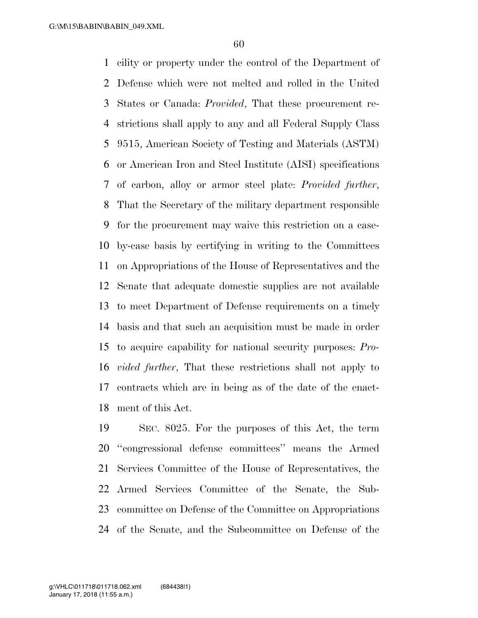cility or property under the control of the Department of Defense which were not melted and rolled in the United States or Canada: *Provided*, That these procurement re- strictions shall apply to any and all Federal Supply Class 9515, American Society of Testing and Materials (ASTM) or American Iron and Steel Institute (AISI) specifications of carbon, alloy or armor steel plate: *Provided further*, That the Secretary of the military department responsible for the procurement may waive this restriction on a case- by-case basis by certifying in writing to the Committees on Appropriations of the House of Representatives and the Senate that adequate domestic supplies are not available to meet Department of Defense requirements on a timely basis and that such an acquisition must be made in order to acquire capability for national security purposes: *Pro- vided further*, That these restrictions shall not apply to contracts which are in being as of the date of the enact-ment of this Act.

 SEC. 8025. For the purposes of this Act, the term ''congressional defense committees'' means the Armed Services Committee of the House of Representatives, the Armed Services Committee of the Senate, the Sub- committee on Defense of the Committee on Appropriations of the Senate, and the Subcommittee on Defense of the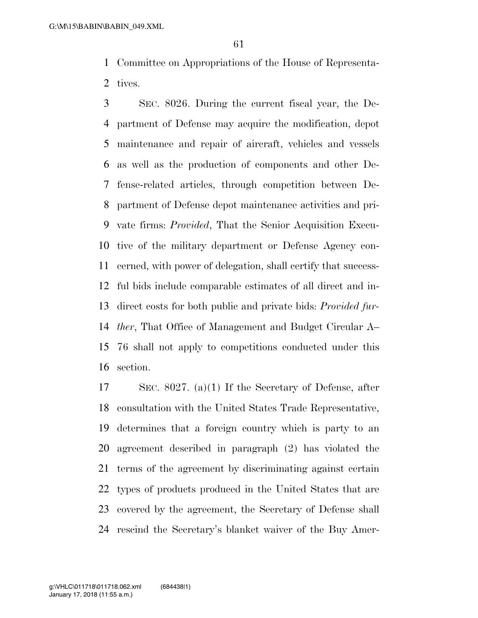Committee on Appropriations of the House of Representa-tives.

 SEC. 8026. During the current fiscal year, the De- partment of Defense may acquire the modification, depot maintenance and repair of aircraft, vehicles and vessels as well as the production of components and other De- fense-related articles, through competition between De- partment of Defense depot maintenance activities and pri- vate firms: *Provided*, That the Senior Acquisition Execu- tive of the military department or Defense Agency con- cerned, with power of delegation, shall certify that success- ful bids include comparable estimates of all direct and in- direct costs for both public and private bids: *Provided fur- ther*, That Office of Management and Budget Circular A– 76 shall not apply to competitions conducted under this section.

 SEC. 8027. (a)(1) If the Secretary of Defense, after consultation with the United States Trade Representative, determines that a foreign country which is party to an agreement described in paragraph (2) has violated the terms of the agreement by discriminating against certain types of products produced in the United States that are covered by the agreement, the Secretary of Defense shall rescind the Secretary's blanket waiver of the Buy Amer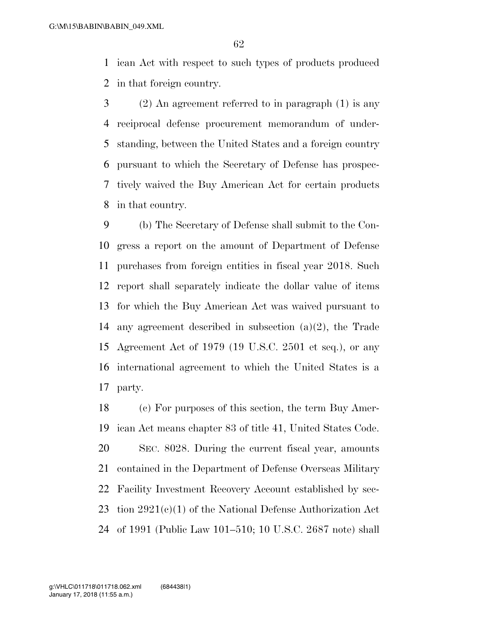ican Act with respect to such types of products produced in that foreign country.

 (2) An agreement referred to in paragraph (1) is any reciprocal defense procurement memorandum of under- standing, between the United States and a foreign country pursuant to which the Secretary of Defense has prospec- tively waived the Buy American Act for certain products in that country.

 (b) The Secretary of Defense shall submit to the Con- gress a report on the amount of Department of Defense purchases from foreign entities in fiscal year 2018. Such report shall separately indicate the dollar value of items for which the Buy American Act was waived pursuant to any agreement described in subsection (a)(2), the Trade Agreement Act of 1979 (19 U.S.C. 2501 et seq.), or any international agreement to which the United States is a party.

 (c) For purposes of this section, the term Buy Amer- ican Act means chapter 83 of title 41, United States Code. SEC. 8028. During the current fiscal year, amounts contained in the Department of Defense Overseas Military Facility Investment Recovery Account established by sec-23 tion  $2921(c)(1)$  of the National Defense Authorization Act of 1991 (Public Law 101–510; 10 U.S.C. 2687 note) shall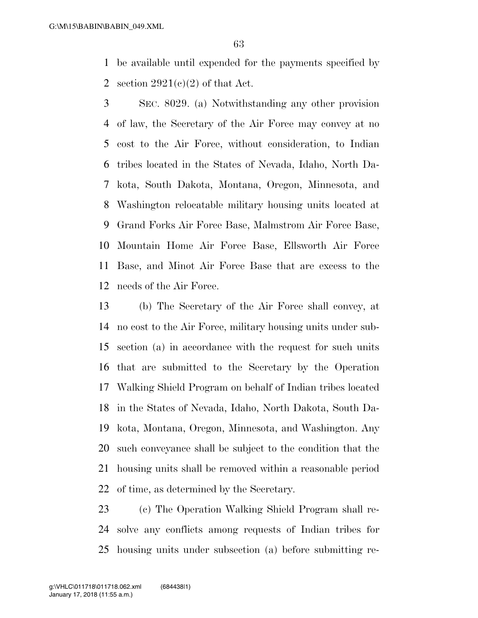be available until expended for the payments specified by 2 section  $2921(c)(2)$  of that Act.

 SEC. 8029. (a) Notwithstanding any other provision of law, the Secretary of the Air Force may convey at no cost to the Air Force, without consideration, to Indian tribes located in the States of Nevada, Idaho, North Da- kota, South Dakota, Montana, Oregon, Minnesota, and Washington relocatable military housing units located at Grand Forks Air Force Base, Malmstrom Air Force Base, Mountain Home Air Force Base, Ellsworth Air Force Base, and Minot Air Force Base that are excess to the needs of the Air Force.

 (b) The Secretary of the Air Force shall convey, at no cost to the Air Force, military housing units under sub- section (a) in accordance with the request for such units that are submitted to the Secretary by the Operation Walking Shield Program on behalf of Indian tribes located in the States of Nevada, Idaho, North Dakota, South Da- kota, Montana, Oregon, Minnesota, and Washington. Any such conveyance shall be subject to the condition that the housing units shall be removed within a reasonable period of time, as determined by the Secretary.

 (c) The Operation Walking Shield Program shall re- solve any conflicts among requests of Indian tribes for housing units under subsection (a) before submitting re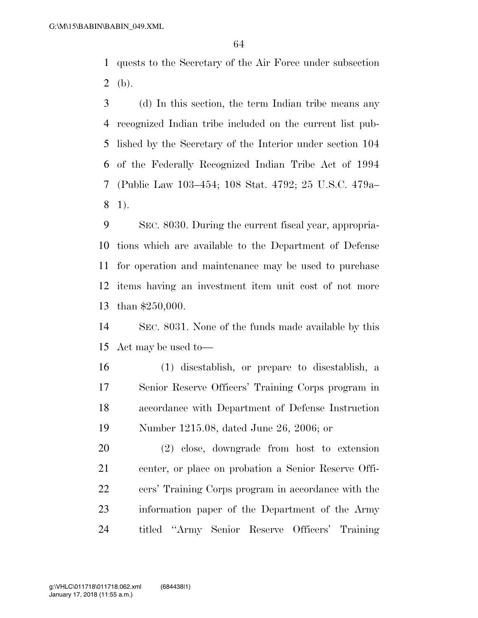quests to the Secretary of the Air Force under subsection 2 (b).

 (d) In this section, the term Indian tribe means any recognized Indian tribe included on the current list pub- lished by the Secretary of the Interior under section 104 of the Federally Recognized Indian Tribe Act of 1994 (Public Law 103–454; 108 Stat. 4792; 25 U.S.C. 479a– 1).

 SEC. 8030. During the current fiscal year, appropria- tions which are available to the Department of Defense for operation and maintenance may be used to purchase items having an investment item unit cost of not more than \$250,000.

 SEC. 8031. None of the funds made available by this Act may be used to—

 (1) disestablish, or prepare to disestablish, a Senior Reserve Officers' Training Corps program in accordance with Department of Defense Instruction Number 1215.08, dated June 26, 2006; or

 (2) close, downgrade from host to extension center, or place on probation a Senior Reserve Offi- cers' Training Corps program in accordance with the information paper of the Department of the Army titled ''Army Senior Reserve Officers' Training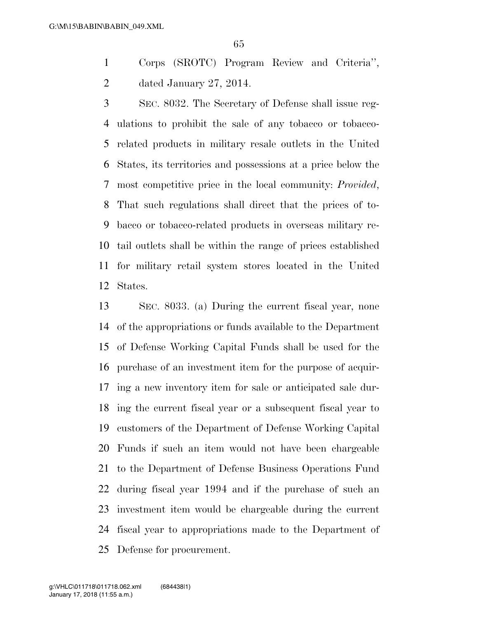Corps (SROTC) Program Review and Criteria'', dated January 27, 2014.

 SEC. 8032. The Secretary of Defense shall issue reg- ulations to prohibit the sale of any tobacco or tobacco- related products in military resale outlets in the United States, its territories and possessions at a price below the most competitive price in the local community: *Provided*, That such regulations shall direct that the prices of to- bacco or tobacco-related products in overseas military re- tail outlets shall be within the range of prices established for military retail system stores located in the United States.

 SEC. 8033. (a) During the current fiscal year, none of the appropriations or funds available to the Department of Defense Working Capital Funds shall be used for the purchase of an investment item for the purpose of acquir- ing a new inventory item for sale or anticipated sale dur- ing the current fiscal year or a subsequent fiscal year to customers of the Department of Defense Working Capital Funds if such an item would not have been chargeable to the Department of Defense Business Operations Fund during fiscal year 1994 and if the purchase of such an investment item would be chargeable during the current fiscal year to appropriations made to the Department of Defense for procurement.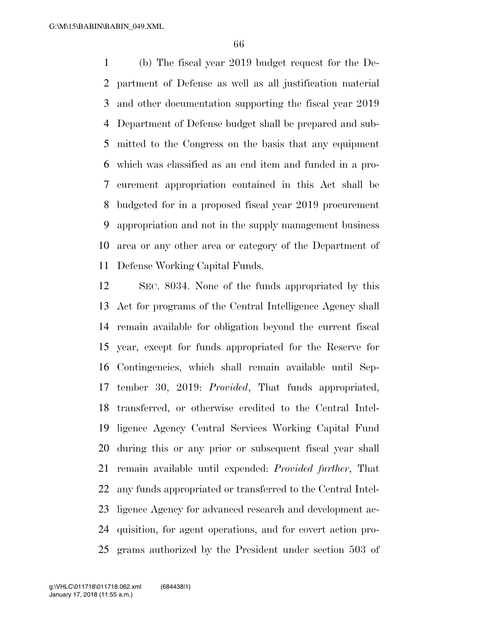(b) The fiscal year 2019 budget request for the De- partment of Defense as well as all justification material and other documentation supporting the fiscal year 2019 Department of Defense budget shall be prepared and sub- mitted to the Congress on the basis that any equipment which was classified as an end item and funded in a pro- curement appropriation contained in this Act shall be budgeted for in a proposed fiscal year 2019 procurement appropriation and not in the supply management business area or any other area or category of the Department of Defense Working Capital Funds.

 SEC. 8034. None of the funds appropriated by this Act for programs of the Central Intelligence Agency shall remain available for obligation beyond the current fiscal year, except for funds appropriated for the Reserve for Contingencies, which shall remain available until Sep- tember 30, 2019: *Provided*, That funds appropriated, transferred, or otherwise credited to the Central Intel- ligence Agency Central Services Working Capital Fund during this or any prior or subsequent fiscal year shall remain available until expended: *Provided further*, That any funds appropriated or transferred to the Central Intel- ligence Agency for advanced research and development ac- quisition, for agent operations, and for covert action pro-grams authorized by the President under section 503 of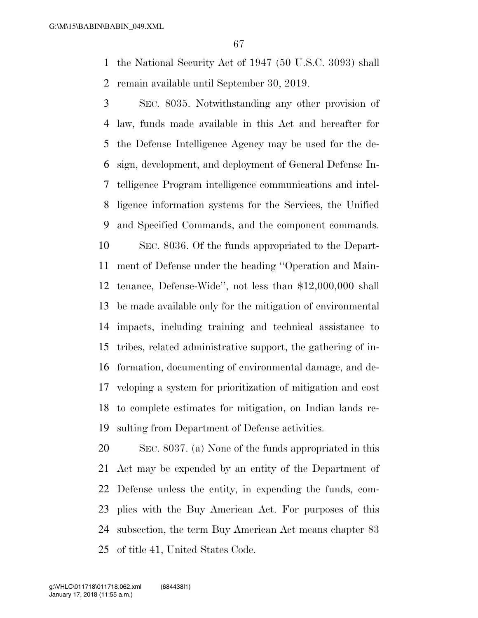the National Security Act of 1947 (50 U.S.C. 3093) shall remain available until September 30, 2019.

 SEC. 8035. Notwithstanding any other provision of law, funds made available in this Act and hereafter for the Defense Intelligence Agency may be used for the de- sign, development, and deployment of General Defense In- telligence Program intelligence communications and intel- ligence information systems for the Services, the Unified and Specified Commands, and the component commands. SEC. 8036. Of the funds appropriated to the Depart- ment of Defense under the heading ''Operation and Main- tenance, Defense-Wide'', not less than \$12,000,000 shall be made available only for the mitigation of environmental impacts, including training and technical assistance to tribes, related administrative support, the gathering of in- formation, documenting of environmental damage, and de- veloping a system for prioritization of mitigation and cost to complete estimates for mitigation, on Indian lands re-sulting from Department of Defense activities.

 SEC. 8037. (a) None of the funds appropriated in this Act may be expended by an entity of the Department of Defense unless the entity, in expending the funds, com- plies with the Buy American Act. For purposes of this subsection, the term Buy American Act means chapter 83 of title 41, United States Code.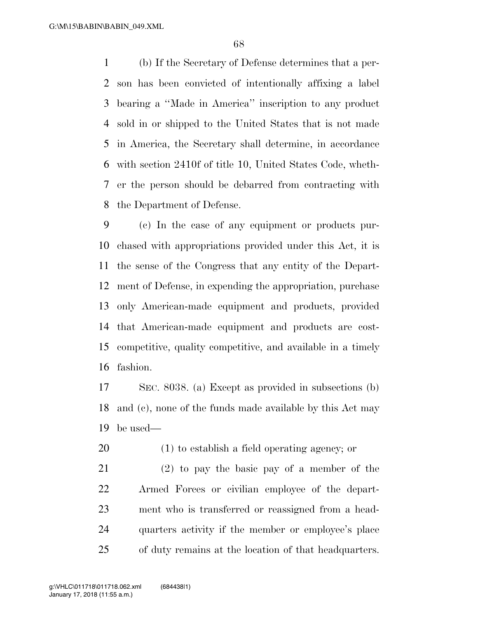(b) If the Secretary of Defense determines that a per- son has been convicted of intentionally affixing a label bearing a ''Made in America'' inscription to any product sold in or shipped to the United States that is not made in America, the Secretary shall determine, in accordance with section 2410f of title 10, United States Code, wheth- er the person should be debarred from contracting with the Department of Defense.

 (c) In the case of any equipment or products pur- chased with appropriations provided under this Act, it is the sense of the Congress that any entity of the Depart- ment of Defense, in expending the appropriation, purchase only American-made equipment and products, provided that American-made equipment and products are cost- competitive, quality competitive, and available in a timely fashion.

 SEC. 8038. (a) Except as provided in subsections (b) and (c), none of the funds made available by this Act may be used—

(1) to establish a field operating agency; or

 (2) to pay the basic pay of a member of the Armed Forces or civilian employee of the depart- ment who is transferred or reassigned from a head- quarters activity if the member or employee's place of duty remains at the location of that headquarters.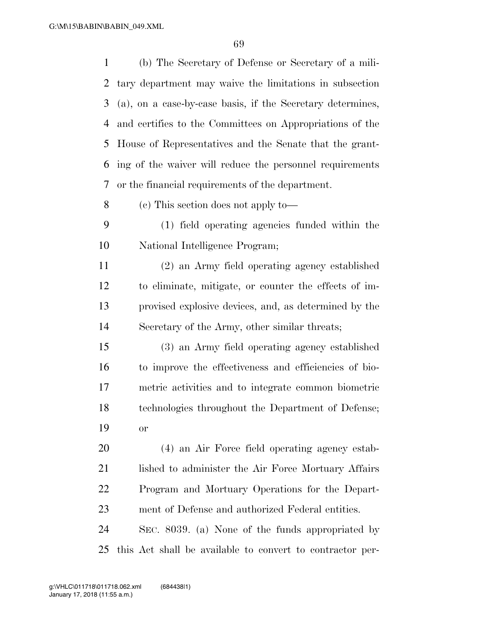| 1  | (b) The Secretary of Defense or Secretary of a mili-       |
|----|------------------------------------------------------------|
| 2  | tary department may waive the limitations in subsection    |
| 3  | (a), on a case-by-case basis, if the Secretary determines, |
| 4  | and certifies to the Committees on Appropriations of the   |
| 5  | House of Representatives and the Senate that the grant-    |
| 6  | ing of the waiver will reduce the personnel requirements   |
| 7  | or the financial requirements of the department.           |
| 8  | (c) This section does not apply to—                        |
| 9  | (1) field operating agencies funded within the             |
| 10 | National Intelligence Program;                             |
| 11 | (2) an Army field operating agency established             |
| 12 | to eliminate, mitigate, or counter the effects of im-      |
| 13 | provised explosive devices, and, as determined by the      |
| 14 | Secretary of the Army, other similar threats;              |
| 15 | (3) an Army field operating agency established             |
| 16 | to improve the effectiveness and efficiencies of bio-      |
| 17 | metric activities and to integrate common biometric        |
| 18 | technologies throughout the Department of Defense;         |
| 19 | or                                                         |
| 20 | (4) an Air Force field operating agency estab-             |
| 21 | lished to administer the Air Force Mortuary Affairs        |
| 22 | Program and Mortuary Operations for the Depart-            |
| 23 | ment of Defense and authorized Federal entities.           |
| 24 | SEC. 8039. (a) None of the funds appropriated by           |
| 25 | this Act shall be available to convert to contractor per-  |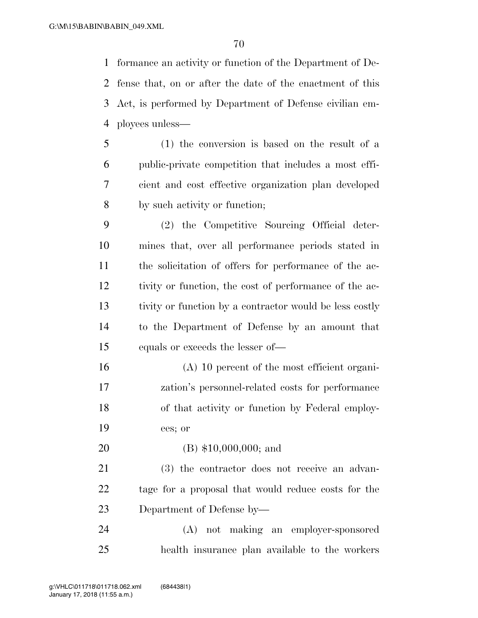formance an activity or function of the Department of De- fense that, on or after the date of the enactment of this Act, is performed by Department of Defense civilian em-ployees unless—

 (1) the conversion is based on the result of a public-private competition that includes a most effi- cient and cost effective organization plan developed by such activity or function;

 (2) the Competitive Sourcing Official deter- mines that, over all performance periods stated in the solicitation of offers for performance of the ac- tivity or function, the cost of performance of the ac- tivity or function by a contractor would be less costly to the Department of Defense by an amount that equals or exceeds the lesser of—

 (A) 10 percent of the most efficient organi- zation's personnel-related costs for performance of that activity or function by Federal employ-ees; or

(B) \$10,000,000; and

 (3) the contractor does not receive an advan- tage for a proposal that would reduce costs for the Department of Defense by—

 (A) not making an employer-sponsored health insurance plan available to the workers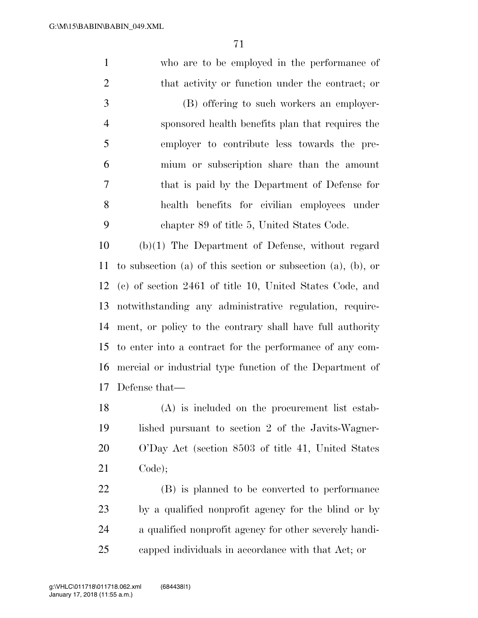who are to be employed in the performance of 2 that activity or function under the contract; or

 (B) offering to such workers an employer- sponsored health benefits plan that requires the employer to contribute less towards the pre- mium or subscription share than the amount that is paid by the Department of Defense for health benefits for civilian employees under chapter 89 of title 5, United States Code.

 (b)(1) The Department of Defense, without regard to subsection (a) of this section or subsection (a), (b), or (c) of section 2461 of title 10, United States Code, and notwithstanding any administrative regulation, require- ment, or policy to the contrary shall have full authority to enter into a contract for the performance of any com- mercial or industrial type function of the Department of Defense that—

 (A) is included on the procurement list estab- lished pursuant to section 2 of the Javits-Wagner- O'Day Act (section 8503 of title 41, United States Code);

 (B) is planned to be converted to performance by a qualified nonprofit agency for the blind or by a qualified nonprofit agency for other severely handi-capped individuals in accordance with that Act; or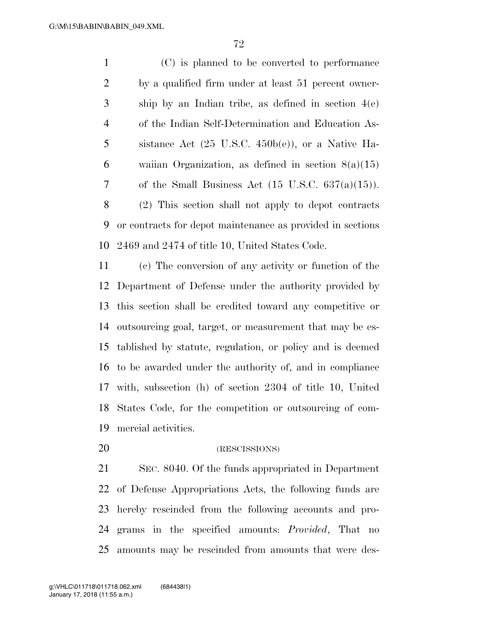(C) is planned to be converted to performance by a qualified firm under at least 51 percent owner- ship by an Indian tribe, as defined in section 4(e) of the Indian Self-Determination and Education As- sistance Act (25 U.S.C. 450b(e)), or a Native Ha- waiian Organization, as defined in section 8(a)(15) 7 of the Small Business Act  $(15 \text{ U.S.C. } 637(a)(15))$ . (2) This section shall not apply to depot contracts or contracts for depot maintenance as provided in sections

 (c) The conversion of any activity or function of the Department of Defense under the authority provided by this section shall be credited toward any competitive or outsourcing goal, target, or measurement that may be es- tablished by statute, regulation, or policy and is deemed to be awarded under the authority of, and in compliance with, subsection (h) of section 2304 of title 10, United States Code, for the competition or outsourcing of com-mercial activities.

2469 and 2474 of title 10, United States Code.

(RESCISSIONS)

 SEC. 8040. Of the funds appropriated in Department of Defense Appropriations Acts, the following funds are hereby rescinded from the following accounts and pro- grams in the specified amounts: *Provided*, That no amounts may be rescinded from amounts that were des-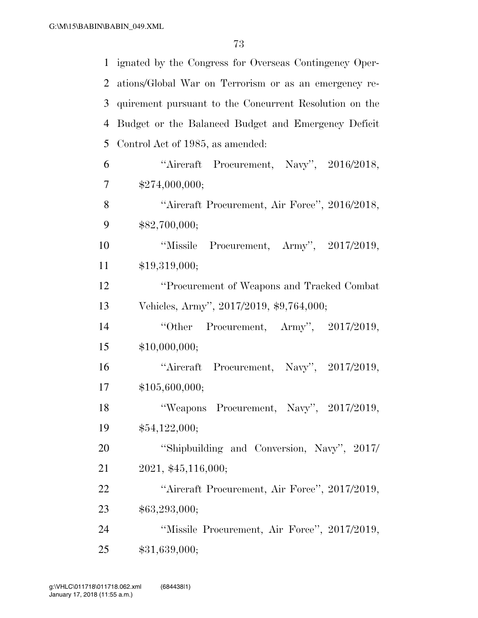| $\mathbf{1}$   | ignated by the Congress for Overseas Contingency Oper- |
|----------------|--------------------------------------------------------|
| $\overline{2}$ | ations/Global War on Terrorism or as an emergency re-  |
| 3              | quirement pursuant to the Concurrent Resolution on the |
| $\overline{4}$ | Budget or the Balanced Budget and Emergency Deficit    |
| 5              | Control Act of 1985, as amended:                       |
| 6              | "Aircraft Procurement, Navy", 2016/2018,               |
| 7              | \$274,000,000;                                         |
| 8              | "Aircraft Procurement, Air Force", 2016/2018,          |
| 9              | \$82,700,000;                                          |
| 10             | "Missile Procurement, Army", 2017/2019,                |
| 11             | \$19,319,000;                                          |
| 12             | "Procurement of Weapons and Tracked Combat             |
| 13             | Vehicles, Army", 2017/2019, \$9,764,000;               |
| 14             | "Other Procurement, Army", 2017/2019,                  |
| 15             | \$10,000,000;                                          |
| 16             | "Aircraft Procurement, Navy", 2017/2019,               |
| 17             | \$105,600,000;                                         |
| 18             | "Weapons Procurement, Navy", 2017/2019,                |
| 19             | \$54,122,000;                                          |
| 20             | "Shipbuilding and Conversion, Navy", 2017/             |
| 21             | 2021, \$45,116,000;                                    |
| 22             | "Aircraft Procurement, Air Force", 2017/2019,          |
| 23             | \$63,293,000;                                          |
| 24             | "Missile Procurement, Air Force", 2017/2019,           |
| 25             | \$31,639,000;                                          |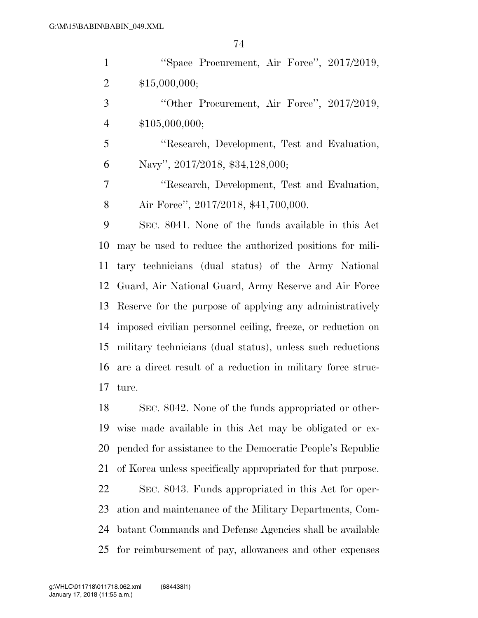| $\mathbf{1}$   | "Space Procurement, Air Force", 2017/2019,                  |
|----------------|-------------------------------------------------------------|
| 2              | \$15,000,000;                                               |
| 3              | "Other Procurement, Air Force", 2017/2019,                  |
| $\overline{4}$ | \$105,000,000;                                              |
| 5              | "Research, Development, Test and Evaluation,                |
| 6              | Navy", 2017/2018, \$34,128,000;                             |
| 7              | "Research, Development, Test and Evaluation,                |
| 8              | Air Force", 2017/2018, \$41,700,000.                        |
| 9              | SEC. 8041. None of the funds available in this Act          |
| 10             | may be used to reduce the authorized positions for mili-    |
| 11             | tary technicians (dual status) of the Army National         |
| 12             | Guard, Air National Guard, Army Reserve and Air Force       |
| 13             | Reserve for the purpose of applying any administratively    |
| 14             | imposed civilian personnel ceiling, freeze, or reduction on |
| 15             | military technicians (dual status), unless such reductions  |
| 16             | are a direct result of a reduction in military force struc- |
| 17             | ture.                                                       |
| 18             | SEC. 8042. None of the funds appropriated or other-         |
| 19             | wise made available in this Act may be obligated or ex-     |
| 20             | pended for assistance to the Democratic People's Republic   |
| 21             | of Korea unless specifically appropriated for that purpose. |
| 22             | SEC. 8043. Funds appropriated in this Act for oper-         |
| 23             | ation and maintenance of the Military Departments, Com-     |
| 24             | batant Commands and Defense Agencies shall be available     |
| 25             | for reimbursement of pay, allowances and other expenses     |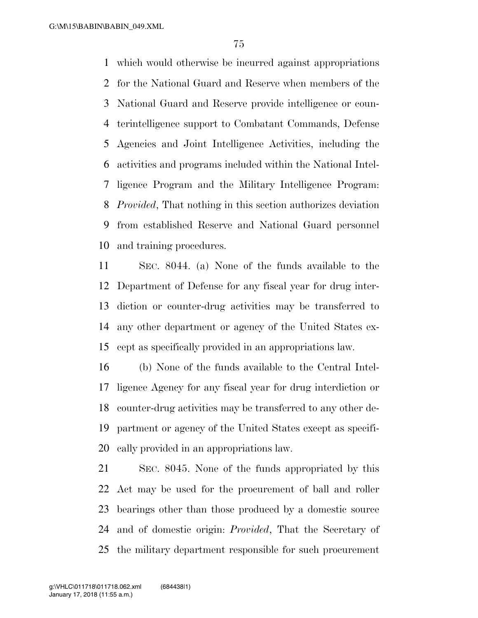which would otherwise be incurred against appropriations for the National Guard and Reserve when members of the National Guard and Reserve provide intelligence or coun- terintelligence support to Combatant Commands, Defense Agencies and Joint Intelligence Activities, including the activities and programs included within the National Intel- ligence Program and the Military Intelligence Program: *Provided*, That nothing in this section authorizes deviation from established Reserve and National Guard personnel and training procedures.

 SEC. 8044. (a) None of the funds available to the Department of Defense for any fiscal year for drug inter- diction or counter-drug activities may be transferred to any other department or agency of the United States ex-cept as specifically provided in an appropriations law.

 (b) None of the funds available to the Central Intel- ligence Agency for any fiscal year for drug interdiction or counter-drug activities may be transferred to any other de- partment or agency of the United States except as specifi-cally provided in an appropriations law.

 SEC. 8045. None of the funds appropriated by this Act may be used for the procurement of ball and roller bearings other than those produced by a domestic source and of domestic origin: *Provided*, That the Secretary of the military department responsible for such procurement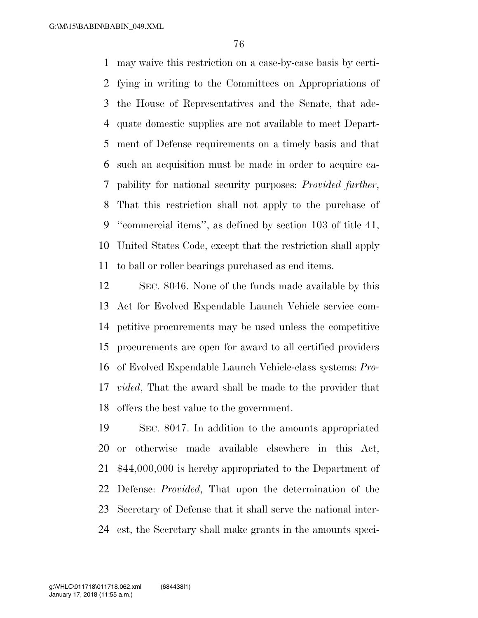may waive this restriction on a case-by-case basis by certi- fying in writing to the Committees on Appropriations of the House of Representatives and the Senate, that ade- quate domestic supplies are not available to meet Depart- ment of Defense requirements on a timely basis and that such an acquisition must be made in order to acquire ca- pability for national security purposes: *Provided further*, That this restriction shall not apply to the purchase of ''commercial items'', as defined by section 103 of title 41, United States Code, except that the restriction shall apply to ball or roller bearings purchased as end items.

 SEC. 8046. None of the funds made available by this Act for Evolved Expendable Launch Vehicle service com- petitive procurements may be used unless the competitive procurements are open for award to all certified providers of Evolved Expendable Launch Vehicle-class systems: *Pro- vided*, That the award shall be made to the provider that offers the best value to the government.

 SEC. 8047. In addition to the amounts appropriated or otherwise made available elsewhere in this Act, \$44,000,000 is hereby appropriated to the Department of Defense: *Provided*, That upon the determination of the Secretary of Defense that it shall serve the national inter-est, the Secretary shall make grants in the amounts speci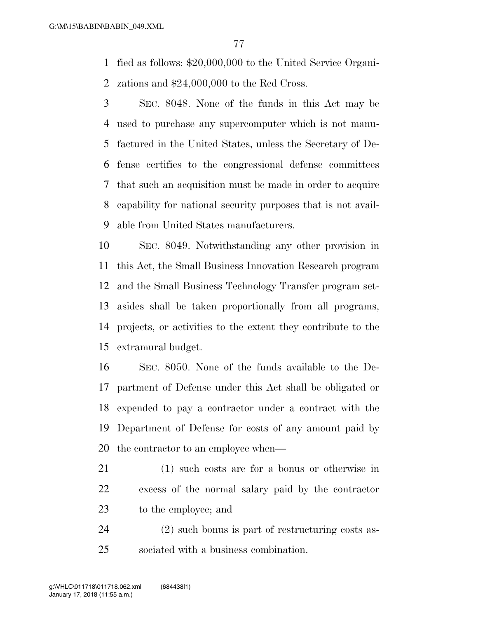fied as follows: \$20,000,000 to the United Service Organi-zations and \$24,000,000 to the Red Cross.

 SEC. 8048. None of the funds in this Act may be used to purchase any supercomputer which is not manu- factured in the United States, unless the Secretary of De- fense certifies to the congressional defense committees that such an acquisition must be made in order to acquire capability for national security purposes that is not avail-able from United States manufacturers.

 SEC. 8049. Notwithstanding any other provision in this Act, the Small Business Innovation Research program and the Small Business Technology Transfer program set- asides shall be taken proportionally from all programs, projects, or activities to the extent they contribute to the extramural budget.

 SEC. 8050. None of the funds available to the De- partment of Defense under this Act shall be obligated or expended to pay a contractor under a contract with the Department of Defense for costs of any amount paid by the contractor to an employee when—

- (1) such costs are for a bonus or otherwise in excess of the normal salary paid by the contractor to the employee; and
- (2) such bonus is part of restructuring costs as-sociated with a business combination.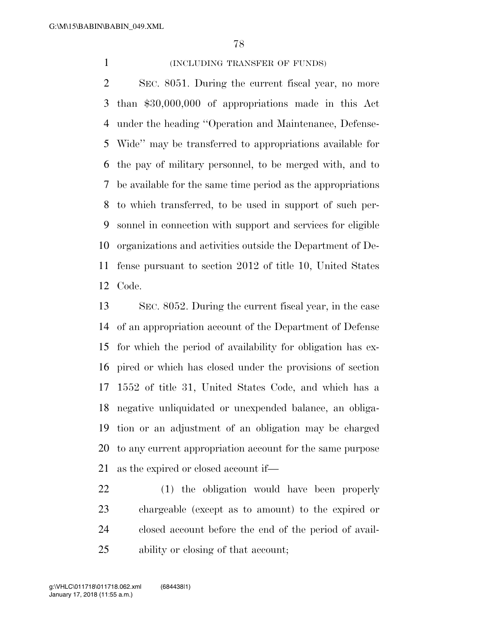## 1 (INCLUDING TRANSFER OF FUNDS)

 SEC. 8051. During the current fiscal year, no more than \$30,000,000 of appropriations made in this Act under the heading ''Operation and Maintenance, Defense- Wide'' may be transferred to appropriations available for the pay of military personnel, to be merged with, and to be available for the same time period as the appropriations to which transferred, to be used in support of such per- sonnel in connection with support and services for eligible organizations and activities outside the Department of De- fense pursuant to section 2012 of title 10, United States Code.

 SEC. 8052. During the current fiscal year, in the case of an appropriation account of the Department of Defense for which the period of availability for obligation has ex- pired or which has closed under the provisions of section 1552 of title 31, United States Code, and which has a negative unliquidated or unexpended balance, an obliga- tion or an adjustment of an obligation may be charged to any current appropriation account for the same purpose as the expired or closed account if—

 (1) the obligation would have been properly chargeable (except as to amount) to the expired or closed account before the end of the period of avail-ability or closing of that account;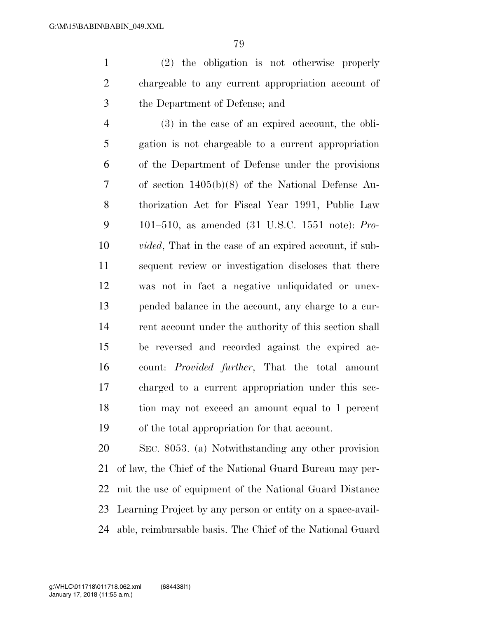(2) the obligation is not otherwise properly chargeable to any current appropriation account of the Department of Defense; and

 (3) in the case of an expired account, the obli- gation is not chargeable to a current appropriation of the Department of Defense under the provisions of section 1405(b)(8) of the National Defense Au- thorization Act for Fiscal Year 1991, Public Law 101–510, as amended (31 U.S.C. 1551 note): *Pro- vided*, That in the case of an expired account, if sub- sequent review or investigation discloses that there was not in fact a negative unliquidated or unex- pended balance in the account, any charge to a cur-14 rent account under the authority of this section shall be reversed and recorded against the expired ac- count: *Provided further*, That the total amount charged to a current appropriation under this sec- tion may not exceed an amount equal to 1 percent of the total appropriation for that account.

 SEC. 8053. (a) Notwithstanding any other provision of law, the Chief of the National Guard Bureau may per- mit the use of equipment of the National Guard Distance Learning Project by any person or entity on a space-avail-able, reimbursable basis. The Chief of the National Guard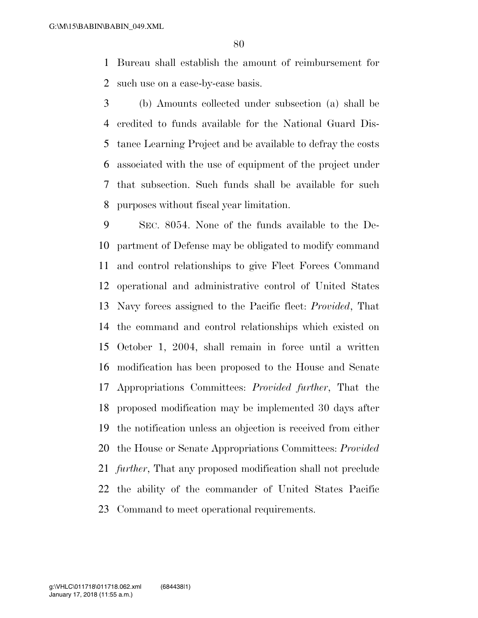Bureau shall establish the amount of reimbursement for such use on a case-by-case basis.

 (b) Amounts collected under subsection (a) shall be credited to funds available for the National Guard Dis- tance Learning Project and be available to defray the costs associated with the use of equipment of the project under that subsection. Such funds shall be available for such purposes without fiscal year limitation.

 SEC. 8054. None of the funds available to the De- partment of Defense may be obligated to modify command and control relationships to give Fleet Forces Command operational and administrative control of United States Navy forces assigned to the Pacific fleet: *Provided*, That the command and control relationships which existed on October 1, 2004, shall remain in force until a written modification has been proposed to the House and Senate Appropriations Committees: *Provided further*, That the proposed modification may be implemented 30 days after the notification unless an objection is received from either the House or Senate Appropriations Committees: *Provided further*, That any proposed modification shall not preclude the ability of the commander of United States Pacific Command to meet operational requirements.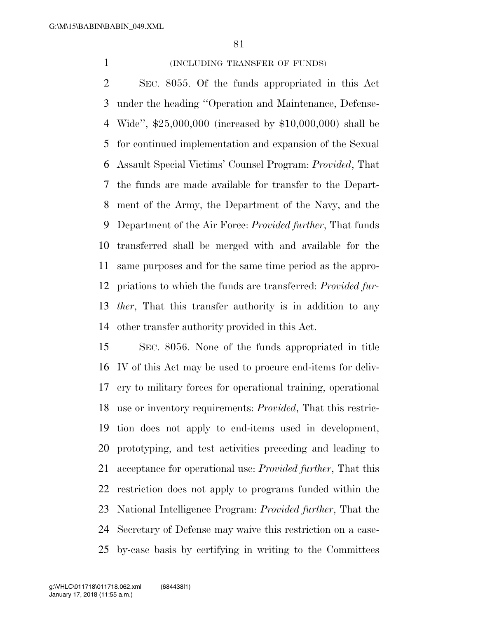#### 1 (INCLUDING TRANSFER OF FUNDS)

 SEC. 8055. Of the funds appropriated in this Act under the heading ''Operation and Maintenance, Defense- Wide'', \$25,000,000 (increased by \$10,000,000) shall be for continued implementation and expansion of the Sexual Assault Special Victims' Counsel Program: *Provided*, That the funds are made available for transfer to the Depart- ment of the Army, the Department of the Navy, and the Department of the Air Force: *Provided further*, That funds transferred shall be merged with and available for the same purposes and for the same time period as the appro- priations to which the funds are transferred: *Provided fur- ther*, That this transfer authority is in addition to any other transfer authority provided in this Act.

 SEC. 8056. None of the funds appropriated in title IV of this Act may be used to procure end-items for deliv- ery to military forces for operational training, operational use or inventory requirements: *Provided*, That this restric- tion does not apply to end-items used in development, prototyping, and test activities preceding and leading to acceptance for operational use: *Provided further*, That this restriction does not apply to programs funded within the National Intelligence Program: *Provided further*, That the Secretary of Defense may waive this restriction on a case-by-case basis by certifying in writing to the Committees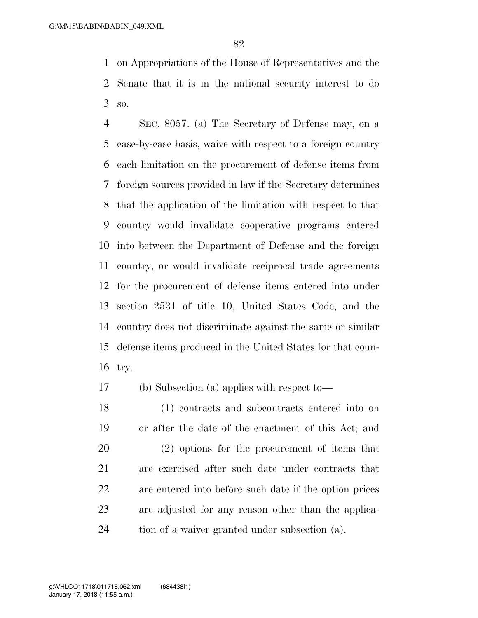on Appropriations of the House of Representatives and the Senate that it is in the national security interest to do so.

 SEC. 8057. (a) The Secretary of Defense may, on a case-by-case basis, waive with respect to a foreign country each limitation on the procurement of defense items from foreign sources provided in law if the Secretary determines that the application of the limitation with respect to that country would invalidate cooperative programs entered into between the Department of Defense and the foreign country, or would invalidate reciprocal trade agreements for the procurement of defense items entered into under section 2531 of title 10, United States Code, and the country does not discriminate against the same or similar defense items produced in the United States for that coun-try.

(b) Subsection (a) applies with respect to—

 (1) contracts and subcontracts entered into on or after the date of the enactment of this Act; and (2) options for the procurement of items that are exercised after such date under contracts that are entered into before such date if the option prices are adjusted for any reason other than the applica-tion of a waiver granted under subsection (a).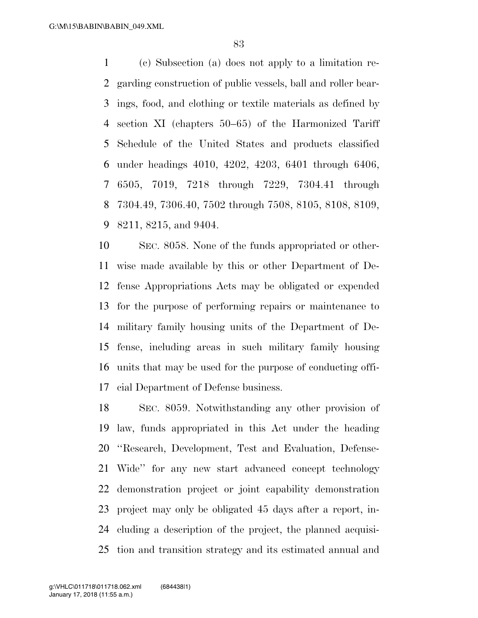(c) Subsection (a) does not apply to a limitation re- garding construction of public vessels, ball and roller bear- ings, food, and clothing or textile materials as defined by section XI (chapters 50–65) of the Harmonized Tariff Schedule of the United States and products classified under headings 4010, 4202, 4203, 6401 through 6406, 6505, 7019, 7218 through 7229, 7304.41 through 7304.49, 7306.40, 7502 through 7508, 8105, 8108, 8109, 8211, 8215, and 9404.

 SEC. 8058. None of the funds appropriated or other- wise made available by this or other Department of De- fense Appropriations Acts may be obligated or expended for the purpose of performing repairs or maintenance to military family housing units of the Department of De- fense, including areas in such military family housing units that may be used for the purpose of conducting offi-cial Department of Defense business.

 SEC. 8059. Notwithstanding any other provision of law, funds appropriated in this Act under the heading ''Research, Development, Test and Evaluation, Defense- Wide'' for any new start advanced concept technology demonstration project or joint capability demonstration project may only be obligated 45 days after a report, in- cluding a description of the project, the planned acquisi-tion and transition strategy and its estimated annual and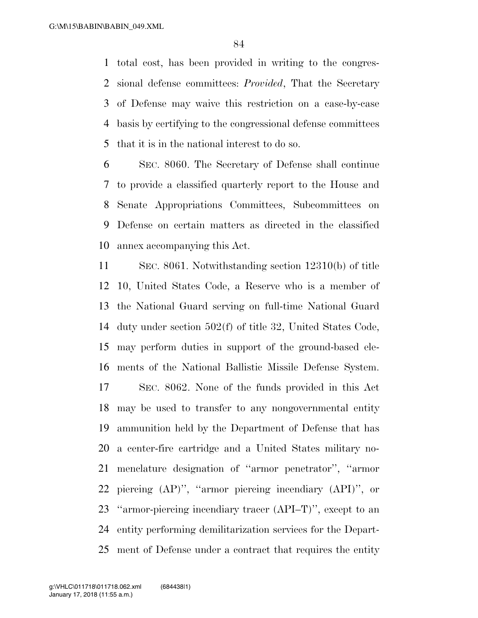total cost, has been provided in writing to the congres- sional defense committees: *Provided*, That the Secretary of Defense may waive this restriction on a case-by-case basis by certifying to the congressional defense committees that it is in the national interest to do so.

 SEC. 8060. The Secretary of Defense shall continue to provide a classified quarterly report to the House and Senate Appropriations Committees, Subcommittees on Defense on certain matters as directed in the classified annex accompanying this Act.

 SEC. 8061. Notwithstanding section 12310(b) of title 10, United States Code, a Reserve who is a member of the National Guard serving on full-time National Guard duty under section 502(f) of title 32, United States Code, may perform duties in support of the ground-based ele- ments of the National Ballistic Missile Defense System. SEC. 8062. None of the funds provided in this Act may be used to transfer to any nongovernmental entity ammunition held by the Department of Defense that has a center-fire cartridge and a United States military no- menclature designation of ''armor penetrator'', ''armor piercing (AP)'', ''armor piercing incendiary (API)'', or ''armor-piercing incendiary tracer (API–T)'', except to an entity performing demilitarization services for the Depart-ment of Defense under a contract that requires the entity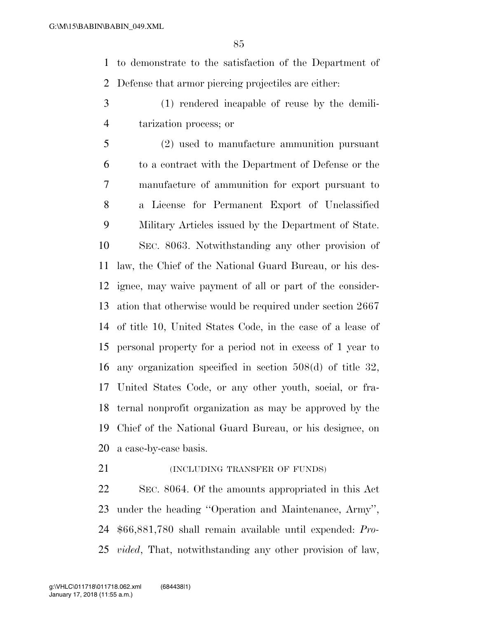to demonstrate to the satisfaction of the Department of Defense that armor piercing projectiles are either:

 (1) rendered incapable of reuse by the demili-tarization process; or

 (2) used to manufacture ammunition pursuant to a contract with the Department of Defense or the manufacture of ammunition for export pursuant to a License for Permanent Export of Unclassified Military Articles issued by the Department of State. SEC. 8063. Notwithstanding any other provision of law, the Chief of the National Guard Bureau, or his des- ignee, may waive payment of all or part of the consider- ation that otherwise would be required under section 2667 of title 10, United States Code, in the case of a lease of personal property for a period not in excess of 1 year to any organization specified in section 508(d) of title 32, United States Code, or any other youth, social, or fra- ternal nonprofit organization as may be approved by the Chief of the National Guard Bureau, or his designee, on a case-by-case basis.

**(INCLUDING TRANSFER OF FUNDS)** 

 SEC. 8064. Of the amounts appropriated in this Act under the heading ''Operation and Maintenance, Army'', \$66,881,780 shall remain available until expended: *Pro-vided*, That, notwithstanding any other provision of law,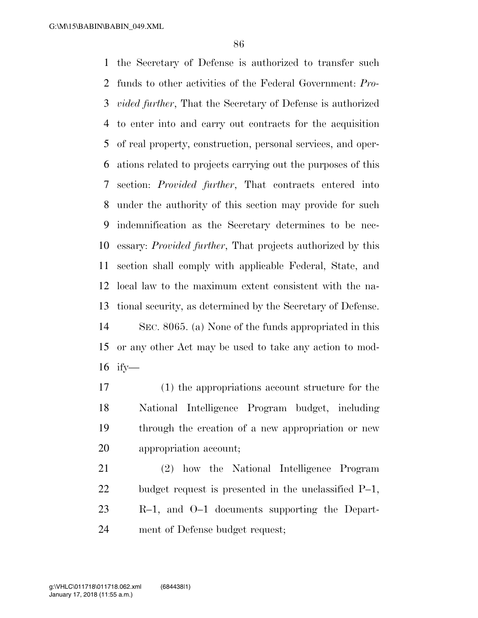the Secretary of Defense is authorized to transfer such funds to other activities of the Federal Government: *Pro- vided further*, That the Secretary of Defense is authorized to enter into and carry out contracts for the acquisition of real property, construction, personal services, and oper- ations related to projects carrying out the purposes of this section: *Provided further*, That contracts entered into under the authority of this section may provide for such indemnification as the Secretary determines to be nec- essary: *Provided further*, That projects authorized by this section shall comply with applicable Federal, State, and local law to the maximum extent consistent with the na- tional security, as determined by the Secretary of Defense. SEC. 8065. (a) None of the funds appropriated in this or any other Act may be used to take any action to mod-ify—

 (1) the appropriations account structure for the National Intelligence Program budget, including through the creation of a new appropriation or new appropriation account;

 (2) how the National Intelligence Program budget request is presented in the unclassified P–1, R–1, and O–1 documents supporting the Depart-ment of Defense budget request;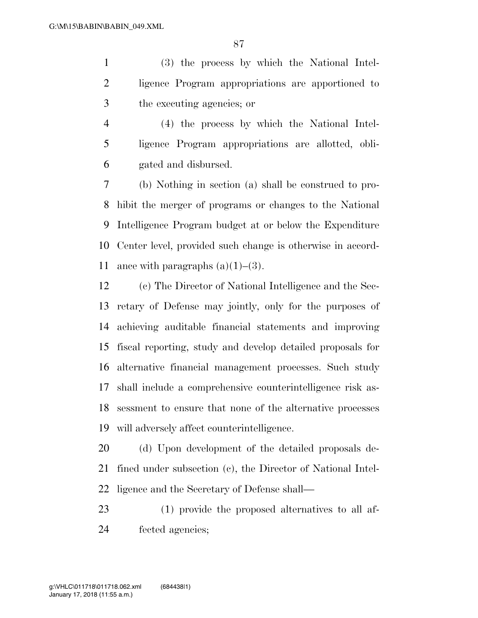(3) the process by which the National Intel- ligence Program appropriations are apportioned to the executing agencies; or

 (4) the process by which the National Intel- ligence Program appropriations are allotted, obli-gated and disbursed.

 (b) Nothing in section (a) shall be construed to pro- hibit the merger of programs or changes to the National Intelligence Program budget at or below the Expenditure Center level, provided such change is otherwise in accord-11 ance with paragraphs  $(a)(1)–(3)$ .

 (c) The Director of National Intelligence and the Sec- retary of Defense may jointly, only for the purposes of achieving auditable financial statements and improving fiscal reporting, study and develop detailed proposals for alternative financial management processes. Such study shall include a comprehensive counterintelligence risk as- sessment to ensure that none of the alternative processes will adversely affect counterintelligence.

 (d) Upon development of the detailed proposals de- fined under subsection (c), the Director of National Intel-ligence and the Secretary of Defense shall—

 (1) provide the proposed alternatives to all af-fected agencies;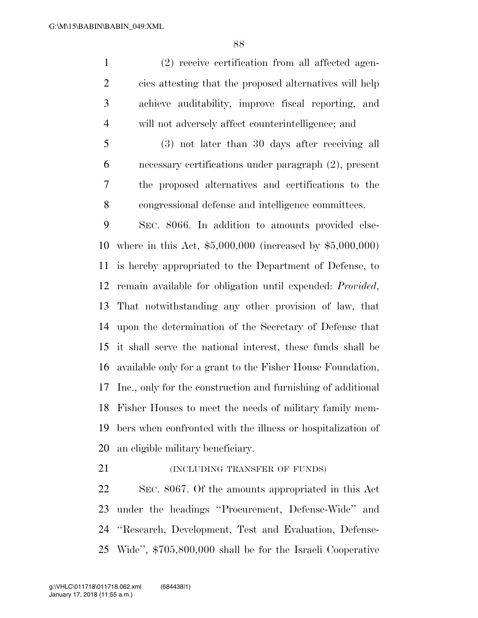(2) receive certification from all affected agen- cies attesting that the proposed alternatives will help achieve auditability, improve fiscal reporting, and will not adversely affect counterintelligence; and

 (3) not later than 30 days after receiving all necessary certifications under paragraph (2), present the proposed alternatives and certifications to the congressional defense and intelligence committees.

 SEC. 8066. In addition to amounts provided else- where in this Act, \$5,000,000 (increased by \$5,000,000) is hereby appropriated to the Department of Defense, to remain available for obligation until expended: *Provided*, That notwithstanding any other provision of law, that upon the determination of the Secretary of Defense that it shall serve the national interest, these funds shall be available only for a grant to the Fisher House Foundation, Inc., only for the construction and furnishing of additional Fisher Houses to meet the needs of military family mem- bers when confronted with the illness or hospitalization of an eligible military beneficiary.

**(INCLUDING TRANSFER OF FUNDS)** 

 SEC. 8067. Of the amounts appropriated in this Act under the headings ''Procurement, Defense-Wide'' and ''Research, Development, Test and Evaluation, Defense-Wide'', \$705,800,000 shall be for the Israeli Cooperative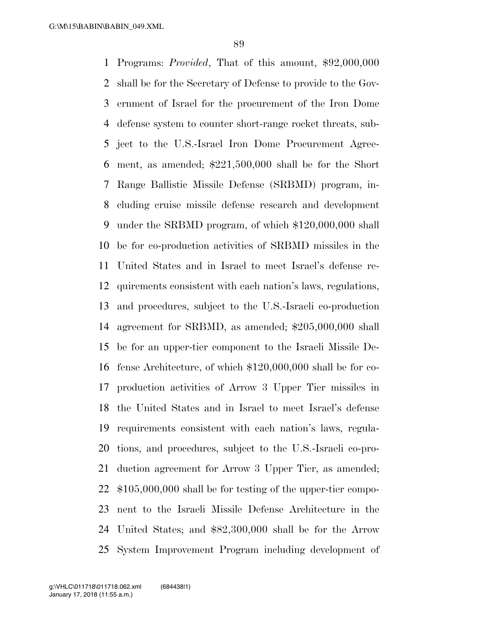Programs: *Provided*, That of this amount, \$92,000,000 shall be for the Secretary of Defense to provide to the Gov- ernment of Israel for the procurement of the Iron Dome defense system to counter short-range rocket threats, sub- ject to the U.S.-Israel Iron Dome Procurement Agree- ment, as amended; \$221,500,000 shall be for the Short Range Ballistic Missile Defense (SRBMD) program, in- cluding cruise missile defense research and development under the SRBMD program, of which \$120,000,000 shall be for co-production activities of SRBMD missiles in the United States and in Israel to meet Israel's defense re- quirements consistent with each nation's laws, regulations, and procedures, subject to the U.S.-Israeli co-production agreement for SRBMD, as amended; \$205,000,000 shall be for an upper-tier component to the Israeli Missile De- fense Architecture, of which \$120,000,000 shall be for co- production activities of Arrow 3 Upper Tier missiles in the United States and in Israel to meet Israel's defense requirements consistent with each nation's laws, regula- tions, and procedures, subject to the U.S.-Israeli co-pro- duction agreement for Arrow 3 Upper Tier, as amended; \$105,000,000 shall be for testing of the upper-tier compo- nent to the Israeli Missile Defense Architecture in the United States; and \$82,300,000 shall be for the Arrow System Improvement Program including development of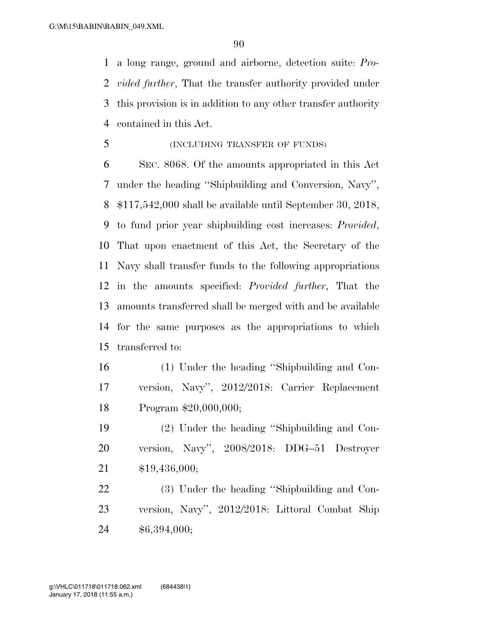a long range, ground and airborne, detection suite: *Pro- vided further*, That the transfer authority provided under this provision is in addition to any other transfer authority contained in this Act.

(INCLUDING TRANSFER OF FUNDS)

 SEC. 8068. Of the amounts appropriated in this Act under the heading ''Shipbuilding and Conversion, Navy'', \$117,542,000 shall be available until September 30, 2018, to fund prior year shipbuilding cost increases: *Provided*, That upon enactment of this Act, the Secretary of the Navy shall transfer funds to the following appropriations in the amounts specified: *Provided further*, That the amounts transferred shall be merged with and be available for the same purposes as the appropriations to which transferred to:

 (1) Under the heading ''Shipbuilding and Con- version, Navy'', 2012/2018: Carrier Replacement Program \$20,000,000;

 (2) Under the heading ''Shipbuilding and Con- version, Navy'', 2008/2018: DDG–51 Destroyer \$19,436,000;

 (3) Under the heading ''Shipbuilding and Con- version, Navy'', 2012/2018: Littoral Combat Ship \$6,394,000;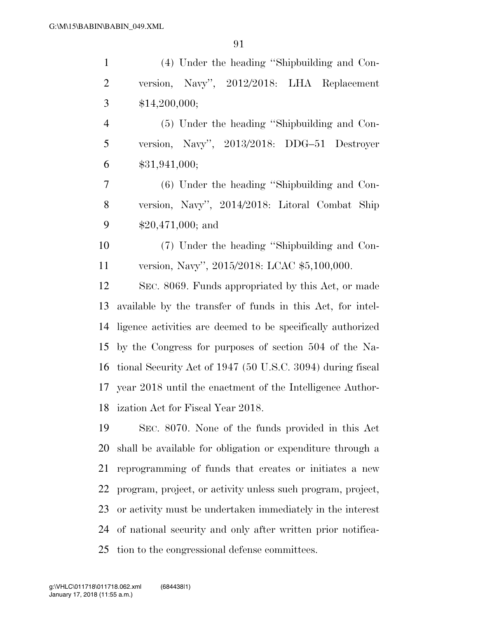| $\mathbf{1}$   | (4) Under the heading "Shipbuilding and Con-                 |
|----------------|--------------------------------------------------------------|
| $\overline{2}$ | version, Navy", 2012/2018: LHA Replacement                   |
| $\mathfrak{Z}$ | \$14,200,000;                                                |
| $\overline{4}$ | (5) Under the heading "Shipbuilding and Con-                 |
| 5              | version, Navy", 2013/2018: DDG-51 Destroyer                  |
| 6              | \$31,941,000;                                                |
| $\overline{7}$ | (6) Under the heading "Shipbuilding and Con-                 |
| 8              | version, Navy", 2014/2018: Litoral Combat Ship               |
| 9              | $$20,471,000;$ and                                           |
| 10             | (7) Under the heading "Shipbuilding and Con-                 |
| 11             | version, Navy", 2015/2018: LCAC \$5,100,000.                 |
| 12             | SEC. 8069. Funds appropriated by this Act, or made           |
| 13             | available by the transfer of funds in this Act, for intel-   |
| 14             | ligence activities are deemed to be specifically authorized  |
| 15             | by the Congress for purposes of section 504 of the Na-       |
| 16             | tional Security Act of 1947 (50 U.S.C. 3094) during fiscal   |
|                | 17 year 2018 until the enactment of the Intelligence Author- |
| 18             | ization Act for Fiscal Year 2018.                            |
| 19             | SEC. 8070. None of the funds provided in this Act            |
| 20             | shall be available for obligation or expenditure through a   |
| 21             | reprogramming of funds that creates or initiates a new       |
| 22             | program, project, or activity unless such program, project,  |
| 23             | or activity must be undertaken immediately in the interest   |
| 24             | of national security and only after written prior notifica-  |
| 25             | tion to the congressional defense committees.                |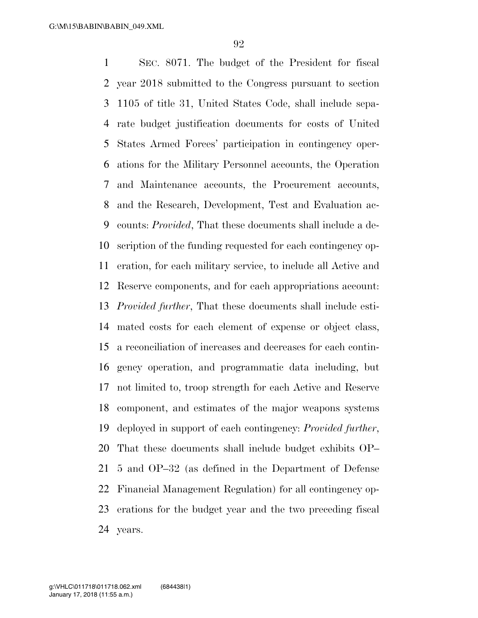SEC. 8071. The budget of the President for fiscal year 2018 submitted to the Congress pursuant to section 1105 of title 31, United States Code, shall include sepa- rate budget justification documents for costs of United States Armed Forces' participation in contingency oper- ations for the Military Personnel accounts, the Operation and Maintenance accounts, the Procurement accounts, and the Research, Development, Test and Evaluation ac- counts: *Provided*, That these documents shall include a de- scription of the funding requested for each contingency op- eration, for each military service, to include all Active and Reserve components, and for each appropriations account: *Provided further*, That these documents shall include esti- mated costs for each element of expense or object class, a reconciliation of increases and decreases for each contin- gency operation, and programmatic data including, but not limited to, troop strength for each Active and Reserve component, and estimates of the major weapons systems deployed in support of each contingency: *Provided further*, That these documents shall include budget exhibits OP– 5 and OP–32 (as defined in the Department of Defense Financial Management Regulation) for all contingency op- erations for the budget year and the two preceding fiscal years.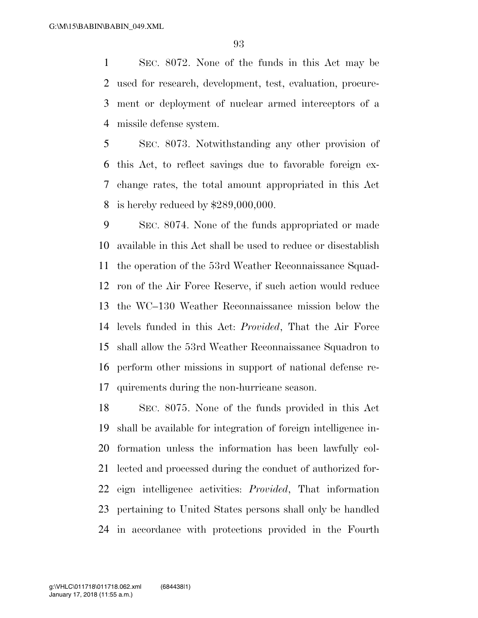SEC. 8072. None of the funds in this Act may be used for research, development, test, evaluation, procure- ment or deployment of nuclear armed interceptors of a missile defense system.

 SEC. 8073. Notwithstanding any other provision of this Act, to reflect savings due to favorable foreign ex- change rates, the total amount appropriated in this Act is hereby reduced by \$289,000,000.

 SEC. 8074. None of the funds appropriated or made available in this Act shall be used to reduce or disestablish the operation of the 53rd Weather Reconnaissance Squad- ron of the Air Force Reserve, if such action would reduce the WC–130 Weather Reconnaissance mission below the levels funded in this Act: *Provided*, That the Air Force shall allow the 53rd Weather Reconnaissance Squadron to perform other missions in support of national defense re-quirements during the non-hurricane season.

 SEC. 8075. None of the funds provided in this Act shall be available for integration of foreign intelligence in- formation unless the information has been lawfully col- lected and processed during the conduct of authorized for- eign intelligence activities: *Provided*, That information pertaining to United States persons shall only be handled in accordance with protections provided in the Fourth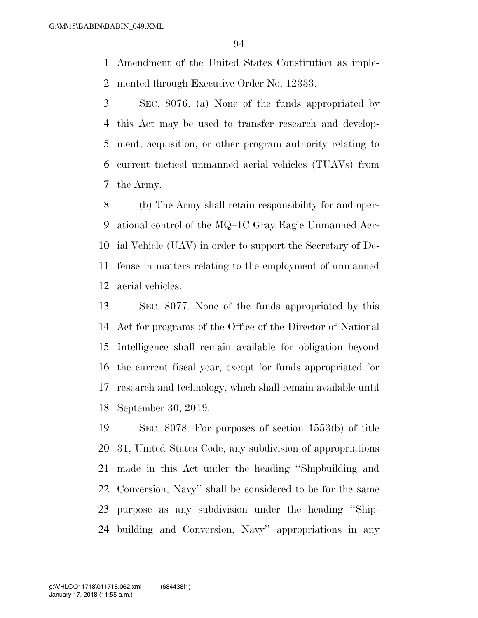Amendment of the United States Constitution as imple-mented through Executive Order No. 12333.

 SEC. 8076. (a) None of the funds appropriated by this Act may be used to transfer research and develop- ment, acquisition, or other program authority relating to current tactical unmanned aerial vehicles (TUAVs) from the Army.

 (b) The Army shall retain responsibility for and oper- ational control of the MQ–1C Gray Eagle Unmanned Aer- ial Vehicle (UAV) in order to support the Secretary of De- fense in matters relating to the employment of unmanned aerial vehicles.

 SEC. 8077. None of the funds appropriated by this Act for programs of the Office of the Director of National Intelligence shall remain available for obligation beyond the current fiscal year, except for funds appropriated for research and technology, which shall remain available until September 30, 2019.

 SEC. 8078. For purposes of section 1553(b) of title 31, United States Code, any subdivision of appropriations made in this Act under the heading ''Shipbuilding and Conversion, Navy'' shall be considered to be for the same purpose as any subdivision under the heading ''Ship-building and Conversion, Navy'' appropriations in any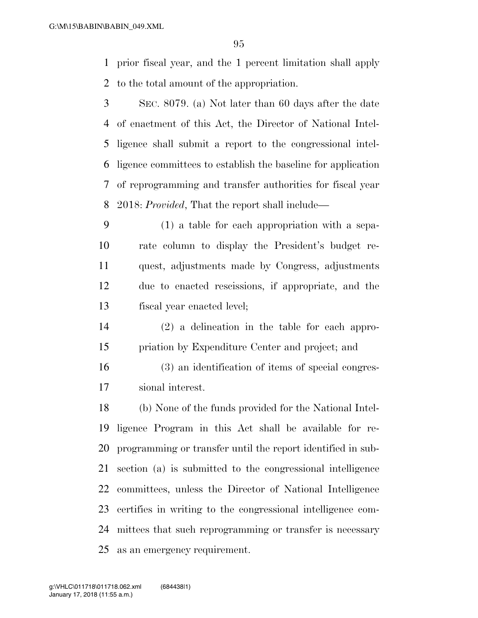prior fiscal year, and the 1 percent limitation shall apply to the total amount of the appropriation.

 SEC. 8079. (a) Not later than 60 days after the date of enactment of this Act, the Director of National Intel- ligence shall submit a report to the congressional intel- ligence committees to establish the baseline for application of reprogramming and transfer authorities for fiscal year 2018: *Provided*, That the report shall include—

 (1) a table for each appropriation with a sepa- rate column to display the President's budget re- quest, adjustments made by Congress, adjustments due to enacted rescissions, if appropriate, and the fiscal year enacted level;

- (2) a delineation in the table for each appro-priation by Expenditure Center and project; and
- (3) an identification of items of special congres-sional interest.

 (b) None of the funds provided for the National Intel- ligence Program in this Act shall be available for re- programming or transfer until the report identified in sub- section (a) is submitted to the congressional intelligence committees, unless the Director of National Intelligence certifies in writing to the congressional intelligence com- mittees that such reprogramming or transfer is necessary as an emergency requirement.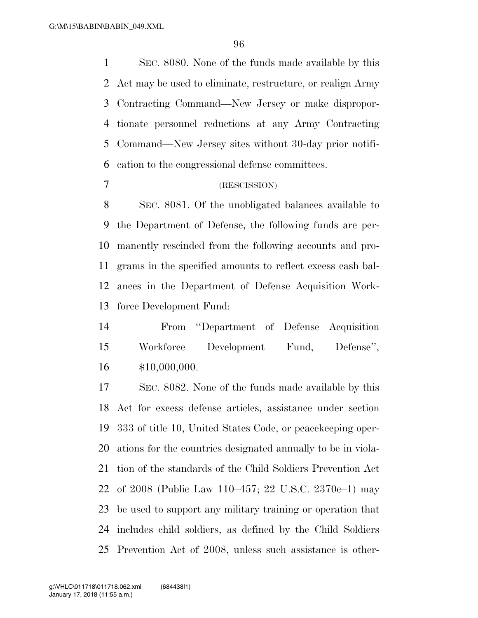SEC. 8080. None of the funds made available by this Act may be used to eliminate, restructure, or realign Army Contracting Command—New Jersey or make dispropor- tionate personnel reductions at any Army Contracting Command—New Jersey sites without 30-day prior notifi-cation to the congressional defense committees.

### (RESCISSION)

 SEC. 8081. Of the unobligated balances available to the Department of Defense, the following funds are per- manently rescinded from the following accounts and pro- grams in the specified amounts to reflect excess cash bal- ances in the Department of Defense Acquisition Work-force Development Fund:

 From ''Department of Defense Acquisition Workforce Development Fund, Defense'', \$10,000,000.

 SEC. 8082. None of the funds made available by this Act for excess defense articles, assistance under section 333 of title 10, United States Code, or peacekeeping oper- ations for the countries designated annually to be in viola- tion of the standards of the Child Soldiers Prevention Act of 2008 (Public Law 110–457; 22 U.S.C. 2370c–1) may be used to support any military training or operation that includes child soldiers, as defined by the Child Soldiers Prevention Act of 2008, unless such assistance is other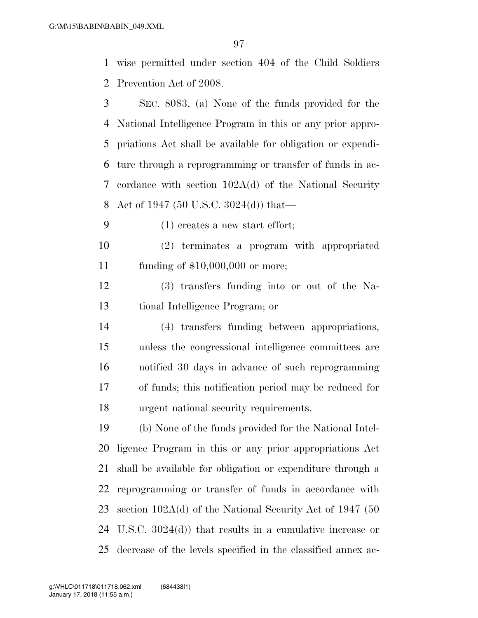wise permitted under section 404 of the Child Soldiers Prevention Act of 2008.

 SEC. 8083. (a) None of the funds provided for the National Intelligence Program in this or any prior appro- priations Act shall be available for obligation or expendi- ture through a reprogramming or transfer of funds in ac- cordance with section 102A(d) of the National Security Act of 1947 (50 U.S.C. 3024(d)) that—

(1) creates a new start effort;

 (2) terminates a program with appropriated funding of \$10,000,000 or more;

 (3) transfers funding into or out of the Na-tional Intelligence Program; or

 (4) transfers funding between appropriations, unless the congressional intelligence committees are notified 30 days in advance of such reprogramming of funds; this notification period may be reduced for urgent national security requirements.

 (b) None of the funds provided for the National Intel- ligence Program in this or any prior appropriations Act shall be available for obligation or expenditure through a reprogramming or transfer of funds in accordance with section 102A(d) of the National Security Act of 1947 (50 U.S.C. 3024(d)) that results in a cumulative increase or decrease of the levels specified in the classified annex ac-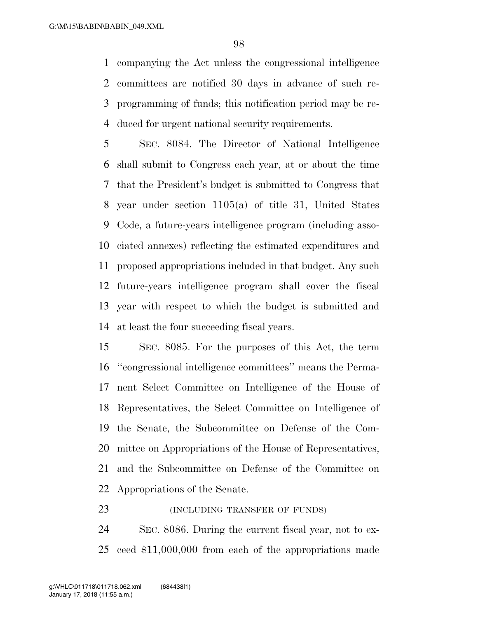companying the Act unless the congressional intelligence committees are notified 30 days in advance of such re- programming of funds; this notification period may be re-duced for urgent national security requirements.

 SEC. 8084. The Director of National Intelligence shall submit to Congress each year, at or about the time that the President's budget is submitted to Congress that year under section 1105(a) of title 31, United States Code, a future-years intelligence program (including asso- ciated annexes) reflecting the estimated expenditures and proposed appropriations included in that budget. Any such future-years intelligence program shall cover the fiscal year with respect to which the budget is submitted and at least the four succeeding fiscal years.

 SEC. 8085. For the purposes of this Act, the term ''congressional intelligence committees'' means the Perma- nent Select Committee on Intelligence of the House of Representatives, the Select Committee on Intelligence of the Senate, the Subcommittee on Defense of the Com- mittee on Appropriations of the House of Representatives, and the Subcommittee on Defense of the Committee on Appropriations of the Senate.

# (INCLUDING TRANSFER OF FUNDS)

 SEC. 8086. During the current fiscal year, not to ex-ceed \$11,000,000 from each of the appropriations made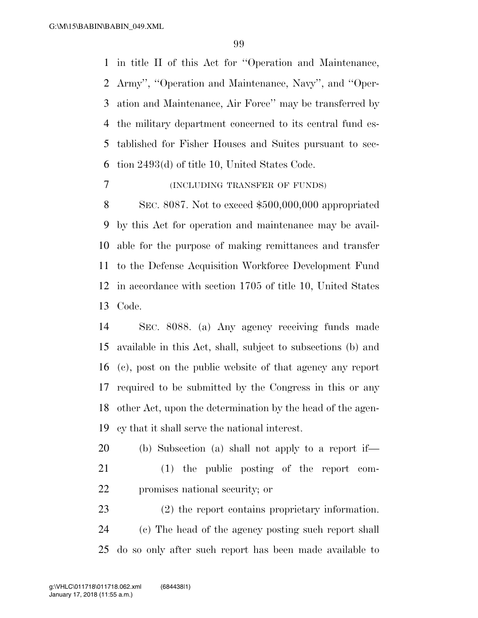in title II of this Act for ''Operation and Maintenance, Army'', ''Operation and Maintenance, Navy'', and ''Oper- ation and Maintenance, Air Force'' may be transferred by the military department concerned to its central fund es- tablished for Fisher Houses and Suites pursuant to sec-tion 2493(d) of title 10, United States Code.

## (INCLUDING TRANSFER OF FUNDS)

 SEC. 8087. Not to exceed \$500,000,000 appropriated by this Act for operation and maintenance may be avail- able for the purpose of making remittances and transfer to the Defense Acquisition Workforce Development Fund in accordance with section 1705 of title 10, United States Code.

 SEC. 8088. (a) Any agency receiving funds made available in this Act, shall, subject to subsections (b) and (c), post on the public website of that agency any report required to be submitted by the Congress in this or any other Act, upon the determination by the head of the agen-cy that it shall serve the national interest.

 (b) Subsection (a) shall not apply to a report if— (1) the public posting of the report com-promises national security; or

 (2) the report contains proprietary information. (c) The head of the agency posting such report shall do so only after such report has been made available to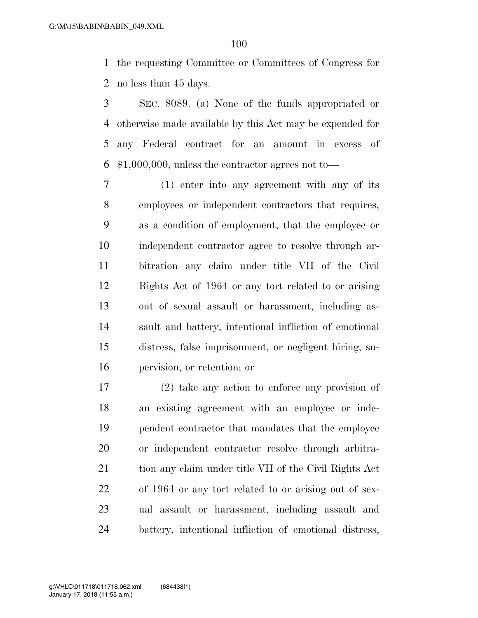the requesting Committee or Committees of Congress for no less than 45 days.

 SEC. 8089. (a) None of the funds appropriated or otherwise made available by this Act may be expended for any Federal contract for an amount in excess of \$1,000,000, unless the contractor agrees not to—

 (1) enter into any agreement with any of its employees or independent contractors that requires, as a condition of employment, that the employee or independent contractor agree to resolve through ar- bitration any claim under title VII of the Civil Rights Act of 1964 or any tort related to or arising out of sexual assault or harassment, including as- sault and battery, intentional infliction of emotional distress, false imprisonment, or negligent hiring, su-pervision, or retention; or

 (2) take any action to enforce any provision of an existing agreement with an employee or inde- pendent contractor that mandates that the employee or independent contractor resolve through arbitra-21 tion any claim under title VII of the Civil Rights Act of 1964 or any tort related to or arising out of sex- ual assault or harassment, including assault and battery, intentional infliction of emotional distress,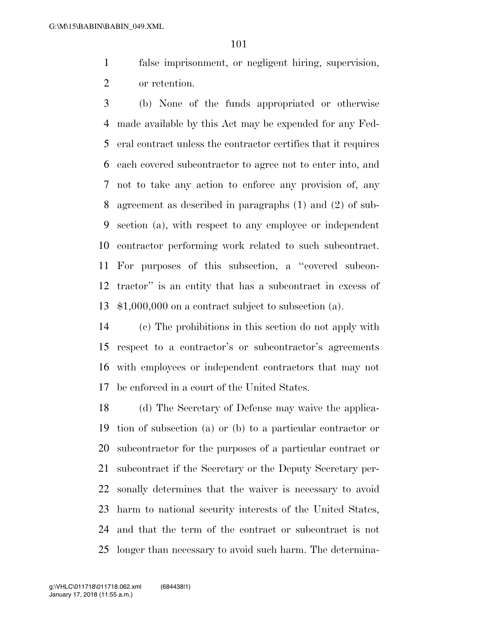false imprisonment, or negligent hiring, supervision, or retention.

 (b) None of the funds appropriated or otherwise made available by this Act may be expended for any Fed- eral contract unless the contractor certifies that it requires each covered subcontractor to agree not to enter into, and not to take any action to enforce any provision of, any agreement as described in paragraphs (1) and (2) of sub- section (a), with respect to any employee or independent contractor performing work related to such subcontract. For purposes of this subsection, a ''covered subcon- tractor'' is an entity that has a subcontract in excess of \$1,000,000 on a contract subject to subsection (a).

 (c) The prohibitions in this section do not apply with respect to a contractor's or subcontractor's agreements with employees or independent contractors that may not be enforced in a court of the United States.

 (d) The Secretary of Defense may waive the applica- tion of subsection (a) or (b) to a particular contractor or subcontractor for the purposes of a particular contract or subcontract if the Secretary or the Deputy Secretary per- sonally determines that the waiver is necessary to avoid harm to national security interests of the United States, and that the term of the contract or subcontract is not longer than necessary to avoid such harm. The determina-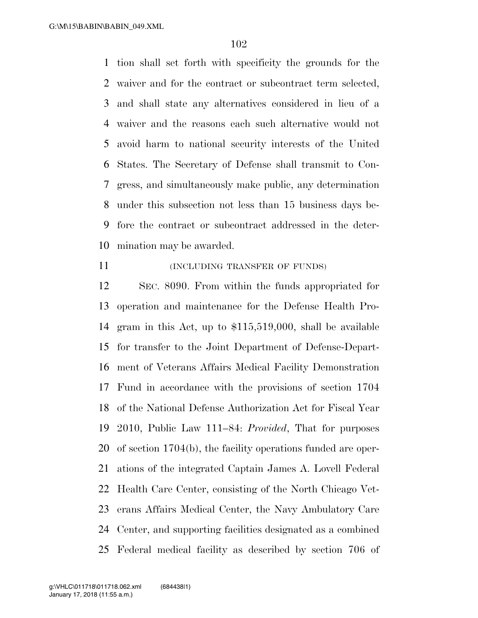tion shall set forth with specificity the grounds for the waiver and for the contract or subcontract term selected, and shall state any alternatives considered in lieu of a waiver and the reasons each such alternative would not avoid harm to national security interests of the United States. The Secretary of Defense shall transmit to Con- gress, and simultaneously make public, any determination under this subsection not less than 15 business days be- fore the contract or subcontract addressed in the deter-mination may be awarded.

**INCLUDING TRANSFER OF FUNDS** 

 SEC. 8090. From within the funds appropriated for operation and maintenance for the Defense Health Pro- gram in this Act, up to \$115,519,000, shall be available for transfer to the Joint Department of Defense-Depart- ment of Veterans Affairs Medical Facility Demonstration Fund in accordance with the provisions of section 1704 of the National Defense Authorization Act for Fiscal Year 2010, Public Law 111–84: *Provided*, That for purposes of section 1704(b), the facility operations funded are oper- ations of the integrated Captain James A. Lovell Federal Health Care Center, consisting of the North Chicago Vet- erans Affairs Medical Center, the Navy Ambulatory Care Center, and supporting facilities designated as a combined Federal medical facility as described by section 706 of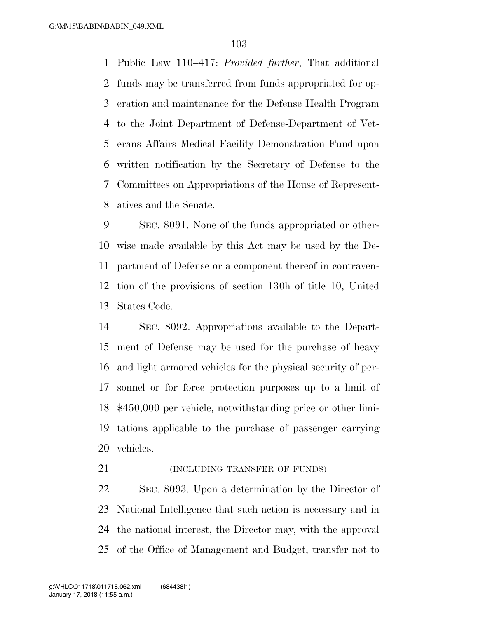Public Law 110–417: *Provided further*, That additional funds may be transferred from funds appropriated for op- eration and maintenance for the Defense Health Program to the Joint Department of Defense-Department of Vet- erans Affairs Medical Facility Demonstration Fund upon written notification by the Secretary of Defense to the Committees on Appropriations of the House of Represent-atives and the Senate.

 SEC. 8091. None of the funds appropriated or other- wise made available by this Act may be used by the De- partment of Defense or a component thereof in contraven- tion of the provisions of section 130h of title 10, United States Code.

 SEC. 8092. Appropriations available to the Depart- ment of Defense may be used for the purchase of heavy and light armored vehicles for the physical security of per- sonnel or for force protection purposes up to a limit of \$450,000 per vehicle, notwithstanding price or other limi- tations applicable to the purchase of passenger carrying vehicles.

**(INCLUDING TRANSFER OF FUNDS)** 

 SEC. 8093. Upon a determination by the Director of National Intelligence that such action is necessary and in the national interest, the Director may, with the approval of the Office of Management and Budget, transfer not to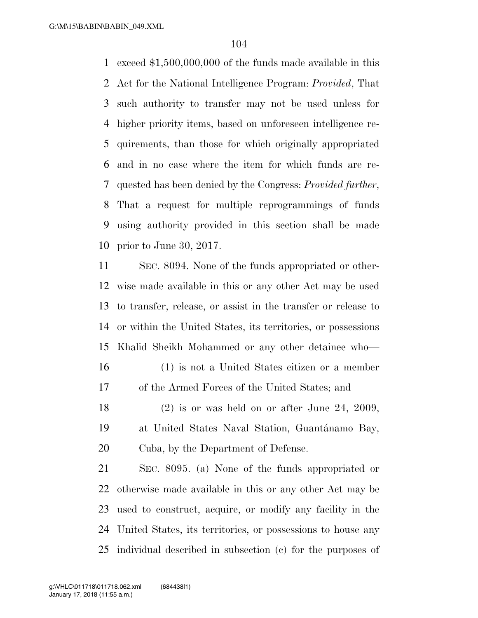exceed \$1,500,000,000 of the funds made available in this Act for the National Intelligence Program: *Provided*, That such authority to transfer may not be used unless for higher priority items, based on unforeseen intelligence re- quirements, than those for which originally appropriated and in no case where the item for which funds are re- quested has been denied by the Congress: *Provided further*, That a request for multiple reprogrammings of funds using authority provided in this section shall be made prior to June 30, 2017.

 SEC. 8094. None of the funds appropriated or other- wise made available in this or any other Act may be used to transfer, release, or assist in the transfer or release to or within the United States, its territories, or possessions Khalid Sheikh Mohammed or any other detainee who— (1) is not a United States citizen or a member of the Armed Forces of the United States; and (2) is or was held on or after June 24, 2009,

19 at United States Naval Station, Guantánamo Bay, Cuba, by the Department of Defense.

 SEC. 8095. (a) None of the funds appropriated or otherwise made available in this or any other Act may be used to construct, acquire, or modify any facility in the United States, its territories, or possessions to house any individual described in subsection (c) for the purposes of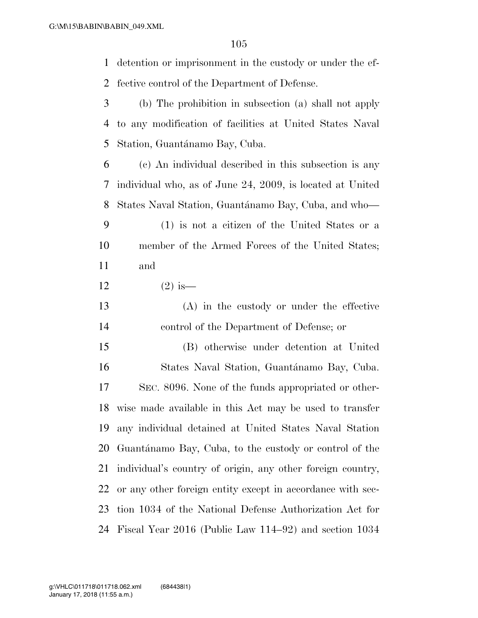detention or imprisonment in the custody or under the ef-fective control of the Department of Defense.

- (b) The prohibition in subsection (a) shall not apply to any modification of facilities at United States Naval 5 Station, Guantánamo Bay, Cuba.
- (c) An individual described in this subsection is any individual who, as of June 24, 2009, is located at United 8 States Naval Station, Guantánamo Bay, Cuba, and who—
- (1) is not a citizen of the United States or a member of the Armed Forces of the United States; and
- 12  $(2)$  is—
- (A) in the custody or under the effective control of the Department of Defense; or

 (B) otherwise under detention at United 16 States Naval Station, Guantánamo Bay, Cuba. SEC. 8096. None of the funds appropriated or other- wise made available in this Act may be used to transfer any individual detained at United States Naval Station 20 Guantánamo Bay, Cuba, to the custody or control of the individual's country of origin, any other foreign country, or any other foreign entity except in accordance with sec- tion 1034 of the National Defense Authorization Act for Fiscal Year 2016 (Public Law 114–92) and section 1034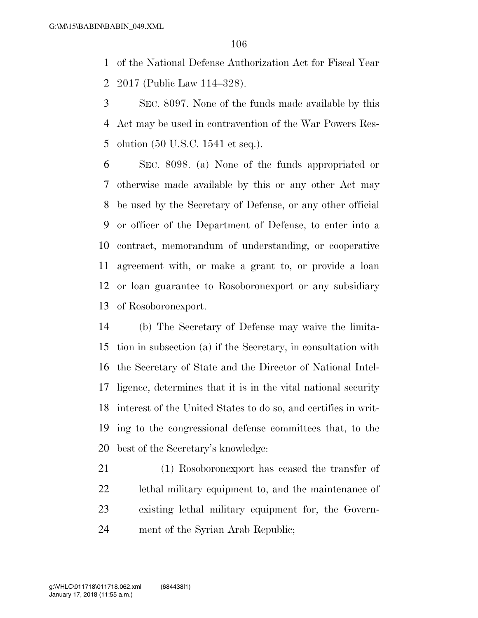of the National Defense Authorization Act for Fiscal Year 2017 (Public Law 114–328).

 SEC. 8097. None of the funds made available by this Act may be used in contravention of the War Powers Res-olution (50 U.S.C. 1541 et seq.).

 SEC. 8098. (a) None of the funds appropriated or otherwise made available by this or any other Act may be used by the Secretary of Defense, or any other official or officer of the Department of Defense, to enter into a contract, memorandum of understanding, or cooperative agreement with, or make a grant to, or provide a loan or loan guarantee to Rosoboronexport or any subsidiary of Rosoboronexport.

 (b) The Secretary of Defense may waive the limita- tion in subsection (a) if the Secretary, in consultation with the Secretary of State and the Director of National Intel- ligence, determines that it is in the vital national security interest of the United States to do so, and certifies in writ- ing to the congressional defense committees that, to the best of the Secretary's knowledge:

 (1) Rosoboronexport has ceased the transfer of lethal military equipment to, and the maintenance of existing lethal military equipment for, the Govern-ment of the Syrian Arab Republic;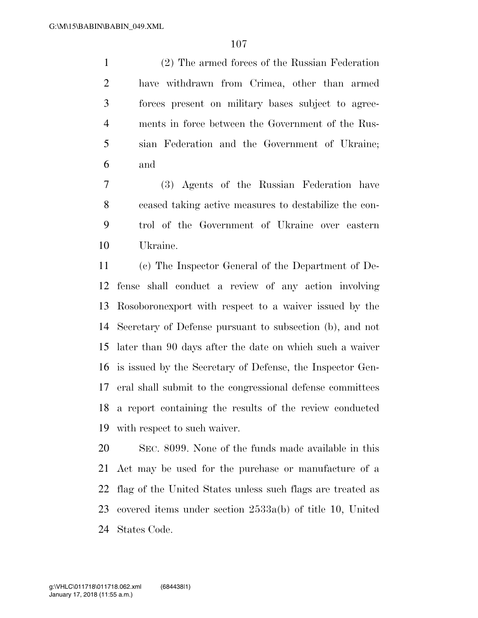(2) The armed forces of the Russian Federation have withdrawn from Crimea, other than armed forces present on military bases subject to agree- ments in force between the Government of the Rus- sian Federation and the Government of Ukraine; and

 (3) Agents of the Russian Federation have ceased taking active measures to destabilize the con- trol of the Government of Ukraine over eastern Ukraine.

 (c) The Inspector General of the Department of De- fense shall conduct a review of any action involving Rosoboronexport with respect to a waiver issued by the Secretary of Defense pursuant to subsection (b), and not later than 90 days after the date on which such a waiver is issued by the Secretary of Defense, the Inspector Gen- eral shall submit to the congressional defense committees a report containing the results of the review conducted with respect to such waiver.

 SEC. 8099. None of the funds made available in this Act may be used for the purchase or manufacture of a flag of the United States unless such flags are treated as covered items under section 2533a(b) of title 10, United States Code.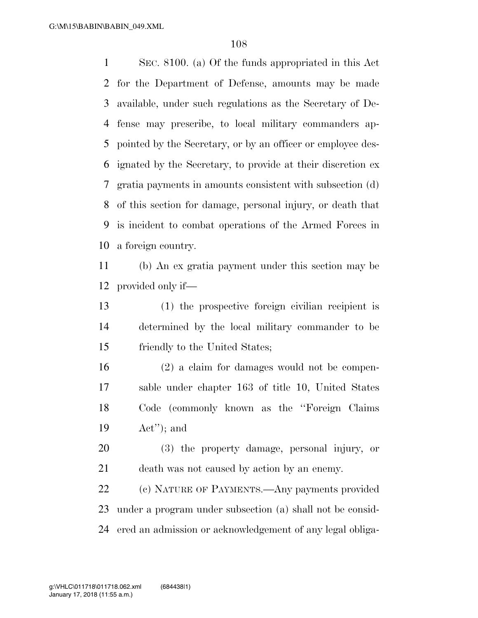SEC. 8100. (a) Of the funds appropriated in this Act for the Department of Defense, amounts may be made available, under such regulations as the Secretary of De- fense may prescribe, to local military commanders ap- pointed by the Secretary, or by an officer or employee des- ignated by the Secretary, to provide at their discretion ex gratia payments in amounts consistent with subsection (d) of this section for damage, personal injury, or death that is incident to combat operations of the Armed Forces in a foreign country.

 (b) An ex gratia payment under this section may be provided only if—

 (1) the prospective foreign civilian recipient is determined by the local military commander to be friendly to the United States;

 (2) a claim for damages would not be compen- sable under chapter 163 of title 10, United States Code (commonly known as the ''Foreign Claims Act''); and

 (3) the property damage, personal injury, or death was not caused by action by an enemy.

 (c) NATURE OF PAYMENTS.—Any payments provided under a program under subsection (a) shall not be consid-ered an admission or acknowledgement of any legal obliga-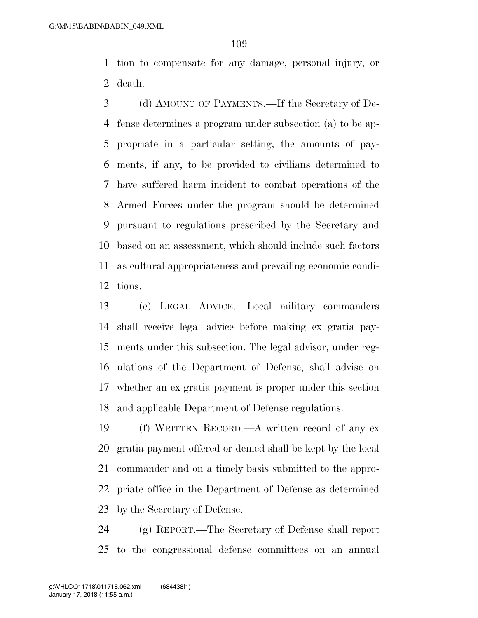tion to compensate for any damage, personal injury, or death.

 (d) AMOUNT OF PAYMENTS.—If the Secretary of De- fense determines a program under subsection (a) to be ap- propriate in a particular setting, the amounts of pay- ments, if any, to be provided to civilians determined to have suffered harm incident to combat operations of the Armed Forces under the program should be determined pursuant to regulations prescribed by the Secretary and based on an assessment, which should include such factors as cultural appropriateness and prevailing economic condi-tions.

 (e) LEGAL ADVICE.—Local military commanders shall receive legal advice before making ex gratia pay- ments under this subsection. The legal advisor, under reg- ulations of the Department of Defense, shall advise on whether an ex gratia payment is proper under this section and applicable Department of Defense regulations.

 (f) WRITTEN RECORD.—A written record of any ex gratia payment offered or denied shall be kept by the local commander and on a timely basis submitted to the appro- priate office in the Department of Defense as determined by the Secretary of Defense.

 (g) REPORT.—The Secretary of Defense shall report to the congressional defense committees on an annual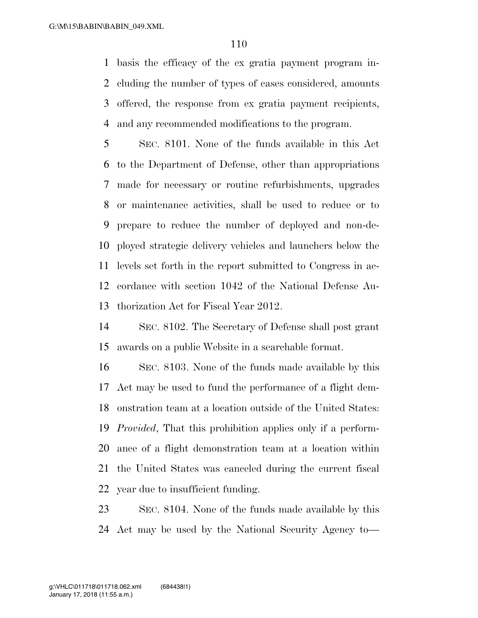basis the efficacy of the ex gratia payment program in- cluding the number of types of cases considered, amounts offered, the response from ex gratia payment recipients, and any recommended modifications to the program.

 SEC. 8101. None of the funds available in this Act to the Department of Defense, other than appropriations made for necessary or routine refurbishments, upgrades or maintenance activities, shall be used to reduce or to prepare to reduce the number of deployed and non-de- ployed strategic delivery vehicles and launchers below the levels set forth in the report submitted to Congress in ac- cordance with section 1042 of the National Defense Au-thorization Act for Fiscal Year 2012.

 SEC. 8102. The Secretary of Defense shall post grant awards on a public Website in a searchable format.

 SEC. 8103. None of the funds made available by this Act may be used to fund the performance of a flight dem- onstration team at a location outside of the United States: *Provided*, That this prohibition applies only if a perform- ance of a flight demonstration team at a location within the United States was canceled during the current fiscal year due to insufficient funding.

 SEC. 8104. None of the funds made available by this Act may be used by the National Security Agency to—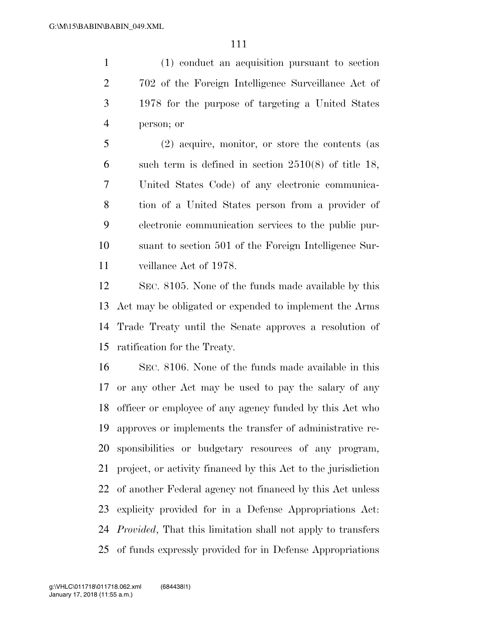(1) conduct an acquisition pursuant to section 702 of the Foreign Intelligence Surveillance Act of 1978 for the purpose of targeting a United States person; or

 (2) acquire, monitor, or store the contents (as such term is defined in section 2510(8) of title 18, United States Code) of any electronic communica- tion of a United States person from a provider of electronic communication services to the public pur- suant to section 501 of the Foreign Intelligence Sur-veillance Act of 1978.

 SEC. 8105. None of the funds made available by this Act may be obligated or expended to implement the Arms Trade Treaty until the Senate approves a resolution of ratification for the Treaty.

 SEC. 8106. None of the funds made available in this or any other Act may be used to pay the salary of any officer or employee of any agency funded by this Act who approves or implements the transfer of administrative re- sponsibilities or budgetary resources of any program, project, or activity financed by this Act to the jurisdiction of another Federal agency not financed by this Act unless explicity provided for in a Defense Appropriations Act: *Provided*, That this limitation shall not apply to transfers of funds expressly provided for in Defense Appropriations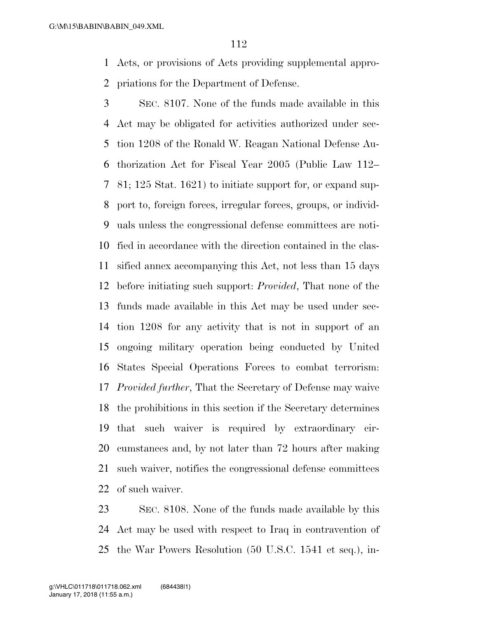Acts, or provisions of Acts providing supplemental appro-priations for the Department of Defense.

 SEC. 8107. None of the funds made available in this Act may be obligated for activities authorized under sec- tion 1208 of the Ronald W. Reagan National Defense Au- thorization Act for Fiscal Year 2005 (Public Law 112– 81; 125 Stat. 1621) to initiate support for, or expand sup- port to, foreign forces, irregular forces, groups, or individ- uals unless the congressional defense committees are noti- fied in accordance with the direction contained in the clas- sified annex accompanying this Act, not less than 15 days before initiating such support: *Provided*, That none of the funds made available in this Act may be used under sec- tion 1208 for any activity that is not in support of an ongoing military operation being conducted by United States Special Operations Forces to combat terrorism: *Provided further*, That the Secretary of Defense may waive the prohibitions in this section if the Secretary determines that such waiver is required by extraordinary cir- cumstances and, by not later than 72 hours after making such waiver, notifies the congressional defense committees of such waiver.

 SEC. 8108. None of the funds made available by this Act may be used with respect to Iraq in contravention of the War Powers Resolution (50 U.S.C. 1541 et seq.), in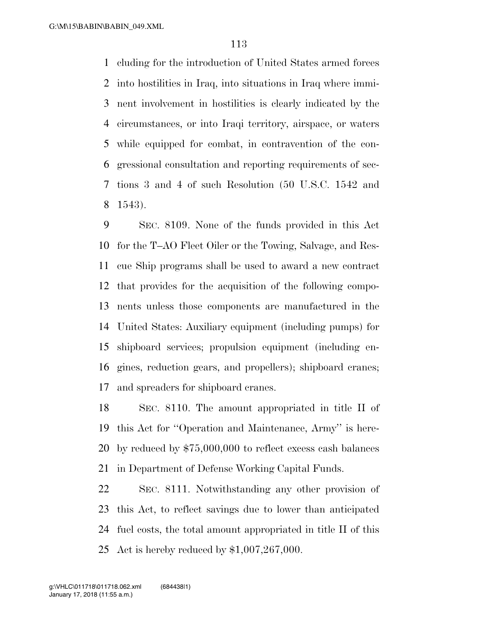cluding for the introduction of United States armed forces into hostilities in Iraq, into situations in Iraq where immi- nent involvement in hostilities is clearly indicated by the circumstances, or into Iraqi territory, airspace, or waters while equipped for combat, in contravention of the con- gressional consultation and reporting requirements of sec- tions 3 and 4 of such Resolution (50 U.S.C. 1542 and 1543).

 SEC. 8109. None of the funds provided in this Act for the T–AO Fleet Oiler or the Towing, Salvage, and Res- cue Ship programs shall be used to award a new contract that provides for the acquisition of the following compo- nents unless those components are manufactured in the United States: Auxiliary equipment (including pumps) for shipboard services; propulsion equipment (including en- gines, reduction gears, and propellers); shipboard cranes; and spreaders for shipboard cranes.

 SEC. 8110. The amount appropriated in title II of this Act for ''Operation and Maintenance, Army'' is here- by reduced by \$75,000,000 to reflect excess cash balances in Department of Defense Working Capital Funds.

 SEC. 8111. Notwithstanding any other provision of this Act, to reflect savings due to lower than anticipated fuel costs, the total amount appropriated in title II of this Act is hereby reduced by \$1,007,267,000.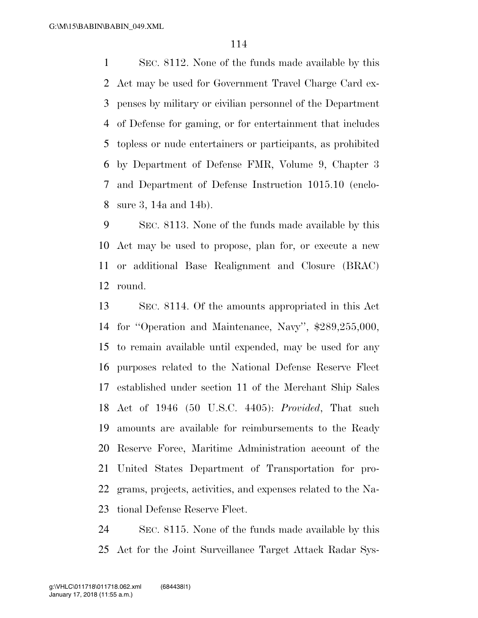SEC. 8112. None of the funds made available by this Act may be used for Government Travel Charge Card ex- penses by military or civilian personnel of the Department of Defense for gaming, or for entertainment that includes topless or nude entertainers or participants, as prohibited by Department of Defense FMR, Volume 9, Chapter 3 and Department of Defense Instruction 1015.10 (enclo-sure 3, 14a and 14b).

 SEC. 8113. None of the funds made available by this Act may be used to propose, plan for, or execute a new or additional Base Realignment and Closure (BRAC) round.

 SEC. 8114. Of the amounts appropriated in this Act for ''Operation and Maintenance, Navy'', \$289,255,000, to remain available until expended, may be used for any purposes related to the National Defense Reserve Fleet established under section 11 of the Merchant Ship Sales Act of 1946 (50 U.S.C. 4405): *Provided*, That such amounts are available for reimbursements to the Ready Reserve Force, Maritime Administration account of the United States Department of Transportation for pro- grams, projects, activities, and expenses related to the Na-tional Defense Reserve Fleet.

 SEC. 8115. None of the funds made available by this Act for the Joint Surveillance Target Attack Radar Sys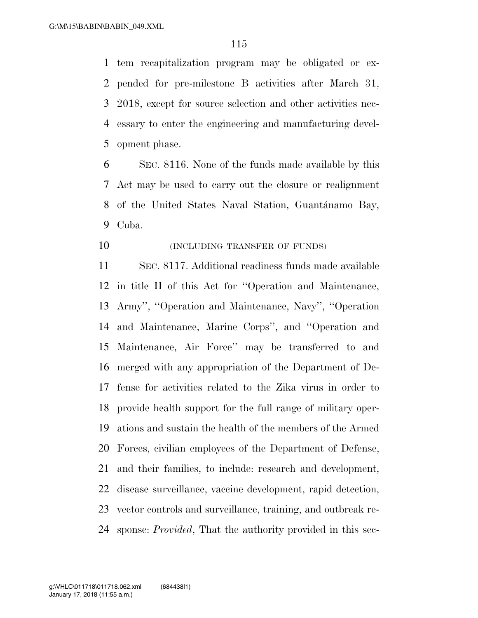tem recapitalization program may be obligated or ex- pended for pre-milestone B activities after March 31, 2018, except for source selection and other activities nec- essary to enter the engineering and manufacturing devel-opment phase.

 SEC. 8116. None of the funds made available by this Act may be used to carry out the closure or realignment 8 of the United States Naval Station, Guantánamo Bay, Cuba.

**(INCLUDING TRANSFER OF FUNDS)** 

 SEC. 8117. Additional readiness funds made available in title II of this Act for ''Operation and Maintenance, Army'', ''Operation and Maintenance, Navy'', ''Operation and Maintenance, Marine Corps'', and ''Operation and Maintenance, Air Force'' may be transferred to and merged with any appropriation of the Department of De- fense for activities related to the Zika virus in order to provide health support for the full range of military oper- ations and sustain the health of the members of the Armed Forces, civilian employees of the Department of Defense, and their families, to include: research and development, disease surveillance, vaccine development, rapid detection, vector controls and surveillance, training, and outbreak re-sponse: *Provided*, That the authority provided in this sec-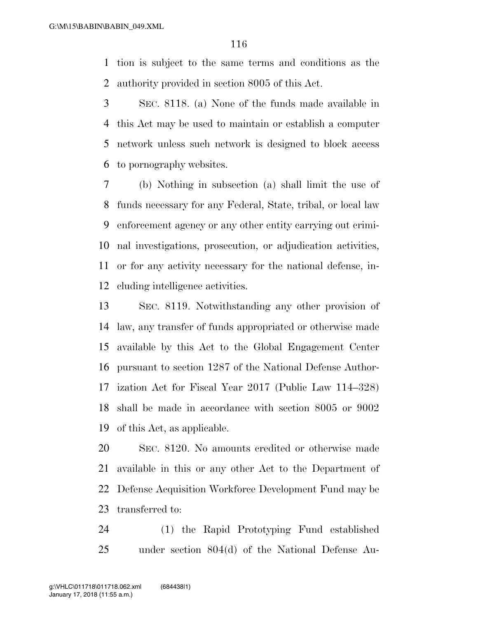tion is subject to the same terms and conditions as the authority provided in section 8005 of this Act.

 SEC. 8118. (a) None of the funds made available in this Act may be used to maintain or establish a computer network unless such network is designed to block access to pornography websites.

 (b) Nothing in subsection (a) shall limit the use of funds necessary for any Federal, State, tribal, or local law enforcement agency or any other entity carrying out crimi- nal investigations, prosecution, or adjudication activities, or for any activity necessary for the national defense, in-cluding intelligence activities.

 SEC. 8119. Notwithstanding any other provision of law, any transfer of funds appropriated or otherwise made available by this Act to the Global Engagement Center pursuant to section 1287 of the National Defense Author- ization Act for Fiscal Year 2017 (Public Law 114–328) shall be made in accordance with section 8005 or 9002 of this Act, as applicable.

 SEC. 8120. No amounts credited or otherwise made available in this or any other Act to the Department of Defense Acquisition Workforce Development Fund may be transferred to:

 (1) the Rapid Prototyping Fund established under section 804(d) of the National Defense Au-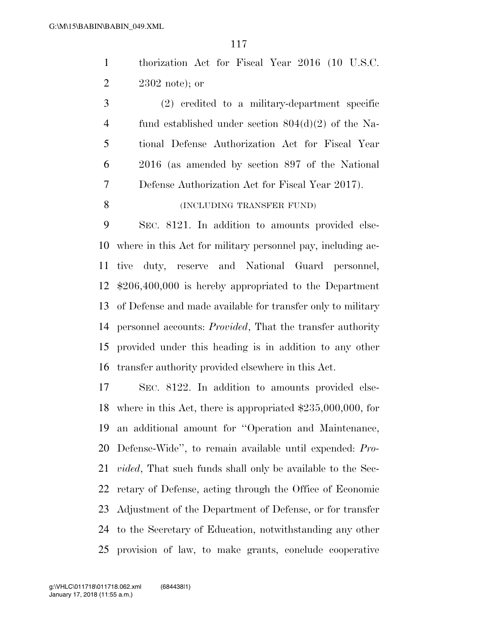thorization Act for Fiscal Year 2016 (10 U.S.C. 2302 note); or

 (2) credited to a military-department specific fund established under section 804(d)(2) of the Na- tional Defense Authorization Act for Fiscal Year 2016 (as amended by section 897 of the National Defense Authorization Act for Fiscal Year 2017).

# 8 (INCLUDING TRANSFER FUND)

 SEC. 8121. In addition to amounts provided else- where in this Act for military personnel pay, including ac- tive duty, reserve and National Guard personnel, \$206,400,000 is hereby appropriated to the Department of Defense and made available for transfer only to military personnel accounts: *Provided*, That the transfer authority provided under this heading is in addition to any other transfer authority provided elsewhere in this Act.

 SEC. 8122. In addition to amounts provided else- where in this Act, there is appropriated \$235,000,000, for an additional amount for ''Operation and Maintenance, Defense-Wide'', to remain available until expended: *Pro- vided*, That such funds shall only be available to the Sec- retary of Defense, acting through the Office of Economic Adjustment of the Department of Defense, or for transfer to the Secretary of Education, notwithstanding any other provision of law, to make grants, conclude cooperative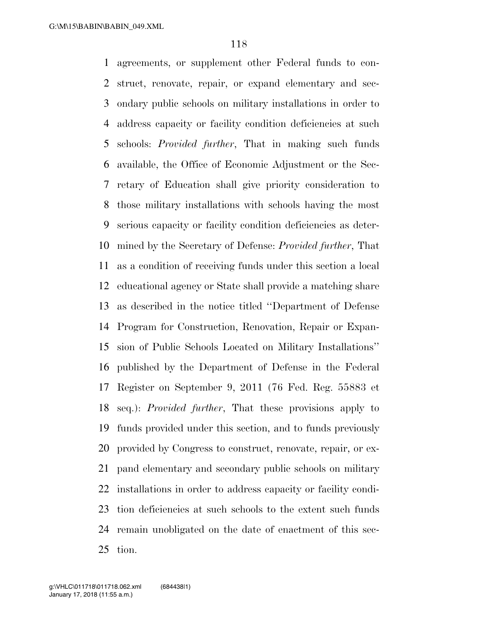agreements, or supplement other Federal funds to con- struct, renovate, repair, or expand elementary and sec- ondary public schools on military installations in order to address capacity or facility condition deficiencies at such schools: *Provided further*, That in making such funds available, the Office of Economic Adjustment or the Sec- retary of Education shall give priority consideration to those military installations with schools having the most serious capacity or facility condition deficiencies as deter- mined by the Secretary of Defense: *Provided further*, That as a condition of receiving funds under this section a local educational agency or State shall provide a matching share as described in the notice titled ''Department of Defense Program for Construction, Renovation, Repair or Expan- sion of Public Schools Located on Military Installations'' published by the Department of Defense in the Federal Register on September 9, 2011 (76 Fed. Reg. 55883 et seq.): *Provided further*, That these provisions apply to funds provided under this section, and to funds previously provided by Congress to construct, renovate, repair, or ex- pand elementary and secondary public schools on military installations in order to address capacity or facility condi- tion deficiencies at such schools to the extent such funds remain unobligated on the date of enactment of this sec-tion.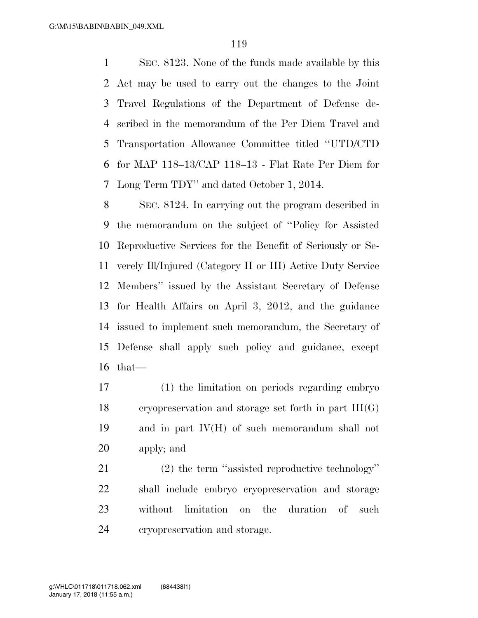SEC. 8123. None of the funds made available by this Act may be used to carry out the changes to the Joint Travel Regulations of the Department of Defense de- scribed in the memorandum of the Per Diem Travel and Transportation Allowance Committee titled ''UTD/CTD for MAP 118–13/CAP 118–13 - Flat Rate Per Diem for Long Term TDY'' and dated October 1, 2014.

 SEC. 8124. In carrying out the program described in the memorandum on the subject of ''Policy for Assisted Reproductive Services for the Benefit of Seriously or Se- verely Ill/Injured (Category II or III) Active Duty Service Members'' issued by the Assistant Secretary of Defense for Health Affairs on April 3, 2012, and the guidance issued to implement such memorandum, the Secretary of Defense shall apply such policy and guidance, except that—

 (1) the limitation on periods regarding embryo 18 cryopreservation and storage set forth in part  $III(G)$  and in part IV(H) of such memorandum shall not apply; and

 (2) the term ''assisted reproductive technology'' shall include embryo cryopreservation and storage without limitation on the duration of such cryopreservation and storage.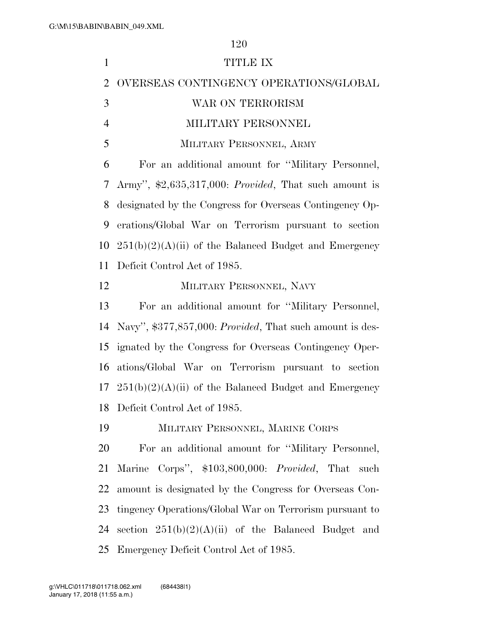| $\mathbf{1}$   | TITLE IX                                                               |
|----------------|------------------------------------------------------------------------|
| $\overline{2}$ | OVERSEAS CONTINGENCY OPERATIONS/GLOBAL                                 |
| 3              | WAR ON TERRORISM                                                       |
| $\overline{4}$ | MILITARY PERSONNEL                                                     |
| 5              | MILITARY PERSONNEL, ARMY                                               |
| 6              | For an additional amount for "Military Personnel,                      |
| 7              | Army", $\text{\$2,635,317,000:}$ <i>Provided</i> , That such amount is |
| 8              | designated by the Congress for Overseas Contingency Op-                |
| 9              | erations/Global War on Terrorism pursuant to section                   |
| 10             | $251(b)(2)(A)(ii)$ of the Balanced Budget and Emergency                |
| 11             | Deficit Control Act of 1985.                                           |
| 12             | MILITARY PERSONNEL, NAVY                                               |
| 13             | For an additional amount for "Military Personnel,                      |
| 14             | Navy", \$377,857,000: Provided, That such amount is des-               |
| 15             | ignated by the Congress for Overseas Contingency Oper-                 |
| 16             | ations/Global War on Terrorism pursuant to section                     |
| 17             | $251(b)(2)(A)(ii)$ of the Balanced Budget and Emergency                |
|                | 18 Deficit Control Act of 1985.                                        |
| 19             | MILITARY PERSONNEL, MARINE CORPS                                       |
| 20             | For an additional amount for "Military Personnel,                      |
| 21             | Marine Corps", \$103,800,000: Provided, That such                      |
| 22             | amount is designated by the Congress for Overseas Con-                 |
| 23             | tingency Operations/Global War on Terrorism pursuant to                |
| 24             | section $251(b)(2)(A)(ii)$ of the Balanced Budget and                  |
|                | 25 Emergency Deficit Control Act of 1985.                              |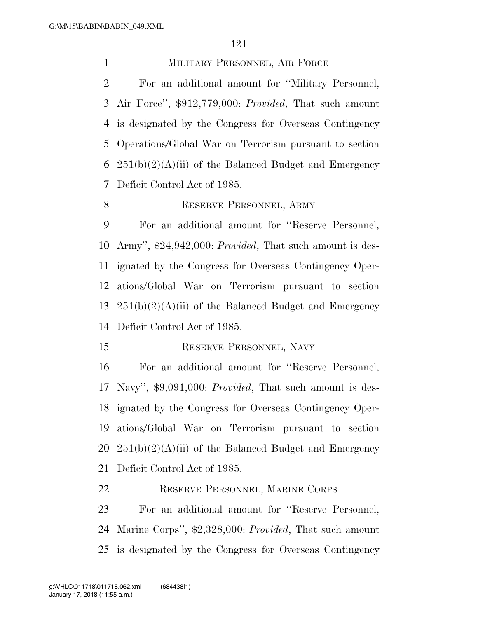MILITARY PERSONNEL, AIR FORCE

 For an additional amount for ''Military Personnel, Air Force'', \$912,779,000: *Provided*, That such amount is designated by the Congress for Overseas Contingency Operations/Global War on Terrorism pursuant to section  $251(b)(2)(A)(ii)$  of the Balanced Budget and Emergency Deficit Control Act of 1985.

## 8 RESERVE PERSONNEL, ARMY

 For an additional amount for ''Reserve Personnel, Army'', \$24,942,000: *Provided*, That such amount is des- ignated by the Congress for Overseas Contingency Oper- ations/Global War on Terrorism pursuant to section  $251(b)(2)(A)(ii)$  of the Balanced Budget and Emergency Deficit Control Act of 1985.

15 RESERVE PERSONNEL, NAVY

 For an additional amount for ''Reserve Personnel, Navy'', \$9,091,000: *Provided*, That such amount is des- ignated by the Congress for Overseas Contingency Oper- ations/Global War on Terrorism pursuant to section  $251(b)(2)(A)(ii)$  of the Balanced Budget and Emergency Deficit Control Act of 1985.

RESERVE PERSONNEL, MARINE CORPS

 For an additional amount for ''Reserve Personnel, Marine Corps'', \$2,328,000: *Provided*, That such amount is designated by the Congress for Overseas Contingency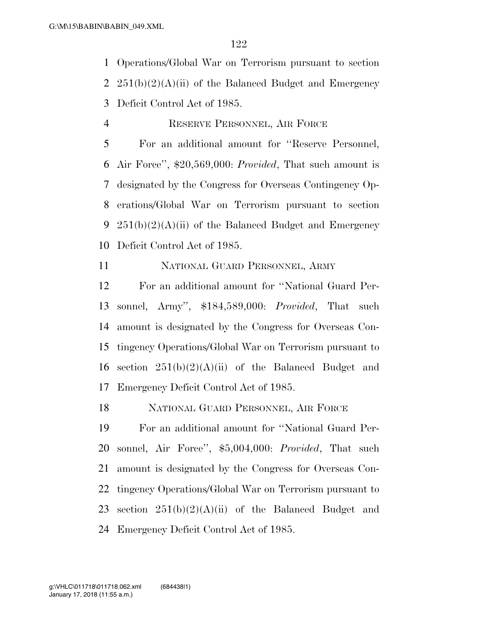Operations/Global War on Terrorism pursuant to section 2  $251(b)(2)(A)(ii)$  of the Balanced Budget and Emergency Deficit Control Act of 1985.

# RESERVE PERSONNEL, AIR FORCE

 For an additional amount for ''Reserve Personnel, Air Force'', \$20,569,000: *Provided*, That such amount is designated by the Congress for Overseas Contingency Op- erations/Global War on Terrorism pursuant to section 9 251(b)(2)(A)(ii) of the Balanced Budget and Emergency Deficit Control Act of 1985.

NATIONAL GUARD PERSONNEL, ARMY

 For an additional amount for ''National Guard Per- sonnel, Army'', \$184,589,000: *Provided*, That such amount is designated by the Congress for Overseas Con- tingency Operations/Global War on Terrorism pursuant to 16 section  $251(b)(2)(A)(ii)$  of the Balanced Budget and Emergency Deficit Control Act of 1985.

NATIONAL GUARD PERSONNEL, AIR FORCE

 For an additional amount for ''National Guard Per- sonnel, Air Force'', \$5,004,000: *Provided*, That such amount is designated by the Congress for Overseas Con- tingency Operations/Global War on Terrorism pursuant to 23 section  $251(b)(2)(A)(ii)$  of the Balanced Budget and Emergency Deficit Control Act of 1985.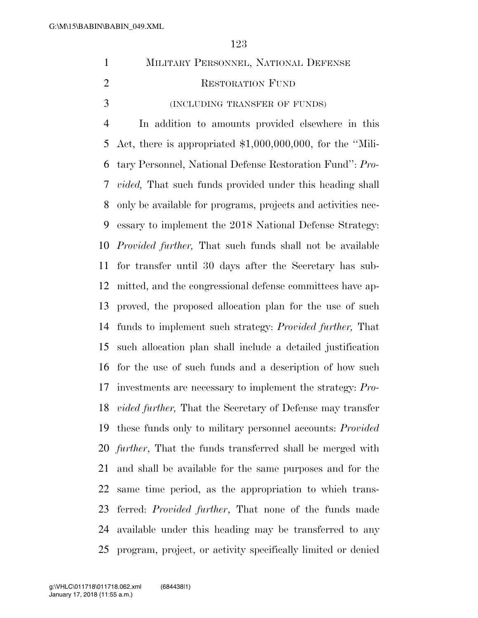|                             | MILITARY PERSONNEL, NATIONAL DEFENSE |
|-----------------------------|--------------------------------------|
| $\mathcal{D}_{\mathcal{L}}$ | <b>RESTORATION FUND</b>              |
| $\mathcal{R}$               | (INCLUDING TRANSFER OF FUNDS)        |
|                             |                                      |

 In addition to amounts provided elsewhere in this Act, there is appropriated \$1,000,000,000, for the ''Mili- tary Personnel, National Defense Restoration Fund'': *Pro- vided,* That such funds provided under this heading shall only be available for programs, projects and activities nec- essary to implement the 2018 National Defense Strategy: *Provided further,* That such funds shall not be available for transfer until 30 days after the Secretary has sub- mitted, and the congressional defense committees have ap- proved, the proposed allocation plan for the use of such funds to implement such strategy: *Provided further,* That such allocation plan shall include a detailed justification for the use of such funds and a description of how such investments are necessary to implement the strategy: *Pro- vided further,* That the Secretary of Defense may transfer these funds only to military personnel accounts: *Provided further*, That the funds transferred shall be merged with and shall be available for the same purposes and for the same time period, as the appropriation to which trans- ferred: *Provided further*, That none of the funds made available under this heading may be transferred to any program, project, or activity specifically limited or denied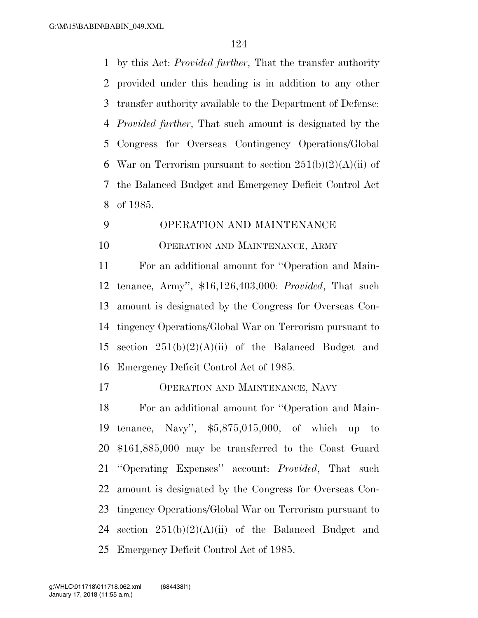by this Act: *Provided further*, That the transfer authority provided under this heading is in addition to any other transfer authority available to the Department of Defense: *Provided further*, That such amount is designated by the Congress for Overseas Contingency Operations/Global 6 War on Terrorism pursuant to section  $251(b)(2)(A)(ii)$  of the Balanced Budget and Emergency Deficit Control Act of 1985.

# OPERATION AND MAINTENANCE OPERATION AND MAINTENANCE, ARMY

 For an additional amount for ''Operation and Main- tenance, Army'', \$16,126,403,000: *Provided*, That such amount is designated by the Congress for Overseas Con- tingency Operations/Global War on Terrorism pursuant to 15 section  $251(b)(2)(A)(ii)$  of the Balanced Budget and Emergency Deficit Control Act of 1985.

OPERATION AND MAINTENANCE, NAVY

 For an additional amount for ''Operation and Main- tenance, Navy'', \$5,875,015,000, of which up to \$161,885,000 may be transferred to the Coast Guard ''Operating Expenses'' account: *Provided*, That such amount is designated by the Congress for Overseas Con- tingency Operations/Global War on Terrorism pursuant to 24 section  $251(b)(2)(A)(ii)$  of the Balanced Budget and Emergency Deficit Control Act of 1985.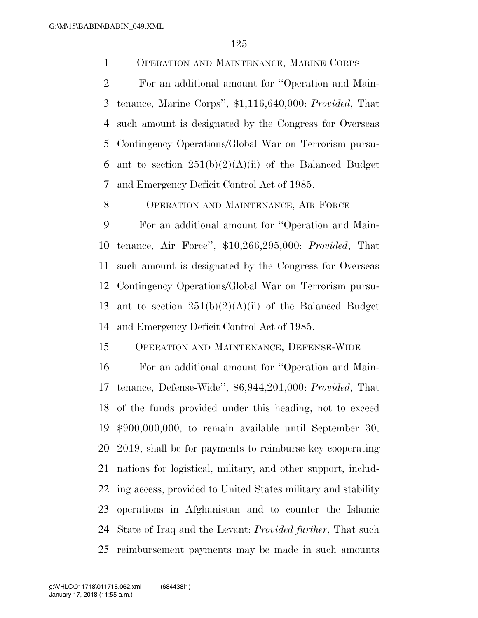OPERATION AND MAINTENANCE, MARINE CORPS

 For an additional amount for ''Operation and Main- tenance, Marine Corps'', \$1,116,640,000: *Provided*, That such amount is designated by the Congress for Overseas Contingency Operations/Global War on Terrorism pursu-6 ant to section  $251(b)(2)(A)(ii)$  of the Balanced Budget and Emergency Deficit Control Act of 1985.

8 OPERATION AND MAINTENANCE, AIR FORCE

 For an additional amount for ''Operation and Main- tenance, Air Force'', \$10,266,295,000: *Provided*, That such amount is designated by the Congress for Overseas Contingency Operations/Global War on Terrorism pursu-13 ant to section  $251(b)(2)(A)(ii)$  of the Balanced Budget and Emergency Deficit Control Act of 1985.

OPERATION AND MAINTENANCE, DEFENSE-WIDE

 For an additional amount for ''Operation and Main- tenance, Defense-Wide'', \$6,944,201,000: *Provided*, That of the funds provided under this heading, not to exceed \$900,000,000, to remain available until September 30, 2019, shall be for payments to reimburse key cooperating nations for logistical, military, and other support, includ- ing access, provided to United States military and stability operations in Afghanistan and to counter the Islamic State of Iraq and the Levant: *Provided further*, That such reimbursement payments may be made in such amounts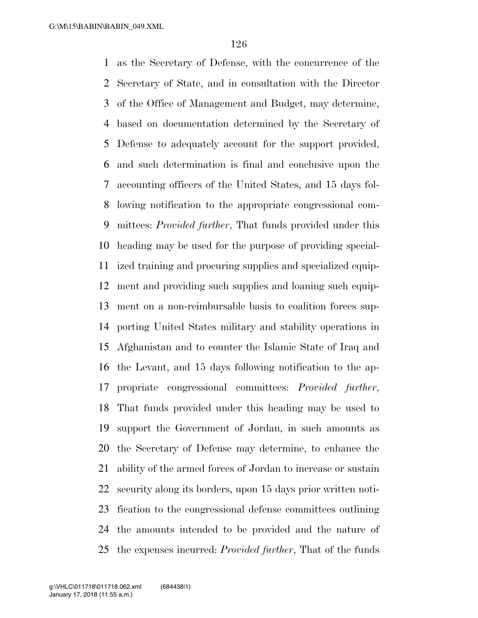as the Secretary of Defense, with the concurrence of the Secretary of State, and in consultation with the Director of the Office of Management and Budget, may determine, based on documentation determined by the Secretary of Defense to adequately account for the support provided, and such determination is final and conclusive upon the accounting officers of the United States, and 15 days fol- lowing notification to the appropriate congressional com- mittees: *Provided further*, That funds provided under this heading may be used for the purpose of providing special- ized training and procuring supplies and specialized equip- ment and providing such supplies and loaning such equip- ment on a non-reimbursable basis to coalition forces sup- porting United States military and stability operations in Afghanistan and to counter the Islamic State of Iraq and the Levant, and 15 days following notification to the ap- propriate congressional committees: *Provided further*, That funds provided under this heading may be used to support the Government of Jordan, in such amounts as the Secretary of Defense may determine, to enhance the ability of the armed forces of Jordan to increase or sustain security along its borders, upon 15 days prior written noti- fication to the congressional defense committees outlining the amounts intended to be provided and the nature of the expenses incurred: *Provided further*, That of the funds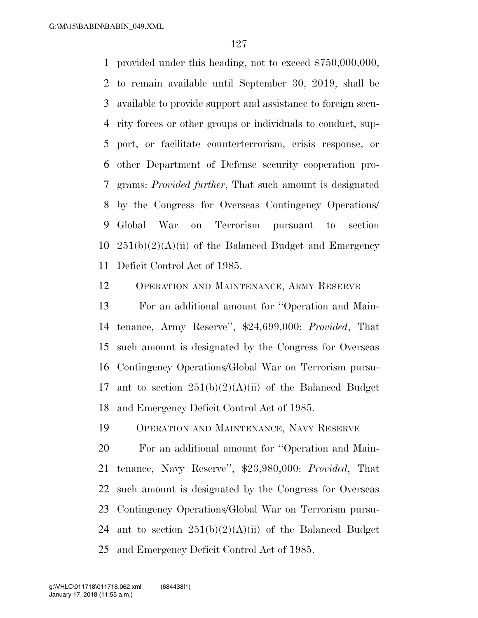provided under this heading, not to exceed \$750,000,000, to remain available until September 30, 2019, shall be available to provide support and assistance to foreign secu- rity forces or other groups or individuals to conduct, sup- port, or facilitate counterterrorism, crisis response, or other Department of Defense security cooperation pro- grams: *Provided further*, That such amount is designated by the Congress for Overseas Contingency Operations/ Global War on Terrorism pursuant to section  $251(b)(2)(A)(ii)$  of the Balanced Budget and Emergency Deficit Control Act of 1985.

OPERATION AND MAINTENANCE, ARMY RESERVE

 For an additional amount for ''Operation and Main- tenance, Army Reserve'', \$24,699,000: *Provided*, That such amount is designated by the Congress for Overseas Contingency Operations/Global War on Terrorism pursu-17 ant to section  $251(b)(2)(A)(ii)$  of the Balanced Budget and Emergency Deficit Control Act of 1985.

OPERATION AND MAINTENANCE, NAVY RESERVE

 For an additional amount for ''Operation and Main- tenance, Navy Reserve'', \$23,980,000: *Provided*, That such amount is designated by the Congress for Overseas Contingency Operations/Global War on Terrorism pursu-24 ant to section  $251(b)(2)(A)(ii)$  of the Balanced Budget and Emergency Deficit Control Act of 1985.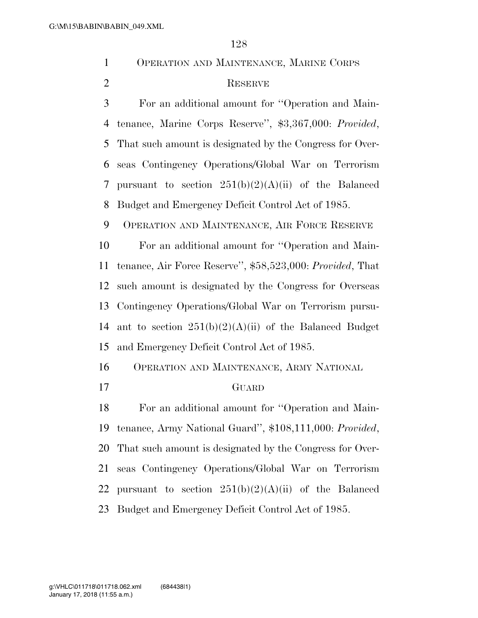| $\mathbf{1}$   | OPERATION AND MAINTENANCE, MARINE CORPS                   |  |  |  |  |
|----------------|-----------------------------------------------------------|--|--|--|--|
| $\overline{2}$ | <b>RESERVE</b>                                            |  |  |  |  |
| 3              | For an additional amount for "Operation and Main-         |  |  |  |  |
| $\overline{4}$ | tenance, Marine Corps Reserve", \$3,367,000: Provided,    |  |  |  |  |
| 5              | That such amount is designated by the Congress for Over-  |  |  |  |  |
| 6              | seas Contingency Operations/Global War on Terrorism       |  |  |  |  |
| 7              | pursuant to section $251(b)(2)(A)(ii)$ of the Balanced    |  |  |  |  |
| 8              | Budget and Emergency Deficit Control Act of 1985.         |  |  |  |  |
| 9              | OPERATION AND MAINTENANCE, AIR FORCE RESERVE              |  |  |  |  |
| 10             | For an additional amount for "Operation and Main-         |  |  |  |  |
| 11             | tenance, Air Force Reserve", \$58,523,000: Provided, That |  |  |  |  |
| 12             | such amount is designated by the Congress for Overseas    |  |  |  |  |
| 13             | Contingency Operations/Global War on Terrorism pursu-     |  |  |  |  |
| 14             | ant to section $251(b)(2)(A)(ii)$ of the Balanced Budget  |  |  |  |  |
| 15             | and Emergency Deficit Control Act of 1985.                |  |  |  |  |
| 16             | OPERATION AND MAINTENANCE, ARMY NATIONAL                  |  |  |  |  |
| 17             | GUARD                                                     |  |  |  |  |
| 18             | For an additional amount for "Operation and Main-         |  |  |  |  |
| 19             | tenance, Army National Guard", \$108,111,000: Provided,   |  |  |  |  |
| 20             | That such amount is designated by the Congress for Over-  |  |  |  |  |
| 21             | seas Contingency Operations/Global War on Terrorism       |  |  |  |  |
| 22             | pursuant to section $251(b)(2)(A)(ii)$ of the Balanced    |  |  |  |  |
| 23             | Budget and Emergency Deficit Control Act of 1985.         |  |  |  |  |
|                |                                                           |  |  |  |  |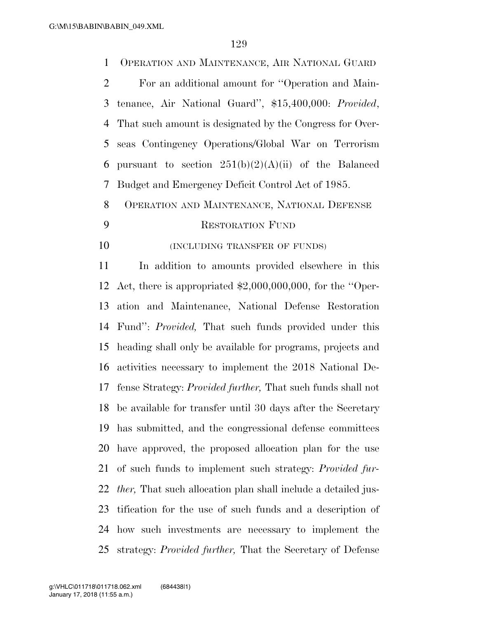OPERATION AND MAINTENANCE, AIR NATIONAL GUARD For an additional amount for ''Operation and Main- tenance, Air National Guard'', \$15,400,000: *Provided*, That such amount is designated by the Congress for Over- seas Contingency Operations/Global War on Terrorism 6 pursuant to section  $251(b)(2)(A)(ii)$  of the Balanced Budget and Emergency Deficit Control Act of 1985. OPERATION AND MAINTENANCE, NATIONAL DEFENSE RESTORATION FUND **(INCLUDING TRANSFER OF FUNDS)**  In addition to amounts provided elsewhere in this Act, there is appropriated \$2,000,000,000, for the ''Oper- ation and Maintenance, National Defense Restoration Fund'': *Provided,* That such funds provided under this heading shall only be available for programs, projects and activities necessary to implement the 2018 National De- fense Strategy: *Provided further,* That such funds shall not be available for transfer until 30 days after the Secretary has submitted, and the congressional defense committees have approved, the proposed allocation plan for the use of such funds to implement such strategy: *Provided fur- ther,* That such allocation plan shall include a detailed jus- tification for the use of such funds and a description of how such investments are necessary to implement the

strategy: *Provided further,* That the Secretary of Defense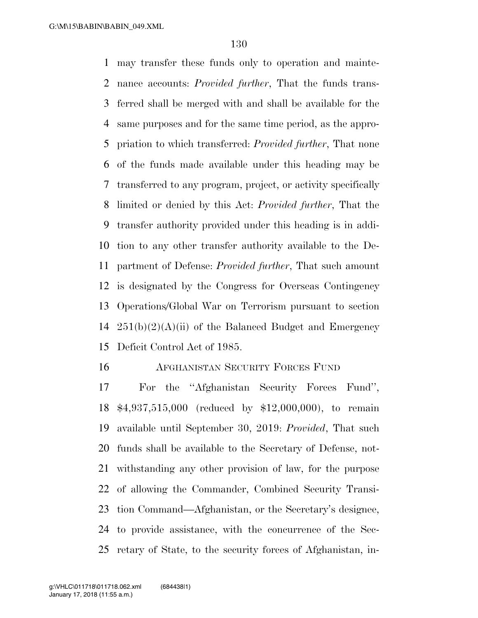may transfer these funds only to operation and mainte- nance accounts: *Provided further*, That the funds trans- ferred shall be merged with and shall be available for the same purposes and for the same time period, as the appro- priation to which transferred: *Provided further*, That none of the funds made available under this heading may be transferred to any program, project, or activity specifically limited or denied by this Act: *Provided further*, That the transfer authority provided under this heading is in addi- tion to any other transfer authority available to the De- partment of Defense: *Provided further*, That such amount is designated by the Congress for Overseas Contingency Operations/Global War on Terrorism pursuant to section  $251(b)(2)(A)(ii)$  of the Balanced Budget and Emergency Deficit Control Act of 1985.

#### AFGHANISTAN SECURITY FORCES FUND

 For the ''Afghanistan Security Forces Fund'', \$4,937,515,000 (reduced by \$12,000,000), to remain available until September 30, 2019: *Provided*, That such funds shall be available to the Secretary of Defense, not- withstanding any other provision of law, for the purpose of allowing the Commander, Combined Security Transi- tion Command—Afghanistan, or the Secretary's designee, to provide assistance, with the concurrence of the Sec-retary of State, to the security forces of Afghanistan, in-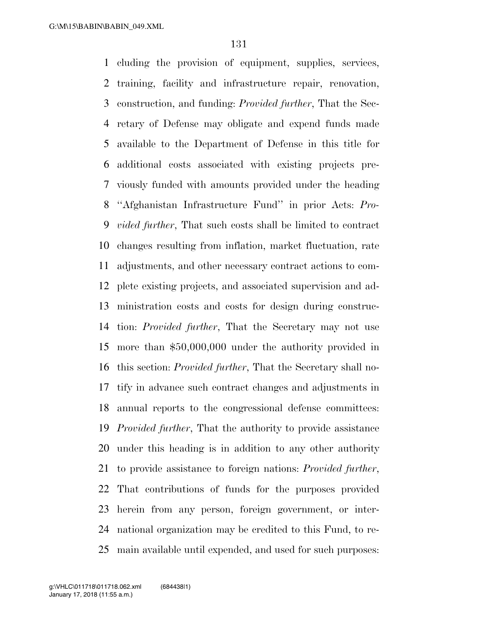cluding the provision of equipment, supplies, services, training, facility and infrastructure repair, renovation, construction, and funding: *Provided further*, That the Sec- retary of Defense may obligate and expend funds made available to the Department of Defense in this title for additional costs associated with existing projects pre- viously funded with amounts provided under the heading ''Afghanistan Infrastructure Fund'' in prior Acts: *Pro- vided further*, That such costs shall be limited to contract changes resulting from inflation, market fluctuation, rate adjustments, and other necessary contract actions to com- plete existing projects, and associated supervision and ad- ministration costs and costs for design during construc- tion: *Provided further*, That the Secretary may not use more than \$50,000,000 under the authority provided in this section: *Provided further*, That the Secretary shall no- tify in advance such contract changes and adjustments in annual reports to the congressional defense committees: *Provided further*, That the authority to provide assistance under this heading is in addition to any other authority to provide assistance to foreign nations: *Provided further*, That contributions of funds for the purposes provided herein from any person, foreign government, or inter- national organization may be credited to this Fund, to re-main available until expended, and used for such purposes: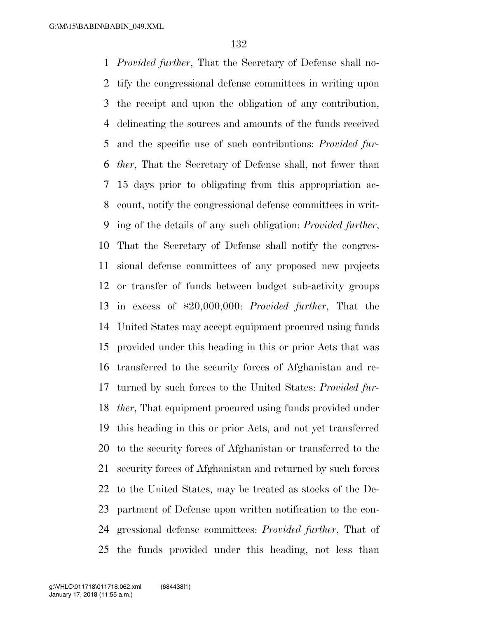*Provided further*, That the Secretary of Defense shall no- tify the congressional defense committees in writing upon the receipt and upon the obligation of any contribution, delineating the sources and amounts of the funds received and the specific use of such contributions: *Provided fur- ther*, That the Secretary of Defense shall, not fewer than 15 days prior to obligating from this appropriation ac- count, notify the congressional defense committees in writ- ing of the details of any such obligation: *Provided further*, That the Secretary of Defense shall notify the congres- sional defense committees of any proposed new projects or transfer of funds between budget sub-activity groups in excess of \$20,000,000: *Provided further*, That the United States may accept equipment procured using funds provided under this heading in this or prior Acts that was transferred to the security forces of Afghanistan and re- turned by such forces to the United States: *Provided fur- ther*, That equipment procured using funds provided under this heading in this or prior Acts, and not yet transferred to the security forces of Afghanistan or transferred to the security forces of Afghanistan and returned by such forces to the United States, may be treated as stocks of the De- partment of Defense upon written notification to the con- gressional defense committees: *Provided further*, That of the funds provided under this heading, not less than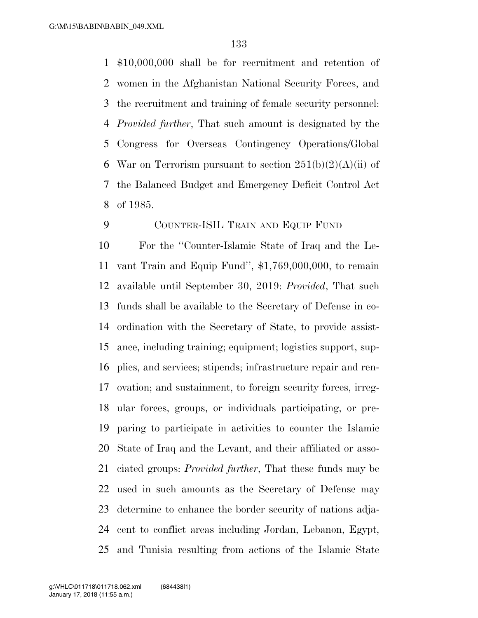\$10,000,000 shall be for recruitment and retention of women in the Afghanistan National Security Forces, and the recruitment and training of female security personnel: *Provided further*, That such amount is designated by the Congress for Overseas Contingency Operations/Global 6 War on Terrorism pursuant to section  $251(b)(2)(A)(ii)$  of the Balanced Budget and Emergency Deficit Control Act of 1985.

### COUNTER-ISIL TRAIN AND EQUIP FUND

 For the ''Counter-Islamic State of Iraq and the Le- vant Train and Equip Fund'', \$1,769,000,000, to remain available until September 30, 2019: *Provided*, That such funds shall be available to the Secretary of Defense in co- ordination with the Secretary of State, to provide assist- ance, including training; equipment; logistics support, sup- plies, and services; stipends; infrastructure repair and ren- ovation; and sustainment, to foreign security forces, irreg- ular forces, groups, or individuals participating, or pre- paring to participate in activities to counter the Islamic State of Iraq and the Levant, and their affiliated or asso- ciated groups: *Provided further*, That these funds may be used in such amounts as the Secretary of Defense may determine to enhance the border security of nations adja- cent to conflict areas including Jordan, Lebanon, Egypt, and Tunisia resulting from actions of the Islamic State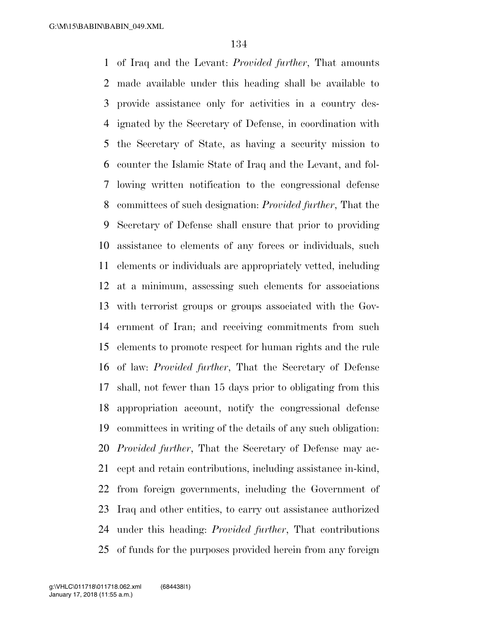of Iraq and the Levant: *Provided further*, That amounts made available under this heading shall be available to provide assistance only for activities in a country des- ignated by the Secretary of Defense, in coordination with the Secretary of State, as having a security mission to counter the Islamic State of Iraq and the Levant, and fol- lowing written notification to the congressional defense committees of such designation: *Provided further*, That the Secretary of Defense shall ensure that prior to providing assistance to elements of any forces or individuals, such elements or individuals are appropriately vetted, including at a minimum, assessing such elements for associations with terrorist groups or groups associated with the Gov- ernment of Iran; and receiving commitments from such elements to promote respect for human rights and the rule of law: *Provided further*, That the Secretary of Defense shall, not fewer than 15 days prior to obligating from this appropriation account, notify the congressional defense committees in writing of the details of any such obligation: *Provided further*, That the Secretary of Defense may ac- cept and retain contributions, including assistance in-kind, from foreign governments, including the Government of Iraq and other entities, to carry out assistance authorized under this heading: *Provided further*, That contributions of funds for the purposes provided herein from any foreign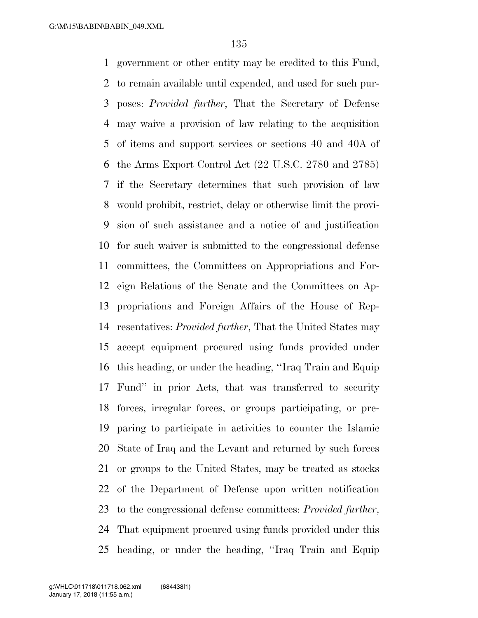government or other entity may be credited to this Fund, to remain available until expended, and used for such pur- poses: *Provided further*, That the Secretary of Defense may waive a provision of law relating to the acquisition of items and support services or sections 40 and 40A of the Arms Export Control Act (22 U.S.C. 2780 and 2785) if the Secretary determines that such provision of law would prohibit, restrict, delay or otherwise limit the provi- sion of such assistance and a notice of and justification for such waiver is submitted to the congressional defense committees, the Committees on Appropriations and For- eign Relations of the Senate and the Committees on Ap- propriations and Foreign Affairs of the House of Rep- resentatives: *Provided further*, That the United States may accept equipment procured using funds provided under this heading, or under the heading, ''Iraq Train and Equip Fund'' in prior Acts, that was transferred to security forces, irregular forces, or groups participating, or pre- paring to participate in activities to counter the Islamic State of Iraq and the Levant and returned by such forces or groups to the United States, may be treated as stocks of the Department of Defense upon written notification to the congressional defense committees: *Provided further*, That equipment procured using funds provided under this heading, or under the heading, ''Iraq Train and Equip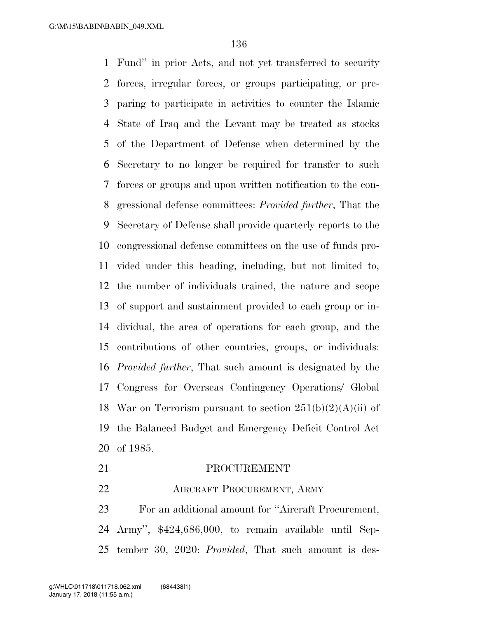Fund'' in prior Acts, and not yet transferred to security forces, irregular forces, or groups participating, or pre- paring to participate in activities to counter the Islamic State of Iraq and the Levant may be treated as stocks of the Department of Defense when determined by the Secretary to no longer be required for transfer to such forces or groups and upon written notification to the con- gressional defense committees: *Provided further*, That the Secretary of Defense shall provide quarterly reports to the congressional defense committees on the use of funds pro- vided under this heading, including, but not limited to, the number of individuals trained, the nature and scope of support and sustainment provided to each group or in- dividual, the area of operations for each group, and the contributions of other countries, groups, or individuals: *Provided further*, That such amount is designated by the Congress for Overseas Contingency Operations/ Global 18 War on Terrorism pursuant to section  $251(b)(2)(A)(ii)$  of the Balanced Budget and Emergency Deficit Control Act of 1985.

 PROCUREMENT **AIRCRAFT PROCUREMENT, ARMY**  For an additional amount for ''Aircraft Procurement, Army'', \$424,686,000, to remain available until Sep-

tember 30, 2020: *Provided*, That such amount is des-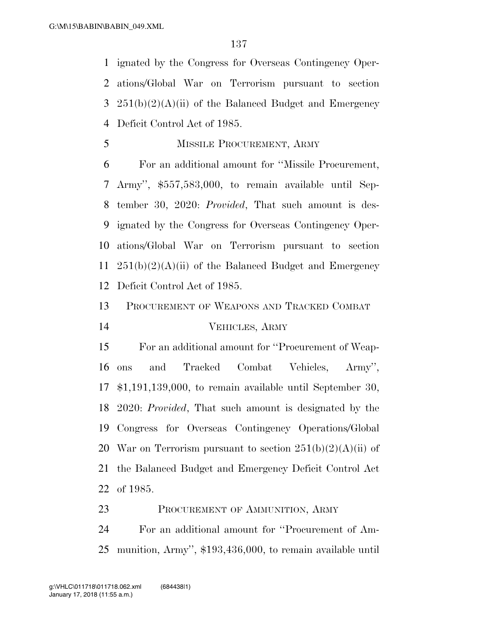ignated by the Congress for Overseas Contingency Oper- ations/Global War on Terrorism pursuant to section 3 251(b)(2)(A)(ii) of the Balanced Budget and Emergency Deficit Control Act of 1985.

MISSILE PROCUREMENT, ARMY

 For an additional amount for ''Missile Procurement, Army'', \$557,583,000, to remain available until Sep- tember 30, 2020: *Provided*, That such amount is des- ignated by the Congress for Overseas Contingency Oper- ations/Global War on Terrorism pursuant to section  $251(b)(2)(A)(ii)$  of the Balanced Budget and Emergency Deficit Control Act of 1985.

 PROCUREMENT OF WEAPONS AND TRACKED COMBAT VEHICLES, ARMY

 For an additional amount for ''Procurement of Weap- ons and Tracked Combat Vehicles, Army'', \$1,191,139,000, to remain available until September 30, 2020: *Provided*, That such amount is designated by the Congress for Overseas Contingency Operations/Global 20 War on Terrorism pursuant to section  $251(b)(2)(A)(ii)$  of the Balanced Budget and Emergency Deficit Control Act of 1985.

 PROCUREMENT OF AMMUNITION, ARMY For an additional amount for ''Procurement of Am-munition, Army'', \$193,436,000, to remain available until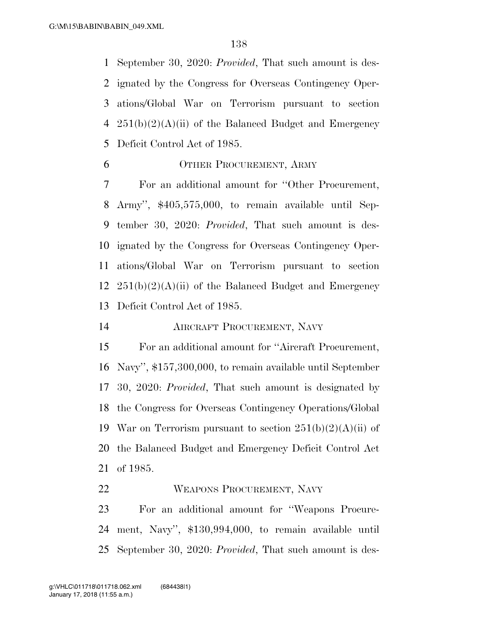September 30, 2020: *Provided*, That such amount is des- ignated by the Congress for Overseas Contingency Oper- ations/Global War on Terrorism pursuant to section  $251(b)(2)(A)(ii)$  of the Balanced Budget and Emergency Deficit Control Act of 1985.

OTHER PROCUREMENT, ARMY

 For an additional amount for ''Other Procurement, Army'', \$405,575,000, to remain available until Sep- tember 30, 2020: *Provided*, That such amount is des- ignated by the Congress for Overseas Contingency Oper- ations/Global War on Terrorism pursuant to section  $251(b)(2)(A)(ii)$  of the Balanced Budget and Emergency Deficit Control Act of 1985.

AIRCRAFT PROCUREMENT, NAVY

 For an additional amount for ''Aircraft Procurement, Navy'', \$157,300,000, to remain available until September 30, 2020: *Provided*, That such amount is designated by the Congress for Overseas Contingency Operations/Global 19 War on Terrorism pursuant to section  $251(b)(2)(A)(ii)$  of the Balanced Budget and Emergency Deficit Control Act of 1985.

WEAPONS PROCUREMENT, NAVY

 For an additional amount for ''Weapons Procure- ment, Navy'', \$130,994,000, to remain available until September 30, 2020: *Provided*, That such amount is des-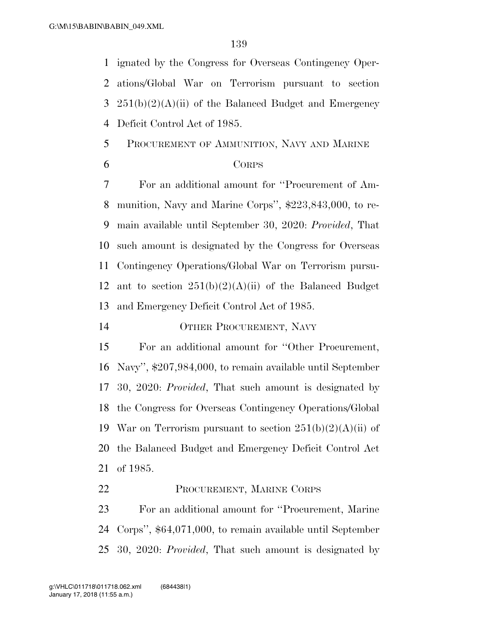ignated by the Congress for Overseas Contingency Oper- ations/Global War on Terrorism pursuant to section 3 251(b)(2)(A)(ii) of the Balanced Budget and Emergency Deficit Control Act of 1985.

- PROCUREMENT OF AMMUNITION, NAVY AND MARINE
- 

#### CORPS

 For an additional amount for ''Procurement of Am- munition, Navy and Marine Corps'', \$223,843,000, to re- main available until September 30, 2020: *Provided*, That such amount is designated by the Congress for Overseas Contingency Operations/Global War on Terrorism pursu-12 ant to section  $251(b)(2)(A)(ii)$  of the Balanced Budget and Emergency Deficit Control Act of 1985.

OTHER PROCUREMENT, NAVY

 For an additional amount for ''Other Procurement, Navy'', \$207,984,000, to remain available until September 30, 2020: *Provided*, That such amount is designated by the Congress for Overseas Contingency Operations/Global 19 War on Terrorism pursuant to section  $251(b)(2)(A)(ii)$  of the Balanced Budget and Emergency Deficit Control Act of 1985.

## PROCUREMENT, MARINE CORPS

 For an additional amount for ''Procurement, Marine Corps'', \$64,071,000, to remain available until September 30, 2020: *Provided*, That such amount is designated by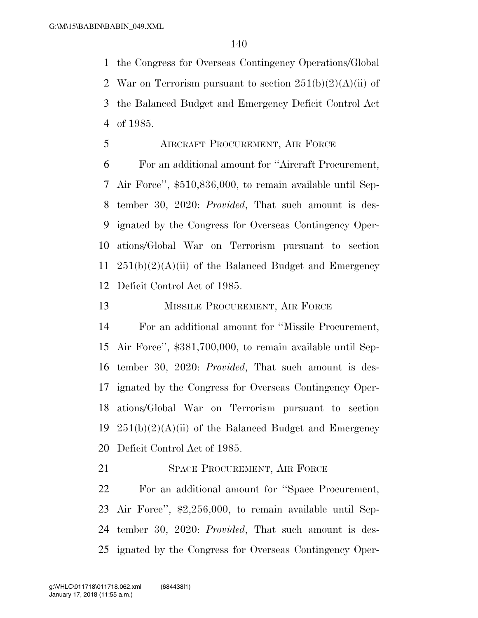the Congress for Overseas Contingency Operations/Global 2 War on Terrorism pursuant to section  $251(b)(2)(A)(ii)$  of the Balanced Budget and Emergency Deficit Control Act of 1985.

AIRCRAFT PROCUREMENT, AIR FORCE

 For an additional amount for ''Aircraft Procurement, Air Force'', \$510,836,000, to remain available until Sep- tember 30, 2020: *Provided*, That such amount is des- ignated by the Congress for Overseas Contingency Oper- ations/Global War on Terrorism pursuant to section  $251(b)(2)(A)(ii)$  of the Balanced Budget and Emergency Deficit Control Act of 1985.

13 MISSILE PROCUREMENT, AIR FORCE

 For an additional amount for ''Missile Procurement, Air Force'', \$381,700,000, to remain available until Sep- tember 30, 2020: *Provided*, That such amount is des- ignated by the Congress for Overseas Contingency Oper- ations/Global War on Terrorism pursuant to section  $251(b)(2)(A)(ii)$  of the Balanced Budget and Emergency Deficit Control Act of 1985.

21 SPACE PROCUREMENT, AIR FORCE

 For an additional amount for ''Space Procurement, Air Force'', \$2,256,000, to remain available until Sep- tember 30, 2020: *Provided*, That such amount is des-ignated by the Congress for Overseas Contingency Oper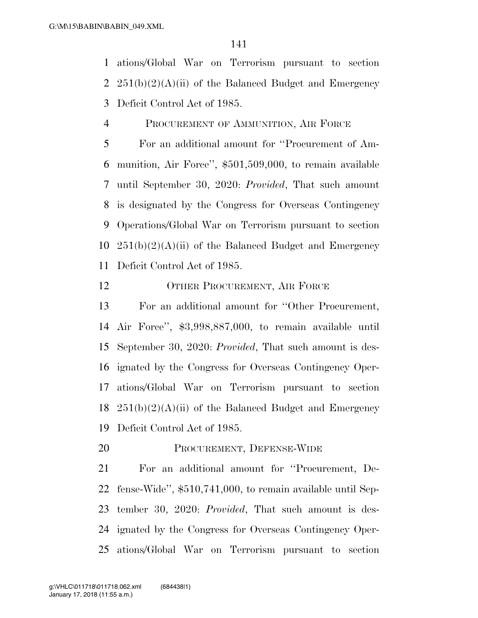ations/Global War on Terrorism pursuant to section 2  $251(b)(2)(A)(ii)$  of the Balanced Budget and Emergency Deficit Control Act of 1985.

PROCUREMENT OF AMMUNITION, AIR FORCE

 For an additional amount for ''Procurement of Am- munition, Air Force'', \$501,509,000, to remain available until September 30, 2020: *Provided*, That such amount is designated by the Congress for Overseas Contingency Operations/Global War on Terrorism pursuant to section  $251(b)(2)(A)(ii)$  of the Balanced Budget and Emergency Deficit Control Act of 1985.

#### 12 OTHER PROCUREMENT, AIR FORCE

 For an additional amount for ''Other Procurement, Air Force'', \$3,998,887,000, to remain available until September 30, 2020: *Provided*, That such amount is des- ignated by the Congress for Overseas Contingency Oper- ations/Global War on Terrorism pursuant to section  $251(b)(2)(A)(ii)$  of the Balanced Budget and Emergency Deficit Control Act of 1985.

PROCUREMENT, DEFENSE-WIDE

 For an additional amount for ''Procurement, De- fense-Wide'', \$510,741,000, to remain available until Sep- tember 30, 2020: *Provided*, That such amount is des- ignated by the Congress for Overseas Contingency Oper-ations/Global War on Terrorism pursuant to section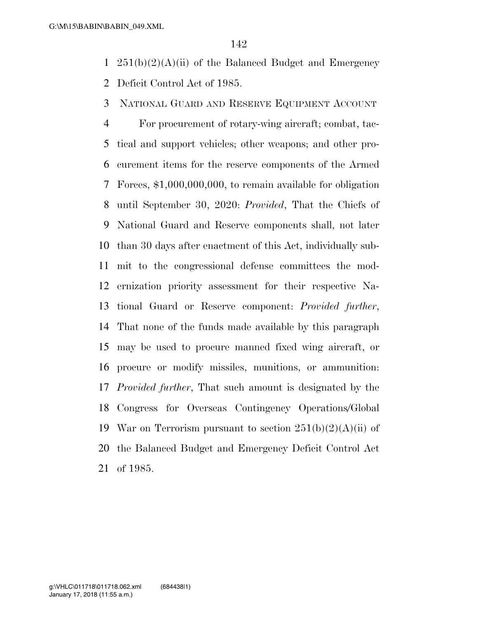- 1  $251(b)(2)(A)(ii)$  of the Balanced Budget and Emergency Deficit Control Act of 1985.
- NATIONAL GUARD AND RESERVE EQUIPMENT ACCOUNT

 For procurement of rotary-wing aircraft; combat, tac- tical and support vehicles; other weapons; and other pro- curement items for the reserve components of the Armed Forces, \$1,000,000,000, to remain available for obligation until September 30, 2020: *Provided*, That the Chiefs of National Guard and Reserve components shall, not later than 30 days after enactment of this Act, individually sub- mit to the congressional defense committees the mod- ernization priority assessment for their respective Na- tional Guard or Reserve component: *Provided further*, That none of the funds made available by this paragraph may be used to procure manned fixed wing aircraft, or procure or modify missiles, munitions, or ammunition: *Provided further*, That such amount is designated by the Congress for Overseas Contingency Operations/Global 19 War on Terrorism pursuant to section  $251(b)(2)(A)(ii)$  of the Balanced Budget and Emergency Deficit Control Act of 1985.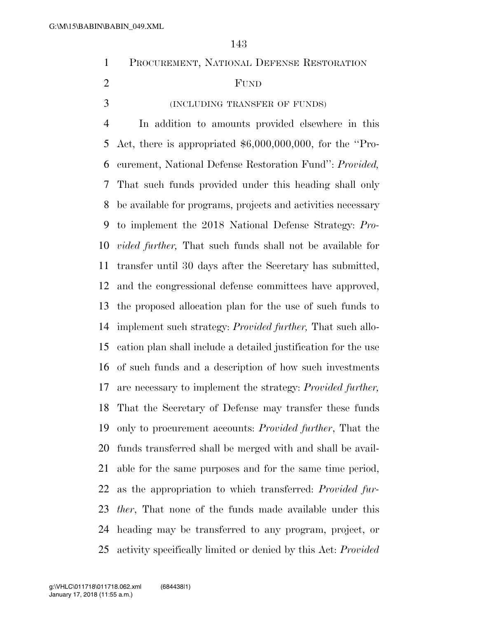| PROCUREMENT, NATIONAL DEFENSE RESTORATION |  |  |
|-------------------------------------------|--|--|
|                                           |  |  |

## FUND

(INCLUDING TRANSFER OF FUNDS)

 In addition to amounts provided elsewhere in this Act, there is appropriated \$6,000,000,000, for the ''Pro- curement, National Defense Restoration Fund'': *Provided,* That such funds provided under this heading shall only be available for programs, projects and activities necessary to implement the 2018 National Defense Strategy: *Pro- vided further,* That such funds shall not be available for transfer until 30 days after the Secretary has submitted, and the congressional defense committees have approved, the proposed allocation plan for the use of such funds to implement such strategy: *Provided further,* That such allo- cation plan shall include a detailed justification for the use of such funds and a description of how such investments are necessary to implement the strategy: *Provided further,*  That the Secretary of Defense may transfer these funds only to procurement accounts: *Provided further*, That the funds transferred shall be merged with and shall be avail- able for the same purposes and for the same time period, as the appropriation to which transferred: *Provided fur- ther*, That none of the funds made available under this heading may be transferred to any program, project, or activity specifically limited or denied by this Act: *Provided*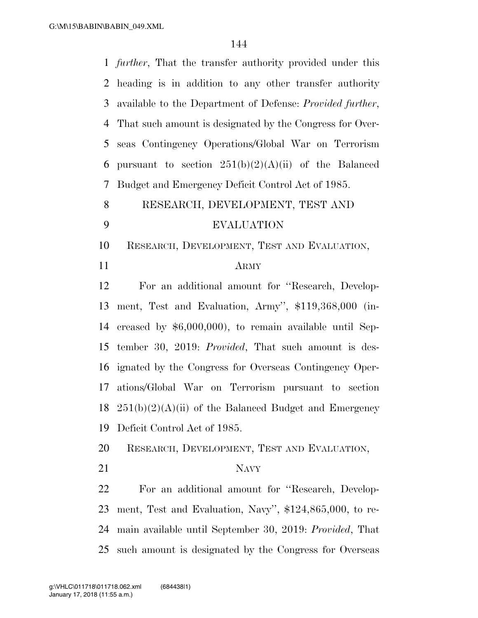*further*, That the transfer authority provided under this heading is in addition to any other transfer authority available to the Department of Defense: *Provided further*, That such amount is designated by the Congress for Over- seas Contingency Operations/Global War on Terrorism 6 pursuant to section  $251(b)(2)(A)(ii)$  of the Balanced Budget and Emergency Deficit Control Act of 1985. RESEARCH, DEVELOPMENT, TEST AND EVALUATION RESEARCH, DEVELOPMENT, TEST AND EVALUATION, ARMY For an additional amount for ''Research, Develop- ment, Test and Evaluation, Army'', \$119,368,000 (in- creased by \$6,000,000), to remain available until Sep- tember 30, 2019: *Provided*, That such amount is des- ignated by the Congress for Overseas Contingency Oper- ations/Global War on Terrorism pursuant to section  $251(b)(2)(A)(ii)$  of the Balanced Budget and Emergency Deficit Control Act of 1985. RESEARCH, DEVELOPMENT, TEST AND EVALUATION, 21 NAVY For an additional amount for ''Research, Develop- ment, Test and Evaluation, Navy'', \$124,865,000, to re- main available until September 30, 2019: *Provided*, That such amount is designated by the Congress for Overseas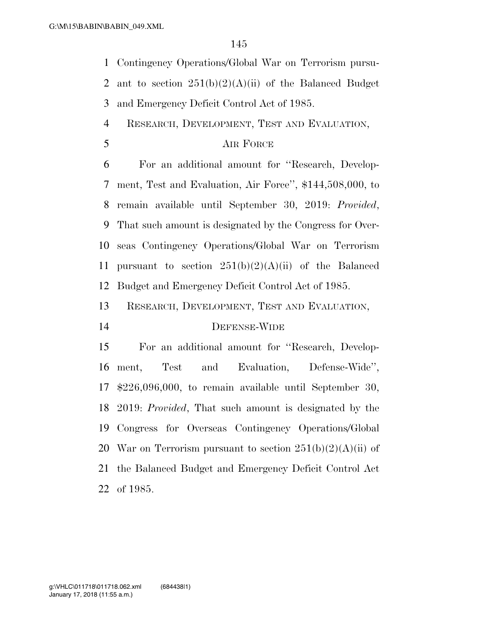Contingency Operations/Global War on Terrorism pursu-

2 ant to section  $251(b)(2)(A)(ii)$  of the Balanced Budget

and Emergency Deficit Control Act of 1985.

RESEARCH, DEVELOPMENT, TEST AND EVALUATION,

### AIR FORCE

 For an additional amount for ''Research, Develop- ment, Test and Evaluation, Air Force'', \$144,508,000, to remain available until September 30, 2019: *Provided*, That such amount is designated by the Congress for Over- seas Contingency Operations/Global War on Terrorism 11 pursuant to section  $251(b)(2)(A)(ii)$  of the Balanced Budget and Emergency Deficit Control Act of 1985.

RESEARCH, DEVELOPMENT, TEST AND EVALUATION,

### DEFENSE-WIDE

 For an additional amount for ''Research, Develop- ment, Test and Evaluation, Defense-Wide'', \$226,096,000, to remain available until September 30, 2019: *Provided*, That such amount is designated by the Congress for Overseas Contingency Operations/Global 20 War on Terrorism pursuant to section  $251(b)(2)(A)(ii)$  of the Balanced Budget and Emergency Deficit Control Act of 1985.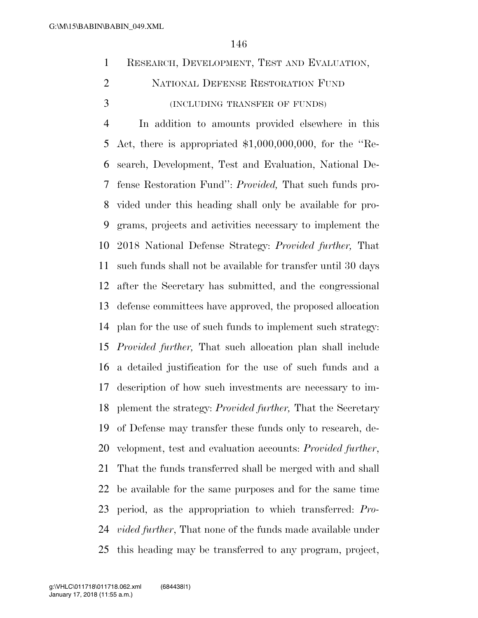- RESEARCH, DEVELOPMENT, TEST AND EVALUATION, NATIONAL DEFENSE RESTORATION FUND
- (INCLUDING TRANSFER OF FUNDS)

 In addition to amounts provided elsewhere in this 5 Act, there is appropriated  $$1,000,000,000$ , for the "Re- search, Development, Test and Evaluation, National De- fense Restoration Fund'': *Provided,* That such funds pro- vided under this heading shall only be available for pro- grams, projects and activities necessary to implement the 2018 National Defense Strategy: *Provided further,* That such funds shall not be available for transfer until 30 days after the Secretary has submitted, and the congressional defense committees have approved, the proposed allocation plan for the use of such funds to implement such strategy: *Provided further,* That such allocation plan shall include a detailed justification for the use of such funds and a description of how such investments are necessary to im- plement the strategy: *Provided further,* That the Secretary of Defense may transfer these funds only to research, de- velopment, test and evaluation accounts: *Provided further*, That the funds transferred shall be merged with and shall be available for the same purposes and for the same time period, as the appropriation to which transferred: *Pro- vided further*, That none of the funds made available under this heading may be transferred to any program, project,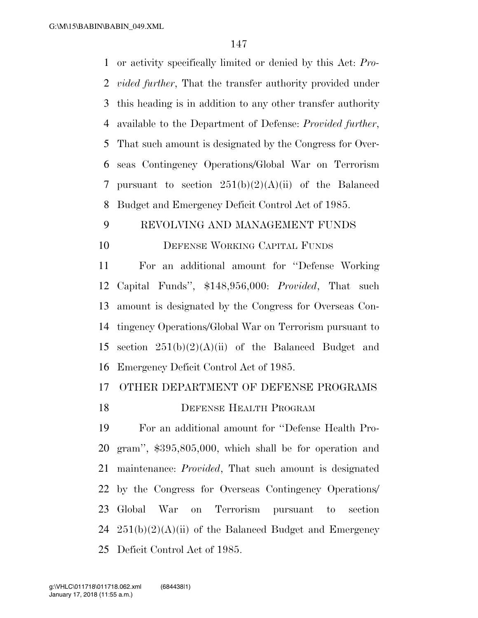or activity specifically limited or denied by this Act: *Pro- vided further*, That the transfer authority provided under this heading is in addition to any other transfer authority available to the Department of Defense: *Provided further*, That such amount is designated by the Congress for Over- seas Contingency Operations/Global War on Terrorism pursuant to section 251(b)(2)(A)(ii) of the Balanced Budget and Emergency Deficit Control Act of 1985.

### REVOLVING AND MANAGEMENT FUNDS

### DEFENSE WORKING CAPITAL FUNDS

 For an additional amount for ''Defense Working Capital Funds'', \$148,956,000: *Provided*, That such amount is designated by the Congress for Overseas Con- tingency Operations/Global War on Terrorism pursuant to 15 section  $251(b)(2)(A)(ii)$  of the Balanced Budget and Emergency Deficit Control Act of 1985.

### OTHER DEPARTMENT OF DEFENSE PROGRAMS

### **DEFENSE HEALTH PROGRAM**

 For an additional amount for ''Defense Health Pro- gram'', \$395,805,000, which shall be for operation and maintenance: *Provided*, That such amount is designated by the Congress for Overseas Contingency Operations/ Global War on Terrorism pursuant to section  $251(b)(2)(A)(ii)$  of the Balanced Budget and Emergency Deficit Control Act of 1985.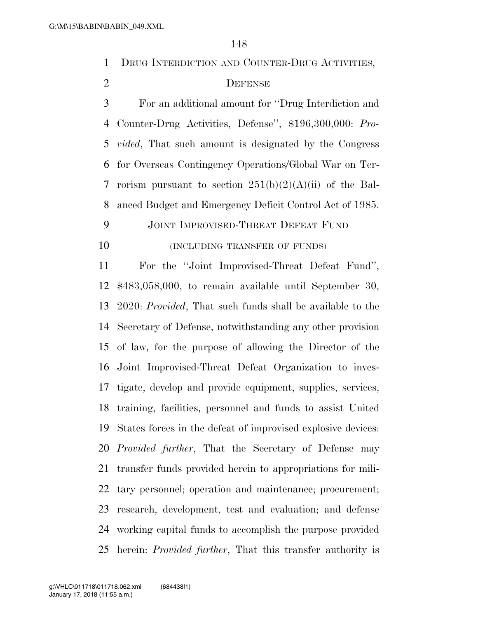DRUG INTERDICTION AND COUNTER-DRUG ACTIVITIES,

### DEFENSE

 For an additional amount for ''Drug Interdiction and Counter-Drug Activities, Defense'', \$196,300,000: *Pro- vided*, That such amount is designated by the Congress for Overseas Contingency Operations/Global War on Ter-7 rorism pursuant to section  $251(b)(2)(A)(ii)$  of the Bal-anced Budget and Emergency Deficit Control Act of 1985.

JOINT IMPROVISED-THREAT DEFEAT FUND

**(INCLUDING TRANSFER OF FUNDS)** 

 For the ''Joint Improvised-Threat Defeat Fund'', \$483,058,000, to remain available until September 30, 2020: *Provided*, That such funds shall be available to the Secretary of Defense, notwithstanding any other provision of law, for the purpose of allowing the Director of the Joint Improvised-Threat Defeat Organization to inves- tigate, develop and provide equipment, supplies, services, training, facilities, personnel and funds to assist United States forces in the defeat of improvised explosive devices: *Provided further*, That the Secretary of Defense may transfer funds provided herein to appropriations for mili- tary personnel; operation and maintenance; procurement; research, development, test and evaluation; and defense working capital funds to accomplish the purpose provided herein: *Provided further*, That this transfer authority is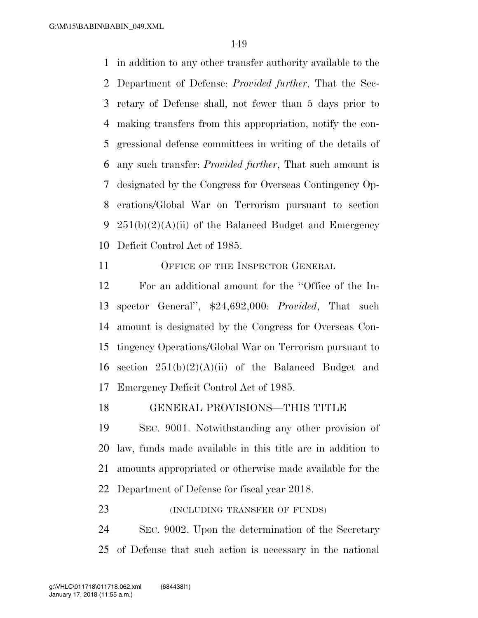in addition to any other transfer authority available to the Department of Defense: *Provided further*, That the Sec- retary of Defense shall, not fewer than 5 days prior to making transfers from this appropriation, notify the con- gressional defense committees in writing of the details of any such transfer: *Provided further*, That such amount is designated by the Congress for Overseas Contingency Op- erations/Global War on Terrorism pursuant to section 9 251(b)(2)(A)(ii) of the Balanced Budget and Emergency Deficit Control Act of 1985.

11 OFFICE OF THE INSPECTOR GENERAL

 For an additional amount for the ''Office of the In- spector General'', \$24,692,000: *Provided*, That such amount is designated by the Congress for Overseas Con- tingency Operations/Global War on Terrorism pursuant to 16 section  $251(b)(2)(A)(ii)$  of the Balanced Budget and Emergency Deficit Control Act of 1985.

GENERAL PROVISIONS—THIS TITLE

 SEC. 9001. Notwithstanding any other provision of law, funds made available in this title are in addition to amounts appropriated or otherwise made available for the Department of Defense for fiscal year 2018.

**(INCLUDING TRANSFER OF FUNDS)** 

 SEC. 9002. Upon the determination of the Secretary of Defense that such action is necessary in the national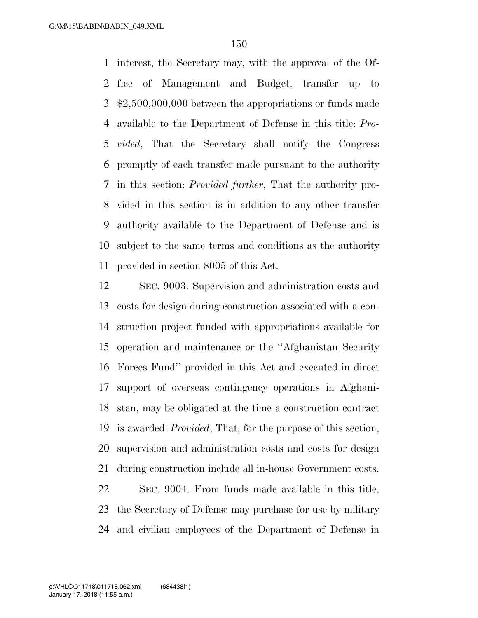interest, the Secretary may, with the approval of the Of- fice of Management and Budget, transfer up to \$2,500,000,000 between the appropriations or funds made available to the Department of Defense in this title: *Pro- vided*, That the Secretary shall notify the Congress promptly of each transfer made pursuant to the authority in this section: *Provided further*, That the authority pro- vided in this section is in addition to any other transfer authority available to the Department of Defense and is subject to the same terms and conditions as the authority provided in section 8005 of this Act.

 SEC. 9003. Supervision and administration costs and costs for design during construction associated with a con- struction project funded with appropriations available for operation and maintenance or the ''Afghanistan Security Forces Fund'' provided in this Act and executed in direct support of overseas contingency operations in Afghani- stan, may be obligated at the time a construction contract is awarded: *Provided*, That, for the purpose of this section, supervision and administration costs and costs for design during construction include all in-house Government costs. SEC. 9004. From funds made available in this title, the Secretary of Defense may purchase for use by military and civilian employees of the Department of Defense in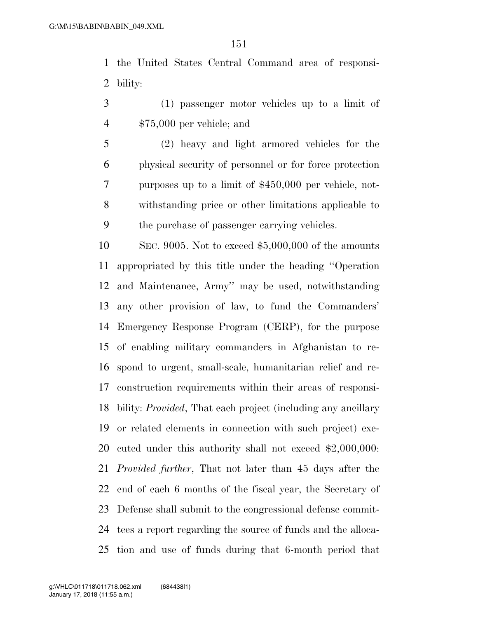the United States Central Command area of responsi-bility:

- (1) passenger motor vehicles up to a limit of \$75,000 per vehicle; and
- (2) heavy and light armored vehicles for the physical security of personnel or for force protection purposes up to a limit of \$450,000 per vehicle, not- withstanding price or other limitations applicable to the purchase of passenger carrying vehicles.

 SEC. 9005. Not to exceed \$5,000,000 of the amounts appropriated by this title under the heading ''Operation and Maintenance, Army'' may be used, notwithstanding any other provision of law, to fund the Commanders' Emergency Response Program (CERP), for the purpose of enabling military commanders in Afghanistan to re- spond to urgent, small-scale, humanitarian relief and re- construction requirements within their areas of responsi- bility: *Provided*, That each project (including any ancillary or related elements in connection with such project) exe- cuted under this authority shall not exceed \$2,000,000: *Provided further*, That not later than 45 days after the end of each 6 months of the fiscal year, the Secretary of Defense shall submit to the congressional defense commit- tees a report regarding the source of funds and the alloca-tion and use of funds during that 6-month period that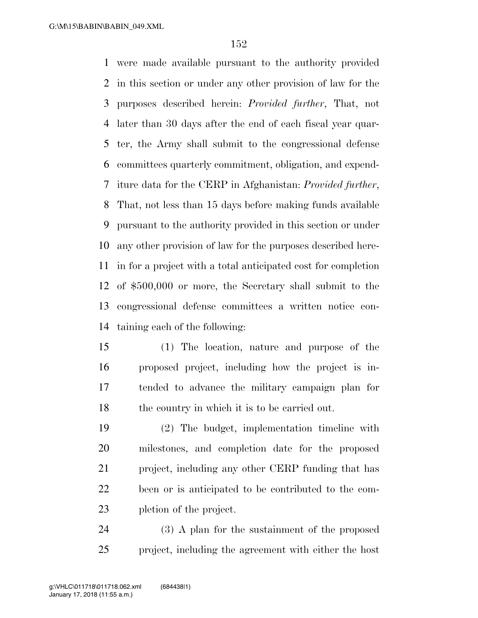were made available pursuant to the authority provided in this section or under any other provision of law for the purposes described herein: *Provided further*, That, not later than 30 days after the end of each fiscal year quar- ter, the Army shall submit to the congressional defense committees quarterly commitment, obligation, and expend- iture data for the CERP in Afghanistan: *Provided further*, That, not less than 15 days before making funds available pursuant to the authority provided in this section or under any other provision of law for the purposes described here- in for a project with a total anticipated cost for completion of \$500,000 or more, the Secretary shall submit to the congressional defense committees a written notice con-taining each of the following:

- (1) The location, nature and purpose of the proposed project, including how the project is in- tended to advance the military campaign plan for 18 the country in which it is to be carried out.
- (2) The budget, implementation timeline with milestones, and completion date for the proposed project, including any other CERP funding that has been or is anticipated to be contributed to the com-pletion of the project.

 (3) A plan for the sustainment of the proposed project, including the agreement with either the host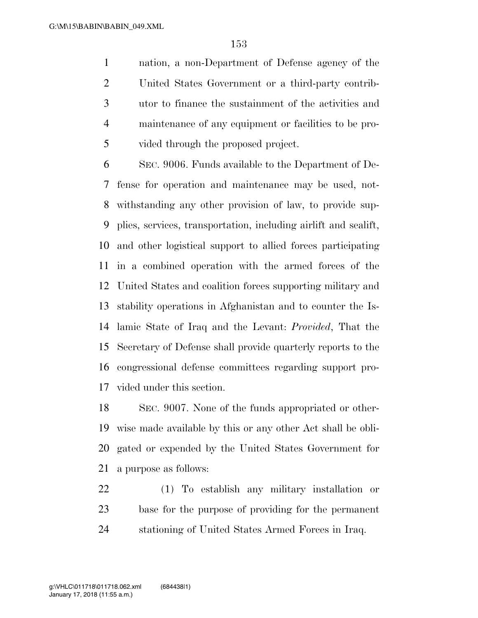nation, a non-Department of Defense agency of the United States Government or a third-party contrib- utor to finance the sustainment of the activities and maintenance of any equipment or facilities to be pro-vided through the proposed project.

 SEC. 9006. Funds available to the Department of De- fense for operation and maintenance may be used, not- withstanding any other provision of law, to provide sup- plies, services, transportation, including airlift and sealift, and other logistical support to allied forces participating in a combined operation with the armed forces of the United States and coalition forces supporting military and stability operations in Afghanistan and to counter the Is- lamic State of Iraq and the Levant: *Provided*, That the Secretary of Defense shall provide quarterly reports to the congressional defense committees regarding support pro-vided under this section.

 SEC. 9007. None of the funds appropriated or other- wise made available by this or any other Act shall be obli- gated or expended by the United States Government for a purpose as follows:

 (1) To establish any military installation or base for the purpose of providing for the permanent stationing of United States Armed Forces in Iraq.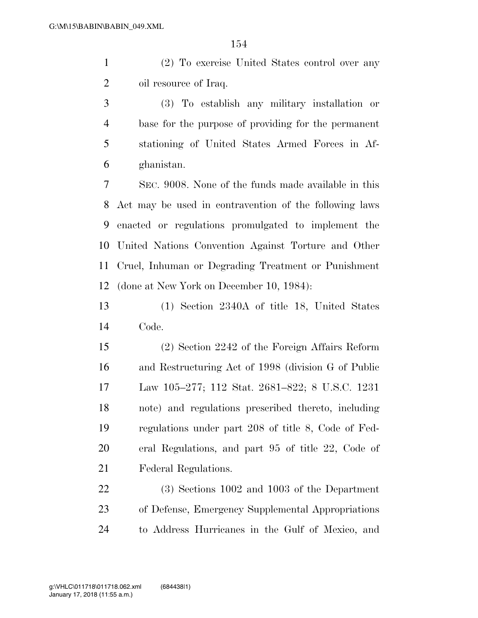(2) To exercise United States control over any 2 oil resource of Iraq.

 (3) To establish any military installation or base for the purpose of providing for the permanent stationing of United States Armed Forces in Af-ghanistan.

 SEC. 9008. None of the funds made available in this Act may be used in contravention of the following laws enacted or regulations promulgated to implement the United Nations Convention Against Torture and Other Cruel, Inhuman or Degrading Treatment or Punishment (done at New York on December 10, 1984):

 (1) Section 2340A of title 18, United States Code.

 (2) Section 2242 of the Foreign Affairs Reform and Restructuring Act of 1998 (division G of Public Law 105–277; 112 Stat. 2681–822; 8 U.S.C. 1231 note) and regulations prescribed thereto, including regulations under part 208 of title 8, Code of Fed- eral Regulations, and part 95 of title 22, Code of Federal Regulations.

 (3) Sections 1002 and 1003 of the Department of Defense, Emergency Supplemental Appropriations to Address Hurricanes in the Gulf of Mexico, and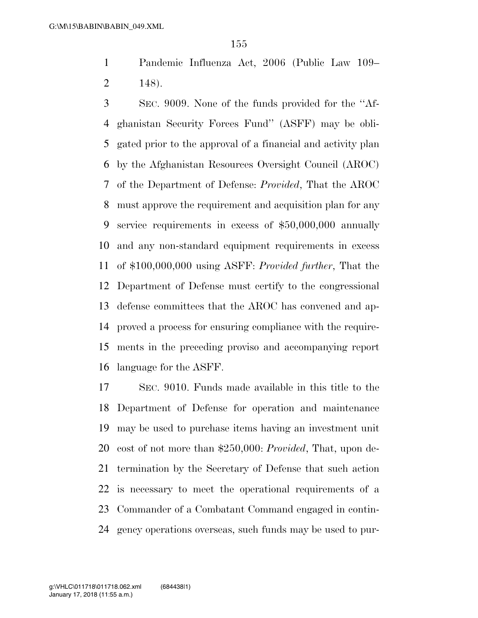Pandemic Influenza Act, 2006 (Public Law 109– 148).

 SEC. 9009. None of the funds provided for the ''Af- ghanistan Security Forces Fund'' (ASFF) may be obli- gated prior to the approval of a financial and activity plan by the Afghanistan Resources Oversight Council (AROC) of the Department of Defense: *Provided*, That the AROC must approve the requirement and acquisition plan for any service requirements in excess of \$50,000,000 annually and any non-standard equipment requirements in excess of \$100,000,000 using ASFF: *Provided further*, That the Department of Defense must certify to the congressional defense committees that the AROC has convened and ap- proved a process for ensuring compliance with the require- ments in the preceding proviso and accompanying report language for the ASFF.

 SEC. 9010. Funds made available in this title to the Department of Defense for operation and maintenance may be used to purchase items having an investment unit cost of not more than \$250,000: *Provided*, That, upon de- termination by the Secretary of Defense that such action is necessary to meet the operational requirements of a Commander of a Combatant Command engaged in contin-gency operations overseas, such funds may be used to pur-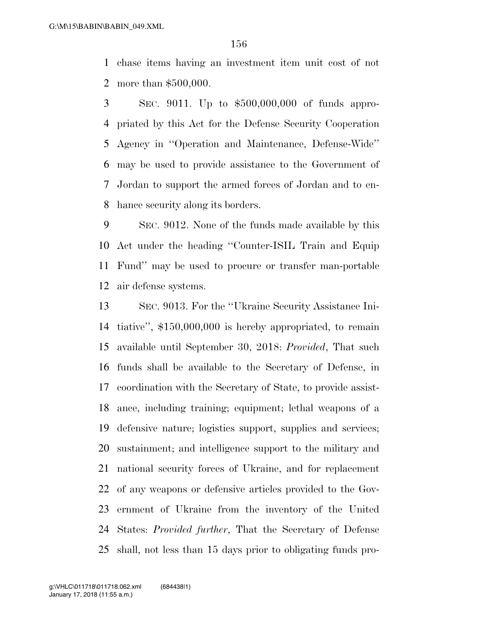chase items having an investment item unit cost of not more than \$500,000.

 SEC. 9011. Up to \$500,000,000 of funds appro- priated by this Act for the Defense Security Cooperation Agency in ''Operation and Maintenance, Defense-Wide'' may be used to provide assistance to the Government of Jordan to support the armed forces of Jordan and to en-hance security along its borders.

 SEC. 9012. None of the funds made available by this Act under the heading ''Counter-ISIL Train and Equip Fund'' may be used to procure or transfer man-portable air defense systems.

 SEC. 9013. For the ''Ukraine Security Assistance Ini- tiative'', \$150,000,000 is hereby appropriated, to remain available until September 30, 2018: *Provided*, That such funds shall be available to the Secretary of Defense, in coordination with the Secretary of State, to provide assist- ance, including training; equipment; lethal weapons of a defensive nature; logistics support, supplies and services; sustainment; and intelligence support to the military and national security forces of Ukraine, and for replacement of any weapons or defensive articles provided to the Gov- ernment of Ukraine from the inventory of the United States: *Provided further*, That the Secretary of Defense shall, not less than 15 days prior to obligating funds pro-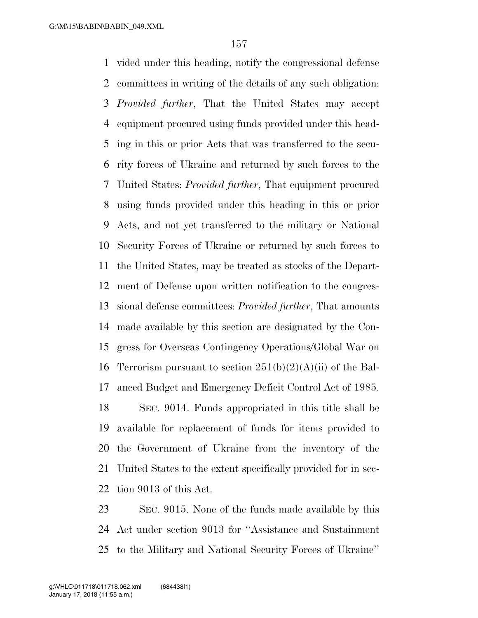vided under this heading, notify the congressional defense committees in writing of the details of any such obligation: *Provided further*, That the United States may accept equipment procured using funds provided under this head- ing in this or prior Acts that was transferred to the secu- rity forces of Ukraine and returned by such forces to the United States: *Provided further*, That equipment procured using funds provided under this heading in this or prior Acts, and not yet transferred to the military or National Security Forces of Ukraine or returned by such forces to the United States, may be treated as stocks of the Depart- ment of Defense upon written notification to the congres- sional defense committees: *Provided further*, That amounts made available by this section are designated by the Con- gress for Overseas Contingency Operations/Global War on 16 Terrorism pursuant to section  $251(b)(2)(A)(ii)$  of the Bal- anced Budget and Emergency Deficit Control Act of 1985. SEC. 9014. Funds appropriated in this title shall be available for replacement of funds for items provided to the Government of Ukraine from the inventory of the United States to the extent specifically provided for in sec-tion 9013 of this Act.

 SEC. 9015. None of the funds made available by this Act under section 9013 for ''Assistance and Sustainment to the Military and National Security Forces of Ukraine''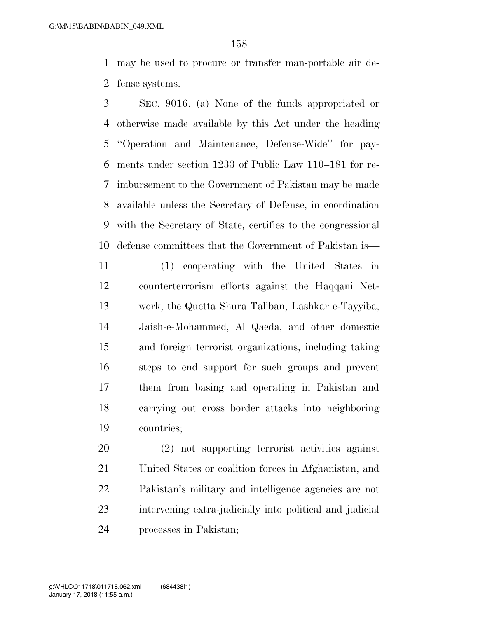may be used to procure or transfer man-portable air de-fense systems.

 SEC. 9016. (a) None of the funds appropriated or otherwise made available by this Act under the heading ''Operation and Maintenance, Defense-Wide'' for pay- ments under section 1233 of Public Law 110–181 for re- imbursement to the Government of Pakistan may be made available unless the Secretary of Defense, in coordination with the Secretary of State, certifies to the congressional defense committees that the Government of Pakistan is—

 (1) cooperating with the United States in counterterrorism efforts against the Haqqani Net- work, the Quetta Shura Taliban, Lashkar e-Tayyiba, Jaish-e-Mohammed, Al Qaeda, and other domestic and foreign terrorist organizations, including taking steps to end support for such groups and prevent them from basing and operating in Pakistan and carrying out cross border attacks into neighboring countries;

 (2) not supporting terrorist activities against United States or coalition forces in Afghanistan, and Pakistan's military and intelligence agencies are not intervening extra-judicially into political and judicial processes in Pakistan;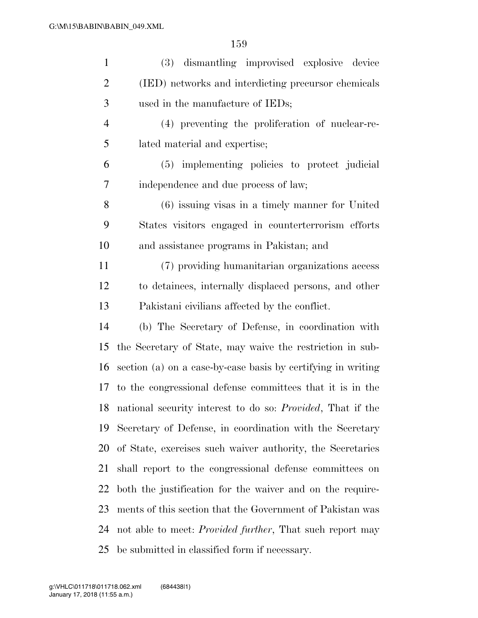| $\mathbf{1}$   | (3) dismantling improvised explosive device                           |
|----------------|-----------------------------------------------------------------------|
| $\overline{2}$ | (IED) networks and interdicting precursor chemicals                   |
| 3              | used in the manufacture of IEDs;                                      |
| 4              | (4) preventing the proliferation of nuclear-re-                       |
| 5              | lated material and expertise;                                         |
| 6              | (5) implementing policies to protect judicial                         |
| 7              | independence and due process of law;                                  |
| 8              | $(6)$ issuing visas in a timely manner for United                     |
| 9              | States visitors engaged in counterterrorism efforts                   |
| 10             | and assistance programs in Pakistan; and                              |
| 11             | (7) providing humanitarian organizations access                       |
| 12             | to detainees, internally displaced persons, and other                 |
| 13             | Pakistani civilians affected by the conflict.                         |
| 14             | (b) The Secretary of Defense, in coordination with                    |
| 15             | the Secretary of State, may waive the restriction in sub-             |
| 16             | section (a) on a case-by-case basis by certifying in writing          |
|                | 17 to the congressional defense committees that it is in the          |
|                | 18 national security interest to do so: <i>Provided</i> , That if the |
| 19             | Secretary of Defense, in coordination with the Secretary              |
| 20             | of State, exercises such waiver authority, the Secretaries            |
| 21             | shall report to the congressional defense committees on               |
| 22             | both the justification for the waiver and on the require-             |
| 23             | ments of this section that the Government of Pakistan was             |
| 24             | not able to meet: <i>Provided further</i> , That such report may      |
| 25             | be submitted in classified form if necessary.                         |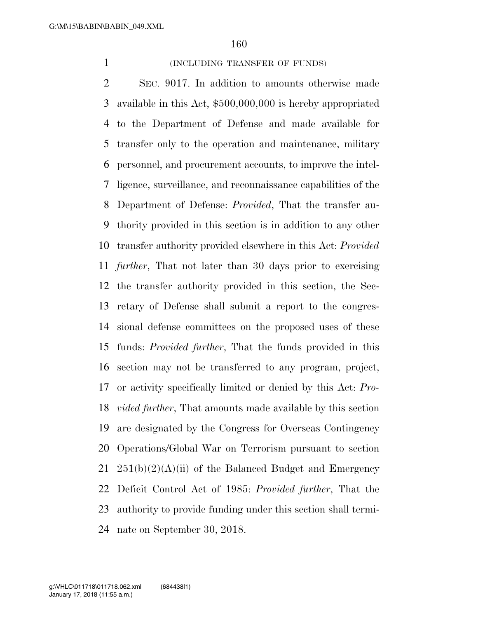### 1 (INCLUDING TRANSFER OF FUNDS)

 SEC. 9017. In addition to amounts otherwise made available in this Act, \$500,000,000 is hereby appropriated to the Department of Defense and made available for transfer only to the operation and maintenance, military personnel, and procurement accounts, to improve the intel- ligence, surveillance, and reconnaissance capabilities of the Department of Defense: *Provided*, That the transfer au- thority provided in this section is in addition to any other transfer authority provided elsewhere in this Act: *Provided further*, That not later than 30 days prior to exercising the transfer authority provided in this section, the Sec- retary of Defense shall submit a report to the congres- sional defense committees on the proposed uses of these funds: *Provided further*, That the funds provided in this section may not be transferred to any program, project, or activity specifically limited or denied by this Act: *Pro- vided further*, That amounts made available by this section are designated by the Congress for Overseas Contingency Operations/Global War on Terrorism pursuant to section  $251(b)(2)(A)(ii)$  of the Balanced Budget and Emergency Deficit Control Act of 1985: *Provided further*, That the authority to provide funding under this section shall termi-nate on September 30, 2018.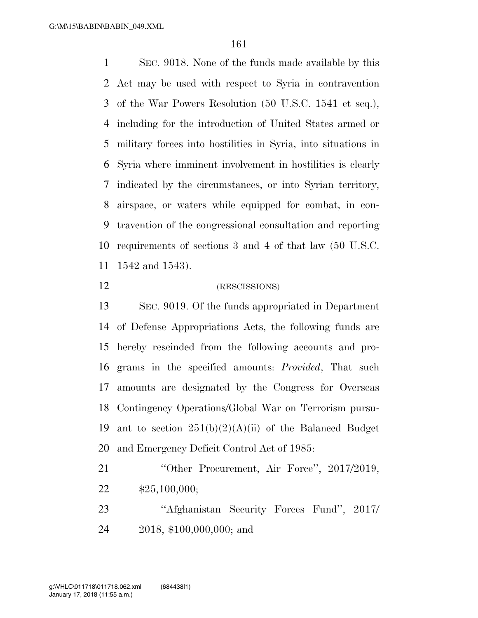SEC. 9018. None of the funds made available by this Act may be used with respect to Syria in contravention of the War Powers Resolution (50 U.S.C. 1541 et seq.), including for the introduction of United States armed or military forces into hostilities in Syria, into situations in Syria where imminent involvement in hostilities is clearly indicated by the circumstances, or into Syrian territory, airspace, or waters while equipped for combat, in con- travention of the congressional consultation and reporting requirements of sections 3 and 4 of that law (50 U.S.C. 1542 and 1543).

### 12 (RESCISSIONS)

 SEC. 9019. Of the funds appropriated in Department of Defense Appropriations Acts, the following funds are hereby rescinded from the following accounts and pro- grams in the specified amounts: *Provided*, That such amounts are designated by the Congress for Overseas Contingency Operations/Global War on Terrorism pursu-19 ant to section  $251(b)(2)(A)(ii)$  of the Balanced Budget and Emergency Deficit Control Act of 1985:

21 "Other Procurement, Air Force", 2017/2019, \$25,100,000;

 ''Afghanistan Security Forces Fund'', 2017/ 2018, \$100,000,000; and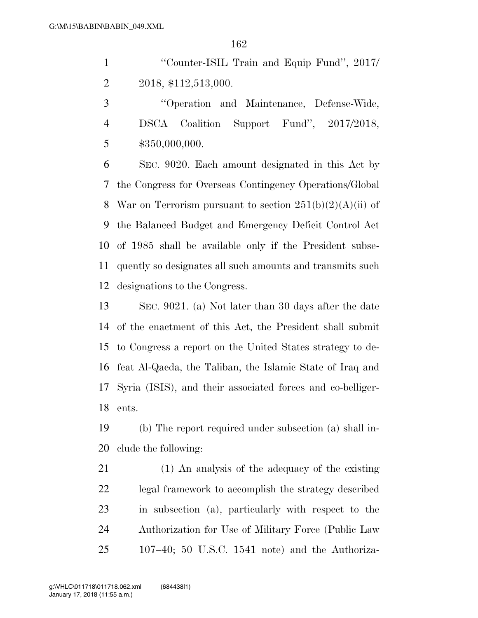1 "Counter-ISIL Train and Equip Fund", 2017/ 2018, \$112,513,000.

 ''Operation and Maintenance, Defense-Wide, DSCA Coalition Support Fund'', 2017/2018, \$350,000,000.

 SEC. 9020. Each amount designated in this Act by the Congress for Overseas Contingency Operations/Global 8 War on Terrorism pursuant to section  $251(b)(2)(A)(ii)$  of the Balanced Budget and Emergency Deficit Control Act of 1985 shall be available only if the President subse- quently so designates all such amounts and transmits such designations to the Congress.

 SEC. 9021. (a) Not later than 30 days after the date of the enactment of this Act, the President shall submit to Congress a report on the United States strategy to de- feat Al-Qaeda, the Taliban, the Islamic State of Iraq and Syria (ISIS), and their associated forces and co-belliger-ents.

 (b) The report required under subsection (a) shall in-clude the following:

 (1) An analysis of the adequacy of the existing legal framework to accomplish the strategy described in subsection (a), particularly with respect to the Authorization for Use of Military Force (Public Law 107–40; 50 U.S.C. 1541 note) and the Authoriza-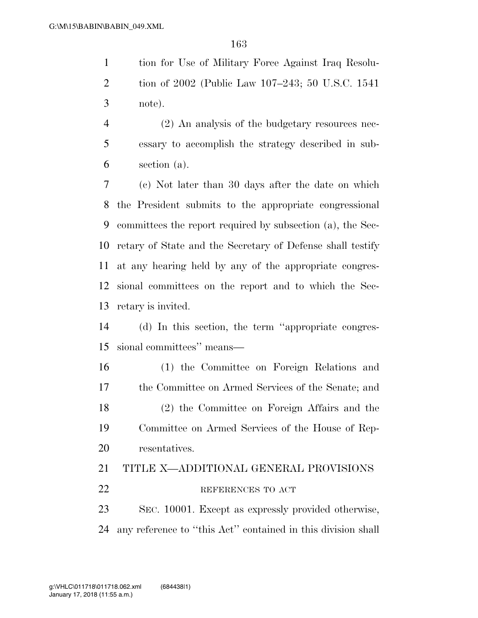tion for Use of Military Force Against Iraq Resolu- tion of 2002 (Public Law 107–243; 50 U.S.C. 1541 note).

 (2) An analysis of the budgetary resources nec- essary to accomplish the strategy described in sub-section (a).

 (c) Not later than 30 days after the date on which the President submits to the appropriate congressional committees the report required by subsection (a), the Sec- retary of State and the Secretary of Defense shall testify at any hearing held by any of the appropriate congres- sional committees on the report and to which the Sec-retary is invited.

 (d) In this section, the term ''appropriate congres-sional committees'' means—

 (1) the Committee on Foreign Relations and the Committee on Armed Services of the Senate; and (2) the Committee on Foreign Affairs and the Committee on Armed Services of the House of Rep-resentatives.

# TITLE X—ADDITIONAL GENERAL PROVISIONS 22 REFERENCES TO ACT SEC. 10001. Except as expressly provided otherwise,

any reference to ''this Act'' contained in this division shall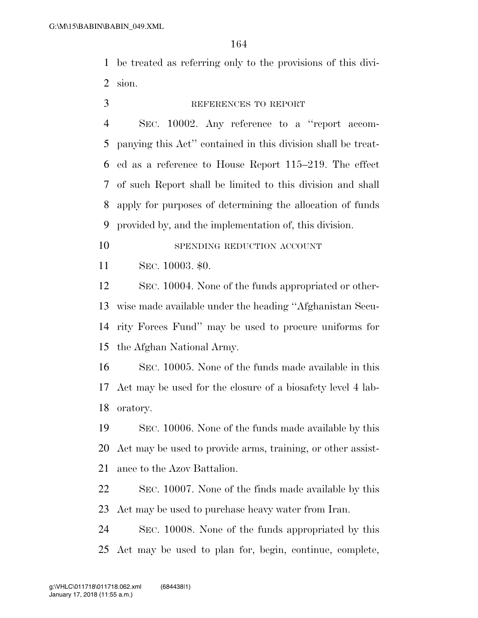be treated as referring only to the provisions of this divi-sion.

### REFERENCES TO REPORT

 SEC. 10002. Any reference to a ''report accom- panying this Act'' contained in this division shall be treat- ed as a reference to House Report 115–219. The effect of such Report shall be limited to this division and shall apply for purposes of determining the allocation of funds provided by, and the implementation of, this division.

10 SPENDING REDUCTION ACCOUNT

SEC. 10003. \$0.

 SEC. 10004. None of the funds appropriated or other- wise made available under the heading ''Afghanistan Secu- rity Forces Fund'' may be used to procure uniforms for the Afghan National Army.

 SEC. 10005. None of the funds made available in this Act may be used for the closure of a biosafety level 4 lab-oratory.

 SEC. 10006. None of the funds made available by this Act may be used to provide arms, training, or other assist-ance to the Azov Battalion.

 SEC. 10007. None of the finds made available by this Act may be used to purchase heavy water from Iran.

 SEC. 10008. None of the funds appropriated by this Act may be used to plan for, begin, continue, complete,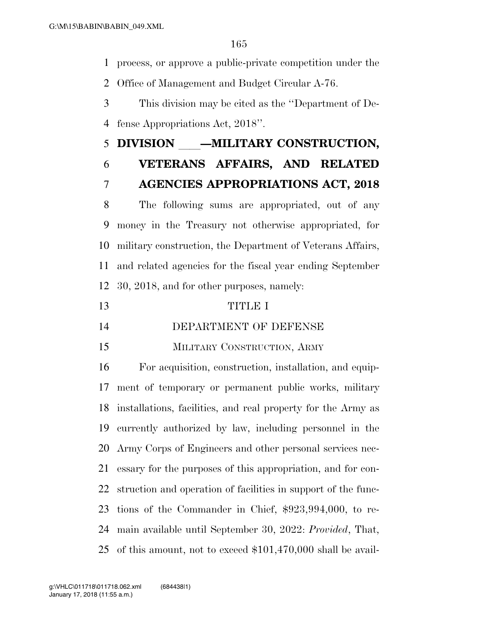process, or approve a public-private competition under the

Office of Management and Budget Circular A-76.

 This division may be cited as the ''Department of De-fense Appropriations Act, 2018''.

# 5 DIVISION – MILITARY CONSTRUCTION, **VETERANS AFFAIRS, AND RELATED**

## **AGENCIES APPROPRIATIONS ACT, 2018**

 The following sums are appropriated, out of any money in the Treasury not otherwise appropriated, for military construction, the Department of Veterans Affairs, and related agencies for the fiscal year ending September 30, 2018, and for other purposes, namely:

### TITLE I

### DEPARTMENT OF DEFENSE

### MILITARY CONSTRUCTION, ARMY

 For acquisition, construction, installation, and equip- ment of temporary or permanent public works, military installations, facilities, and real property for the Army as currently authorized by law, including personnel in the Army Corps of Engineers and other personal services nec- essary for the purposes of this appropriation, and for con- struction and operation of facilities in support of the func- tions of the Commander in Chief, \$923,994,000, to re- main available until September 30, 2022: *Provided*, That, of this amount, not to exceed \$101,470,000 shall be avail-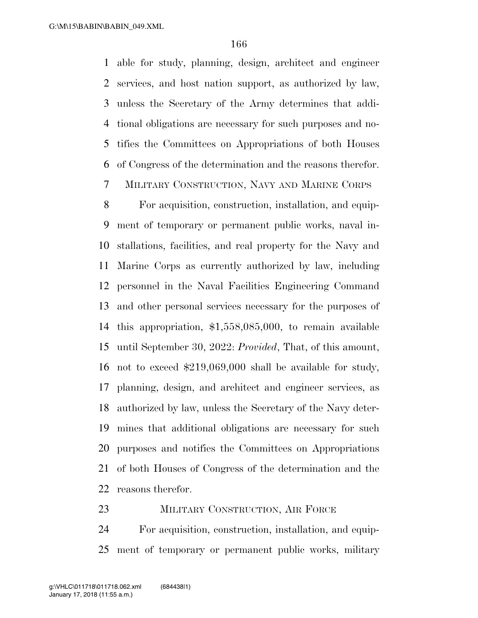able for study, planning, design, architect and engineer services, and host nation support, as authorized by law, unless the Secretary of the Army determines that addi- tional obligations are necessary for such purposes and no- tifies the Committees on Appropriations of both Houses of Congress of the determination and the reasons therefor.

MILITARY CONSTRUCTION, NAVY AND MARINE CORPS

 For acquisition, construction, installation, and equip- ment of temporary or permanent public works, naval in- stallations, facilities, and real property for the Navy and Marine Corps as currently authorized by law, including personnel in the Naval Facilities Engineering Command and other personal services necessary for the purposes of this appropriation, \$1,558,085,000, to remain available until September 30, 2022: *Provided*, That, of this amount, not to exceed \$219,069,000 shall be available for study, planning, design, and architect and engineer services, as authorized by law, unless the Secretary of the Navy deter- mines that additional obligations are necessary for such purposes and notifies the Committees on Appropriations of both Houses of Congress of the determination and the reasons therefor.

23 MILITARY CONSTRUCTION, AIR FORCE For acquisition, construction, installation, and equip-ment of temporary or permanent public works, military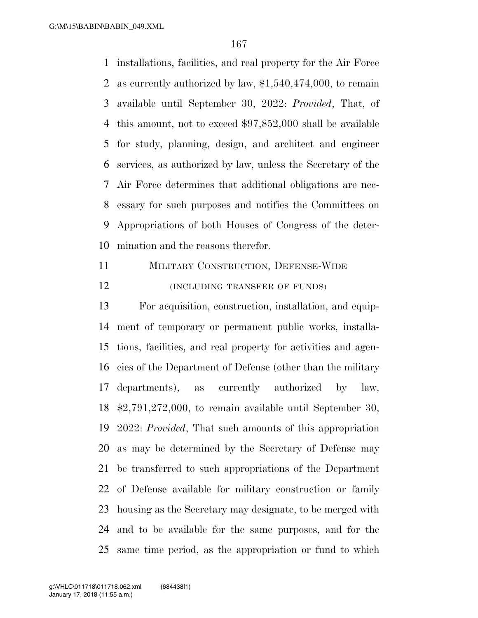installations, facilities, and real property for the Air Force as currently authorized by law, \$1,540,474,000, to remain available until September 30, 2022: *Provided*, That, of this amount, not to exceed \$97,852,000 shall be available for study, planning, design, and architect and engineer services, as authorized by law, unless the Secretary of the Air Force determines that additional obligations are nec- essary for such purposes and notifies the Committees on Appropriations of both Houses of Congress of the deter-mination and the reasons therefor.

 MILITARY CONSTRUCTION, DEFENSE-WIDE **(INCLUDING TRANSFER OF FUNDS)** 

 For acquisition, construction, installation, and equip- ment of temporary or permanent public works, installa- tions, facilities, and real property for activities and agen- cies of the Department of Defense (other than the military departments), as currently authorized by law, \$2,791,272,000, to remain available until September 30, 2022: *Provided*, That such amounts of this appropriation as may be determined by the Secretary of Defense may be transferred to such appropriations of the Department of Defense available for military construction or family housing as the Secretary may designate, to be merged with and to be available for the same purposes, and for the same time period, as the appropriation or fund to which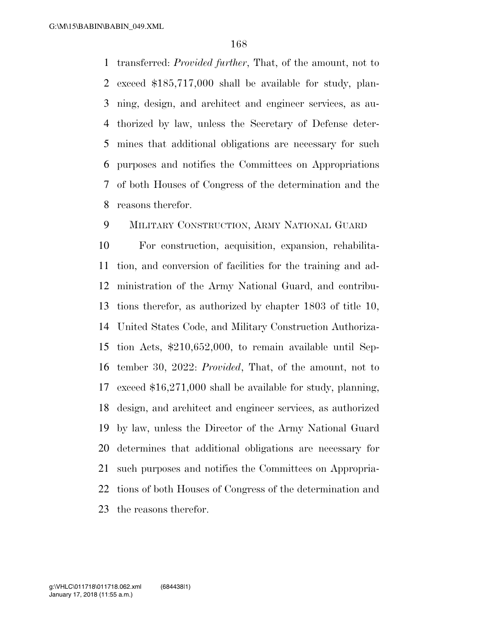transferred: *Provided further*, That, of the amount, not to exceed \$185,717,000 shall be available for study, plan- ning, design, and architect and engineer services, as au- thorized by law, unless the Secretary of Defense deter- mines that additional obligations are necessary for such purposes and notifies the Committees on Appropriations of both Houses of Congress of the determination and the reasons therefor.

### MILITARY CONSTRUCTION, ARMY NATIONAL GUARD

 For construction, acquisition, expansion, rehabilita- tion, and conversion of facilities for the training and ad- ministration of the Army National Guard, and contribu- tions therefor, as authorized by chapter 1803 of title 10, United States Code, and Military Construction Authoriza- tion Acts, \$210,652,000, to remain available until Sep- tember 30, 2022: *Provided*, That, of the amount, not to exceed \$16,271,000 shall be available for study, planning, design, and architect and engineer services, as authorized by law, unless the Director of the Army National Guard determines that additional obligations are necessary for such purposes and notifies the Committees on Appropria- tions of both Houses of Congress of the determination and the reasons therefor.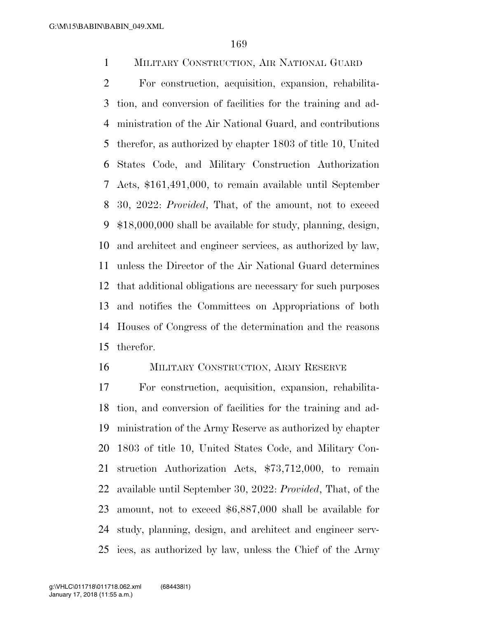MILITARY CONSTRUCTION, AIR NATIONAL GUARD

 For construction, acquisition, expansion, rehabilita- tion, and conversion of facilities for the training and ad- ministration of the Air National Guard, and contributions therefor, as authorized by chapter 1803 of title 10, United States Code, and Military Construction Authorization Acts, \$161,491,000, to remain available until September 30, 2022: *Provided*, That, of the amount, not to exceed \$18,000,000 shall be available for study, planning, design, and architect and engineer services, as authorized by law, unless the Director of the Air National Guard determines that additional obligations are necessary for such purposes and notifies the Committees on Appropriations of both Houses of Congress of the determination and the reasons therefor.

#### MILITARY CONSTRUCTION, ARMY RESERVE

 For construction, acquisition, expansion, rehabilita- tion, and conversion of facilities for the training and ad- ministration of the Army Reserve as authorized by chapter 1803 of title 10, United States Code, and Military Con- struction Authorization Acts, \$73,712,000, to remain available until September 30, 2022: *Provided*, That, of the amount, not to exceed \$6,887,000 shall be available for study, planning, design, and architect and engineer serv-ices, as authorized by law, unless the Chief of the Army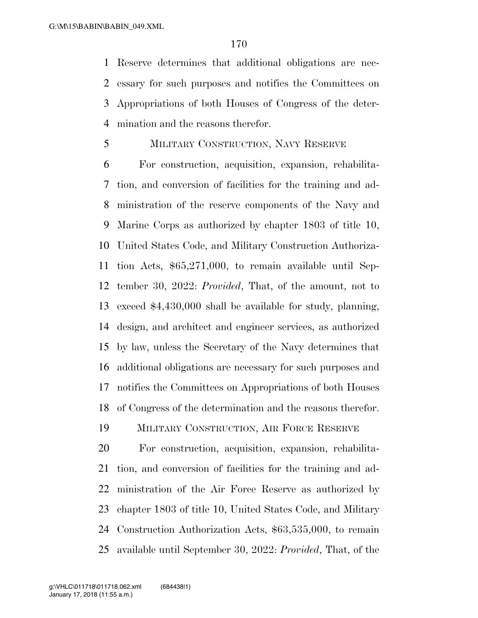Reserve determines that additional obligations are nec- essary for such purposes and notifies the Committees on Appropriations of both Houses of Congress of the deter-mination and the reasons therefor.

### MILITARY CONSTRUCTION, NAVY RESERVE

 For construction, acquisition, expansion, rehabilita- tion, and conversion of facilities for the training and ad- ministration of the reserve components of the Navy and Marine Corps as authorized by chapter 1803 of title 10, United States Code, and Military Construction Authoriza- tion Acts, \$65,271,000, to remain available until Sep- tember 30, 2022: *Provided*, That, of the amount, not to exceed \$4,430,000 shall be available for study, planning, design, and architect and engineer services, as authorized by law, unless the Secretary of the Navy determines that additional obligations are necessary for such purposes and notifies the Committees on Appropriations of both Houses of Congress of the determination and the reasons therefor.

MILITARY CONSTRUCTION, AIR FORCE RESERVE

 For construction, acquisition, expansion, rehabilita- tion, and conversion of facilities for the training and ad- ministration of the Air Force Reserve as authorized by chapter 1803 of title 10, United States Code, and Military Construction Authorization Acts, \$63,535,000, to remain available until September 30, 2022: *Provided*, That, of the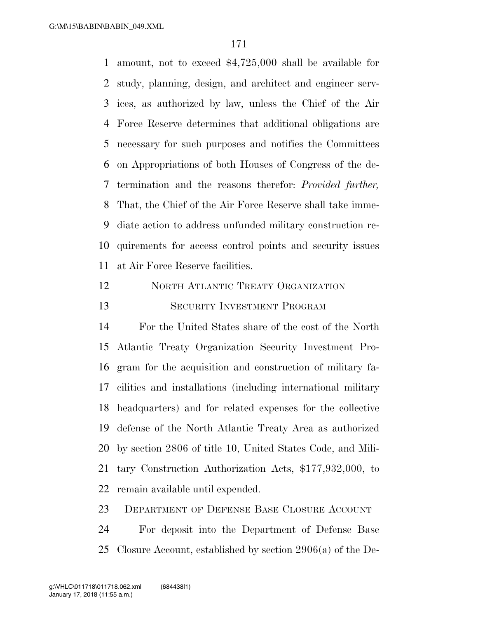amount, not to exceed \$4,725,000 shall be available for study, planning, design, and architect and engineer serv- ices, as authorized by law, unless the Chief of the Air Force Reserve determines that additional obligations are necessary for such purposes and notifies the Committees on Appropriations of both Houses of Congress of the de- termination and the reasons therefor: *Provided further,*  That, the Chief of the Air Force Reserve shall take imme- diate action to address unfunded military construction re- quirements for access control points and security issues at Air Force Reserve facilities.

 NORTH ATLANTIC TREATY ORGANIZATION SECURITY INVESTMENT PROGRAM

 For the United States share of the cost of the North Atlantic Treaty Organization Security Investment Pro- gram for the acquisition and construction of military fa- cilities and installations (including international military headquarters) and for related expenses for the collective defense of the North Atlantic Treaty Area as authorized by section 2806 of title 10, United States Code, and Mili- tary Construction Authorization Acts, \$177,932,000, to remain available until expended.

DEPARTMENT OF DEFENSE BASE CLOSURE ACCOUNT

 For deposit into the Department of Defense Base Closure Account, established by section 2906(a) of the De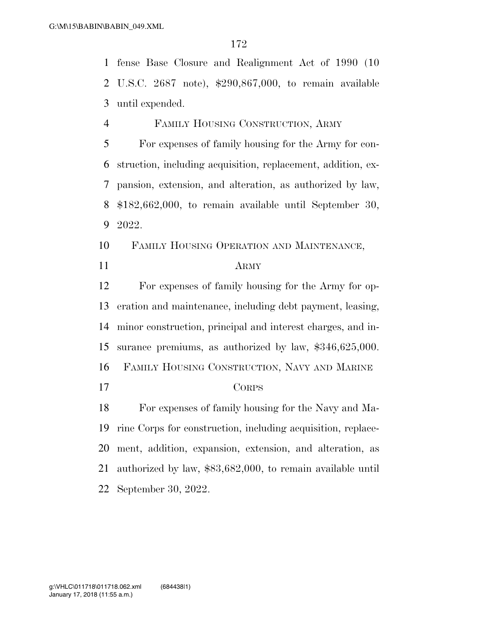fense Base Closure and Realignment Act of 1990 (10 U.S.C. 2687 note), \$290,867,000, to remain available until expended.

 FAMILY HOUSING CONSTRUCTION, ARMY For expenses of family housing for the Army for con- struction, including acquisition, replacement, addition, ex- pansion, extension, and alteration, as authorized by law, \$182,662,000, to remain available until September 30, 2022.

 FAMILY HOUSING OPERATION AND MAINTENANCE, ARMY

 For expenses of family housing for the Army for op- eration and maintenance, including debt payment, leasing, minor construction, principal and interest charges, and in- surance premiums, as authorized by law, \$346,625,000. FAMILY HOUSING CONSTRUCTION, NAVY AND MARINE CORPS

 For expenses of family housing for the Navy and Ma- rine Corps for construction, including acquisition, replace- ment, addition, expansion, extension, and alteration, as authorized by law, \$83,682,000, to remain available until September 30, 2022.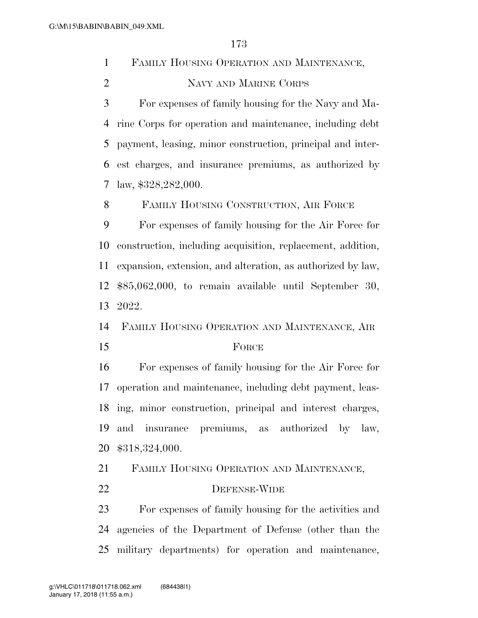FAMILY HOUSING OPERATION AND MAINTENANCE, NAVY AND MARINE CORPS

 For expenses of family housing for the Navy and Ma- rine Corps for operation and maintenance, including debt payment, leasing, minor construction, principal and inter- est charges, and insurance premiums, as authorized by law, \$328,282,000.

FAMILY HOUSING CONSTRUCTION, AIR FORCE

 For expenses of family housing for the Air Force for construction, including acquisition, replacement, addition, expansion, extension, and alteration, as authorized by law, \$85,062,000, to remain available until September 30, 2022.

FAMILY HOUSING OPERATION AND MAINTENANCE, AIR

#### 15 FORCE

 For expenses of family housing for the Air Force for operation and maintenance, including debt payment, leas- ing, minor construction, principal and interest charges, and insurance premiums, as authorized by law, \$318,324,000.

FAMILY HOUSING OPERATION AND MAINTENANCE,

22 DEFENSE-WIDE

 For expenses of family housing for the activities and agencies of the Department of Defense (other than the military departments) for operation and maintenance,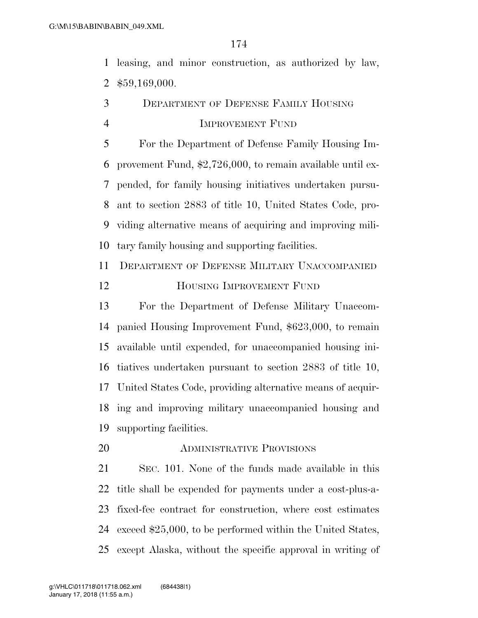leasing, and minor construction, as authorized by law, \$59,169,000.

 DEPARTMENT OF DEFENSE FAMILY HOUSING IMPROVEMENT FUND

 For the Department of Defense Family Housing Im- provement Fund, \$2,726,000, to remain available until ex- pended, for family housing initiatives undertaken pursu- ant to section 2883 of title 10, United States Code, pro- viding alternative means of acquiring and improving mili-tary family housing and supporting facilities.

 DEPARTMENT OF DEFENSE MILITARY UNACCOMPANIED HOUSING IMPROVEMENT FUND

 For the Department of Defense Military Unaccom- panied Housing Improvement Fund, \$623,000, to remain available until expended, for unaccompanied housing ini- tiatives undertaken pursuant to section 2883 of title 10, United States Code, providing alternative means of acquir- ing and improving military unaccompanied housing and supporting facilities.

ADMINISTRATIVE PROVISIONS

 SEC. 101. None of the funds made available in this title shall be expended for payments under a cost-plus-a- fixed-fee contract for construction, where cost estimates exceed \$25,000, to be performed within the United States, except Alaska, without the specific approval in writing of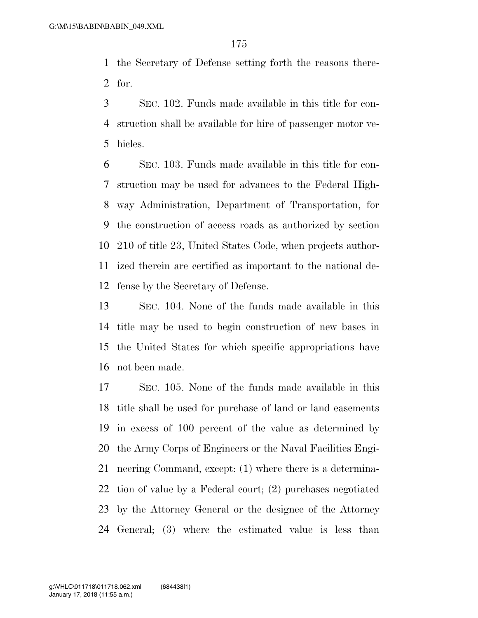the Secretary of Defense setting forth the reasons there-for.

 SEC. 102. Funds made available in this title for con- struction shall be available for hire of passenger motor ve-hicles.

 SEC. 103. Funds made available in this title for con- struction may be used for advances to the Federal High- way Administration, Department of Transportation, for the construction of access roads as authorized by section 210 of title 23, United States Code, when projects author- ized therein are certified as important to the national de-fense by the Secretary of Defense.

 SEC. 104. None of the funds made available in this title may be used to begin construction of new bases in the United States for which specific appropriations have not been made.

 SEC. 105. None of the funds made available in this title shall be used for purchase of land or land easements in excess of 100 percent of the value as determined by the Army Corps of Engineers or the Naval Facilities Engi- neering Command, except: (1) where there is a determina- tion of value by a Federal court; (2) purchases negotiated by the Attorney General or the designee of the Attorney General; (3) where the estimated value is less than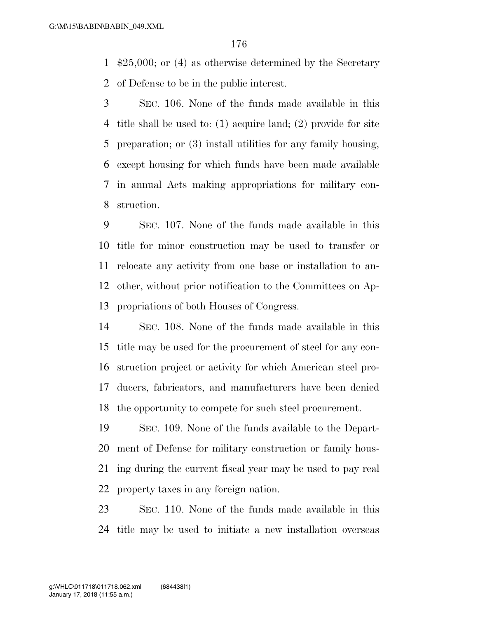\$25,000; or (4) as otherwise determined by the Secretary of Defense to be in the public interest.

 SEC. 106. None of the funds made available in this title shall be used to: (1) acquire land; (2) provide for site preparation; or (3) install utilities for any family housing, except housing for which funds have been made available in annual Acts making appropriations for military con-struction.

 SEC. 107. None of the funds made available in this title for minor construction may be used to transfer or relocate any activity from one base or installation to an- other, without prior notification to the Committees on Ap-propriations of both Houses of Congress.

 SEC. 108. None of the funds made available in this title may be used for the procurement of steel for any con- struction project or activity for which American steel pro- ducers, fabricators, and manufacturers have been denied the opportunity to compete for such steel procurement.

 SEC. 109. None of the funds available to the Depart- ment of Defense for military construction or family hous- ing during the current fiscal year may be used to pay real property taxes in any foreign nation.

 SEC. 110. None of the funds made available in this title may be used to initiate a new installation overseas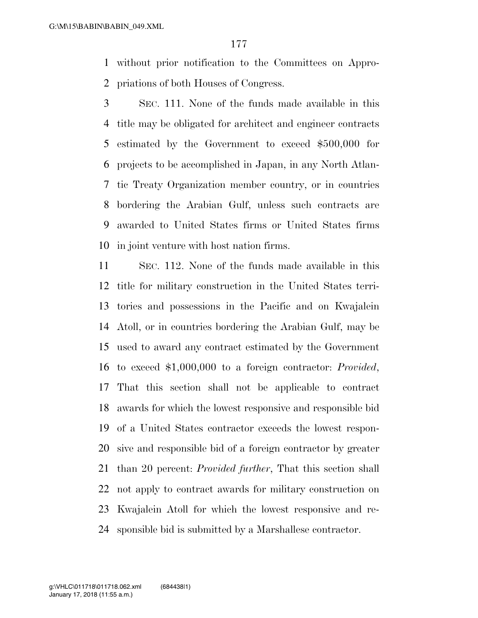without prior notification to the Committees on Appro-priations of both Houses of Congress.

 SEC. 111. None of the funds made available in this title may be obligated for architect and engineer contracts estimated by the Government to exceed \$500,000 for projects to be accomplished in Japan, in any North Atlan- tic Treaty Organization member country, or in countries bordering the Arabian Gulf, unless such contracts are awarded to United States firms or United States firms in joint venture with host nation firms.

 SEC. 112. None of the funds made available in this title for military construction in the United States terri- tories and possessions in the Pacific and on Kwajalein Atoll, or in countries bordering the Arabian Gulf, may be used to award any contract estimated by the Government to exceed \$1,000,000 to a foreign contractor: *Provided*, That this section shall not be applicable to contract awards for which the lowest responsive and responsible bid of a United States contractor exceeds the lowest respon- sive and responsible bid of a foreign contractor by greater than 20 percent: *Provided further*, That this section shall not apply to contract awards for military construction on Kwajalein Atoll for which the lowest responsive and re-sponsible bid is submitted by a Marshallese contractor.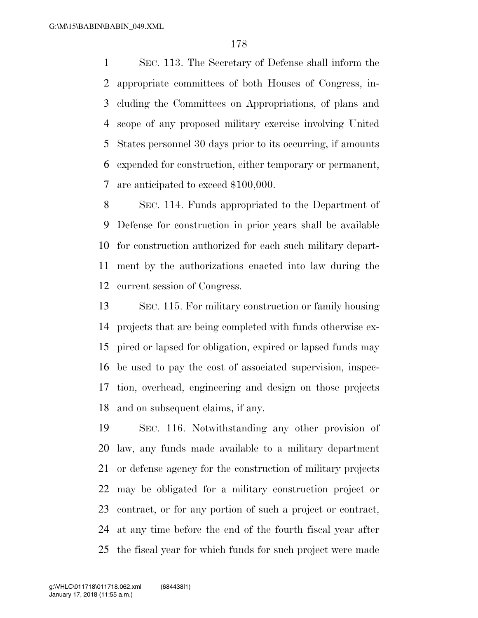SEC. 113. The Secretary of Defense shall inform the appropriate committees of both Houses of Congress, in- cluding the Committees on Appropriations, of plans and scope of any proposed military exercise involving United States personnel 30 days prior to its occurring, if amounts expended for construction, either temporary or permanent, are anticipated to exceed \$100,000.

 SEC. 114. Funds appropriated to the Department of Defense for construction in prior years shall be available for construction authorized for each such military depart- ment by the authorizations enacted into law during the current session of Congress.

 SEC. 115. For military construction or family housing projects that are being completed with funds otherwise ex- pired or lapsed for obligation, expired or lapsed funds may be used to pay the cost of associated supervision, inspec- tion, overhead, engineering and design on those projects and on subsequent claims, if any.

 SEC. 116. Notwithstanding any other provision of law, any funds made available to a military department or defense agency for the construction of military projects may be obligated for a military construction project or contract, or for any portion of such a project or contract, at any time before the end of the fourth fiscal year after the fiscal year for which funds for such project were made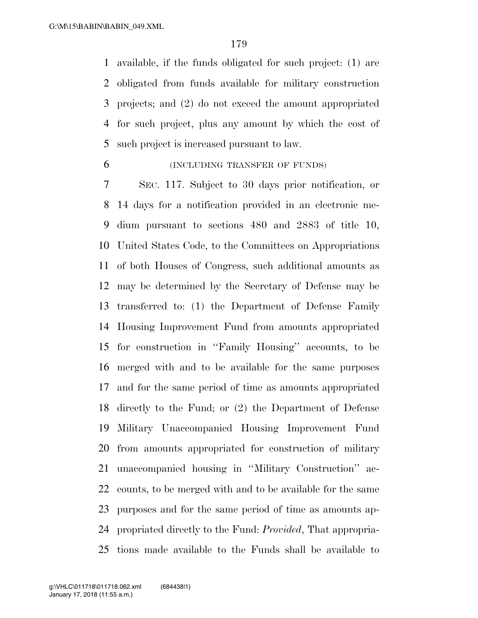available, if the funds obligated for such project: (1) are obligated from funds available for military construction projects; and (2) do not exceed the amount appropriated for such project, plus any amount by which the cost of such project is increased pursuant to law.

(INCLUDING TRANSFER OF FUNDS)

 SEC. 117. Subject to 30 days prior notification, or 14 days for a notification provided in an electronic me- dium pursuant to sections 480 and 2883 of title 10, United States Code, to the Committees on Appropriations of both Houses of Congress, such additional amounts as may be determined by the Secretary of Defense may be transferred to: (1) the Department of Defense Family Housing Improvement Fund from amounts appropriated for construction in ''Family Housing'' accounts, to be merged with and to be available for the same purposes and for the same period of time as amounts appropriated directly to the Fund; or (2) the Department of Defense Military Unaccompanied Housing Improvement Fund from amounts appropriated for construction of military unaccompanied housing in ''Military Construction'' ac- counts, to be merged with and to be available for the same purposes and for the same period of time as amounts ap- propriated directly to the Fund: *Provided*, That appropria-tions made available to the Funds shall be available to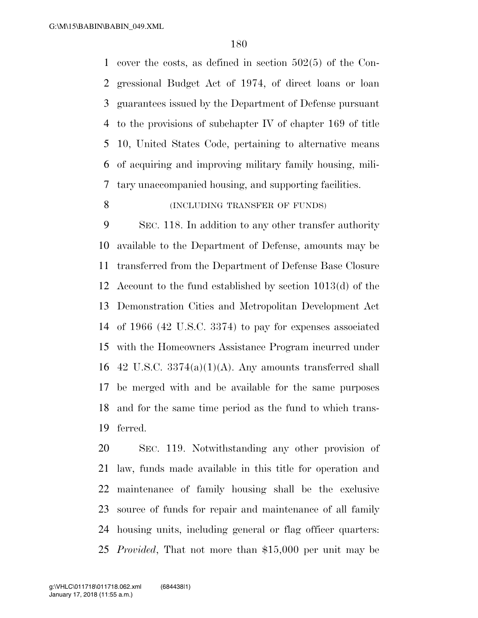cover the costs, as defined in section 502(5) of the Con- gressional Budget Act of 1974, of direct loans or loan guarantees issued by the Department of Defense pursuant to the provisions of subchapter IV of chapter 169 of title 10, United States Code, pertaining to alternative means of acquiring and improving military family housing, mili-tary unaccompanied housing, and supporting facilities.

### 8 (INCLUDING TRANSFER OF FUNDS)

 SEC. 118. In addition to any other transfer authority available to the Department of Defense, amounts may be transferred from the Department of Defense Base Closure Account to the fund established by section 1013(d) of the Demonstration Cities and Metropolitan Development Act of 1966 (42 U.S.C. 3374) to pay for expenses associated with the Homeowners Assistance Program incurred under 16 42 U.S.C.  $3374(a)(1)(A)$ . Any amounts transferred shall be merged with and be available for the same purposes and for the same time period as the fund to which trans-ferred.

 SEC. 119. Notwithstanding any other provision of law, funds made available in this title for operation and maintenance of family housing shall be the exclusive source of funds for repair and maintenance of all family housing units, including general or flag officer quarters: *Provided*, That not more than \$15,000 per unit may be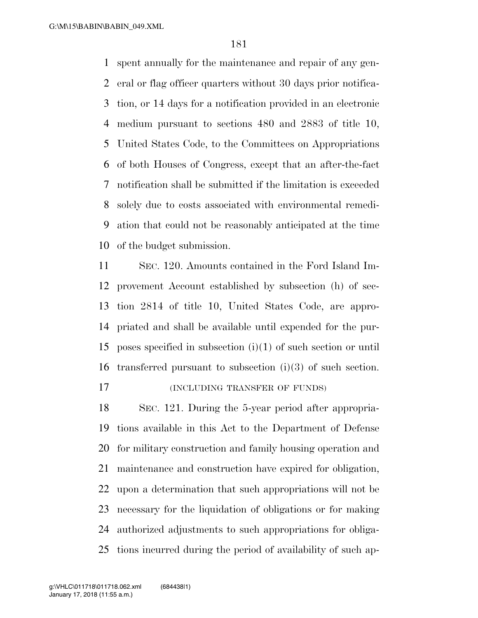spent annually for the maintenance and repair of any gen- eral or flag officer quarters without 30 days prior notifica- tion, or 14 days for a notification provided in an electronic medium pursuant to sections 480 and 2883 of title 10, United States Code, to the Committees on Appropriations of both Houses of Congress, except that an after-the-fact notification shall be submitted if the limitation is exceeded solely due to costs associated with environmental remedi- ation that could not be reasonably anticipated at the time of the budget submission.

 SEC. 120. Amounts contained in the Ford Island Im- provement Account established by subsection (h) of sec- tion 2814 of title 10, United States Code, are appro- priated and shall be available until expended for the pur- poses specified in subsection (i)(1) of such section or until transferred pursuant to subsection (i)(3) of such section. (INCLUDING TRANSFER OF FUNDS)

 SEC. 121. During the 5-year period after appropria- tions available in this Act to the Department of Defense for military construction and family housing operation and maintenance and construction have expired for obligation, upon a determination that such appropriations will not be necessary for the liquidation of obligations or for making authorized adjustments to such appropriations for obliga-tions incurred during the period of availability of such ap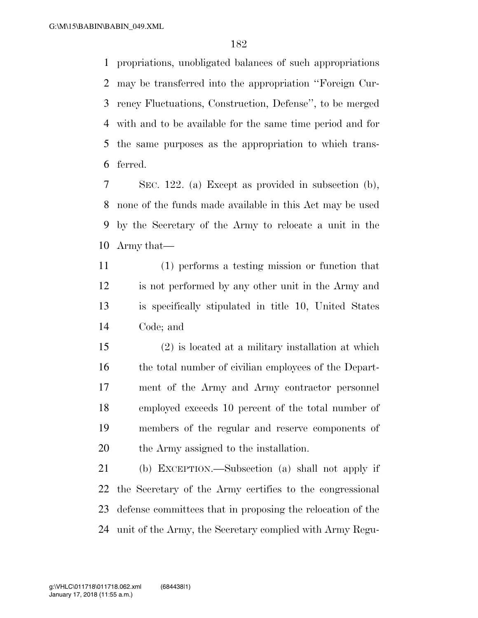propriations, unobligated balances of such appropriations may be transferred into the appropriation ''Foreign Cur- rency Fluctuations, Construction, Defense'', to be merged with and to be available for the same time period and for the same purposes as the appropriation to which trans-ferred.

 SEC. 122. (a) Except as provided in subsection (b), none of the funds made available in this Act may be used by the Secretary of the Army to relocate a unit in the Army that—

 (1) performs a testing mission or function that is not performed by any other unit in the Army and is specifically stipulated in title 10, United States Code; and

 (2) is located at a military installation at which 16 the total number of civilian employees of the Depart- ment of the Army and Army contractor personnel employed exceeds 10 percent of the total number of members of the regular and reserve components of the Army assigned to the installation.

 (b) EXCEPTION.—Subsection (a) shall not apply if the Secretary of the Army certifies to the congressional defense committees that in proposing the relocation of the unit of the Army, the Secretary complied with Army Regu-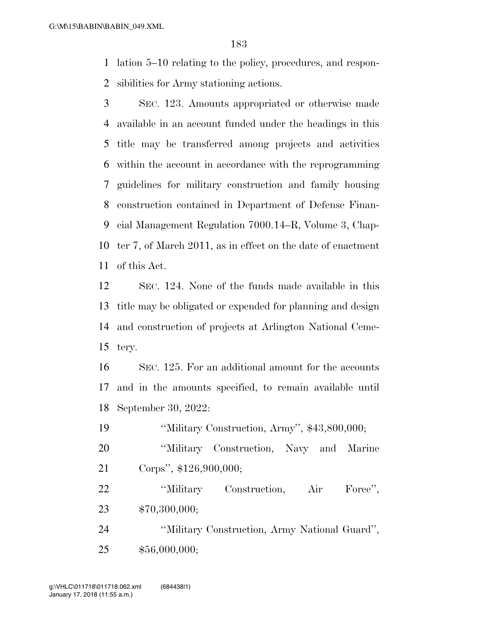lation 5–10 relating to the policy, procedures, and respon-sibilities for Army stationing actions.

 SEC. 123. Amounts appropriated or otherwise made available in an account funded under the headings in this title may be transferred among projects and activities within the account in accordance with the reprogramming guidelines for military construction and family housing construction contained in Department of Defense Finan- cial Management Regulation 7000.14–R, Volume 3, Chap- ter 7, of March 2011, as in effect on the date of enactment of this Act.

 SEC. 124. None of the funds made available in this title may be obligated or expended for planning and design and construction of projects at Arlington National Ceme-tery.

 SEC. 125. For an additional amount for the accounts and in the amounts specified, to remain available until September 30, 2022:

''Military Construction, Army'', \$43,800,000;

 ''Military Construction, Navy and Marine Corps'', \$126,900,000;

 ''Military Construction, Air Force'', \$70,300,000;

 ''Military Construction, Army National Guard'', \$56,000,000;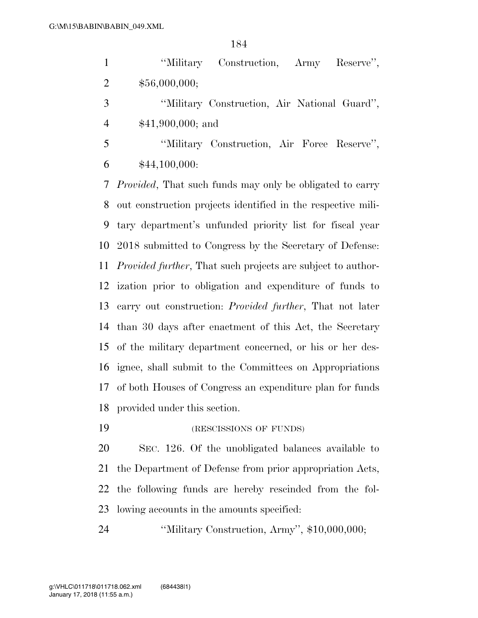| $\mathbf{1}$   | "Military Construction, Army<br>Reserve",                              |
|----------------|------------------------------------------------------------------------|
| $\overline{2}$ | \$56,000,000;                                                          |
| 3              | "Military Construction, Air National Guard",                           |
| $\overline{4}$ | $$41,900,000;$ and                                                     |
| 5              | "Military Construction, Air Force Reserve",                            |
| 6              | \$44,100,000:                                                          |
| 7              | <i>Provided</i> , That such funds may only be obligated to carry       |
| 8              | out construction projects identified in the respective mili-           |
| 9              | tary department's unfunded priority list for fiscal year               |
| 10             | 2018 submitted to Congress by the Secretary of Defense:                |
|                | 11 <i>Provided further</i> , That such projects are subject to author- |
|                | 12 ization prior to obligation and expenditure of funds to             |
| 13             | carry out construction: <i>Provided further</i> , That not later       |
|                | 14 than 30 days after enactment of this Act, the Secretary             |

 of the military department concerned, or his or her des- ignee, shall submit to the Committees on Appropriations of both Houses of Congress an expenditure plan for funds provided under this section.

19 (RESCISSIONS OF FUNDS)

 SEC. 126. Of the unobligated balances available to the Department of Defense from prior appropriation Acts, the following funds are hereby rescinded from the fol-lowing accounts in the amounts specified:

''Military Construction, Army'', \$10,000,000;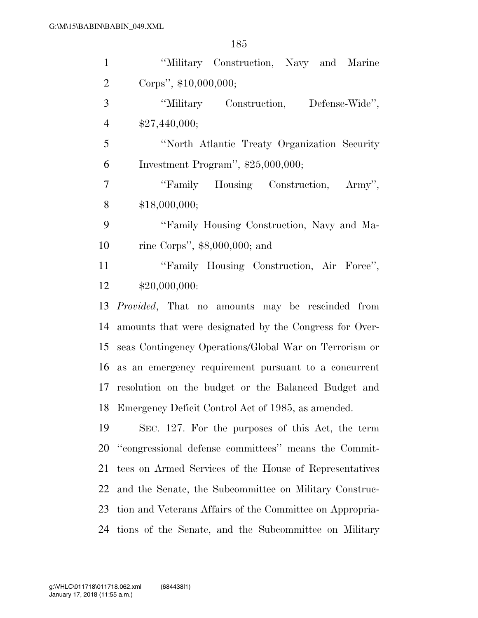| $\mathbf{1}$   | "Military Construction, Navy and Marine                  |
|----------------|----------------------------------------------------------|
| $\overline{2}$ | Corps", \$10,000,000;                                    |
| 3              | "Military Construction, Defense-Wide",                   |
| $\overline{4}$ | \$27,440,000;                                            |
| 5              | "North Atlantic Treaty Organization Security"            |
| 6              | Investment Program", $$25,000,000;$                      |
| $\tau$         | "Family Housing Construction, Army",                     |
| 8              | \$18,000,000;                                            |
| 9              | "Family Housing Construction, Navy and Ma-               |
| 10             | rine Corps", $$8,000,000$ ; and                          |
| 11             | "Family Housing Construction, Air Force",                |
| 12             | \$20,000,000:                                            |
| 13             | <i>Provided</i> , That no amounts may be rescinded from  |
| 14             | amounts that were designated by the Congress for Over-   |
| 15             | seas Contingency Operations/Global War on Terrorism or   |
|                | 16 as an emergency requirement pursuant to a concurrent  |
| 17             | resolution on the budget or the Balanced Budget and      |
|                | 18 Emergency Deficit Control Act of 1985, as amended.    |
| 19             | SEC. 127. For the purposes of this Act, the term         |
| 20             | "congressional defense committees" means the Commit-     |
| 21             | tees on Armed Services of the House of Representatives   |
| 22             | and the Senate, the Subcommittee on Military Construc-   |
| 23             | tion and Veterans Affairs of the Committee on Appropria- |
| 24             | tions of the Senate, and the Subcommittee on Military    |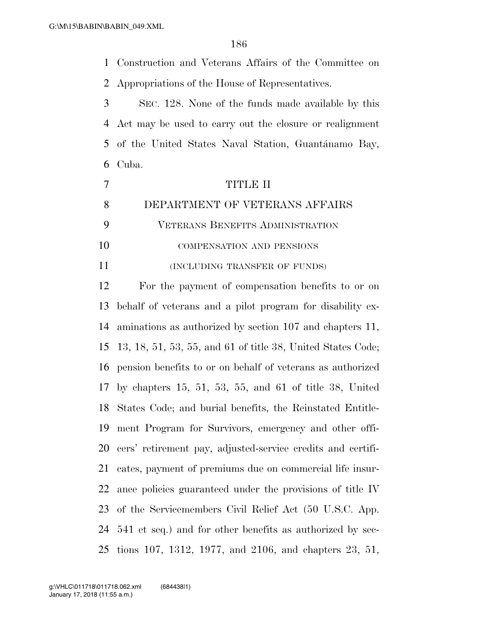Construction and Veterans Affairs of the Committee on

Appropriations of the House of Representatives.

 SEC. 128. None of the funds made available by this Act may be used to carry out the closure or realignment 5 of the United States Naval Station, Guantánamo Bay, Cuba.

|    | TITLE II                                |
|----|-----------------------------------------|
|    | DEPARTMENT OF VETERANS AFFAIRS          |
|    | <b>VETERANS BENEFITS ADMINISTRATION</b> |
| 10 | <b>COMPENSATION AND PENSIONS</b>        |

11 (INCLUDING TRANSFER OF FUNDS)

 For the payment of compensation benefits to or on behalf of veterans and a pilot program for disability ex- aminations as authorized by section 107 and chapters 11, 13, 18, 51, 53, 55, and 61 of title 38, United States Code; pension benefits to or on behalf of veterans as authorized by chapters 15, 51, 53, 55, and 61 of title 38, United States Code; and burial benefits, the Reinstated Entitle- ment Program for Survivors, emergency and other offi- cers' retirement pay, adjusted-service credits and certifi- cates, payment of premiums due on commercial life insur- ance policies guaranteed under the provisions of title IV of the Servicemembers Civil Relief Act (50 U.S.C. App. 541 et seq.) and for other benefits as authorized by sec-tions 107, 1312, 1977, and 2106, and chapters 23, 51,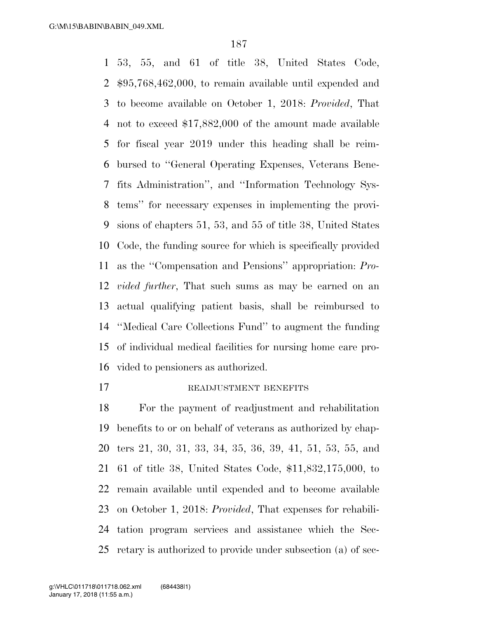53, 55, and 61 of title 38, United States Code, \$95,768,462,000, to remain available until expended and to become available on October 1, 2018: *Provided*, That not to exceed \$17,882,000 of the amount made available for fiscal year 2019 under this heading shall be reim- bursed to ''General Operating Expenses, Veterans Bene- fits Administration'', and ''Information Technology Sys- tems'' for necessary expenses in implementing the provi- sions of chapters 51, 53, and 55 of title 38, United States Code, the funding source for which is specifically provided as the ''Compensation and Pensions'' appropriation: *Pro- vided further*, That such sums as may be earned on an actual qualifying patient basis, shall be reimbursed to ''Medical Care Collections Fund'' to augment the funding of individual medical facilities for nursing home care pro-vided to pensioners as authorized.

#### 17 READJUSTMENT BENEFITS

 For the payment of readjustment and rehabilitation benefits to or on behalf of veterans as authorized by chap- ters 21, 30, 31, 33, 34, 35, 36, 39, 41, 51, 53, 55, and 61 of title 38, United States Code, \$11,832,175,000, to remain available until expended and to become available on October 1, 2018: *Provided*, That expenses for rehabili- tation program services and assistance which the Sec-retary is authorized to provide under subsection (a) of sec-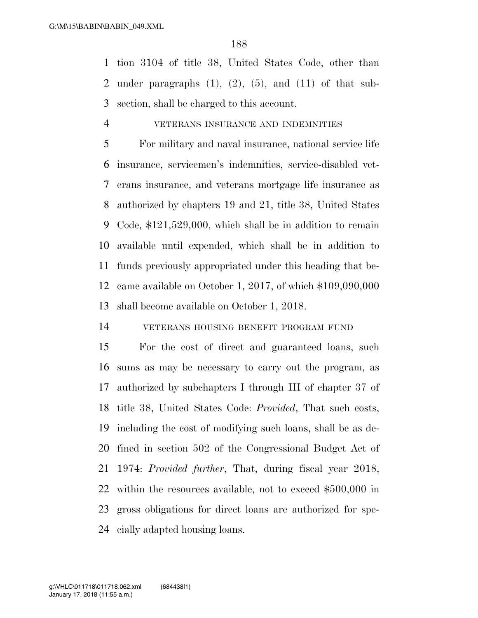tion 3104 of title 38, United States Code, other than 2 under paragraphs  $(1)$ ,  $(2)$ ,  $(5)$ , and  $(11)$  of that sub-section, shall be charged to this account.

#### VETERANS INSURANCE AND INDEMNITIES

 For military and naval insurance, national service life insurance, servicemen's indemnities, service-disabled vet- erans insurance, and veterans mortgage life insurance as authorized by chapters 19 and 21, title 38, United States Code, \$121,529,000, which shall be in addition to remain available until expended, which shall be in addition to funds previously appropriated under this heading that be- came available on October 1, 2017, of which \$109,090,000 shall become available on October 1, 2018.

VETERANS HOUSING BENEFIT PROGRAM FUND

 For the cost of direct and guaranteed loans, such sums as may be necessary to carry out the program, as authorized by subchapters I through III of chapter 37 of title 38, United States Code: *Provided*, That such costs, including the cost of modifying such loans, shall be as de- fined in section 502 of the Congressional Budget Act of 1974: *Provided further*, That, during fiscal year 2018, within the resources available, not to exceed \$500,000 in gross obligations for direct loans are authorized for spe-cially adapted housing loans.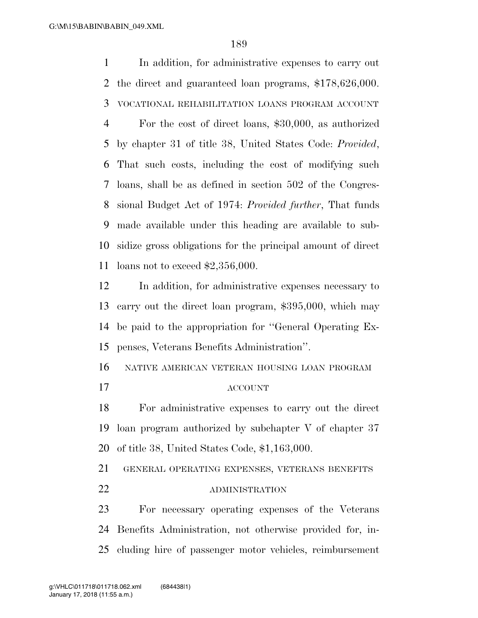In addition, for administrative expenses to carry out the direct and guaranteed loan programs, \$178,626,000. VOCATIONAL REHABILITATION LOANS PROGRAM ACCOUNT For the cost of direct loans, \$30,000, as authorized by chapter 31 of title 38, United States Code: *Provided*, That such costs, including the cost of modifying such loans, shall be as defined in section 502 of the Congres- sional Budget Act of 1974: *Provided further*, That funds made available under this heading are available to sub- sidize gross obligations for the principal amount of direct loans not to exceed \$2,356,000. In addition, for administrative expenses necessary to carry out the direct loan program, \$395,000, which may be paid to the appropriation for ''General Operating Ex- penses, Veterans Benefits Administration''. NATIVE AMERICAN VETERAN HOUSING LOAN PROGRAM ACCOUNT For administrative expenses to carry out the direct loan program authorized by subchapter V of chapter 37 of title 38, United States Code, \$1,163,000. GENERAL OPERATING EXPENSES, VETERANS BENEFITS 22 ADMINISTRATION For necessary operating expenses of the Veterans Benefits Administration, not otherwise provided for, in-

cluding hire of passenger motor vehicles, reimbursement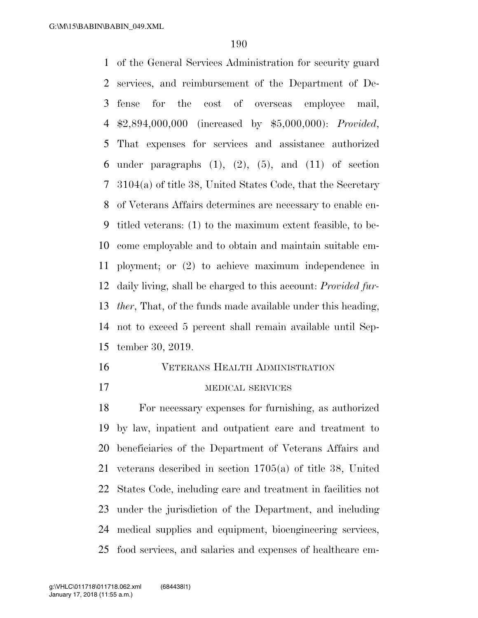of the General Services Administration for security guard services, and reimbursement of the Department of De- fense for the cost of overseas employee mail, \$2,894,000,000 (increased by \$5,000,000): *Provided*, That expenses for services and assistance authorized 6 under paragraphs  $(1)$ ,  $(2)$ ,  $(5)$ , and  $(11)$  of section 3104(a) of title 38, United States Code, that the Secretary of Veterans Affairs determines are necessary to enable en- titled veterans: (1) to the maximum extent feasible, to be- come employable and to obtain and maintain suitable em- ployment; or (2) to achieve maximum independence in daily living, shall be charged to this account: *Provided fur- ther*, That, of the funds made available under this heading, not to exceed 5 percent shall remain available until Sep-tember 30, 2019.

#### VETERANS HEALTH ADMINISTRATION

## MEDICAL SERVICES

 For necessary expenses for furnishing, as authorized by law, inpatient and outpatient care and treatment to beneficiaries of the Department of Veterans Affairs and veterans described in section 1705(a) of title 38, United States Code, including care and treatment in facilities not under the jurisdiction of the Department, and including medical supplies and equipment, bioengineering services, food services, and salaries and expenses of healthcare em-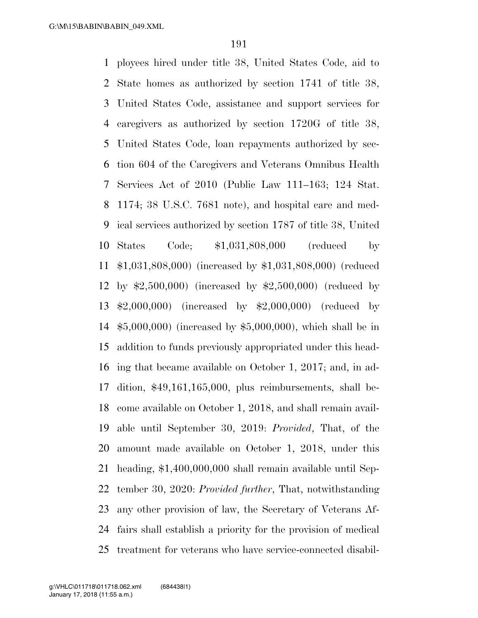ployees hired under title 38, United States Code, aid to State homes as authorized by section 1741 of title 38, United States Code, assistance and support services for caregivers as authorized by section 1720G of title 38, United States Code, loan repayments authorized by sec- tion 604 of the Caregivers and Veterans Omnibus Health Services Act of 2010 (Public Law 111–163; 124 Stat. 1174; 38 U.S.C. 7681 note), and hospital care and med- ical services authorized by section 1787 of title 38, United States Code; \$1,031,808,000 (reduced by \$1,031,808,000) (increased by \$1,031,808,000) (reduced by \$2,500,000) (increased by \$2,500,000) (reduced by \$2,000,000) (increased by \$2,000,000) (reduced by \$5,000,000) (increased by \$5,000,000), which shall be in addition to funds previously appropriated under this head- ing that became available on October 1, 2017; and, in ad- dition, \$49,161,165,000, plus reimbursements, shall be- come available on October 1, 2018, and shall remain avail- able until September 30, 2019: *Provided*, That, of the amount made available on October 1, 2018, under this heading, \$1,400,000,000 shall remain available until Sep- tember 30, 2020: *Provided further*, That, notwithstanding any other provision of law, the Secretary of Veterans Af- fairs shall establish a priority for the provision of medical treatment for veterans who have service-connected disabil-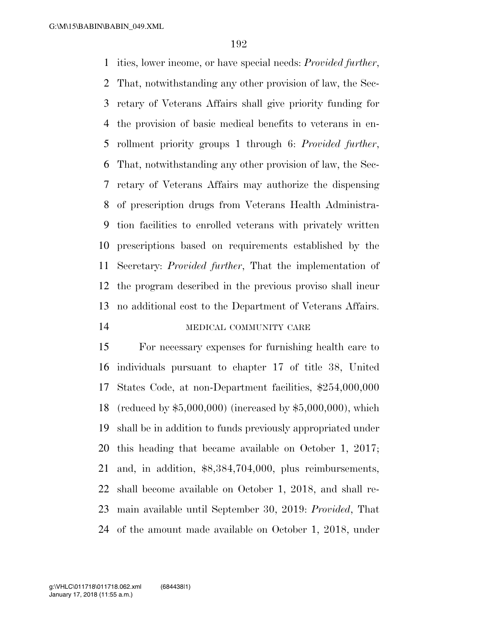ities, lower income, or have special needs: *Provided further*, That, notwithstanding any other provision of law, the Sec- retary of Veterans Affairs shall give priority funding for the provision of basic medical benefits to veterans in en- rollment priority groups 1 through 6: *Provided further*, That, notwithstanding any other provision of law, the Sec- retary of Veterans Affairs may authorize the dispensing of prescription drugs from Veterans Health Administra- tion facilities to enrolled veterans with privately written prescriptions based on requirements established by the Secretary: *Provided further*, That the implementation of the program described in the previous proviso shall incur no additional cost to the Department of Veterans Affairs. 14 MEDICAL COMMUNITY CARE

 For necessary expenses for furnishing health care to individuals pursuant to chapter 17 of title 38, United States Code, at non-Department facilities, \$254,000,000 (reduced by \$5,000,000) (increased by \$5,000,000), which shall be in addition to funds previously appropriated under this heading that became available on October 1, 2017; and, in addition, \$8,384,704,000, plus reimbursements, shall become available on October 1, 2018, and shall re- main available until September 30, 2019: *Provided*, That of the amount made available on October 1, 2018, under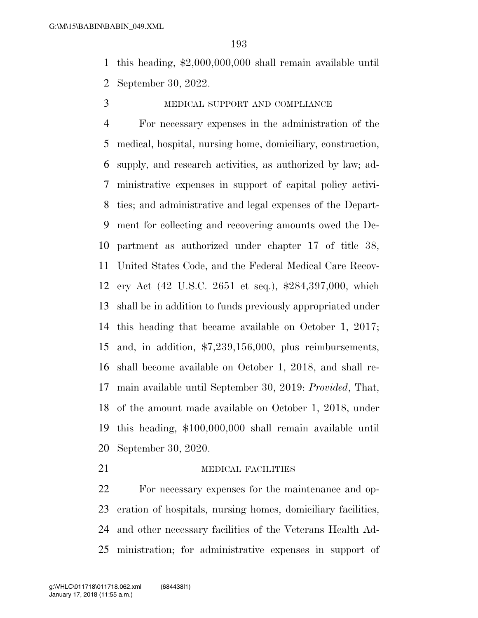this heading, \$2,000,000,000 shall remain available until September 30, 2022.

#### MEDICAL SUPPORT AND COMPLIANCE

 For necessary expenses in the administration of the medical, hospital, nursing home, domiciliary, construction, supply, and research activities, as authorized by law; ad- ministrative expenses in support of capital policy activi- ties; and administrative and legal expenses of the Depart- ment for collecting and recovering amounts owed the De- partment as authorized under chapter 17 of title 38, United States Code, and the Federal Medical Care Recov- ery Act (42 U.S.C. 2651 et seq.), \$284,397,000, which shall be in addition to funds previously appropriated under this heading that became available on October 1, 2017; and, in addition, \$7,239,156,000, plus reimbursements, shall become available on October 1, 2018, and shall re- main available until September 30, 2019: *Provided*, That, of the amount made available on October 1, 2018, under this heading, \$100,000,000 shall remain available until September 30, 2020.

#### 21 MEDICAL FACILITIES

 For necessary expenses for the maintenance and op- eration of hospitals, nursing homes, domiciliary facilities, and other necessary facilities of the Veterans Health Ad-ministration; for administrative expenses in support of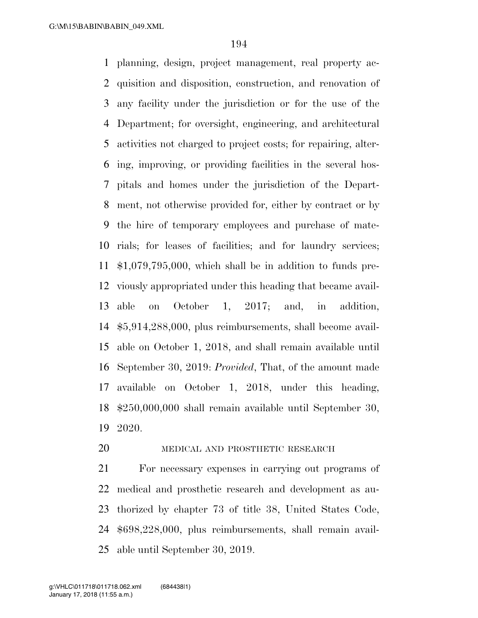planning, design, project management, real property ac- quisition and disposition, construction, and renovation of any facility under the jurisdiction or for the use of the Department; for oversight, engineering, and architectural activities not charged to project costs; for repairing, alter- ing, improving, or providing facilities in the several hos- pitals and homes under the jurisdiction of the Depart- ment, not otherwise provided for, either by contract or by the hire of temporary employees and purchase of mate- rials; for leases of facilities; and for laundry services; \$1,079,795,000, which shall be in addition to funds pre- viously appropriated under this heading that became avail- able on October 1, 2017; and, in addition, \$5,914,288,000, plus reimbursements, shall become avail- able on October 1, 2018, and shall remain available until September 30, 2019: *Provided*, That, of the amount made available on October 1, 2018, under this heading, \$250,000,000 shall remain available until September 30, 2020.

## 20 MEDICAL AND PROSTHETIC RESEARCH

 For necessary expenses in carrying out programs of medical and prosthetic research and development as au- thorized by chapter 73 of title 38, United States Code, \$698,228,000, plus reimbursements, shall remain avail-able until September 30, 2019.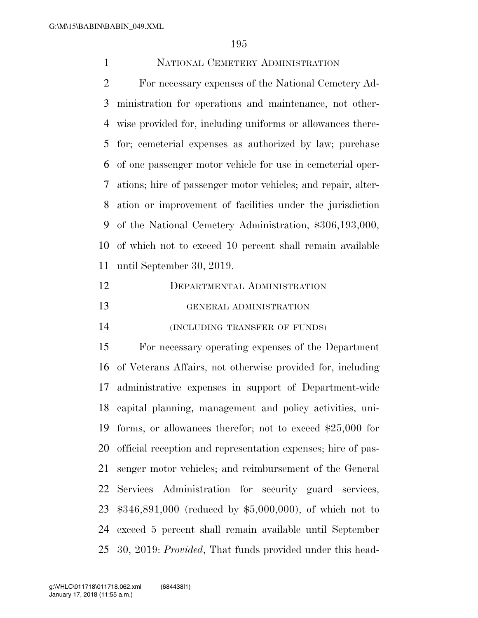## NATIONAL CEMETERY ADMINISTRATION

 For necessary expenses of the National Cemetery Ad- ministration for operations and maintenance, not other- wise provided for, including uniforms or allowances there- for; cemeterial expenses as authorized by law; purchase of one passenger motor vehicle for use in cemeterial oper- ations; hire of passenger motor vehicles; and repair, alter- ation or improvement of facilities under the jurisdiction of the National Cemetery Administration, \$306,193,000, of which not to exceed 10 percent shall remain available until September 30, 2019.

| 12 | DEPARTMENTAL ADMINISTRATION   |
|----|-------------------------------|
| 13 | GENERAL ADMINISTRATION        |
| 14 | (INCLUDING TRANSFER OF FUNDS) |

 For necessary operating expenses of the Department of Veterans Affairs, not otherwise provided for, including administrative expenses in support of Department-wide capital planning, management and policy activities, uni- forms, or allowances therefor; not to exceed \$25,000 for official reception and representation expenses; hire of pas- senger motor vehicles; and reimbursement of the General Services Administration for security guard services, \$346,891,000 (reduced by \$5,000,000), of which not to exceed 5 percent shall remain available until September 30, 2019: *Provided*, That funds provided under this head-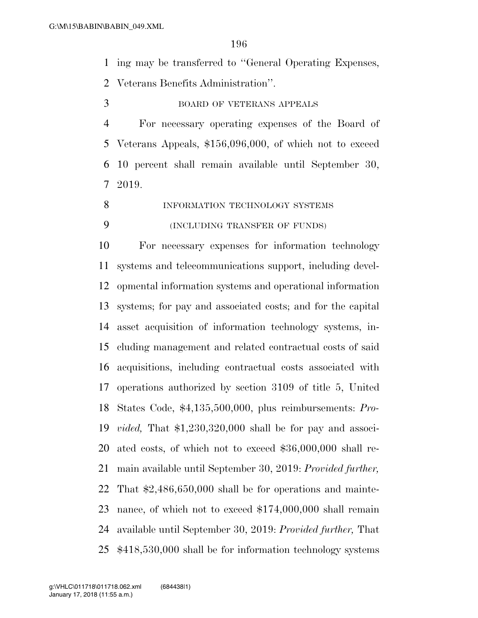ing may be transferred to ''General Operating Expenses,

Veterans Benefits Administration''.

BOARD OF VETERANS APPEALS

 For necessary operating expenses of the Board of Veterans Appeals, \$156,096,000, of which not to exceed 10 percent shall remain available until September 30, 2019.

8 INFORMATION TECHNOLOGY SYSTEMS

## (INCLUDING TRANSFER OF FUNDS)

 For necessary expenses for information technology systems and telecommunications support, including devel- opmental information systems and operational information systems; for pay and associated costs; and for the capital asset acquisition of information technology systems, in- cluding management and related contractual costs of said acquisitions, including contractual costs associated with operations authorized by section 3109 of title 5, United States Code, \$4,135,500,000, plus reimbursements: *Pro- vided,* That \$1,230,320,000 shall be for pay and associ- ated costs, of which not to exceed \$36,000,000 shall re- main available until September 30, 2019: *Provided further,* That \$2,486,650,000 shall be for operations and mainte- nance, of which not to exceed \$174,000,000 shall remain available until September 30, 2019: *Provided further,* That \$418,530,000 shall be for information technology systems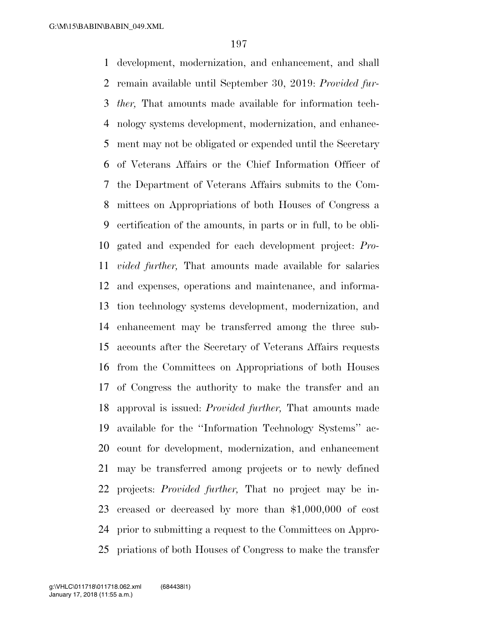development, modernization, and enhancement, and shall remain available until September 30, 2019: *Provided fur- ther,* That amounts made available for information tech- nology systems development, modernization, and enhance- ment may not be obligated or expended until the Secretary of Veterans Affairs or the Chief Information Officer of the Department of Veterans Affairs submits to the Com- mittees on Appropriations of both Houses of Congress a certification of the amounts, in parts or in full, to be obli- gated and expended for each development project: *Pro- vided further,* That amounts made available for salaries and expenses, operations and maintenance, and informa- tion technology systems development, modernization, and enhancement may be transferred among the three sub- accounts after the Secretary of Veterans Affairs requests from the Committees on Appropriations of both Houses of Congress the authority to make the transfer and an approval is issued: *Provided further,* That amounts made available for the ''Information Technology Systems'' ac- count for development, modernization, and enhancement may be transferred among projects or to newly defined projects: *Provided further,* That no project may be in- creased or decreased by more than \$1,000,000 of cost prior to submitting a request to the Committees on Appro-priations of both Houses of Congress to make the transfer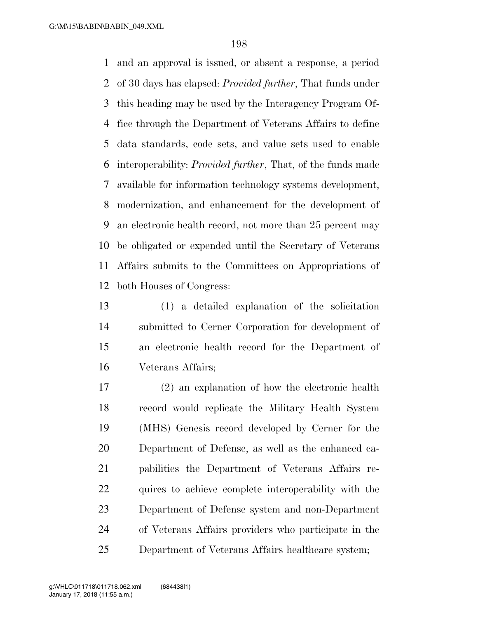and an approval is issued, or absent a response, a period of 30 days has elapsed: *Provided further*, That funds under this heading may be used by the Interagency Program Of- fice through the Department of Veterans Affairs to define data standards, code sets, and value sets used to enable interoperability: *Provided further*, That, of the funds made available for information technology systems development, modernization, and enhancement for the development of an electronic health record, not more than 25 percent may be obligated or expended until the Secretary of Veterans Affairs submits to the Committees on Appropriations of both Houses of Congress:

 (1) a detailed explanation of the solicitation submitted to Cerner Corporation for development of an electronic health record for the Department of Veterans Affairs;

 (2) an explanation of how the electronic health record would replicate the Military Health System (MHS) Genesis record developed by Cerner for the Department of Defense, as well as the enhanced ca- pabilities the Department of Veterans Affairs re- quires to achieve complete interoperability with the Department of Defense system and non-Department of Veterans Affairs providers who participate in the Department of Veterans Affairs healthcare system;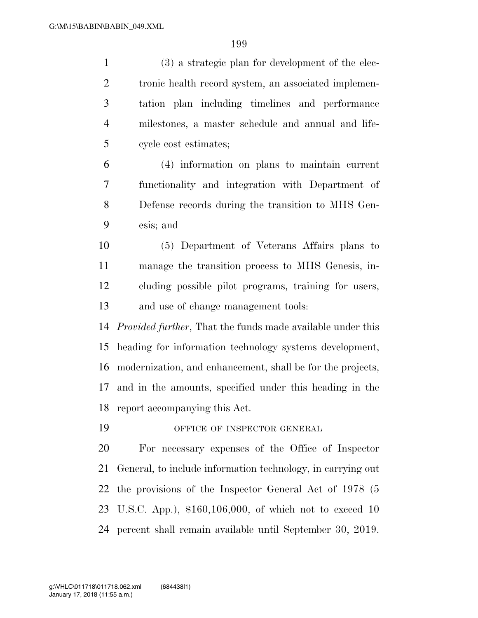| $\mathbf{1}$   | (3) a strategic plan for development of the elec-                  |
|----------------|--------------------------------------------------------------------|
| $\overline{2}$ | tronic health record system, an associated implemen-               |
| 3              | tation plan including timelines and performance                    |
| $\overline{4}$ | milestones, a master schedule and annual and life-                 |
| 5              | cycle cost estimates;                                              |
| 6              | (4) information on plans to maintain current                       |
| $\overline{7}$ | functionality and integration with Department of                   |
| 8              | Defense records during the transition to MHS Gen-                  |
| 9              | esis; and                                                          |
| 10             | (5) Department of Veterans Affairs plans to                        |
| 11             | manage the transition process to MHS Genesis, in-                  |
| 12             | cluding possible pilot programs, training for users,               |
| 13             | and use of change management tools:                                |
| 14             | <i>Provided further</i> , That the funds made available under this |
| 15             | heading for information technology systems development,            |
| 16             | modernization, and enhancement, shall be for the projects,         |
| 17             | and in the amounts, specified under this heading in the            |
| 18             | report accompanying this Act.                                      |
| 19             | OFFICE OF INSPECTOR GENERAL                                        |
| 20             | For necessary expenses of the Office of Inspector                  |
| 21             | General, to include information technology, in carrying out        |
| 22             | the provisions of the Inspector General Act of 1978 (5             |
| 23             | U.S.C. App.), $$160,106,000$ , of which not to exceed 10           |
| 24             | percent shall remain available until September 30, 2019.           |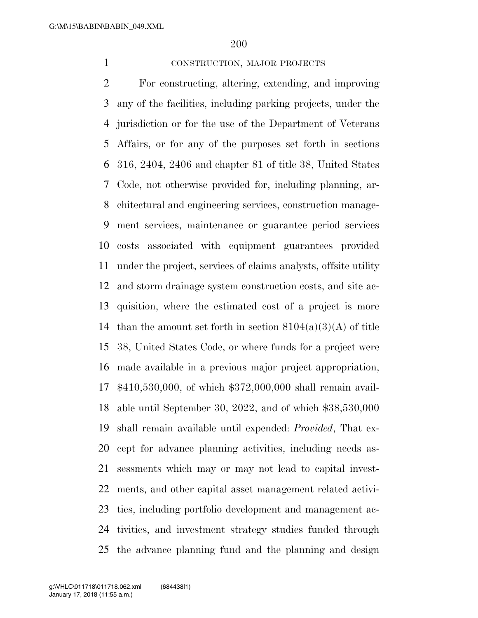## CONSTRUCTION, MAJOR PROJECTS

 For constructing, altering, extending, and improving any of the facilities, including parking projects, under the jurisdiction or for the use of the Department of Veterans Affairs, or for any of the purposes set forth in sections 316, 2404, 2406 and chapter 81 of title 38, United States Code, not otherwise provided for, including planning, ar- chitectural and engineering services, construction manage- ment services, maintenance or guarantee period services costs associated with equipment guarantees provided under the project, services of claims analysts, offsite utility and storm drainage system construction costs, and site ac- quisition, where the estimated cost of a project is more 14 than the amount set forth in section  $8104(a)(3)(A)$  of title 38, United States Code, or where funds for a project were made available in a previous major project appropriation, \$410,530,000, of which \$372,000,000 shall remain avail- able until September 30, 2022, and of which \$38,530,000 shall remain available until expended: *Provided*, That ex- cept for advance planning activities, including needs as- sessments which may or may not lead to capital invest- ments, and other capital asset management related activi- ties, including portfolio development and management ac- tivities, and investment strategy studies funded through the advance planning fund and the planning and design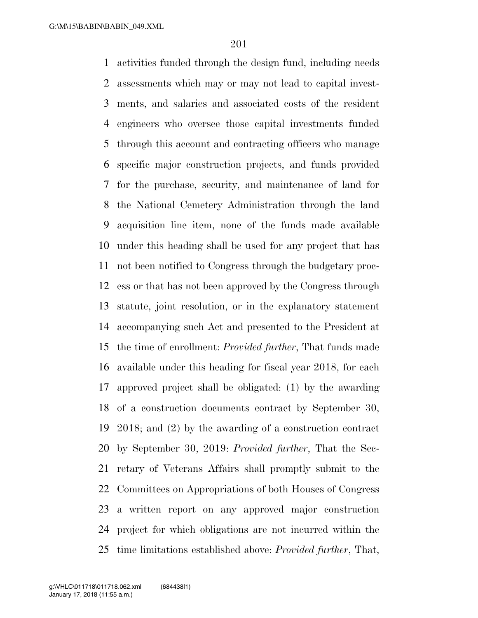activities funded through the design fund, including needs assessments which may or may not lead to capital invest- ments, and salaries and associated costs of the resident engineers who oversee those capital investments funded through this account and contracting officers who manage specific major construction projects, and funds provided for the purchase, security, and maintenance of land for the National Cemetery Administration through the land acquisition line item, none of the funds made available under this heading shall be used for any project that has not been notified to Congress through the budgetary proc- ess or that has not been approved by the Congress through statute, joint resolution, or in the explanatory statement accompanying such Act and presented to the President at the time of enrollment: *Provided further*, That funds made available under this heading for fiscal year 2018, for each approved project shall be obligated: (1) by the awarding of a construction documents contract by September 30, 2018; and (2) by the awarding of a construction contract by September 30, 2019: *Provided further*, That the Sec- retary of Veterans Affairs shall promptly submit to the Committees on Appropriations of both Houses of Congress a written report on any approved major construction project for which obligations are not incurred within the time limitations established above: *Provided further*, That,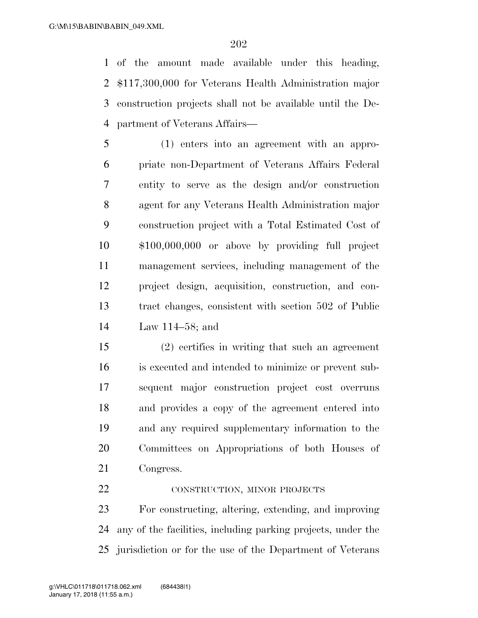of the amount made available under this heading, \$117,300,000 for Veterans Health Administration major construction projects shall not be available until the De-partment of Veterans Affairs—

 (1) enters into an agreement with an appro- priate non-Department of Veterans Affairs Federal entity to serve as the design and/or construction agent for any Veterans Health Administration major construction project with a Total Estimated Cost of \$100,000,000 or above by providing full project management services, including management of the project design, acquisition, construction, and con- tract changes, consistent with section 502 of Public Law 114–58; and

 (2) certifies in writing that such an agreement is executed and intended to minimize or prevent sub- sequent major construction project cost overruns and provides a copy of the agreement entered into and any required supplementary information to the Committees on Appropriations of both Houses of Congress.

22 CONSTRUCTION, MINOR PROJECTS

 For constructing, altering, extending, and improving any of the facilities, including parking projects, under the jurisdiction or for the use of the Department of Veterans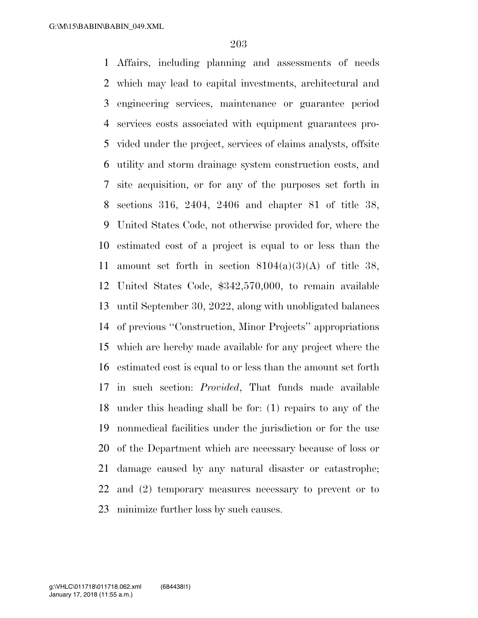Affairs, including planning and assessments of needs which may lead to capital investments, architectural and engineering services, maintenance or guarantee period services costs associated with equipment guarantees pro- vided under the project, services of claims analysts, offsite utility and storm drainage system construction costs, and site acquisition, or for any of the purposes set forth in sections 316, 2404, 2406 and chapter 81 of title 38, United States Code, not otherwise provided for, where the estimated cost of a project is equal to or less than the 11 amount set forth in section  $8104(a)(3)(A)$  of title 38, United States Code, \$342,570,000, to remain available until September 30, 2022, along with unobligated balances of previous ''Construction, Minor Projects'' appropriations which are hereby made available for any project where the estimated cost is equal to or less than the amount set forth in such section: *Provided*, That funds made available under this heading shall be for: (1) repairs to any of the nonmedical facilities under the jurisdiction or for the use of the Department which are necessary because of loss or damage caused by any natural disaster or catastrophe; and (2) temporary measures necessary to prevent or to minimize further loss by such causes.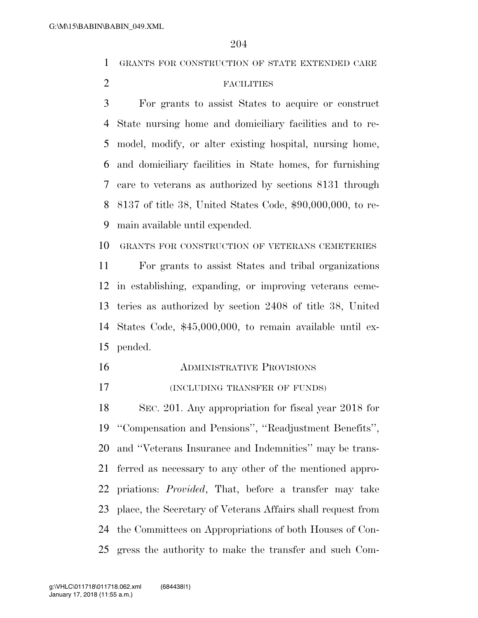GRANTS FOR CONSTRUCTION OF STATE EXTENDED CARE

# FACILITIES

 For grants to assist States to acquire or construct State nursing home and domiciliary facilities and to re- model, modify, or alter existing hospital, nursing home, and domiciliary facilities in State homes, for furnishing care to veterans as authorized by sections 8131 through 8137 of title 38, United States Code, \$90,000,000, to re-main available until expended.

GRANTS FOR CONSTRUCTION OF VETERANS CEMETERIES

 For grants to assist States and tribal organizations in establishing, expanding, or improving veterans ceme- teries as authorized by section 2408 of title 38, United States Code, \$45,000,000, to remain available until ex-pended.

- ADMINISTRATIVE PROVISIONS
- (INCLUDING TRANSFER OF FUNDS)

 SEC. 201. Any appropriation for fiscal year 2018 for ''Compensation and Pensions'', ''Readjustment Benefits'', and ''Veterans Insurance and Indemnities'' may be trans- ferred as necessary to any other of the mentioned appro- priations: *Provided*, That, before a transfer may take place, the Secretary of Veterans Affairs shall request from the Committees on Appropriations of both Houses of Con-gress the authority to make the transfer and such Com-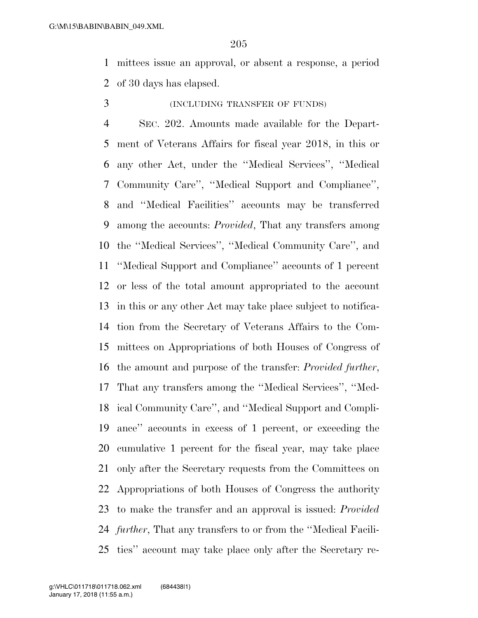mittees issue an approval, or absent a response, a period of 30 days has elapsed.

#### (INCLUDING TRANSFER OF FUNDS)

 SEC. 202. Amounts made available for the Depart- ment of Veterans Affairs for fiscal year 2018, in this or any other Act, under the ''Medical Services'', ''Medical Community Care'', ''Medical Support and Compliance'', and ''Medical Facilities'' accounts may be transferred among the accounts: *Provided*, That any transfers among the ''Medical Services'', ''Medical Community Care'', and ''Medical Support and Compliance'' accounts of 1 percent or less of the total amount appropriated to the account in this or any other Act may take place subject to notifica- tion from the Secretary of Veterans Affairs to the Com- mittees on Appropriations of both Houses of Congress of the amount and purpose of the transfer: *Provided further*, That any transfers among the ''Medical Services'', ''Med- ical Community Care'', and ''Medical Support and Compli- ance'' accounts in excess of 1 percent, or exceeding the cumulative 1 percent for the fiscal year, may take place only after the Secretary requests from the Committees on Appropriations of both Houses of Congress the authority to make the transfer and an approval is issued: *Provided further*, That any transfers to or from the ''Medical Facili-ties'' account may take place only after the Secretary re-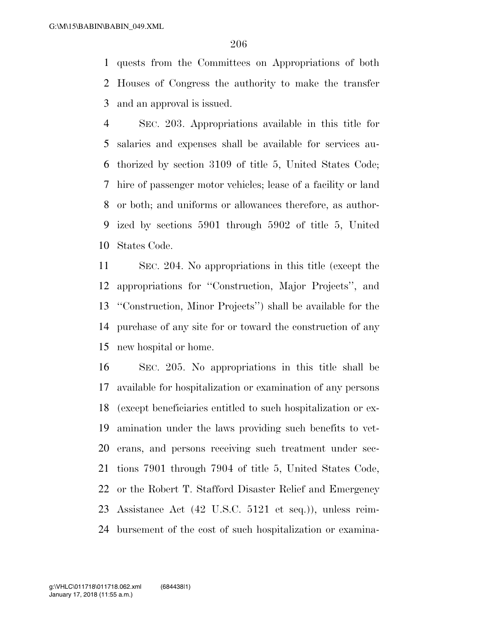quests from the Committees on Appropriations of both Houses of Congress the authority to make the transfer and an approval is issued.

 SEC. 203. Appropriations available in this title for salaries and expenses shall be available for services au- thorized by section 3109 of title 5, United States Code; hire of passenger motor vehicles; lease of a facility or land or both; and uniforms or allowances therefore, as author- ized by sections 5901 through 5902 of title 5, United States Code.

 SEC. 204. No appropriations in this title (except the appropriations for ''Construction, Major Projects'', and ''Construction, Minor Projects'') shall be available for the purchase of any site for or toward the construction of any new hospital or home.

 SEC. 205. No appropriations in this title shall be available for hospitalization or examination of any persons (except beneficiaries entitled to such hospitalization or ex- amination under the laws providing such benefits to vet- erans, and persons receiving such treatment under sec- tions 7901 through 7904 of title 5, United States Code, or the Robert T. Stafford Disaster Relief and Emergency Assistance Act (42 U.S.C. 5121 et seq.)), unless reim-bursement of the cost of such hospitalization or examina-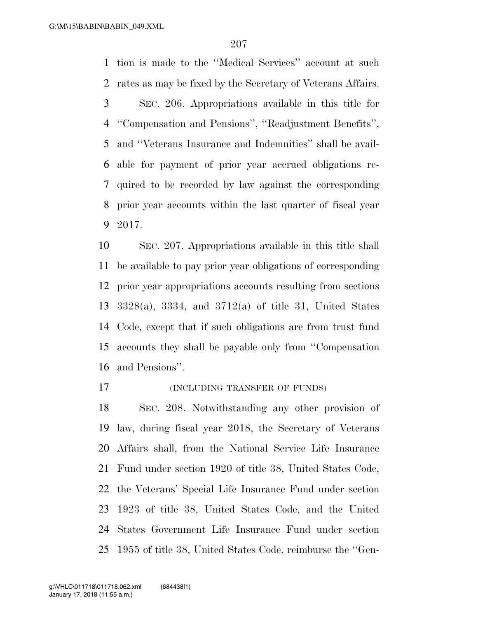tion is made to the ''Medical Services'' account at such rates as may be fixed by the Secretary of Veterans Affairs. SEC. 206. Appropriations available in this title for ''Compensation and Pensions'', ''Readjustment Benefits'', and ''Veterans Insurance and Indemnities'' shall be avail- able for payment of prior year accrued obligations re-quired to be recorded by law against the corresponding

 prior year accounts within the last quarter of fiscal year 2017.

 SEC. 207. Appropriations available in this title shall be available to pay prior year obligations of corresponding prior year appropriations accounts resulting from sections 3328(a), 3334, and 3712(a) of title 31, United States Code, except that if such obligations are from trust fund accounts they shall be payable only from ''Compensation and Pensions''.

## **(INCLUDING TRANSFER OF FUNDS)**

 SEC. 208. Notwithstanding any other provision of law, during fiscal year 2018, the Secretary of Veterans Affairs shall, from the National Service Life Insurance Fund under section 1920 of title 38, United States Code, the Veterans' Special Life Insurance Fund under section 1923 of title 38, United States Code, and the United States Government Life Insurance Fund under section 1955 of title 38, United States Code, reimburse the ''Gen-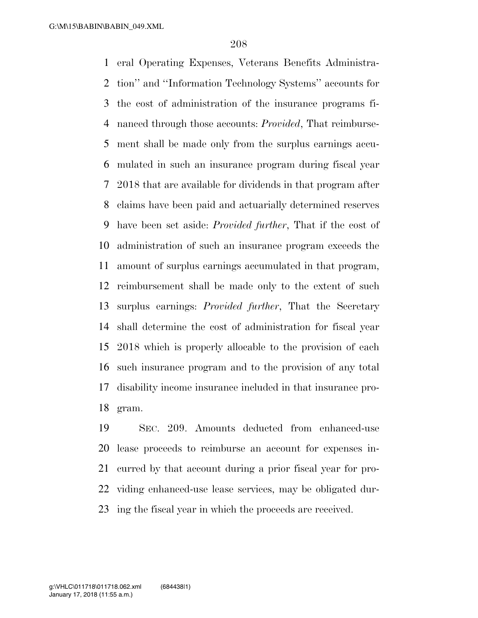eral Operating Expenses, Veterans Benefits Administra- tion'' and ''Information Technology Systems'' accounts for the cost of administration of the insurance programs fi- nanced through those accounts: *Provided*, That reimburse- ment shall be made only from the surplus earnings accu- mulated in such an insurance program during fiscal year 2018 that are available for dividends in that program after claims have been paid and actuarially determined reserves have been set aside: *Provided further*, That if the cost of administration of such an insurance program exceeds the amount of surplus earnings accumulated in that program, reimbursement shall be made only to the extent of such surplus earnings: *Provided further*, That the Secretary shall determine the cost of administration for fiscal year 2018 which is properly allocable to the provision of each such insurance program and to the provision of any total disability income insurance included in that insurance pro-gram.

 SEC. 209. Amounts deducted from enhanced-use lease proceeds to reimburse an account for expenses in- curred by that account during a prior fiscal year for pro- viding enhanced-use lease services, may be obligated dur-ing the fiscal year in which the proceeds are received.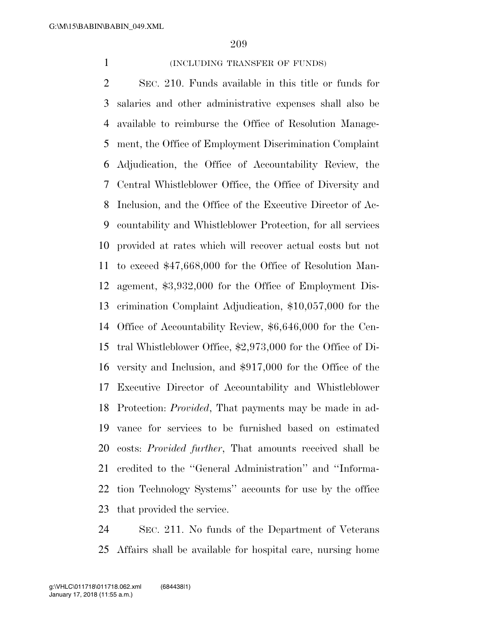## 1 (INCLUDING TRANSFER OF FUNDS)

 SEC. 210. Funds available in this title or funds for salaries and other administrative expenses shall also be available to reimburse the Office of Resolution Manage- ment, the Office of Employment Discrimination Complaint Adjudication, the Office of Accountability Review, the Central Whistleblower Office, the Office of Diversity and Inclusion, and the Office of the Executive Director of Ac- countability and Whistleblower Protection, for all services provided at rates which will recover actual costs but not to exceed \$47,668,000 for the Office of Resolution Man- agement, \$3,932,000 for the Office of Employment Dis- crimination Complaint Adjudication, \$10,057,000 for the Office of Accountability Review, \$6,646,000 for the Cen- tral Whistleblower Office, \$2,973,000 for the Office of Di- versity and Inclusion, and \$917,000 for the Office of the Executive Director of Accountability and Whistleblower Protection: *Provided*, That payments may be made in ad- vance for services to be furnished based on estimated costs: *Provided further*, That amounts received shall be credited to the ''General Administration'' and ''Informa- tion Technology Systems'' accounts for use by the office that provided the service.

 SEC. 211. No funds of the Department of Veterans Affairs shall be available for hospital care, nursing home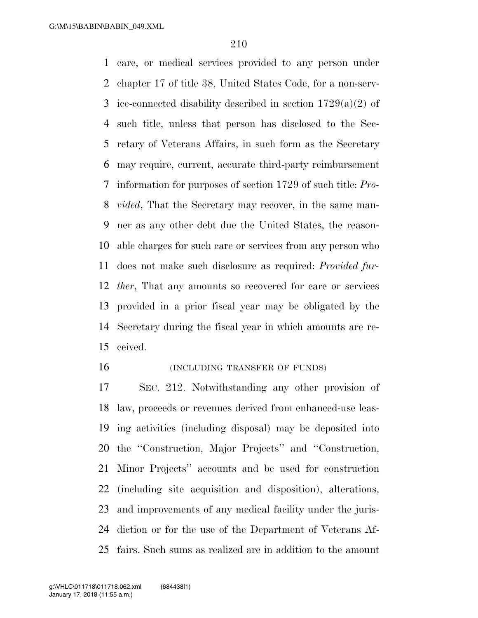care, or medical services provided to any person under chapter 17 of title 38, United States Code, for a non-serv-3 ice-connected disability described in section  $1729(a)(2)$  of such title, unless that person has disclosed to the Sec- retary of Veterans Affairs, in such form as the Secretary may require, current, accurate third-party reimbursement information for purposes of section 1729 of such title: *Pro- vided*, That the Secretary may recover, in the same man- ner as any other debt due the United States, the reason- able charges for such care or services from any person who does not make such disclosure as required: *Provided fur- ther*, That any amounts so recovered for care or services provided in a prior fiscal year may be obligated by the Secretary during the fiscal year in which amounts are re-ceived.

## **INCLUDING TRANSFER OF FUNDS**

 SEC. 212. Notwithstanding any other provision of law, proceeds or revenues derived from enhanced-use leas- ing activities (including disposal) may be deposited into the ''Construction, Major Projects'' and ''Construction, Minor Projects'' accounts and be used for construction (including site acquisition and disposition), alterations, and improvements of any medical facility under the juris- diction or for the use of the Department of Veterans Af-fairs. Such sums as realized are in addition to the amount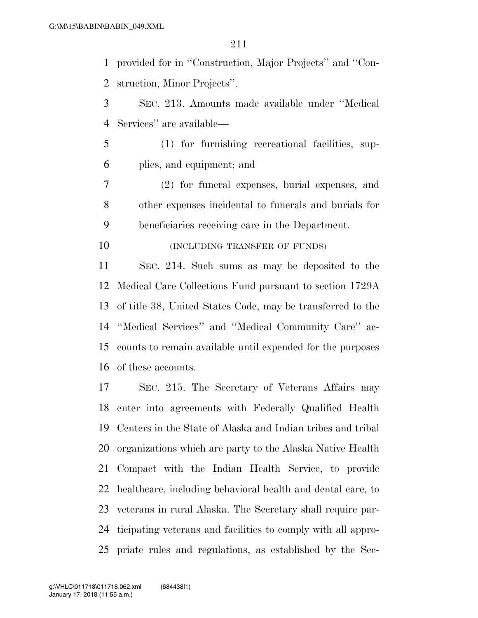provided for in ''Construction, Major Projects'' and ''Con-struction, Minor Projects''.

 SEC. 213. Amounts made available under ''Medical Services'' are available—

 (1) for furnishing recreational facilities, sup-plies, and equipment; and

 (2) for funeral expenses, burial expenses, and other expenses incidental to funerals and burials for beneficiaries receiving care in the Department.

**(INCLUDING TRANSFER OF FUNDS)** 

 SEC. 214. Such sums as may be deposited to the Medical Care Collections Fund pursuant to section 1729A of title 38, United States Code, may be transferred to the ''Medical Services'' and ''Medical Community Care'' ac- counts to remain available until expended for the purposes of these accounts.

 SEC. 215. The Secretary of Veterans Affairs may enter into agreements with Federally Qualified Health Centers in the State of Alaska and Indian tribes and tribal organizations which are party to the Alaska Native Health Compact with the Indian Health Service, to provide 22 healthcare, including behavioral health and dental care, to veterans in rural Alaska. The Secretary shall require par- ticipating veterans and facilities to comply with all appro-priate rules and regulations, as established by the Sec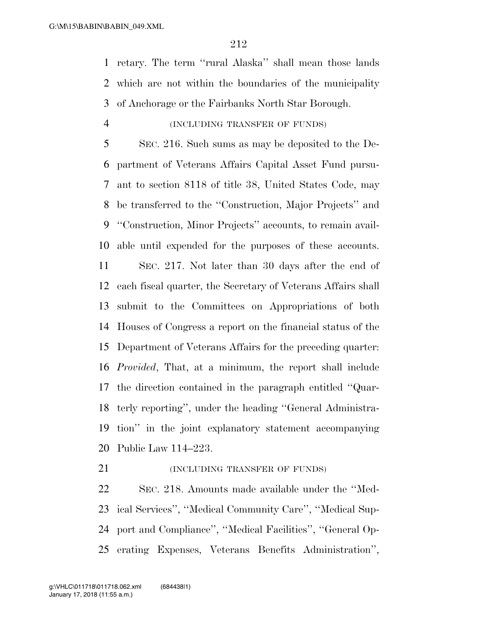retary. The term ''rural Alaska'' shall mean those lands which are not within the boundaries of the municipality of Anchorage or the Fairbanks North Star Borough.

### (INCLUDING TRANSFER OF FUNDS)

 SEC. 216. Such sums as may be deposited to the De- partment of Veterans Affairs Capital Asset Fund pursu- ant to section 8118 of title 38, United States Code, may be transferred to the ''Construction, Major Projects'' and ''Construction, Minor Projects'' accounts, to remain avail-able until expended for the purposes of these accounts.

 SEC. 217. Not later than 30 days after the end of each fiscal quarter, the Secretary of Veterans Affairs shall submit to the Committees on Appropriations of both Houses of Congress a report on the financial status of the Department of Veterans Affairs for the preceding quarter: *Provided*, That, at a minimum, the report shall include the direction contained in the paragraph entitled ''Quar- terly reporting'', under the heading ''General Administra- tion'' in the joint explanatory statement accompanying Public Law 114–223.

**(INCLUDING TRANSFER OF FUNDS)** 

 SEC. 218. Amounts made available under the ''Med- ical Services'', ''Medical Community Care'', ''Medical Sup- port and Compliance'', ''Medical Facilities'', ''General Op-erating Expenses, Veterans Benefits Administration'',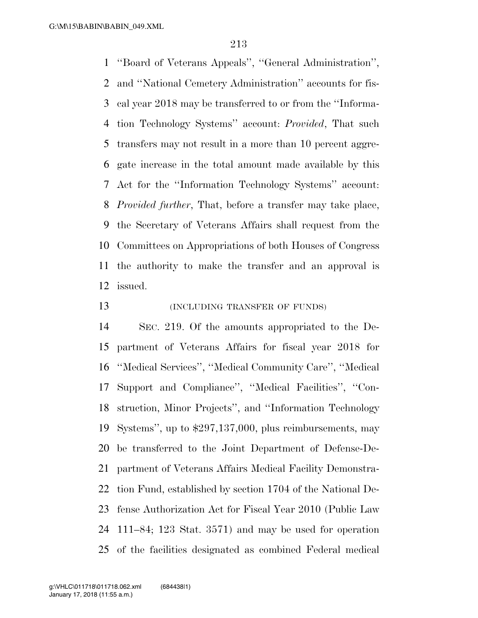''Board of Veterans Appeals'', ''General Administration'', and ''National Cemetery Administration'' accounts for fis- cal year 2018 may be transferred to or from the ''Informa- tion Technology Systems'' account: *Provided*, That such transfers may not result in a more than 10 percent aggre- gate increase in the total amount made available by this Act for the ''Information Technology Systems'' account: *Provided further*, That, before a transfer may take place, the Secretary of Veterans Affairs shall request from the Committees on Appropriations of both Houses of Congress the authority to make the transfer and an approval is issued.

**(INCLUDING TRANSFER OF FUNDS)** 

 SEC. 219. Of the amounts appropriated to the De- partment of Veterans Affairs for fiscal year 2018 for ''Medical Services'', ''Medical Community Care'', ''Medical Support and Compliance'', ''Medical Facilities'', ''Con- struction, Minor Projects'', and ''Information Technology Systems'', up to \$297,137,000, plus reimbursements, may be transferred to the Joint Department of Defense-De- partment of Veterans Affairs Medical Facility Demonstra- tion Fund, established by section 1704 of the National De- fense Authorization Act for Fiscal Year 2010 (Public Law 111–84; 123 Stat. 3571) and may be used for operation of the facilities designated as combined Federal medical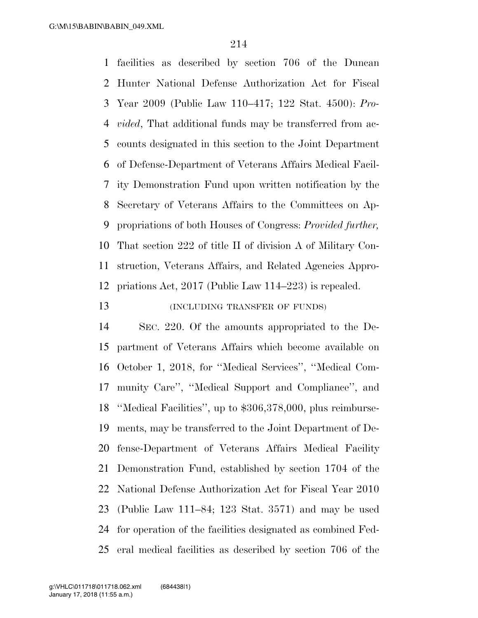facilities as described by section 706 of the Duncan Hunter National Defense Authorization Act for Fiscal Year 2009 (Public Law 110–417; 122 Stat. 4500): *Pro- vided*, That additional funds may be transferred from ac- counts designated in this section to the Joint Department of Defense-Department of Veterans Affairs Medical Facil- ity Demonstration Fund upon written notification by the Secretary of Veterans Affairs to the Committees on Ap- propriations of both Houses of Congress: *Provided further,* That section 222 of title II of division A of Military Con- struction, Veterans Affairs, and Related Agencies Appro-priations Act, 2017 (Public Law 114–223) is repealed.

# **(INCLUDING TRANSFER OF FUNDS)**

 SEC. 220. Of the amounts appropriated to the De- partment of Veterans Affairs which become available on October 1, 2018, for ''Medical Services'', ''Medical Com- munity Care'', ''Medical Support and Compliance'', and ''Medical Facilities'', up to \$306,378,000, plus reimburse- ments, may be transferred to the Joint Department of De- fense-Department of Veterans Affairs Medical Facility Demonstration Fund, established by section 1704 of the National Defense Authorization Act for Fiscal Year 2010 (Public Law 111–84; 123 Stat. 3571) and may be used for operation of the facilities designated as combined Fed-eral medical facilities as described by section 706 of the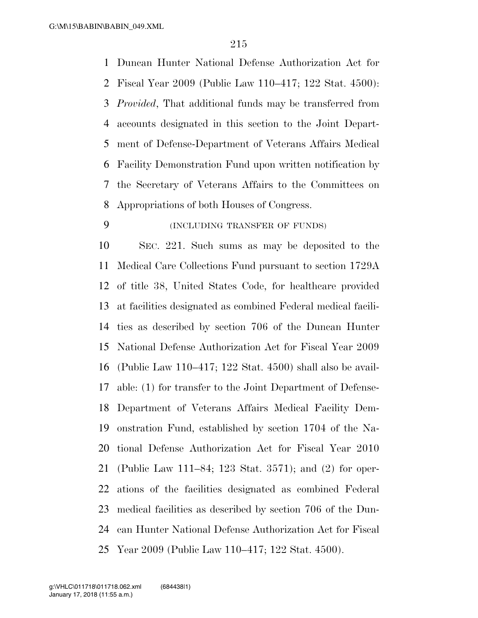Duncan Hunter National Defense Authorization Act for Fiscal Year 2009 (Public Law 110–417; 122 Stat. 4500): *Provided*, That additional funds may be transferred from accounts designated in this section to the Joint Depart- ment of Defense-Department of Veterans Affairs Medical Facility Demonstration Fund upon written notification by the Secretary of Veterans Affairs to the Committees on Appropriations of both Houses of Congress.

## (INCLUDING TRANSFER OF FUNDS)

 SEC. 221. Such sums as may be deposited to the Medical Care Collections Fund pursuant to section 1729A of title 38, United States Code, for healthcare provided at facilities designated as combined Federal medical facili- ties as described by section 706 of the Duncan Hunter National Defense Authorization Act for Fiscal Year 2009 (Public Law 110–417; 122 Stat. 4500) shall also be avail- able: (1) for transfer to the Joint Department of Defense- Department of Veterans Affairs Medical Facility Dem- onstration Fund, established by section 1704 of the Na- tional Defense Authorization Act for Fiscal Year 2010 (Public Law 111–84; 123 Stat. 3571); and (2) for oper- ations of the facilities designated as combined Federal medical facilities as described by section 706 of the Dun- can Hunter National Defense Authorization Act for Fiscal Year 2009 (Public Law 110–417; 122 Stat. 4500).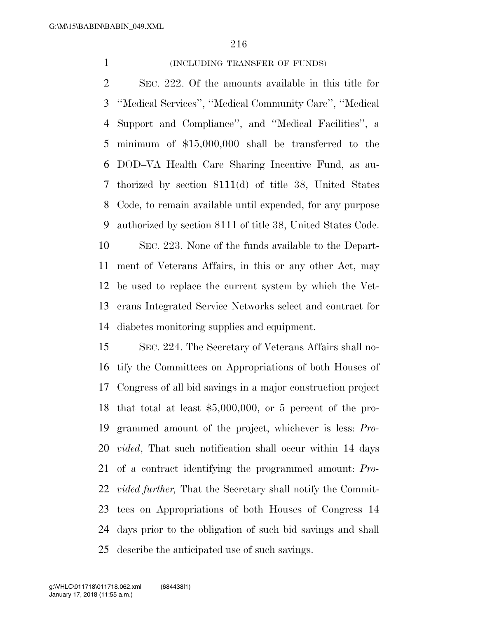## 1 (INCLUDING TRANSFER OF FUNDS)

 SEC. 222. Of the amounts available in this title for ''Medical Services'', ''Medical Community Care'', ''Medical Support and Compliance'', and ''Medical Facilities'', a minimum of \$15,000,000 shall be transferred to the DOD–VA Health Care Sharing Incentive Fund, as au- thorized by section 8111(d) of title 38, United States Code, to remain available until expended, for any purpose authorized by section 8111 of title 38, United States Code. SEC. 223. None of the funds available to the Depart- ment of Veterans Affairs, in this or any other Act, may be used to replace the current system by which the Vet- erans Integrated Service Networks select and contract for diabetes monitoring supplies and equipment.

 SEC. 224. The Secretary of Veterans Affairs shall no- tify the Committees on Appropriations of both Houses of Congress of all bid savings in a major construction project that total at least \$5,000,000, or 5 percent of the pro- grammed amount of the project, whichever is less: *Pro- vided*, That such notification shall occur within 14 days of a contract identifying the programmed amount: *Pro- vided further,* That the Secretary shall notify the Commit- tees on Appropriations of both Houses of Congress 14 days prior to the obligation of such bid savings and shall describe the anticipated use of such savings.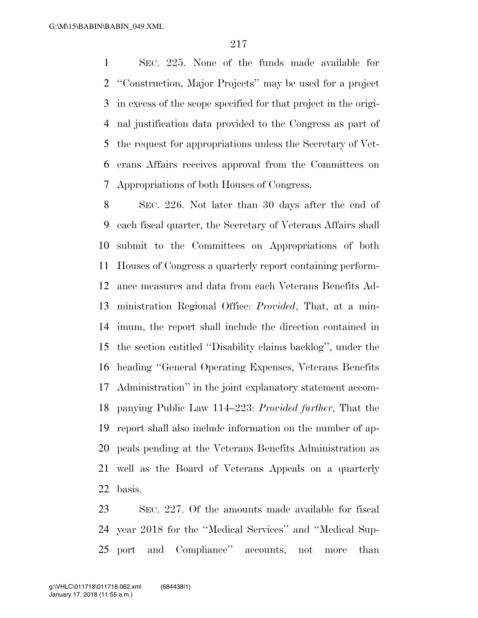SEC. 225. None of the funds made available for ''Construction, Major Projects'' may be used for a project in excess of the scope specified for that project in the origi- nal justification data provided to the Congress as part of the request for appropriations unless the Secretary of Vet- erans Affairs receives approval from the Committees on Appropriations of both Houses of Congress.

 SEC. 226. Not later than 30 days after the end of each fiscal quarter, the Secretary of Veterans Affairs shall submit to the Committees on Appropriations of both Houses of Congress a quarterly report containing perform- ance measures and data from each Veterans Benefits Ad- ministration Regional Office: *Provided*, That, at a min- imum, the report shall include the direction contained in the section entitled ''Disability claims backlog'', under the heading ''General Operating Expenses, Veterans Benefits Administration'' in the joint explanatory statement accom- panying Public Law 114–223: *Provided further*, That the report shall also include information on the number of ap- peals pending at the Veterans Benefits Administration as well as the Board of Veterans Appeals on a quarterly basis.

 SEC. 227. Of the amounts made available for fiscal year 2018 for the ''Medical Services'' and ''Medical Sup-port and Compliance'' accounts, not more than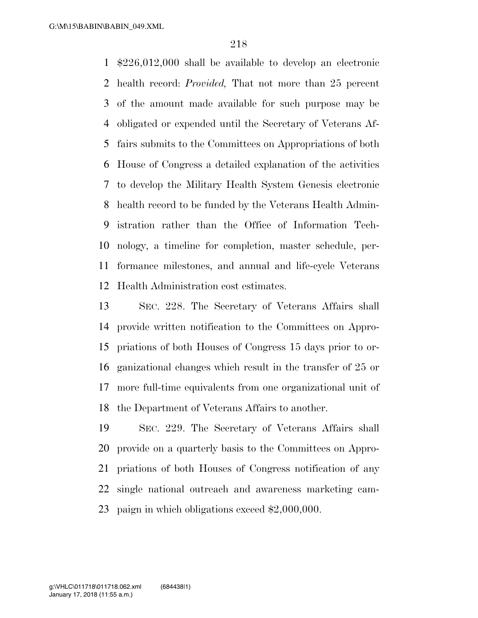\$226,012,000 shall be available to develop an electronic health record: *Provided,* That not more than 25 percent of the amount made available for such purpose may be obligated or expended until the Secretary of Veterans Af- fairs submits to the Committees on Appropriations of both House of Congress a detailed explanation of the activities to develop the Military Health System Genesis electronic health record to be funded by the Veterans Health Admin- istration rather than the Office of Information Tech- nology, a timeline for completion, master schedule, per- formance milestones, and annual and life-cycle Veterans Health Administration cost estimates.

 SEC. 228. The Secretary of Veterans Affairs shall provide written notification to the Committees on Appro- priations of both Houses of Congress 15 days prior to or- ganizational changes which result in the transfer of 25 or more full-time equivalents from one organizational unit of the Department of Veterans Affairs to another.

 SEC. 229. The Secretary of Veterans Affairs shall provide on a quarterly basis to the Committees on Appro- priations of both Houses of Congress notification of any single national outreach and awareness marketing cam-paign in which obligations exceed \$2,000,000.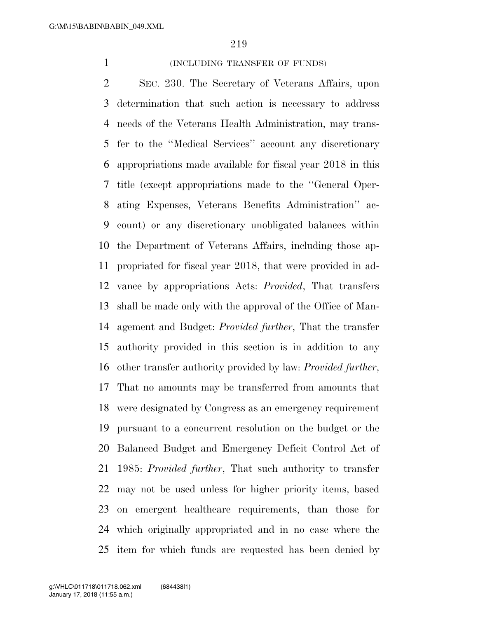#### 1 (INCLUDING TRANSFER OF FUNDS)

 SEC. 230. The Secretary of Veterans Affairs, upon determination that such action is necessary to address needs of the Veterans Health Administration, may trans- fer to the ''Medical Services'' account any discretionary appropriations made available for fiscal year 2018 in this title (except appropriations made to the ''General Oper- ating Expenses, Veterans Benefits Administration'' ac- count) or any discretionary unobligated balances within the Department of Veterans Affairs, including those ap- propriated for fiscal year 2018, that were provided in ad- vance by appropriations Acts: *Provided*, That transfers shall be made only with the approval of the Office of Man- agement and Budget: *Provided further*, That the transfer authority provided in this section is in addition to any other transfer authority provided by law: *Provided further*, That no amounts may be transferred from amounts that were designated by Congress as an emergency requirement pursuant to a concurrent resolution on the budget or the Balanced Budget and Emergency Deficit Control Act of 1985: *Provided further*, That such authority to transfer may not be used unless for higher priority items, based on emergent healthcare requirements, than those for which originally appropriated and in no case where the item for which funds are requested has been denied by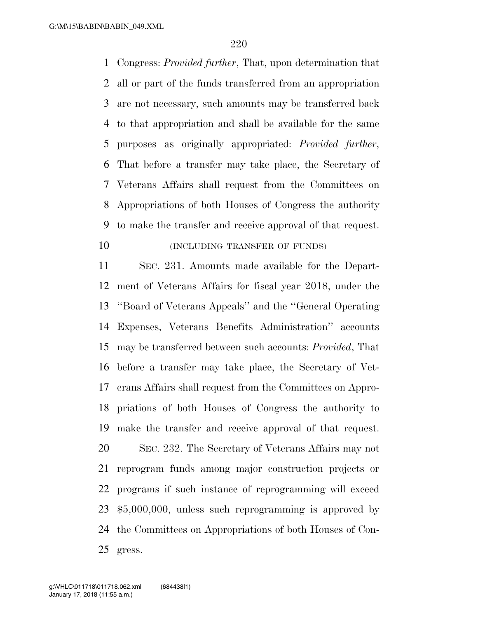Congress: *Provided further*, That, upon determination that all or part of the funds transferred from an appropriation are not necessary, such amounts may be transferred back to that appropriation and shall be available for the same purposes as originally appropriated: *Provided further*, That before a transfer may take place, the Secretary of Veterans Affairs shall request from the Committees on Appropriations of both Houses of Congress the authority to make the transfer and receive approval of that request. **(INCLUDING TRANSFER OF FUNDS)** 

 SEC. 231. Amounts made available for the Depart- ment of Veterans Affairs for fiscal year 2018, under the ''Board of Veterans Appeals'' and the ''General Operating Expenses, Veterans Benefits Administration'' accounts may be transferred between such accounts: *Provided*, That before a transfer may take place, the Secretary of Vet- erans Affairs shall request from the Committees on Appro- priations of both Houses of Congress the authority to make the transfer and receive approval of that request. SEC. 232. The Secretary of Veterans Affairs may not reprogram funds among major construction projects or programs if such instance of reprogramming will exceed \$5,000,000, unless such reprogramming is approved by the Committees on Appropriations of both Houses of Con-gress.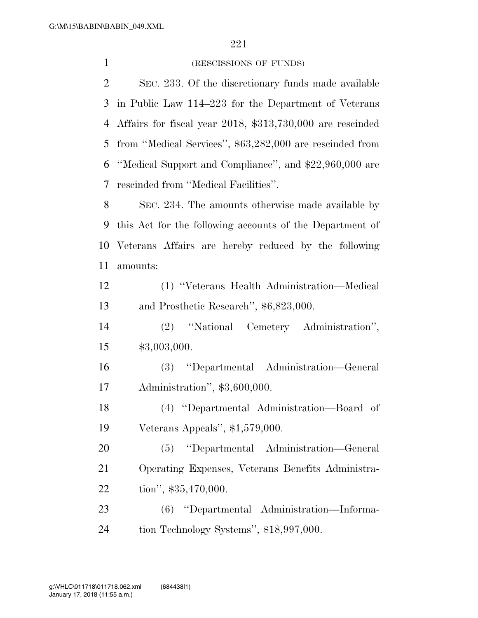1 (RESCISSIONS OF FUNDS) SEC. 233. Of the discretionary funds made available in Public Law 114–223 for the Department of Veterans Affairs for fiscal year 2018, \$313,730,000 are rescinded from ''Medical Services'', \$63,282,000 are rescinded from ''Medical Support and Compliance'', and \$22,960,000 are rescinded from ''Medical Facilities''. SEC. 234. The amounts otherwise made available by this Act for the following accounts of the Department of Veterans Affairs are hereby reduced by the following amounts: (1) ''Veterans Health Administration—Medical and Prosthetic Research'', \$6,823,000. (2) ''National Cemetery Administration'', \$3,003,000. (3) ''Departmental Administration—General Administration'', \$3,600,000. (4) ''Departmental Administration—Board of Veterans Appeals'', \$1,579,000. (5) ''Departmental Administration—General Operating Expenses, Veterans Benefits Administra- tion'', \$35,470,000. (6) ''Departmental Administration—Informa-tion Technology Systems'', \$18,997,000.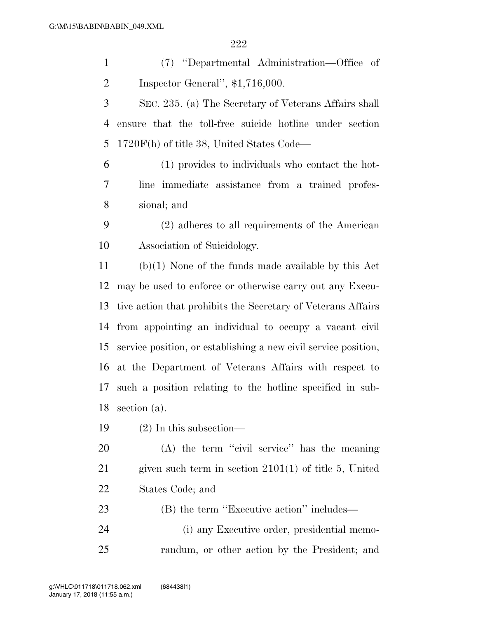(7) ''Departmental Administration—Office of Inspector General'', \$1,716,000.

 SEC. 235. (a) The Secretary of Veterans Affairs shall ensure that the toll-free suicide hotline under section 1720F(h) of title 38, United States Code—

 (1) provides to individuals who contact the hot- line immediate assistance from a trained profes-sional; and

 (2) adheres to all requirements of the American Association of Suicidology.

 (b)(1) None of the funds made available by this Act may be used to enforce or otherwise carry out any Execu- tive action that prohibits the Secretary of Veterans Affairs from appointing an individual to occupy a vacant civil service position, or establishing a new civil service position, at the Department of Veterans Affairs with respect to such a position relating to the hotline specified in sub-section (a).

(2) In this subsection—

 (A) the term ''civil service'' has the meaning given such term in section 2101(1) of title 5, United States Code; and

23 (B) the term "Executive action" includes— (i) any Executive order, presidential memo-

randum, or other action by the President; and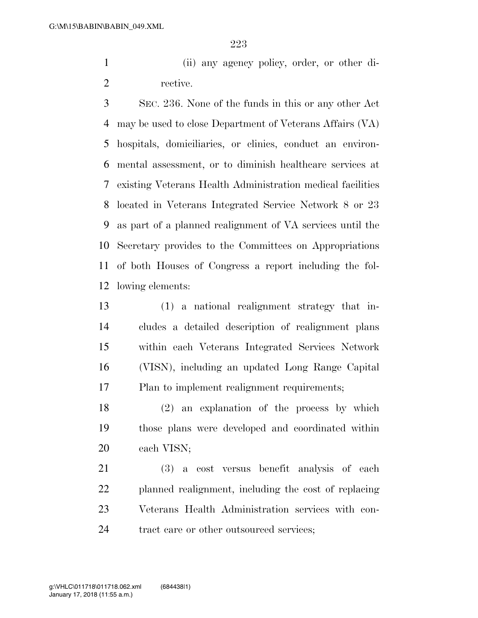(ii) any agency policy, order, or other di-rective.

 SEC. 236. None of the funds in this or any other Act may be used to close Department of Veterans Affairs (VA) hospitals, domiciliaries, or clinics, conduct an environ- mental assessment, or to diminish healthcare services at existing Veterans Health Administration medical facilities located in Veterans Integrated Service Network 8 or 23 as part of a planned realignment of VA services until the Secretary provides to the Committees on Appropriations of both Houses of Congress a report including the fol-lowing elements:

 (1) a national realignment strategy that in- cludes a detailed description of realignment plans within each Veterans Integrated Services Network (VISN), including an updated Long Range Capital Plan to implement realignment requirements;

 (2) an explanation of the process by which those plans were developed and coordinated within each VISN;

 (3) a cost versus benefit analysis of each planned realignment, including the cost of replacing Veterans Health Administration services with con-24 tract care or other outsourced services;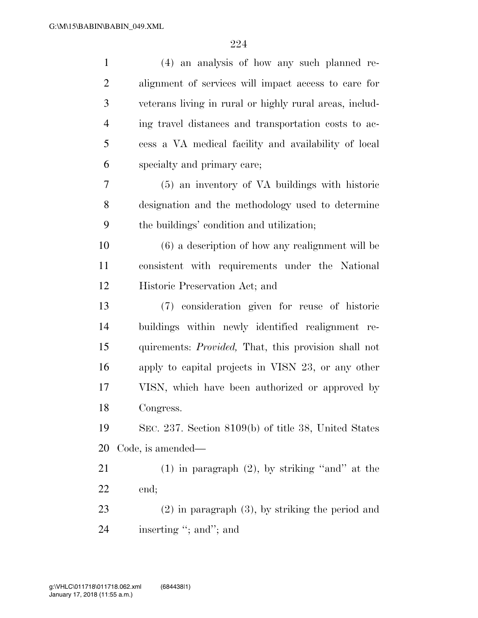| $\mathbf{1}$   | (4) an analysis of how any such planned re-             |
|----------------|---------------------------------------------------------|
| $\overline{2}$ | alignment of services will impact access to care for    |
| 3              | veterans living in rural or highly rural areas, includ- |
| $\overline{4}$ | ing travel distances and transportation costs to ac-    |
| 5              | cess a VA medical facility and availability of local    |
| 6              | specialty and primary care;                             |
| 7              | (5) an inventory of VA buildings with historic          |
| $8\,$          | designation and the methodology used to determine       |
| 9              | the buildings' condition and utilization;               |
| 10             | $(6)$ a description of how any realignment will be      |
| 11             | consistent with requirements under the National         |
| 12             | Historic Preservation Act; and                          |
| 13             | (7) consideration given for reuse of historic           |
| 14             | buildings within newly identified realignment re-       |
| 15             | quirements: Provided, That, this provision shall not    |
| 16             | apply to capital projects in VISN 23, or any other      |
| 17             | VISN, which have been authorized or approved by         |
| 18             | Congress.                                               |
| 19             | SEC. 237. Section 8109(b) of title 38, United States    |
| 20             | Code, is amended—                                       |
| 21             | $(1)$ in paragraph $(2)$ , by striking "and" at the     |
| 22             | end;                                                    |
| 23             | $(2)$ in paragraph $(3)$ , by striking the period and   |
| 24             | inserting "; and"; and                                  |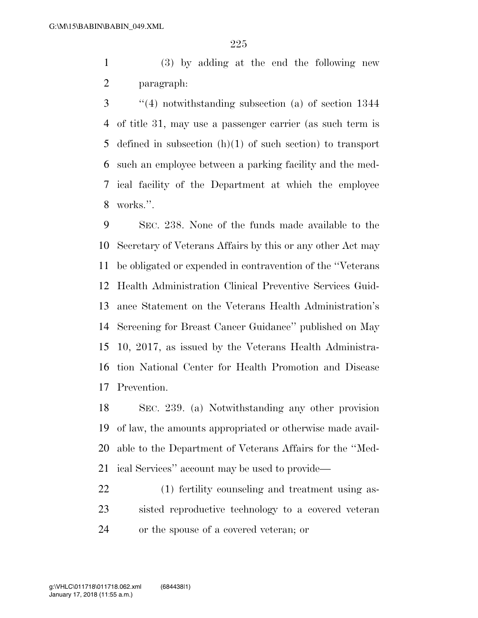(3) by adding at the end the following new paragraph:

 ''(4) notwithstanding subsection (a) of section 1344 of title 31, may use a passenger carrier (as such term is defined in subsection (h)(1) of such section) to transport such an employee between a parking facility and the med- ical facility of the Department at which the employee works.''.

 SEC. 238. None of the funds made available to the Secretary of Veterans Affairs by this or any other Act may be obligated or expended in contravention of the ''Veterans Health Administration Clinical Preventive Services Guid- ance Statement on the Veterans Health Administration's Screening for Breast Cancer Guidance'' published on May 10, 2017, as issued by the Veterans Health Administra- tion National Center for Health Promotion and Disease Prevention.

 SEC. 239. (a) Notwithstanding any other provision of law, the amounts appropriated or otherwise made avail- able to the Department of Veterans Affairs for the ''Med-ical Services'' account may be used to provide—

 (1) fertility counseling and treatment using as- sisted reproductive technology to a covered veteran or the spouse of a covered veteran; or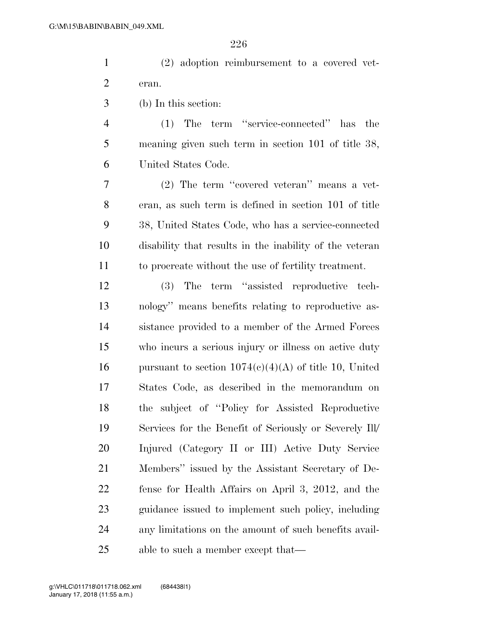|       | $(2)$ adoption reimbursement to a covered vet- |  |  |
|-------|------------------------------------------------|--|--|
| eran. |                                                |  |  |

(b) In this section:

 (1) The term ''service-connected'' has the meaning given such term in section 101 of title 38, United States Code.

 (2) The term ''covered veteran'' means a vet- eran, as such term is defined in section 101 of title 38, United States Code, who has a service-connected disability that results in the inability of the veteran to procreate without the use of fertility treatment.

 (3) The term ''assisted reproductive tech- nology'' means benefits relating to reproductive as- sistance provided to a member of the Armed Forces who incurs a serious injury or illness on active duty 16 pursuant to section  $1074(e)(4)(A)$  of title 10, United States Code, as described in the memorandum on the subject of ''Policy for Assisted Reproductive Services for the Benefit of Seriously or Severely Ill/ Injured (Category II or III) Active Duty Service Members'' issued by the Assistant Secretary of De- fense for Health Affairs on April 3, 2012, and the guidance issued to implement such policy, including any limitations on the amount of such benefits avail-25 able to such a member except that—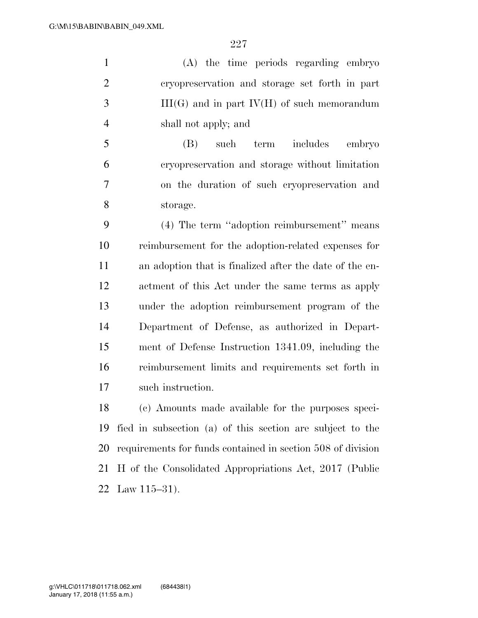(A) the time periods regarding embryo cryopreservation and storage set forth in part III(G) and in part IV(H) of such memorandum shall not apply; and

 (B) such term includes embryo cryopreservation and storage without limitation on the duration of such cryopreservation and storage.

 (4) The term ''adoption reimbursement'' means reimbursement for the adoption-related expenses for an adoption that is finalized after the date of the en- actment of this Act under the same terms as apply under the adoption reimbursement program of the Department of Defense, as authorized in Depart- ment of Defense Instruction 1341.09, including the reimbursement limits and requirements set forth in such instruction.

 (c) Amounts made available for the purposes speci- fied in subsection (a) of this section are subject to the requirements for funds contained in section 508 of division H of the Consolidated Appropriations Act, 2017 (Public Law 115–31).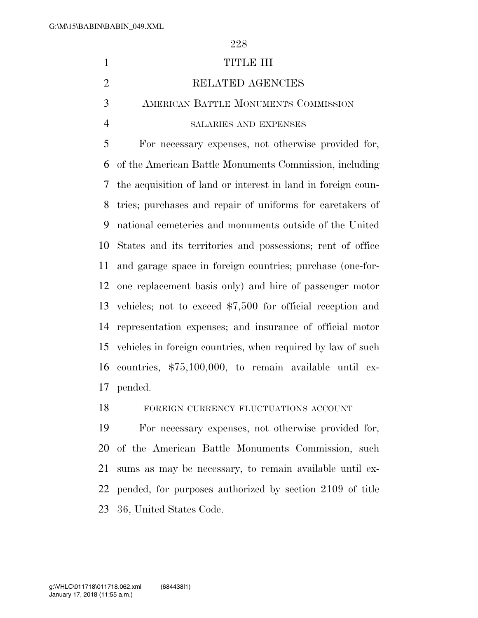# 1 TITLE III 2 RELATED AGENCIES AMERICAN BATTLE MONUMENTS COMMISSION SALARIES AND EXPENSES For necessary expenses, not otherwise provided for, of the American Battle Monuments Commission, including the acquisition of land or interest in land in foreign coun- tries; purchases and repair of uniforms for caretakers of national cemeteries and monuments outside of the United States and its territories and possessions; rent of office and garage space in foreign countries; purchase (one-for- one replacement basis only) and hire of passenger motor vehicles; not to exceed \$7,500 for official reception and representation expenses; and insurance of official motor vehicles in foreign countries, when required by law of such countries, \$75,100,000, to remain available until ex-pended.

FOREIGN CURRENCY FLUCTUATIONS ACCOUNT

 For necessary expenses, not otherwise provided for, of the American Battle Monuments Commission, such sums as may be necessary, to remain available until ex- pended, for purposes authorized by section 2109 of title 36, United States Code.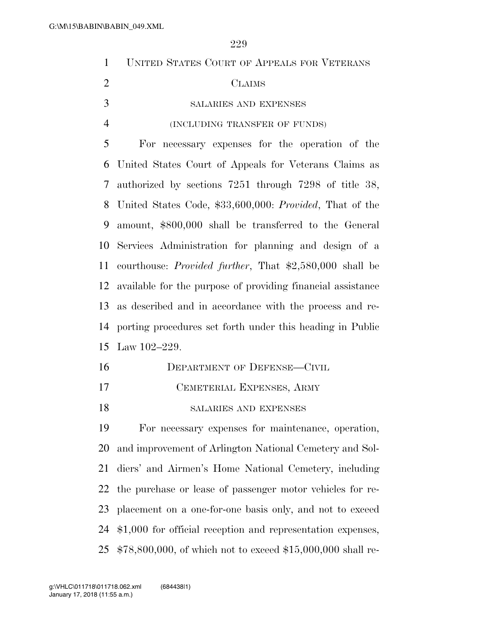| $\mathbf{1}$   | UNITED STATES COURT OF APPEALS FOR VETERANS                     |
|----------------|-----------------------------------------------------------------|
| $\overline{2}$ | <b>CLAIMS</b>                                                   |
| 3              | SALARIES AND EXPENSES                                           |
| $\overline{4}$ | (INCLUDING TRANSFER OF FUNDS)                                   |
| 5              | For necessary expenses for the operation of the                 |
| 6              | United States Court of Appeals for Veterans Claims as           |
| 7              | authorized by sections 7251 through 7298 of title 38,           |
| 8              | United States Code, \$33,600,000: Provided, That of the         |
| 9              | amount, \$800,000 shall be transferred to the General           |
| 10             | Services Administration for planning and design of a            |
| 11             | courthouse: <i>Provided further</i> , That \$2,580,000 shall be |
| 12             | available for the purpose of providing financial assistance     |
| 13             | as described and in accordance with the process and re-         |
| 14             | porting procedures set forth under this heading in Public       |
| 15             | Law $102 - 229$ .                                               |
| 16             | <b>DEPARTMENT OF DEFENSE-CIVIL</b>                              |
| 17             | CEMETERIAL EXPENSES, ARMY                                       |
| 18             | SALARIES AND EXPENSES                                           |
| 19             | For necessary expenses for maintenance, operation,              |
| 20             | and improvement of Arlington National Cemetery and Sol-         |
| 21             | diers' and Airmen's Home National Cemetery, including           |
| 22             | the purchase or lease of passenger motor vehicles for re-       |
| 23             | placement on a one-for-one basis only, and not to exceed        |
| 24             | \$1,000 for official reception and representation expenses,     |

\$78,800,000, of which not to exceed \$15,000,000 shall re-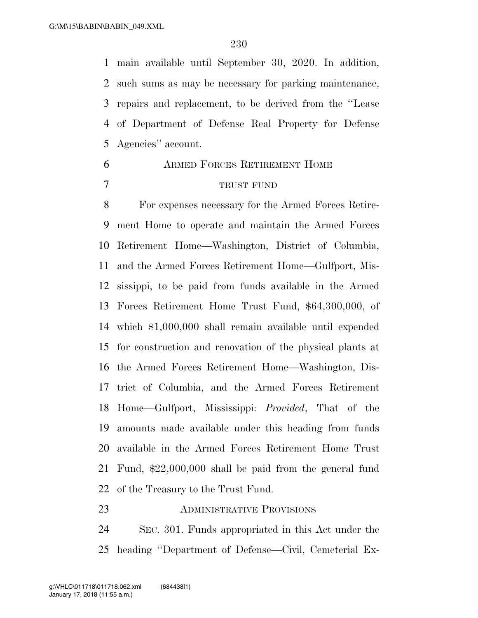main available until September 30, 2020. In addition, such sums as may be necessary for parking maintenance, repairs and replacement, to be derived from the ''Lease of Department of Defense Real Property for Defense Agencies'' account.

## ARMED FORCES RETIREMENT HOME TRUST FUND

 For expenses necessary for the Armed Forces Retire- ment Home to operate and maintain the Armed Forces Retirement Home—Washington, District of Columbia, and the Armed Forces Retirement Home—Gulfport, Mis- sissippi, to be paid from funds available in the Armed Forces Retirement Home Trust Fund, \$64,300,000, of which \$1,000,000 shall remain available until expended for construction and renovation of the physical plants at the Armed Forces Retirement Home—Washington, Dis- trict of Columbia, and the Armed Forces Retirement Home—Gulfport, Mississippi: *Provided*, That of the amounts made available under this heading from funds available in the Armed Forces Retirement Home Trust Fund, \$22,000,000 shall be paid from the general fund of the Treasury to the Trust Fund.

#### ADMINISTRATIVE PROVISIONS

 SEC. 301. Funds appropriated in this Act under the heading ''Department of Defense—Civil, Cemeterial Ex-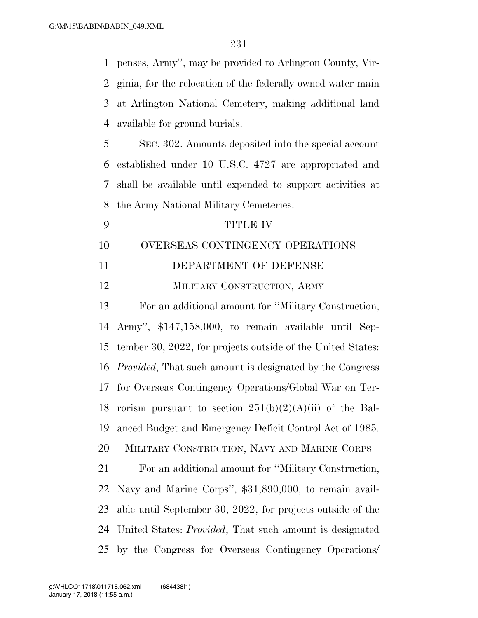| $\mathbf{1}$   | penses, Army", may be provided to Arlington County, Vir-         |
|----------------|------------------------------------------------------------------|
| $\overline{2}$ | ginia, for the relocation of the federally owned water main      |
| 3              | at Arlington National Cemetery, making additional land           |
| 4              | available for ground burials.                                    |
| 5              | SEC. 302. Amounts deposited into the special account             |
| 6              | established under 10 U.S.C. 4727 are appropriated and            |
| 7              | shall be available until expended to support activities at       |
| 8              | the Army National Military Cemeteries.                           |
| 9              | <b>TITLE IV</b>                                                  |
| 10             | OVERSEAS CONTINGENCY OPERATIONS                                  |
| 11             | DEPARTMENT OF DEFENSE                                            |
| 12             | MILITARY CONSTRUCTION, ARMY                                      |
| 13             | For an additional amount for "Military Construction,             |
| 14             | Army", \$147,158,000, to remain available until Sep-             |
| 15             | tember 30, 2022, for projects outside of the United States:      |
| 16             | <i>Provided</i> , That such amount is designated by the Congress |
| 17             | for Overseas Contingency Operations/Global War on Ter-           |
| 18             | rorism pursuant to section $251(b)(2)(A)(ii)$ of the Bal-        |
| 19             | anced Budget and Emergency Deficit Control Act of 1985.          |
| 20             | MILITARY CONSTRUCTION, NAVY AND MARINE CORPS                     |
| 21             | For an additional amount for "Military Construction,             |
| 22             | Navy and Marine Corps", \$31,890,000, to remain avail-           |
| 23             | able until September 30, 2022, for projects outside of the       |
| 24             | United States: <i>Provided</i> , That such amount is designated  |
| 25             | by the Congress for Overseas Contingency Operations              |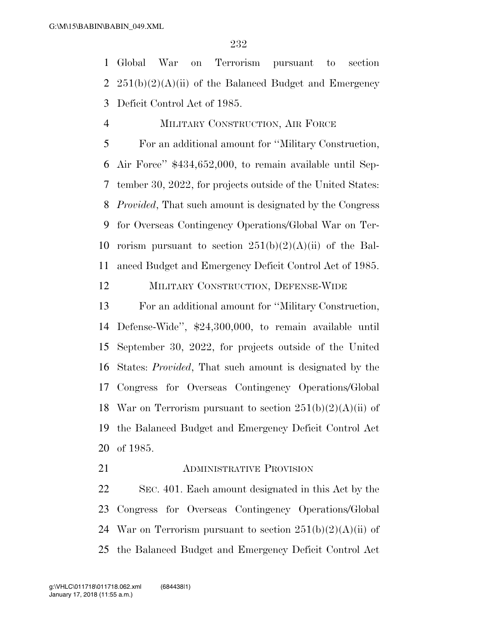Global War on Terrorism pursuant to section 2  $251(b)(2)(A)(ii)$  of the Balanced Budget and Emergency Deficit Control Act of 1985.

MILITARY CONSTRUCTION, AIR FORCE

 For an additional amount for ''Military Construction, Air Force'' \$434,652,000, to remain available until Sep- tember 30, 2022, for projects outside of the United States: *Provided*, That such amount is designated by the Congress for Overseas Contingency Operations/Global War on Ter-10 rorism pursuant to section  $251(b)(2)(A)(ii)$  of the Bal-anced Budget and Emergency Deficit Control Act of 1985.

MILITARY CONSTRUCTION, DEFENSE-WIDE

 For an additional amount for ''Military Construction, Defense-Wide'', \$24,300,000, to remain available until September 30, 2022, for projects outside of the United States: *Provided*, That such amount is designated by the Congress for Overseas Contingency Operations/Global 18 War on Terrorism pursuant to section  $251(b)(2)(A)(ii)$  of the Balanced Budget and Emergency Deficit Control Act of 1985.

**ADMINISTRATIVE PROVISION** 

 SEC. 401. Each amount designated in this Act by the Congress for Overseas Contingency Operations/Global 24 War on Terrorism pursuant to section  $251(b)(2)(A)(ii)$  of the Balanced Budget and Emergency Deficit Control Act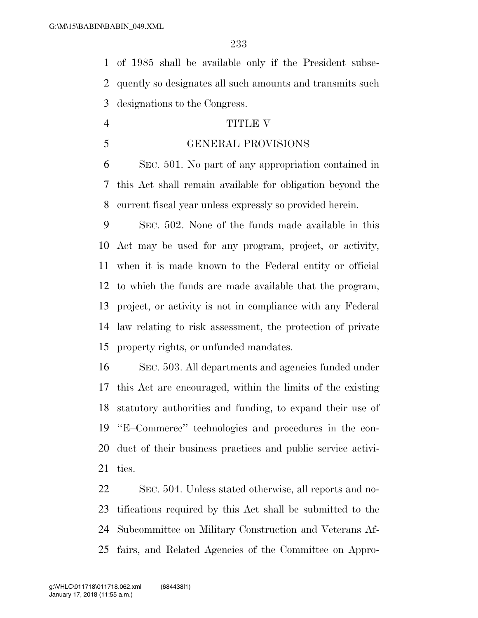of 1985 shall be available only if the President subse- quently so designates all such amounts and transmits such designations to the Congress.

#### TITLE V

### GENERAL PROVISIONS

 SEC. 501. No part of any appropriation contained in this Act shall remain available for obligation beyond the current fiscal year unless expressly so provided herein.

 SEC. 502. None of the funds made available in this Act may be used for any program, project, or activity, when it is made known to the Federal entity or official to which the funds are made available that the program, project, or activity is not in compliance with any Federal law relating to risk assessment, the protection of private property rights, or unfunded mandates.

 SEC. 503. All departments and agencies funded under this Act are encouraged, within the limits of the existing statutory authorities and funding, to expand their use of ''E–Commerce'' technologies and procedures in the con- duct of their business practices and public service activi-ties.

 SEC. 504. Unless stated otherwise, all reports and no- tifications required by this Act shall be submitted to the Subcommittee on Military Construction and Veterans Af-fairs, and Related Agencies of the Committee on Appro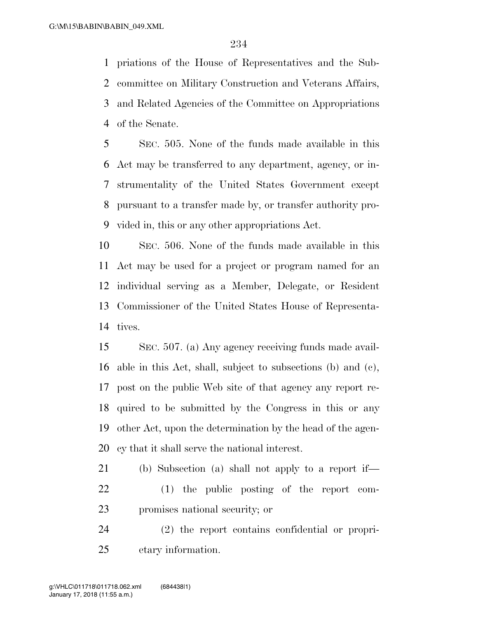priations of the House of Representatives and the Sub- committee on Military Construction and Veterans Affairs, and Related Agencies of the Committee on Appropriations of the Senate.

 SEC. 505. None of the funds made available in this Act may be transferred to any department, agency, or in- strumentality of the United States Government except pursuant to a transfer made by, or transfer authority pro-vided in, this or any other appropriations Act.

 SEC. 506. None of the funds made available in this Act may be used for a project or program named for an individual serving as a Member, Delegate, or Resident Commissioner of the United States House of Representa-tives.

 SEC. 507. (a) Any agency receiving funds made avail- able in this Act, shall, subject to subsections (b) and (c), post on the public Web site of that agency any report re- quired to be submitted by the Congress in this or any other Act, upon the determination by the head of the agen-cy that it shall serve the national interest.

 (b) Subsection (a) shall not apply to a report if— (1) the public posting of the report com-promises national security; or

 (2) the report contains confidential or propri-etary information.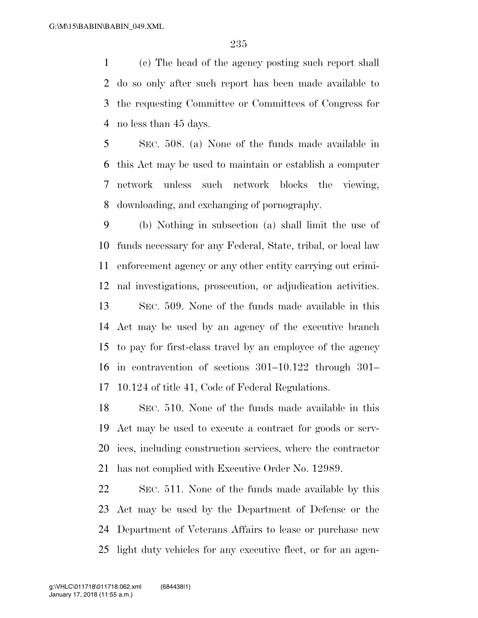(c) The head of the agency posting such report shall do so only after such report has been made available to the requesting Committee or Committees of Congress for no less than 45 days.

 SEC. 508. (a) None of the funds made available in this Act may be used to maintain or establish a computer network unless such network blocks the viewing, downloading, and exchanging of pornography.

 (b) Nothing in subsection (a) shall limit the use of funds necessary for any Federal, State, tribal, or local law enforcement agency or any other entity carrying out crimi- nal investigations, prosecution, or adjudication activities. SEC. 509. None of the funds made available in this Act may be used by an agency of the executive branch to pay for first-class travel by an employee of the agency in contravention of sections 301–10.122 through 301– 10.124 of title 41, Code of Federal Regulations.

 SEC. 510. None of the funds made available in this Act may be used to execute a contract for goods or serv- ices, including construction services, where the contractor has not complied with Executive Order No. 12989.

 SEC. 511. None of the funds made available by this Act may be used by the Department of Defense or the Department of Veterans Affairs to lease or purchase new light duty vehicles for any executive fleet, or for an agen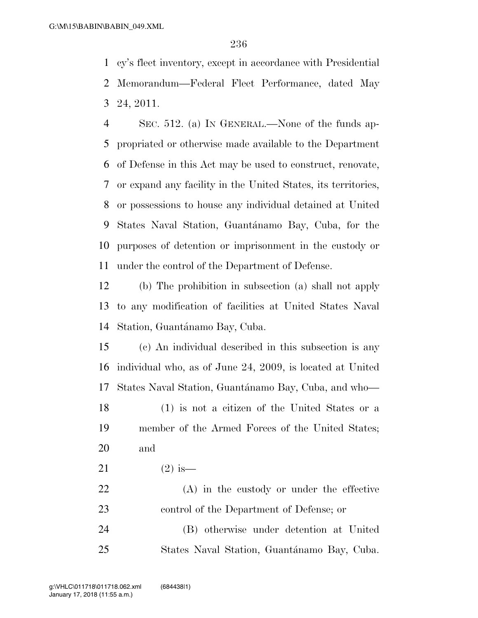cy's fleet inventory, except in accordance with Presidential Memorandum—Federal Fleet Performance, dated May 24, 2011.

 SEC. 512. (a) IN GENERAL.—None of the funds ap- propriated or otherwise made available to the Department of Defense in this Act may be used to construct, renovate, or expand any facility in the United States, its territories, or possessions to house any individual detained at United 9 States Naval Station, Guantánamo Bay, Cuba, for the purposes of detention or imprisonment in the custody or under the control of the Department of Defense.

 (b) The prohibition in subsection (a) shall not apply to any modification of facilities at United States Naval 14 Station, Guantánamo Bay, Cuba.

 (c) An individual described in this subsection is any individual who, as of June 24, 2009, is located at United 17 States Naval Station, Guantánamo Bay, Cuba, and who—

 (1) is not a citizen of the United States or a member of the Armed Forces of the United States; and

21 (2) is —

 (A) in the custody or under the effective control of the Department of Defense; or

 (B) otherwise under detention at United 25 States Naval Station, Guantánamo Bay, Cuba.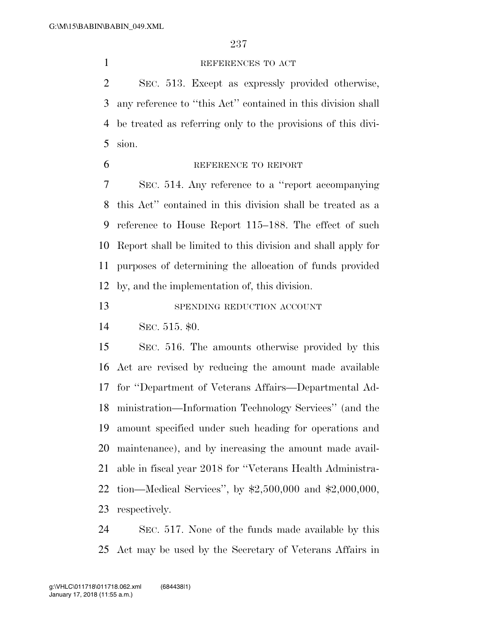#### REFERENCES TO ACT

 SEC. 513. Except as expressly provided otherwise, any reference to ''this Act'' contained in this division shall be treated as referring only to the provisions of this divi-sion.

REFERENCE TO REPORT

 SEC. 514. Any reference to a ''report accompanying this Act'' contained in this division shall be treated as a reference to House Report 115–188. The effect of such Report shall be limited to this division and shall apply for purposes of determining the allocation of funds provided by, and the implementation of, this division.

13 SPENDING REDUCTION ACCOUNT

SEC. 515. \$0.

 SEC. 516. The amounts otherwise provided by this Act are revised by reducing the amount made available for ''Department of Veterans Affairs—Departmental Ad- ministration—Information Technology Services'' (and the amount specified under such heading for operations and maintenance), and by increasing the amount made avail- able in fiscal year 2018 for ''Veterans Health Administra- tion—Medical Services'', by \$2,500,000 and \$2,000,000, respectively.

 SEC. 517. None of the funds made available by this Act may be used by the Secretary of Veterans Affairs in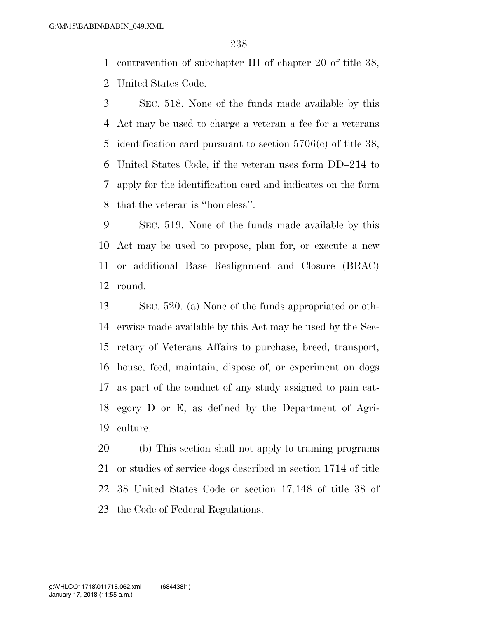contravention of subchapter III of chapter 20 of title 38,

United States Code.

 SEC. 518. None of the funds made available by this Act may be used to charge a veteran a fee for a veterans identification card pursuant to section 5706(c) of title 38, United States Code, if the veteran uses form DD–214 to apply for the identification card and indicates on the form that the veteran is ''homeless''.

 SEC. 519. None of the funds made available by this Act may be used to propose, plan for, or execute a new or additional Base Realignment and Closure (BRAC) round.

 SEC. 520. (a) None of the funds appropriated or oth- erwise made available by this Act may be used by the Sec- retary of Veterans Affairs to purchase, breed, transport, house, feed, maintain, dispose of, or experiment on dogs as part of the conduct of any study assigned to pain cat- egory D or E, as defined by the Department of Agri-culture.

 (b) This section shall not apply to training programs or studies of service dogs described in section 1714 of title 38 United States Code or section 17.148 of title 38 of the Code of Federal Regulations.